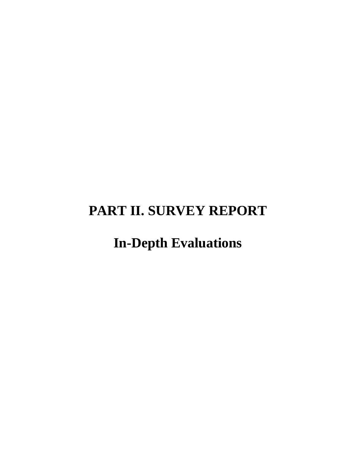# **PART II. SURVEY REPORT**

# **In-Depth Evaluations**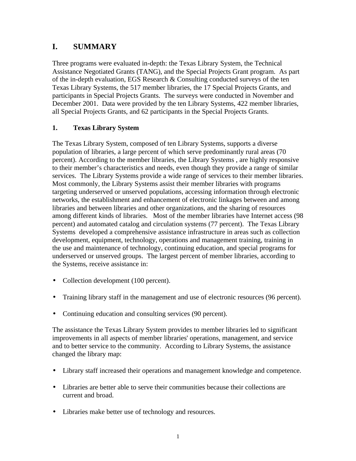# **I. SUMMARY**

Three programs were evaluated in-depth: the Texas Library System, the Technical Assistance Negotiated Grants (TANG), and the Special Projects Grant program. As part of the in-depth evaluation, EGS Research & Consulting conducted surveys of the ten Texas Library Systems, the 517 member libraries, the 17 Special Projects Grants, and participants in Special Projects Grants. The surveys were conducted in November and December 2001. Data were provided by the ten Library Systems, 422 member libraries, all Special Projects Grants, and 62 participants in the Special Projects Grants.

## **1. Texas Library System**

The Texas Library System, composed of ten Library Systems, supports a diverse population of libraries, a large percent of which serve predominantly rural areas (70 percent). According to the member libraries, the Library Systems , are highly responsive to their member's characteristics and needs, even though they provide a range of similar services. The Library Systems provide a wide range of services to their member libraries. Most commonly, the Library Systems assist their member libraries with programs targeting underserved or unserved populations, accessing information through electronic networks, the establishment and enhancement of electronic linkages between and among libraries and between libraries and other organizations, and the sharing of resources among different kinds of libraries. Most of the member libraries have Internet access (98 percent) and automated catalog and circulation systems (77 percent). The Texas Library Systems developed a comprehensive assistance infrastructure in areas such as collection development, equipment, technology, operations and management training, training in the use and maintenance of technology, continuing education, and special programs for underserved or unserved groups. The largest percent of member libraries, according to the Systems, receive assistance in:

- Collection development (100 percent).
- Training library staff in the management and use of electronic resources (96 percent).
- Continuing education and consulting services (90 percent).

The assistance the Texas Library System provides to member libraries led to significant improvements in all aspects of member libraries' operations, management, and service and to better service to the community. According to Library Systems, the assistance changed the library map:

- Library staff increased their operations and management knowledge and competence.
- Libraries are better able to serve their communities because their collections are current and broad.
- Libraries make better use of technology and resources.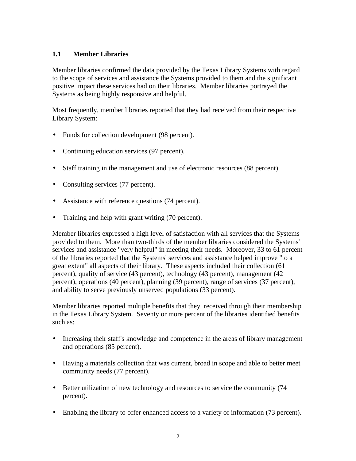## **1.1 Member Libraries**

Member libraries confirmed the data provided by the Texas Library Systems with regard to the scope of services and assistance the Systems provided to them and the significant positive impact these services had on their libraries. Member libraries portrayed the Systems as being highly responsive and helpful.

Most frequently, member libraries reported that they had received from their respective Library System:

- Funds for collection development (98 percent).
- Continuing education services (97 percent).
- Staff training in the management and use of electronic resources (88 percent).
- Consulting services (77 percent).
- Assistance with reference questions (74 percent).
- Training and help with grant writing (70 percent).

Member libraries expressed a high level of satisfaction with all services that the Systems provided to them. More than two-thirds of the member libraries considered the Systems' services and assistance "very helpful" in meeting their needs. Moreover, 33 to 61 percent of the libraries reported that the Systems' services and assistance helped improve "to a great extent" all aspects of their library. These aspects included their collection (61 percent), quality of service (43 percent), technology (43 percent), management (42 percent), operations (40 percent), planning (39 percent), range of services (37 percent), and ability to serve previously unserved populations (33 percent).

Member libraries reported multiple benefits that they received through their membership in the Texas Library System. Seventy or more percent of the libraries identified benefits such as:

- Increasing their staff's knowledge and competence in the areas of library management and operations (85 percent).
- Having a materials collection that was current, broad in scope and able to better meet community needs (77 percent).
- Better utilization of new technology and resources to service the community (74 percent).
- Enabling the library to offer enhanced access to a variety of information (73 percent).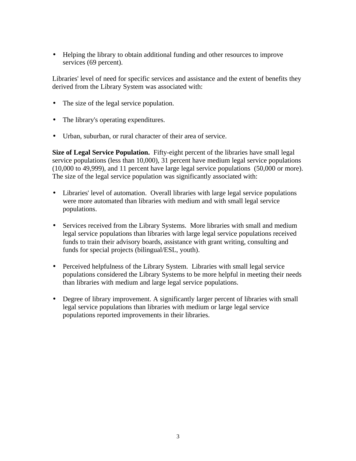• Helping the library to obtain additional funding and other resources to improve services (69 percent).

Libraries' level of need for specific services and assistance and the extent of benefits they derived from the Library System was associated with:

- The size of the legal service population.
- The library's operating expenditures.
- Urban, suburban, or rural character of their area of service.

**Size of Legal Service Population.** Fifty-eight percent of the libraries have small legal service populations (less than 10,000), 31 percent have medium legal service populations (10,000 to 49,999), and 11 percent have large legal service populations (50,000 or more). The size of the legal service population was significantly associated with:

- Libraries' level of automation. Overall libraries with large legal service populations were more automated than libraries with medium and with small legal service populations.
- Services received from the Library Systems. More libraries with small and medium legal service populations than libraries with large legal service populations received funds to train their advisory boards, assistance with grant writing, consulting and funds for special projects (bilingual/ESL, youth).
- Perceived helpfulness of the Library System. Libraries with small legal service populations considered the Library Systems to be more helpful in meeting their needs than libraries with medium and large legal service populations.
- Degree of library improvement. A significantly larger percent of libraries with small legal service populations than libraries with medium or large legal service populations reported improvements in their libraries.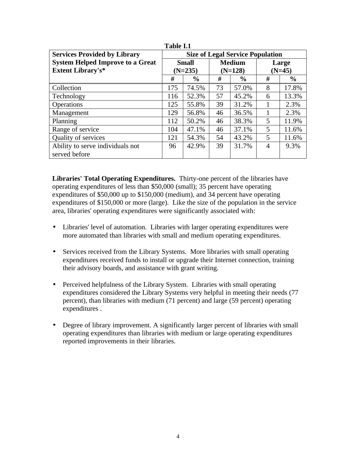|                                         | .                                       |               |               |               |                |               |
|-----------------------------------------|-----------------------------------------|---------------|---------------|---------------|----------------|---------------|
| <b>Services Provided by Library</b>     | <b>Size of Legal Service Population</b> |               |               |               |                |               |
| <b>System Helped Improve to a Great</b> |                                         | <b>Small</b>  | <b>Medium</b> |               | Large          |               |
| <b>Extent Library's*</b>                | $(N=235)$                               |               | $(N=128)$     |               | $(N=45)$       |               |
|                                         | #                                       | $\frac{6}{9}$ | #             | $\frac{0}{0}$ | #              | $\frac{0}{0}$ |
| Collection                              | 175                                     | 74.5%         | 73            | 57.0%         | 8              | 17.8%         |
| Technology                              | 116                                     | 52.3%         | 57            | 45.2%         | 6              | 13.3%         |
| Operations                              | 125                                     | 55.8%         | 39            | 31.2%         |                | 2.3%          |
| Management                              | 129                                     | 56.8%         | 46            | 36.5%         | 1              | 2.3%          |
| Planning                                | 112                                     | 50.2%         | 46            | 38.3%         | 5              | 11.9%         |
| Range of service                        | 104                                     | 47.1%         | 46            | 37.1%         | 5              | 11.6%         |
| Quality of services                     | 121                                     | 54.3%         | 54            | 43.2%         | 5              | 11.6%         |
| Ability to serve individuals not        | 96                                      | 42.9%         | 39            | 31.7%         | $\overline{A}$ | 9.3%          |
| served before                           |                                         |               |               |               |                |               |

**Table I.1**

**Libraries' Total Operating Expenditures.** Thirty-one percent of the libraries have operating expenditures of less than \$50,000 (small); 35 percent have operating expenditures of \$50,000 up to \$150,000 (medium), and 34 percent have operating expenditures of \$150,000 or more (large). Like the size of the population in the service area, libraries' operating expenditures were significantly associated with:

- Libraries' level of automation. Libraries with larger operating expenditures were more automated than libraries with small and medium operating expenditures.
- Services received from the Library Systems. More libraries with small operating expenditures received funds to install or upgrade their Internet connection, training their advisory boards, and assistance with grant writing.
- Perceived helpfulness of the Library System. Libraries with small operating expenditures considered the Library Systems very helpful in meeting their needs (77 percent), than libraries with medium (71 percent) and large (59 percent) operating expenditures .
- Degree of library improvement. A significantly larger percent of libraries with small operating expenditures than libraries with medium or large operating expenditures reported improvements in their libraries.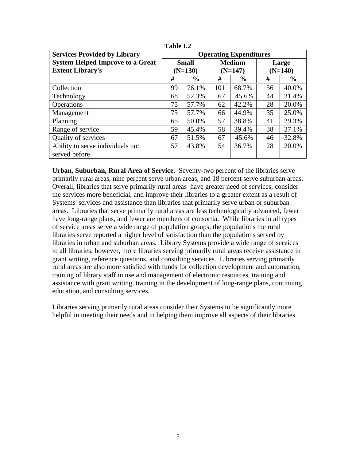| <b>Services Provided by Library</b>     | <b>Operating Expenditures</b> |               |               |               |           |               |
|-----------------------------------------|-------------------------------|---------------|---------------|---------------|-----------|---------------|
| <b>System Helped Improve to a Great</b> |                               | <b>Small</b>  | <b>Medium</b> |               | Large     |               |
| <b>Extent Library's</b>                 |                               | $(N=130)$     | $(N=147)$     |               | $(N=140)$ |               |
|                                         | #                             | $\frac{6}{6}$ | #             | $\frac{6}{6}$ | #         | $\frac{0}{0}$ |
| Collection                              | 99                            | 76.1%         | 101           | 68.7%         | 56        | 40.0%         |
| Technology                              | 68                            | 52.3%         | 67            | 45.6%         | 44        | 31.4%         |
| Operations                              | 75                            | 57.7%         | 62            | 42.2%         | 28        | 20.0%         |
| Management                              | 75                            | 57.7%         | 66            | 44.9%         | 35        | 25.0%         |
| Planning                                | 65                            | 50.0%         | 57            | 38.8%         | 41        | 29.3%         |
| Range of service                        | 59                            | 45.4%         | 58            | 39.4%         | 38        | 27.1%         |
| Quality of services                     | 67                            | 51.5%         | 67            | 45.6%         | 46        | 32.8%         |
| Ability to serve individuals not        | 57                            | 43.8%         | 54            | 36.7%         | 28        | 20.0%         |
| served before                           |                               |               |               |               |           |               |

**Table I.2**

**Urban, Suburban, Rural Area of Service.** Seventy-two percent of the libraries serve primarily rural areas, nine percent serve urban areas, and 18 percent serve suburban areas. Overall, libraries that serve primarily rural areas have greater need of services, consider the services more beneficial, and improve their libraries to a greater extent as a result of Systems' services and assistance than libraries that primarily serve urban or suburban areas. Libraries that serve primarily rural areas are less technologically advanced, fewer have long-range plans, and fewer are members of consortia. While libraries in all types of service areas serve a wide range of population groups, the populations the rural libraries serve reported a higher level of satisfaction than the populations served by libraries in urban and suburban areas. Library Systems provide a wide range of services to all libraries; however, more libraries serving primarily rural areas receive assistance in grant writing, reference questions, and consulting services. Libraries serving primarily rural areas are also more satisfied with funds for collection development and automation, training of library staff in use and management of electronic resources, training and assistance with grant writing, training in the development of long-range plans, continuing education, and consulting services.

Libraries serving primarily rural areas consider their Systems to be significantly more helpful in meeting their needs and in helping them improve all aspects of their libraries.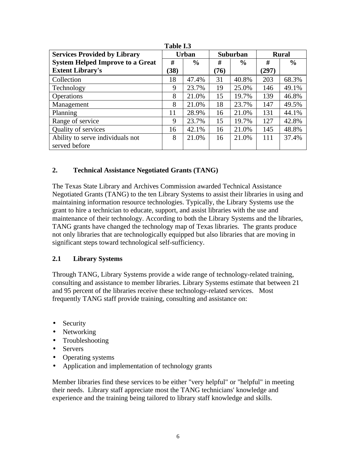| 1 UNIV 110                              |              |               |                 |               |              |               |
|-----------------------------------------|--------------|---------------|-----------------|---------------|--------------|---------------|
| <b>Services Provided by Library</b>     | <b>Urban</b> |               | <b>Suburban</b> |               | <b>Rural</b> |               |
| <b>System Helped Improve to a Great</b> | #            | $\frac{6}{6}$ | #               | $\frac{6}{9}$ | #            | $\frac{0}{0}$ |
| <b>Extent Library's</b>                 | (38)         |               | (76)            |               | (297)        |               |
| Collection                              | 18           | 47.4%         | 31              | 40.8%         | 203          | 68.3%         |
| Technology                              | 9            | 23.7%         | 19              | 25.0%         | 146          | 49.1%         |
| Operations                              | 8            | 21.0%         | 15              | 19.7%         | 139          | 46.8%         |
| Management                              | 8            | 21.0%         | 18              | 23.7%         | 147          | 49.5%         |
| Planning                                | 11           | 28.9%         | 16              | 21.0%         | 131          | 44.1%         |
| Range of service                        | 9            | 23.7%         | 15              | 19.7%         | 127          | 42.8%         |
| Quality of services                     | 16           | 42.1%         | 16              | 21.0%         | 145          | 48.8%         |
| Ability to serve individuals not        | 8            | 21.0%         | 16              | 21.0%         | 111          | 37.4%         |
| served before                           |              |               |                 |               |              |               |

**Table I.3**

### **2. Technical Assistance Negotiated Grants (TANG)**

The Texas State Library and Archives Commission awarded Technical Assistance Negotiated Grants (TANG) to the ten Library Systems to assist their libraries in using and maintaining information resource technologies. Typically, the Library Systems use the grant to hire a technician to educate, support, and assist libraries with the use and maintenance of their technology. According to both the Library Systems and the libraries, TANG grants have changed the technology map of Texas libraries. The grants produce not only libraries that are technologically equipped but also libraries that are moving in significant steps toward technological self-sufficiency.

### **2.1 Library Systems**

Through TANG, Library Systems provide a wide range of technology-related training, consulting and assistance to member libraries. Library Systems estimate that between 21 and 95 percent of the libraries receive these technology-related services. Most frequently TANG staff provide training, consulting and assistance on:

- Security
- Networking
- Troubleshooting
- Servers
- Operating systems
- Application and implementation of technology grants

Member libraries find these services to be either "very helpful" or "helpful" in meeting their needs. Library staff appreciate most the TANG technicians' knowledge and experience and the training being tailored to library staff knowledge and skills.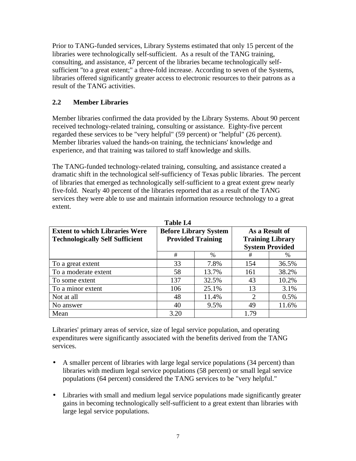Prior to TANG-funded services, Library Systems estimated that only 15 percent of the libraries were technologically self-sufficient. As a result of the TANG training, consulting, and assistance, 47 percent of the libraries became technologically selfsufficient "to a great extent;" a three-fold increase. According to seven of the Systems, libraries offered significantly greater access to electronic resources to their patrons as a result of the TANG activities.

## **2.2 Member Libraries**

Member libraries confirmed the data provided by the Library Systems. About 90 percent received technology-related training, consulting or assistance. Eighty-five percent regarded these services to be "very helpful" (59 percent) or "helpful" (26 percent). Member libraries valued the hands-on training, the technicians' knowledge and experience, and that training was tailored to staff knowledge and skills.

The TANG-funded technology-related training, consulting, and assistance created a dramatic shift in the technological self-sufficiency of Texas public libraries. The percent of libraries that emerged as technologically self-sufficient to a great extent grew nearly five-fold. Nearly 40 percent of the libraries reported that as a result of the TANG services they were able to use and maintain information resource technology to a great extent.

| <b>Extent to which Libraries Were</b>  | <b>Before Library System</b> |       | As a Result of              |       |
|----------------------------------------|------------------------------|-------|-----------------------------|-------|
| <b>Technologically Self Sufficient</b> | <b>Provided Training</b>     |       | <b>Training Library</b>     |       |
|                                        |                              |       | <b>System Provided</b>      |       |
|                                        | #                            | $\%$  | #                           | $\%$  |
| To a great extent                      | 33                           | 7.8%  | 154                         | 36.5% |
| To a moderate extent                   | 58                           | 13.7% | 161                         | 38.2% |
| To some extent                         | 137                          | 32.5% | 43                          | 10.2% |
| To a minor extent                      | 106                          | 25.1% | 13                          | 3.1%  |
| Not at all                             | 48                           | 11.4% | $\mathcal{D}_{\mathcal{L}}$ | 0.5%  |
| No answer                              | 40                           | 9.5%  | 49                          | 11.6% |
| Mean                                   | 3.20                         |       | 1.79                        |       |

**Table I.4**

Libraries' primary areas of service, size of legal service population, and operating expenditures were significantly associated with the benefits derived from the TANG services.

- A smaller percent of libraries with large legal service populations (34 percent) than libraries with medium legal service populations (58 percent) or small legal service populations (64 percent) considered the TANG services to be "very helpful."
- Libraries with small and medium legal service populations made significantly greater gains in becoming technologically self-sufficient to a great extent than libraries with large legal service populations.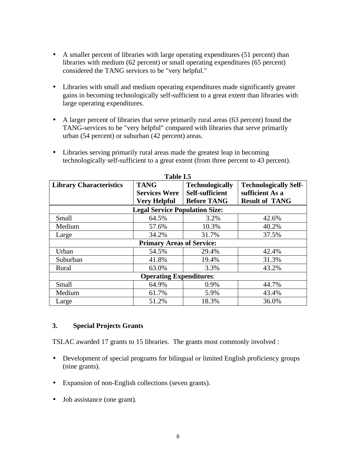- A smaller percent of libraries with large operating expenditures (51 percent) than libraries with medium (62 percent) or small operating expenditures (65 percent) considered the TANG services to be "very helpful."
- Libraries with small and medium operating expenditures made significantly greater gains in becoming technologically self-sufficient to a great extent than libraries with large operating expenditures.
- A larger percent of libraries that serve primarily rural areas (63 percent) found the TANG-services to be "very helpful" compared with libraries that serve primarily urban (54 percent) or suburban (42 percent) areas.

| Table I.5                      |                                       |                                           |                                                 |  |  |
|--------------------------------|---------------------------------------|-------------------------------------------|-------------------------------------------------|--|--|
| <b>Library Characteristics</b> | <b>TANG</b><br><b>Services Were</b>   | <b>Technologically</b><br>Self-sufficient | <b>Technologically Self-</b><br>sufficient As a |  |  |
|                                | <b>Very Helpful</b>                   | <b>Before TANG</b>                        | <b>Result of TANG</b>                           |  |  |
|                                | <b>Legal Service Population Size:</b> |                                           |                                                 |  |  |
| Small                          | 64.5%                                 | 3.2%                                      | 42.6%                                           |  |  |
| Medium                         | 57.6%                                 | 10.3%                                     | 40.2%                                           |  |  |
| Large                          | 34.2%                                 | 31.7%                                     | 37.5%                                           |  |  |
|                                | <b>Primary Areas of Service:</b>      |                                           |                                                 |  |  |
| Urban                          | 54.5%                                 | 29.4%                                     | 42.4%                                           |  |  |
| Suburban                       | 41.8%                                 | 19.4%                                     | 31.3%                                           |  |  |
| Rural                          | 63.0%                                 | 3.3%                                      | 43.2%                                           |  |  |
| <b>Operating Expenditures:</b> |                                       |                                           |                                                 |  |  |
| Small                          | 64.9%                                 | 0.9%                                      | 44.7%                                           |  |  |
| Medium                         | 61.7%                                 | 5.9%                                      | 43.4%                                           |  |  |
| Large                          | 51.2%                                 | 18.3%                                     | 36.0%                                           |  |  |

• Libraries serving primarily rural areas made the greatest leap in becoming technologically self-sufficient to a great extent (from three percent to 43 percent).

### **3. Special Projects Grants**

TSLAC awarded 17 grants to 15 libraries. The grants most commonly involved :

- Development of special programs for bilingual or limited English proficiency groups (nine grants).
- Expansion of non-English collections (seven grants).
- Job assistance (one grant).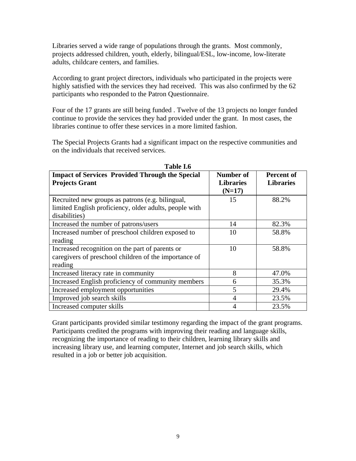Libraries served a wide range of populations through the grants. Most commonly, projects addressed children, youth, elderly, bilingual/ESL, low-income, low-literate adults, childcare centers, and families.

According to grant project directors, individuals who participated in the projects were highly satisfied with the services they had received. This was also confirmed by the 62 participants who responded to the Patron Questionnaire.

Four of the 17 grants are still being funded . Twelve of the 13 projects no longer funded continue to provide the services they had provided under the grant. In most cases, the libraries continue to offer these services in a more limited fashion.

The Special Projects Grants had a significant impact on the respective communities and on the individuals that received services.

| 1 UNIV 1.V                                                                                                                  |                                           |                                       |  |  |  |  |
|-----------------------------------------------------------------------------------------------------------------------------|-------------------------------------------|---------------------------------------|--|--|--|--|
| <b>Impact of Services Provided Through the Special</b><br><b>Projects Grant</b>                                             | Number of<br><b>Libraries</b><br>$(N=17)$ | <b>Percent of</b><br><b>Libraries</b> |  |  |  |  |
| Recruited new groups as patrons (e.g. bilingual,<br>limited English proficiency, older adults, people with<br>disabilities) | 15                                        | 88.2%                                 |  |  |  |  |
| Increased the number of patrons/users                                                                                       | 14                                        | 82.3%                                 |  |  |  |  |
| Increased number of preschool children exposed to<br>reading                                                                | 10                                        | 58.8%                                 |  |  |  |  |
| Increased recognition on the part of parents or<br>caregivers of preschool children of the importance of<br>reading         | 10                                        | 58.8%                                 |  |  |  |  |
| Increased literacy rate in community                                                                                        | 8                                         | 47.0%                                 |  |  |  |  |
| Increased English proficiency of community members                                                                          | 6                                         | 35.3%                                 |  |  |  |  |
| Increased employment opportunities                                                                                          | 5                                         | 29.4%                                 |  |  |  |  |
| Improved job search skills                                                                                                  | 4                                         | 23.5%                                 |  |  |  |  |
| Increased computer skills                                                                                                   | 4                                         | 23.5%                                 |  |  |  |  |

**Table I.6**

Grant participants provided similar testimony regarding the impact of the grant programs. Participants credited the programs with improving their reading and language skills, recognizing the importance of reading to their children, learning library skills and increasing library use, and learning computer, Internet and job search skills, which resulted in a job or better job acquisition.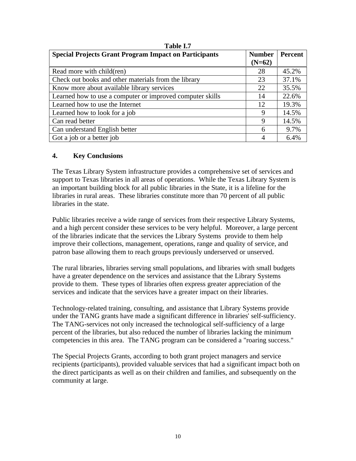| <b>Special Projects Grant Program Impact on Participants</b> | <b>Number</b><br>$(N=62)$ | Percent |
|--------------------------------------------------------------|---------------------------|---------|
| Read more with child(ren)                                    | 28                        | 45.2%   |
| Check out books and other materials from the library         | 23                        | 37.1%   |
| Know more about available library services                   | 22                        | 35.5%   |
| Learned how to use a computer or improved computer skills    | 14                        | 22.6%   |
| Learned how to use the Internet                              | 12                        | 19.3%   |
| Learned how to look for a job                                | 9                         | 14.5%   |
| Can read better                                              | 9                         | 14.5%   |
| Can understand English better                                | 6                         | 9.7%    |
| Got a job or a better job                                    |                           | 6.4%    |

#### **Table I.7**

#### **4. Key Conclusions**

The Texas Library System infrastructure provides a comprehensive set of services and support to Texas libraries in all areas of operations. While the Texas Library System is an important building block for all public libraries in the State, it is a lifeline for the libraries in rural areas. These libraries constitute more than 70 percent of all public libraries in the state.

Public libraries receive a wide range of services from their respective Library Systems, and a high percent consider these services to be very helpful. Moreover, a large percent of the libraries indicate that the services the Library Systems provide to them help improve their collections, management, operations, range and quality of service, and patron base allowing them to reach groups previously underserved or unserved.

The rural libraries, libraries serving small populations, and libraries with small budgets have a greater dependence on the services and assistance that the Library Systems provide to them. These types of libraries often express greater appreciation of the services and indicate that the services have a greater impact on their libraries.

Technology-related training, consulting, and assistance that Library Systems provide under the TANG grants have made a significant difference in libraries' self-sufficiency. The TANG-services not only increased the technological self-sufficiency of a large percent of the libraries, but also reduced the number of libraries lacking the minimum competencies in this area. The TANG program can be considered a "roaring success."

The Special Projects Grants, according to both grant project managers and service recipients (participants), provided valuable services that had a significant impact both on the direct participants as well as on their children and families, and subsequently on the community at large.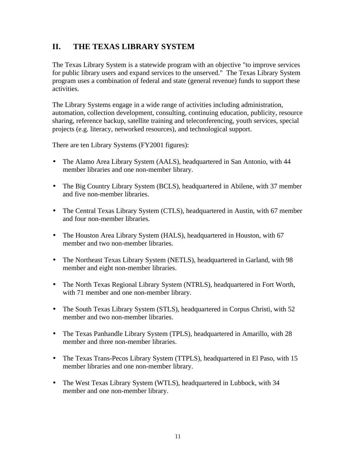## **II. THE TEXAS LIBRARY SYSTEM**

The Texas Library System is a statewide program with an objective "to improve services for public library users and expand services to the unserved." The Texas Library System program uses a combination of federal and state (general revenue) funds to support these activities.

The Library Systems engage in a wide range of activities including administration, automation, collection development, consulting, continuing education, publicity, resource sharing, reference backup, satellite training and teleconferencing, youth services, special projects (e.g. literacy, networked resources), and technological support.

There are ten Library Systems (FY2001 figures):

- The Alamo Area Library System (AALS), headquartered in San Antonio, with 44 member libraries and one non-member library.
- The Big Country Library System (BCLS), headquartered in Abilene, with 37 member and five non-member libraries.
- The Central Texas Library System (CTLS), headquartered in Austin, with 67 member and four non-member libraries.
- The Houston Area Library System (HALS), headquartered in Houston, with 67 member and two non-member libraries.
- The Northeast Texas Library System (NETLS), headquartered in Garland, with 98 member and eight non-member libraries.
- The North Texas Regional Library System (NTRLS), headquartered in Fort Worth, with 71 member and one non-member library.
- The South Texas Library System (STLS), headquartered in Corpus Christi, with 52 member and two non-member libraries.
- The Texas Panhandle Library System (TPLS), headquartered in Amarillo, with 28 member and three non-member libraries.
- The Texas Trans-Pecos Library System (TTPLS), headquartered in El Paso, with 15 member libraries and one non-member library.
- The West Texas Library System (WTLS), headquartered in Lubbock, with 34 member and one non-member library.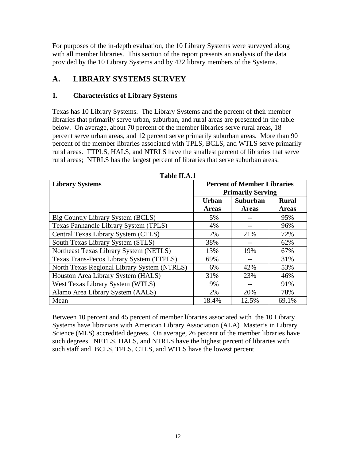For purposes of the in-depth evaluation, the 10 Library Systems were surveyed along with all member libraries. This section of the report presents an analysis of the data provided by the 10 Library Systems and by 422 library members of the Systems.

## **A. LIBRARY SYSTEMS SURVEY**

## **1. Characteristics of Library Systems**

Texas has 10 Library Systems. The Library Systems and the percent of their member libraries that primarily serve urban, suburban, and rural areas are presented in the table below. On average, about 70 percent of the member libraries serve rural areas, 18 percent serve urban areas, and 12 percent serve primarily suburban areas. More than 90 percent of the member libraries associated with TPLS, BCLS, and WTLS serve primarily rural areas. TTPLS, HALS, and NTRLS have the smallest percent of libraries that serve rural areas; NTRLS has the largest percent of libraries that serve suburban areas.

| <b>Library Systems</b>                      | <b>Percent of Member Libraries</b><br><b>Primarily Serving</b> |              |              |  |
|---------------------------------------------|----------------------------------------------------------------|--------------|--------------|--|
|                                             | <b>Suburban</b><br><b>Urban</b>                                |              | <b>Rural</b> |  |
|                                             | <b>Areas</b>                                                   | <b>Areas</b> | <b>Areas</b> |  |
| Big Country Library System (BCLS)           | 5%                                                             |              | 95%          |  |
| Texas Panhandle Library System (TPLS)       | 4%                                                             |              | 96%          |  |
| Central Texas Library System (CTLS)         | 7%                                                             | 21%          | 72%          |  |
| South Texas Library System (STLS)           | 38%                                                            |              | 62%          |  |
| Northeast Texas Library System (NETLS)      | 13%                                                            | 19%          | 67%          |  |
| Texas Trans-Pecos Library System (TTPLS)    | 69%                                                            |              | 31%          |  |
| North Texas Regional Library System (NTRLS) | 6%                                                             | 42%          | 53%          |  |
| Houston Area Library System (HALS)          | 31%                                                            | 23%          | 46%          |  |
| West Texas Library System (WTLS)            | 9%                                                             | --           | 91%          |  |
| Alamo Area Library System (AALS)            | 2%                                                             | 20%          | 78%          |  |
| Mean                                        | 18.4%                                                          | 12.5%        | 69.1%        |  |

**Table II.A.1**

Between 10 percent and 45 percent of member libraries associated with the 10 Library Systems have librarians with American Library Association (ALA) Master's in Library Science (MLS) accredited degrees. On average, 26 percent of the member libraries have such degrees. NETLS, HALS, and NTRLS have the highest percent of libraries with such staff and BCLS, TPLS, CTLS, and WTLS have the lowest percent.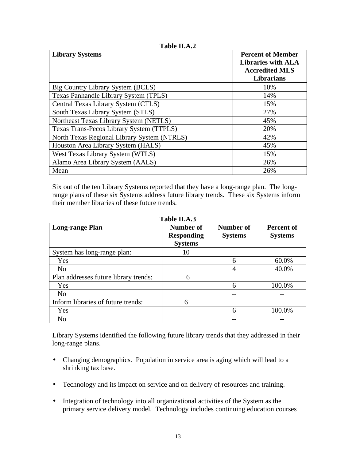| <b>Library Systems</b>                      | <b>Percent of Member</b><br><b>Libraries with ALA</b><br><b>Accredited MLS</b><br>Librarians |
|---------------------------------------------|----------------------------------------------------------------------------------------------|
| Big Country Library System (BCLS)           | 10%                                                                                          |
| Texas Panhandle Library System (TPLS)       | 14%                                                                                          |
| Central Texas Library System (CTLS)         | 15%                                                                                          |
| South Texas Library System (STLS)           | 27%                                                                                          |
| Northeast Texas Library System (NETLS)      | 45%                                                                                          |
| Texas Trans-Pecos Library System (TTPLS)    | 20%                                                                                          |
| North Texas Regional Library System (NTRLS) | 42%                                                                                          |
| Houston Area Library System (HALS)          | 45%                                                                                          |
| West Texas Library System (WTLS)            | 15%                                                                                          |
| Alamo Area Library System (AALS)            | 26%                                                                                          |
| Mean                                        | 26%                                                                                          |

**Table II.A.2**

Six out of the ten Library Systems reported that they have a long-range plan. The longrange plans of these six Systems address future library trends. These six Systems inform their member libraries of these future trends.

| <b>Long-range Plan</b>                | Number of<br><b>Responding</b><br><b>Systems</b> | Number of<br><b>Systems</b> | Percent of<br><b>Systems</b> |
|---------------------------------------|--------------------------------------------------|-----------------------------|------------------------------|
| System has long-range plan:           | 10                                               |                             |                              |
| Yes                                   |                                                  | 6                           | 60.0%                        |
| N <sub>o</sub>                        |                                                  | 4                           | 40.0%                        |
| Plan addresses future library trends: | 6                                                |                             |                              |
| Yes                                   |                                                  | 6                           | 100.0%                       |
| N <sub>o</sub>                        |                                                  |                             |                              |
| Inform libraries of future trends:    | 6                                                |                             |                              |
| Yes                                   |                                                  | 6                           | 100.0%                       |
| N <sub>o</sub>                        |                                                  |                             |                              |

**Table II.A.3**

Library Systems identified the following future library trends that they addressed in their long-range plans.

- Changing demographics. Population in service area is aging which will lead to a shrinking tax base.
- Technology and its impact on service and on delivery of resources and training.
- Integration of technology into all organizational activities of the System as the primary service delivery model. Technology includes continuing education courses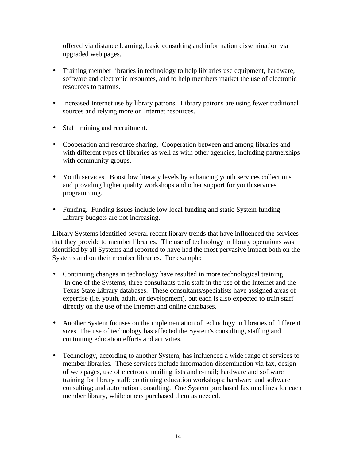offered via distance learning; basic consulting and information dissemination via upgraded web pages.

- Training member libraries in technology to help libraries use equipment, hardware, software and electronic resources, and to help members market the use of electronic resources to patrons.
- Increased Internet use by library patrons. Library patrons are using fewer traditional sources and relying more on Internet resources.
- Staff training and recruitment.
- Cooperation and resource sharing. Cooperation between and among libraries and with different types of libraries as well as with other agencies, including partnerships with community groups.
- Youth services. Boost low literacy levels by enhancing youth services collections and providing higher quality workshops and other support for youth services programming.
- Funding. Funding issues include low local funding and static System funding. Library budgets are not increasing.

Library Systems identified several recent library trends that have influenced the services that they provide to member libraries. The use of technology in library operations was identified by all Systems and reported to have had the most pervasive impact both on the Systems and on their member libraries. For example:

- Continuing changes in technology have resulted in more technological training. In one of the Systems, three consultants train staff in the use of the Internet and the Texas State Library databases. These consultants/specialists have assigned areas of expertise (i.e. youth, adult, or development), but each is also expected to train staff directly on the use of the Internet and online databases.
- Another System focuses on the implementation of technology in libraries of different sizes. The use of technology has affected the System's consulting, staffing and continuing education efforts and activities.
- Technology, according to another System, has influenced a wide range of services to member libraries. These services include information dissemination via fax, design of web pages, use of electronic mailing lists and e-mail; hardware and software training for library staff; continuing education workshops; hardware and software consulting; and automation consulting. One System purchased fax machines for each member library, while others purchased them as needed.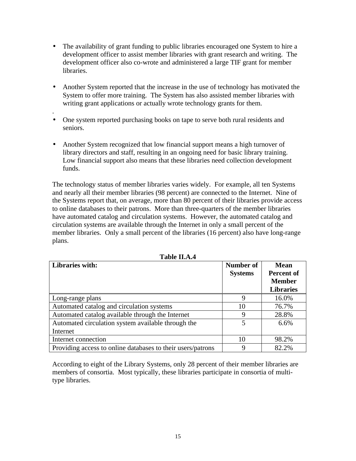- The availability of grant funding to public libraries encouraged one System to hire a development officer to assist member libraries with grant research and writing. The development officer also co-wrote and administered a large TIF grant for member libraries.
- Another System reported that the increase in the use of technology has motivated the System to offer more training. The System has also assisted member libraries with writing grant applications or actually wrote technology grants for them.
- One system reported purchasing books on tape to serve both rural residents and seniors.

.

• Another System recognized that low financial support means a high turnover of library directors and staff, resulting in an ongoing need for basic library training. Low financial support also means that these libraries need collection development funds.

The technology status of member libraries varies widely. For example, all ten Systems and nearly all their member libraries (98 percent) are connected to the Internet. Nine of the Systems report that, on average, more than 80 percent of their libraries provide access to online databases to their patrons. More than three-quarters of the member libraries have automated catalog and circulation systems. However, the automated catalog and circulation systems are available through the Internet in only a small percent of the member libraries. Only a small percent of the libraries (16 percent) also have long-range plans.

| Libraries with:                                             | Number of<br><b>Systems</b> | <b>Mean</b><br><b>Percent of</b><br><b>Member</b><br><b>Libraries</b> |
|-------------------------------------------------------------|-----------------------------|-----------------------------------------------------------------------|
| Long-range plans                                            | 9                           | 16.0%                                                                 |
| Automated catalog and circulation systems                   | 10                          | 76.7%                                                                 |
| Automated catalog available through the Internet            | 9                           | 28.8%                                                                 |
| Automated circulation system available through the          | 5                           | 6.6%                                                                  |
| Internet                                                    |                             |                                                                       |
| Internet connection                                         | 10                          | 98.2%                                                                 |
| Providing access to online databases to their users/patrons | 9                           | 82.2%                                                                 |

**Table II.A.4**

According to eight of the Library Systems, only 28 percent of their member libraries are members of consortia. Most typically, these libraries participate in consortia of multitype libraries.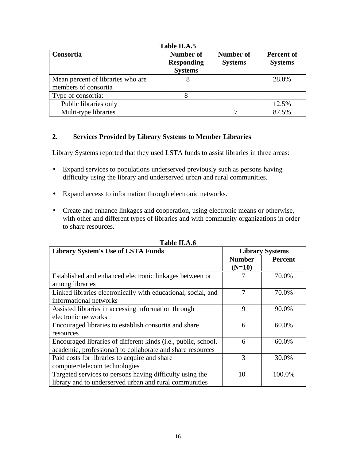| Consortia                                                 | Number of<br><b>Responding</b><br><b>Systems</b> | Number of<br><b>Systems</b> | Percent of<br><b>Systems</b> |
|-----------------------------------------------------------|--------------------------------------------------|-----------------------------|------------------------------|
| Mean percent of libraries who are<br>members of consortia |                                                  |                             | 28.0%                        |
| Type of consortia:                                        |                                                  |                             |                              |
| Public libraries only                                     |                                                  |                             | 12.5%                        |
| Multi-type libraries                                      |                                                  |                             | 87.5%                        |

## **Table II.A.5**

## **2. Services Provided by Library Systems to Member Libraries**

Library Systems reported that they used LSTA funds to assist libraries in three areas:

- Expand services to populations underserved previously such as persons having difficulty using the library and underserved urban and rural communities.
- Expand access to information through electronic networks.
- Create and enhance linkages and cooperation, using electronic means or otherwise, with other and different types of libraries and with community organizations in order to share resources.

| <b>Library System's Use of LSTA Funds</b>                      | <b>Library Systems</b> |                |
|----------------------------------------------------------------|------------------------|----------------|
|                                                                | <b>Number</b>          | <b>Percent</b> |
|                                                                | $(N=10)$               |                |
| Established and enhanced electronic linkages between or        |                        | 70.0%          |
| among libraries                                                |                        |                |
| Linked libraries electronically with educational, social, and  | 7                      | 70.0%          |
| informational networks                                         |                        |                |
| Assisted libraries in accessing information through            | 9                      | 90.0%          |
| electronic networks                                            |                        |                |
| Encouraged libraries to establish consortia and share          | 6                      | 60.0%          |
| resources                                                      |                        |                |
| Encouraged libraries of different kinds (i.e., public, school, | 6                      | 60.0%          |
| academic, professional) to collaborate and share resources     |                        |                |
| Paid costs for libraries to acquire and share                  | 3                      | 30.0%          |
| computer/telecom technologies                                  |                        |                |
| Targeted services to persons having difficulty using the       | 10                     | 100.0%         |
| library and to underserved urban and rural communities         |                        |                |

**Table II.A.6**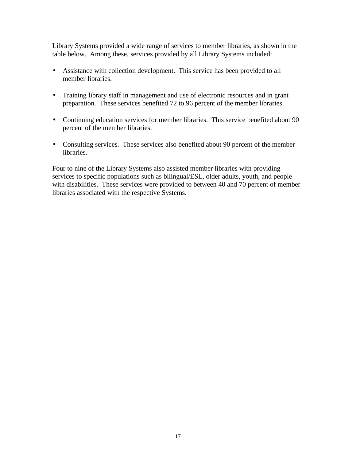Library Systems provided a wide range of services to member libraries, as shown in the table below. Among these, services provided by all Library Systems included:

- Assistance with collection development. This service has been provided to all member libraries.
- Training library staff in management and use of electronic resources and in grant preparation. These services benefited 72 to 96 percent of the member libraries.
- Continuing education services for member libraries. This service benefited about 90 percent of the member libraries.
- Consulting services. These services also benefited about 90 percent of the member libraries.

Four to nine of the Library Systems also assisted member libraries with providing services to specific populations such as bilingual/ESL, older adults, youth, and people with disabilities. These services were provided to between 40 and 70 percent of member libraries associated with the respective Systems.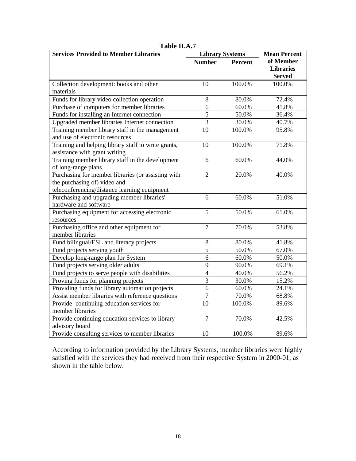| <b>Services Provided to Member Libraries</b>        | <b>Library Systems</b> |                | <b>Mean Percent</b> |
|-----------------------------------------------------|------------------------|----------------|---------------------|
|                                                     | <b>Number</b>          | <b>Percent</b> | of Member           |
|                                                     |                        |                | <b>Libraries</b>    |
|                                                     |                        |                | <b>Served</b>       |
| Collection development: books and other             | 10                     | 100.0%         | 100.0%              |
| materials                                           |                        |                |                     |
| Funds for library video collection operation        | 8                      | 80.0%          | 72.4%               |
| Purchase of computers for member libraries          | 6                      | 60.0%          | 41.8%               |
| Funds for installing an Internet connection         | $\overline{5}$         | 50.0%          | 36.4%               |
| Upgraded member libraries Internet connection       | $\overline{3}$         | 30.0%          | 40.7%               |
| Training member library staff in the management     | $\overline{10}$        | 100.0%         | 95.8%               |
| and use of electronic resources                     |                        |                |                     |
| Training and helping library staff to write grants, | $\overline{10}$        | 100.0%         | 71.8%               |
| assistance with grant writing                       |                        |                |                     |
| Training member library staff in the development    | 6                      | 60.0%          | 44.0%               |
| of long-range plans                                 |                        |                |                     |
| Purchasing for member libraries (or assisting with  | $\overline{2}$         | 20.0%          | 40.0%               |
| the purchasing of) video and                        |                        |                |                     |
| teleconferencing/distance learning equipment        |                        |                |                     |
| Purchasing and upgrading member libraries'          | 6                      | 60.0%          | 51.0%               |
| hardware and software                               |                        |                |                     |
| Purchasing equipment for accessing electronic       | $\overline{5}$         | 50.0%          | 61.0%               |
| resources                                           |                        |                |                     |
| Purchasing office and other equipment for           | $\overline{7}$         | 70.0%          | 53.8%               |
| member libraries                                    |                        |                |                     |
| Fund bilingual/ESL and literacy projects            | $8\,$                  | 80.0%          | 41.8%               |
| Fund projects serving youth                         | $\overline{5}$         | 50.0%          | 67.0%               |
| Develop long-range plan for System                  | 6                      | 60.0%          | 50.0%               |
| Fund projects serving older adults                  | $\overline{9}$         | 90.0%          | 69.1%               |
| Fund projects to serve people with disabilities     | $\overline{4}$         | 40.0%          | 56.2%               |
| Proving funds for planning projects                 | $\overline{3}$         | 30.0%          | 15.2%               |
| Providing funds for library automation projects     | 6                      | 60.0%          | 24.1%               |
| Assist member libraries with reference questions    | $\overline{7}$         | 70.0%          | 68.8%               |
| Provide continuing education services for           | $\overline{10}$        | 100.0%         | 89.6%               |
| member libraries                                    |                        |                |                     |
| Provide continuing education services to library    | $\overline{7}$         | 70.0%          | 42.5%               |
| advisory board                                      |                        |                |                     |
| Provide consulting services to member libraries     | 10                     | 100.0%         | 89.6%               |

**Table II.A.7**

According to information provided by the Library Systems, member libraries were highly satisfied with the services they had received from their respective System in 2000-01, as shown in the table below.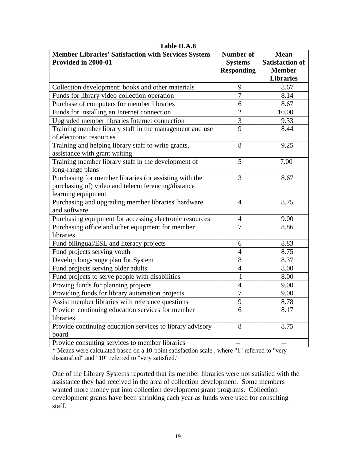| <b>Member Libraries' Satisfaction with Services System</b><br>Provided in 2000-01                                                  | Number of<br><b>Systems</b><br><b>Responding</b> | <b>Mean</b><br><b>Satisfaction of</b><br><b>Member</b> |
|------------------------------------------------------------------------------------------------------------------------------------|--------------------------------------------------|--------------------------------------------------------|
|                                                                                                                                    |                                                  | <b>Libraries</b>                                       |
| Collection development: books and other materials                                                                                  | 9                                                | 8.67                                                   |
| Funds for library video collection operation                                                                                       | $\overline{7}$                                   | 8.14                                                   |
| Purchase of computers for member libraries                                                                                         | 6                                                | 8.67                                                   |
| Funds for installing an Internet connection                                                                                        | $\overline{2}$                                   | 10.00                                                  |
| Upgraded member libraries Internet connection                                                                                      | $\overline{3}$                                   | 9.33                                                   |
| Training member library staff in the management and use<br>of electronic resources                                                 | $\overline{9}$                                   | 8.44                                                   |
| Training and helping library staff to write grants,<br>assistance with grant writing                                               | 8                                                | 9.25                                                   |
| Training member library staff in the development of<br>long-range plans                                                            | 5                                                | 7.00                                                   |
| Purchasing for member libraries (or assisting with the<br>purchasing of) video and teleconferencing/distance<br>learning equipment | 3                                                | 8.67                                                   |
| Purchasing and upgrading member libraries' hardware<br>and software                                                                | $\overline{4}$                                   | 8.75                                                   |
| Purchasing equipment for accessing electronic resources                                                                            | $\overline{4}$                                   | 9.00                                                   |
| Purchasing office and other equipment for member<br>libraries                                                                      | $\overline{7}$                                   | 8.86                                                   |
| Fund bilingual/ESL and literacy projects                                                                                           | 6                                                | 8.83                                                   |
| Fund projects serving youth                                                                                                        | $\overline{4}$                                   | 8.75                                                   |
| Develop long-range plan for System                                                                                                 | 8                                                | 8.37                                                   |
| Fund projects serving older adults                                                                                                 | $\overline{4}$                                   | 8.00                                                   |
| Fund projects to serve people with disabilities                                                                                    | $\mathbf{1}$                                     | 8.00                                                   |
| Proving funds for planning projects                                                                                                | $\overline{4}$                                   | 9.00                                                   |
| Providing funds for library automation projects                                                                                    | $\overline{7}$                                   | 9.00                                                   |
| Assist member libraries with reference questions                                                                                   | 9                                                | 8.78                                                   |
| Provide continuing education services for member<br>libraries                                                                      | 6                                                | 8.17                                                   |
| Provide continuing education services to library advisory                                                                          | 8                                                | 8.75                                                   |
| board                                                                                                                              |                                                  |                                                        |
| Provide consulting services to member libraries                                                                                    | $-$                                              | $-1$                                                   |

**Table II.A.8**

\* Means were calculated based on a 10-point satisfaction scale , where "1" referred to "very dissatisfied" and "10" referred to "very satisfied."

One of the Library Systems reported that its member libraries were not satisfied with the assistance they had received in the area of collection development. Some members wanted more money put into collection development grant programs. Collection development grants have been shrinking each year as funds were used for consulting staff.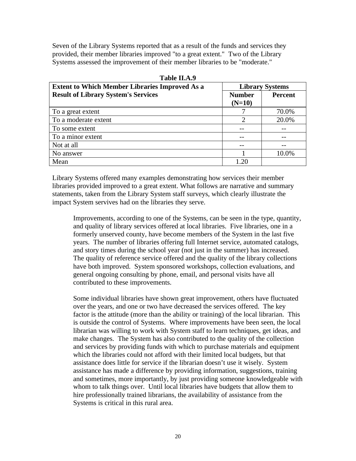Seven of the Library Systems reported that as a result of the funds and services they provided, their member libraries improved "to a great extent." Two of the Library Systems assessed the improvement of their member libraries to be "moderate."

| <b>Extent to Which Member Libraries Improved As a</b> |                           | <b>Library Systems</b> |
|-------------------------------------------------------|---------------------------|------------------------|
| <b>Result of Library System's Services</b>            | <b>Number</b><br>$(N=10)$ | Percent                |
| To a great extent                                     |                           | 70.0%                  |
| To a moderate extent                                  | $\overline{c}$            | 20.0%                  |
| To some extent                                        |                           |                        |
| To a minor extent                                     |                           |                        |
| Not at all                                            |                           |                        |
| No answer                                             |                           | 10.0%                  |
| Mean                                                  | 1.20                      |                        |

**Table II.A.9**

Library Systems offered many examples demonstrating how services their member libraries provided improved to a great extent. What follows are narrative and summary statements, taken from the Library System staff surveys, which clearly illustrate the impact System servives had on the libraries they serve.

Improvements, according to one of the Systems, can be seen in the type, quantity, and quality of library services offered at local libraries. Five libraries, one in a formerly unserved county, have become members of the System in the last five years. The number of libraries offering full Internet service, automated catalogs, and story times during the school year (not just in the summer) has increased. The quality of reference service offered and the quality of the library collections have both improved. System sponsored workshops, collection evaluations, and general ongoing consulting by phone, email, and personal visits have all contributed to these improvements.

Some individual libraries have shown great improvement, others have fluctuated over the years, and one or two have decreased the services offered. The key factor is the attitude (more than the ability or training) of the local librarian. This is outside the control of Systems. Where improvements have been seen, the local librarian was willing to work with System staff to learn techniques, get ideas, and make changes. The System has also contributed to the quality of the collection and services by providing funds with which to purchase materials and equipment which the libraries could not afford with their limited local budgets, but that assistance does little for service if the librarian doesn't use it wisely. System assistance has made a difference by providing information, suggestions, training and sometimes, more importantly, by just providing someone knowledgeable with whom to talk things over. Until local libraries have budgets that allow them to hire professionally trained librarians, the availability of assistance from the Systems is critical in this rural area.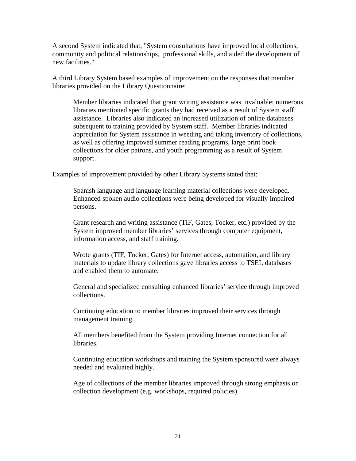A second System indicated that, "System consultations have improved local collections, community and political relationships, professional skills, and aided the development of new facilities."

A third Library System based examples of improvement on the responses that member libraries provided on the Library Questionnaire:

Member libraries indicated that grant writing assistance was invaluable; numerous libraries mentioned specific grants they had received as a result of System staff assistance. Libraries also indicated an increased utilization of online databases subsequent to training provided by System staff. Member libraries indicated appreciation for System assistance in weeding and taking inventory of collections, as well as offering improved summer reading programs, large print book collections for older patrons, and youth programming as a result of System support.

Examples of improvement provided by other Library Systems stated that:

Spanish language and language learning material collections were developed. Enhanced spoken audio collections were being developed for visually impaired persons.

Grant research and writing assistance (TIF, Gates, Tocker, etc.) provided by the System improved member libraries' services through computer equipment, information access, and staff training.

Wrote grants (TIF, Tocker, Gates) for Internet access, automation, and library materials to update library collections gave libraries access to TSEL databases and enabled them to automate.

General and specialized consulting enhanced libraries' service through improved collections.

Continuing education to member libraries improved their services through management training.

All members benefited from the System providing Internet connection for all **libraries** 

Continuing education workshops and training the System sponsored were always needed and evaluated highly.

Age of collections of the member libraries improved through strong emphasis on collection development (e.g. workshops, required policies).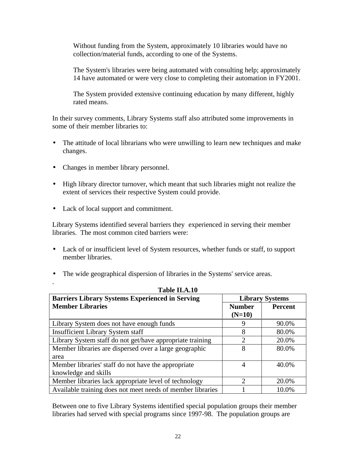Without funding from the System, approximately 10 libraries would have no collection/material funds, according to one of the Systems.

The System's libraries were being automated with consulting help; approximately 14 have automated or were very close to completing their automation in FY2001.

The System provided extensive continuing education by many different, highly rated means.

In their survey comments, Library Systems staff also attributed some improvements in some of their member libraries to:

- The attitude of local librarians who were unwilling to learn new techniques and make changes.
- Changes in member library personnel.
- High library director turnover, which meant that such libraries might not realize the extent of services their respective System could provide.
- Lack of local support and commitment.

.

Library Systems identified several barriers they experienced in serving their member libraries. The most common cited barriers were:

- Lack of or insufficient level of System resources, whether funds or staff, to support member libraries.
- The wide geographical dispersion of libraries in the Systems' service areas.

| Table II.A.10                                              |                             |                |  |  |
|------------------------------------------------------------|-----------------------------|----------------|--|--|
| <b>Barriers Library Systems Experienced in Serving</b>     | <b>Library Systems</b>      |                |  |  |
| <b>Member Libraries</b>                                    | <b>Number</b>               | <b>Percent</b> |  |  |
|                                                            | $(N=10)$                    |                |  |  |
| Library System does not have enough funds                  | 9                           | 90.0%          |  |  |
| <b>Insufficient Library System staff</b>                   | 8                           | 80.0%          |  |  |
| Library System staff do not get/have appropriate training  | $\overline{2}$              | 20.0%          |  |  |
| Member libraries are dispersed over a large geographic     | 8                           | 80.0%          |  |  |
| area                                                       |                             |                |  |  |
| Member libraries' staff do not have the appropriate        | 4                           | 40.0%          |  |  |
| knowledge and skills                                       |                             |                |  |  |
| Member libraries lack appropriate level of technology      | $\mathcal{D}_{\mathcal{A}}$ | 20.0%          |  |  |
| Available training does not meet needs of member libraries |                             | 10.0%          |  |  |

Between one to five Library Systems identified special population groups their member libraries had served with special programs since 1997-98. The population groups are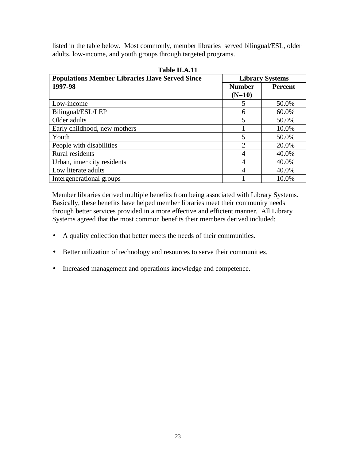listed in the table below. Most commonly, member libraries served bilingual/ESL, older adults, low-income, and youth groups through targeted programs.

**Table II.A.11**

| <b>Populations Member Libraries Have Served Since</b> | <b>Library Systems</b> |                |  |
|-------------------------------------------------------|------------------------|----------------|--|
| 1997-98                                               | <b>Number</b>          | <b>Percent</b> |  |
|                                                       | $(N=10)$               |                |  |
| Low-income                                            | 5                      | 50.0%          |  |
| Bilingual/ESL/LEP                                     | 6                      | 60.0%          |  |
| Older adults                                          | 5                      | 50.0%          |  |
| Early childhood, new mothers                          |                        | 10.0%          |  |
| Youth                                                 | 5                      | 50.0%          |  |
| People with disabilities                              | $\mathcal{D}$          | 20.0%          |  |
| Rural residents                                       | 4                      | 40.0%          |  |
| Urban, inner city residents                           | 4                      | 40.0%          |  |
| Low literate adults                                   | $\overline{4}$         | 40.0%          |  |
| Intergenerational groups                              |                        | 10.0%          |  |

Member libraries derived multiple benefits from being associated with Library Systems. Basically, these benefits have helped member libraries meet their community needs through better services provided in a more effective and efficient manner. All Library Systems agreed that the most common benefits their members derived included:

- A quality collection that better meets the needs of their communities.
- Better utilization of technology and resources to serve their communities.
- Increased management and operations knowledge and competence.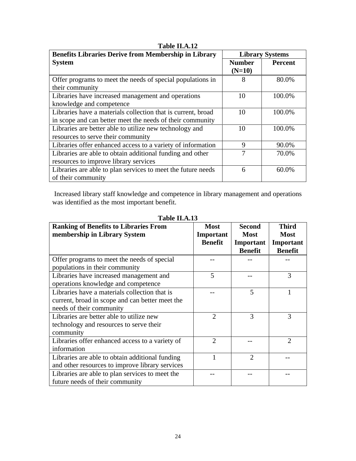| <b>Benefits Libraries Derive from Membership in Library</b>  | <b>Library Systems</b> |                |
|--------------------------------------------------------------|------------------------|----------------|
| <b>System</b>                                                | <b>Number</b>          | <b>Percent</b> |
|                                                              | $(N=10)$               |                |
| Offer programs to meet the needs of special populations in   | 8                      | 80.0%          |
| their community                                              |                        |                |
| Libraries have increased management and operations           | 10                     | 100.0%         |
| knowledge and competence                                     |                        |                |
| Libraries have a materials collection that is current, broad | 10                     | 100.0%         |
| in scope and can better meet the needs of their community    |                        |                |
| Libraries are better able to utilize new technology and      | 10                     | 100.0%         |
| resources to serve their community                           |                        |                |
| Libraries offer enhanced access to a variety of information  | 9                      | 90.0%          |
| Libraries are able to obtain additional funding and other    | 7                      | 70.0%          |
| resources to improve library services                        |                        |                |
| Libraries are able to plan services to meet the future needs | 6                      | $60.0\%$       |
| of their community                                           |                        |                |

**Table II.A.12**

 Increased library staff knowledge and competence in library management and operations was identified as the most important benefit.

| <b>Ranking of Benefits to Libraries From</b><br>membership in Library System                                                 | <b>Most</b><br>Important<br><b>Benefit</b> | <b>Second</b><br><b>Most</b><br>Important<br><b>Benefit</b> | <b>Third</b><br><b>Most</b><br>Important<br><b>Benefit</b> |
|------------------------------------------------------------------------------------------------------------------------------|--------------------------------------------|-------------------------------------------------------------|------------------------------------------------------------|
| Offer programs to meet the needs of special<br>populations in their community                                                |                                            |                                                             |                                                            |
| Libraries have increased management and<br>operations knowledge and competence                                               | 5                                          |                                                             | 3                                                          |
| Libraries have a materials collection that is<br>current, broad in scope and can better meet the<br>needs of their community |                                            | 5                                                           |                                                            |
| Libraries are better able to utilize new<br>technology and resources to serve their<br>community                             | $\overline{2}$                             | 3                                                           | 3                                                          |
| Libraries offer enhanced access to a variety of<br>information                                                               | $\overline{2}$                             |                                                             | $\overline{2}$                                             |
| Libraries are able to obtain additional funding<br>and other resources to improve library services                           |                                            | $\mathcal{D}_{\mathcal{L}}$                                 |                                                            |
| Libraries are able to plan services to meet the<br>future needs of their community                                           |                                            |                                                             |                                                            |

**Table II.A.13**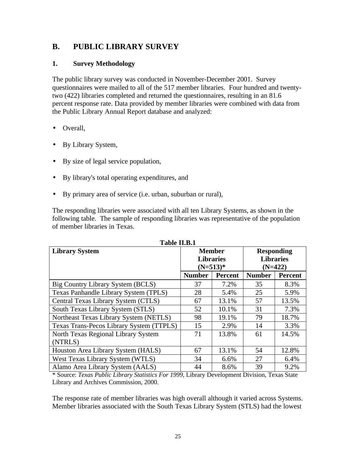## **B. PUBLIC LIBRARY SURVEY**

## **1. Survey Methodology**

The public library survey was conducted in November-December 2001. Survey questionnaires were mailed to all of the 517 member libraries. Four hundred and twentytwo (422) libraries completed and returned the questionnaires, resulting in an 81.6 percent response rate. Data provided by member libraries were combined with data from the Public Library Annual Report database and analyzed:

- Overall,
- By Library System,
- By size of legal service population,
- By library's total operating expenditures, and
- By primary area of service (i.e. urban, suburban or rural),

The responding libraries were associated with all ten Library Systems, as shown in the following table. The sample of responding libraries was representative of the population of member libraries in Texas.

| <b>Library System</b>                    | <b>Member</b><br><b>Libraries</b><br>$(N=513)*$ |         | <b>Responding</b><br><b>Libraries</b><br>$(N=422)$ |         |
|------------------------------------------|-------------------------------------------------|---------|----------------------------------------------------|---------|
|                                          | <b>Number</b>                                   | Percent | <b>Number</b>                                      | Percent |
| Big Country Library System (BCLS)        | 37                                              | 7.2%    | 35                                                 | 8.3%    |
| Texas Panhandle Library System (TPLS)    | 28                                              | 5.4%    | 25                                                 | 5.9%    |
| Central Texas Library System (CTLS)      | 67                                              | 13.1%   | 57                                                 | 13.5%   |
| South Texas Library System (STLS)        | 52                                              | 10.1%   | 31                                                 | 7.3%    |
| Northeast Texas Library System (NETLS)   | 98                                              | 19.1%   | 79                                                 | 18.7%   |
| Texas Trans-Pecos Library System (TTPLS) | 15                                              | 2.9%    | 14                                                 | 3.3%    |
| North Texas Regional Library System      | 71                                              | 13.8%   | 61                                                 | 14.5%   |
| (NTRLS)                                  |                                                 |         |                                                    |         |
| Houston Area Library System (HALS)       | 67                                              | 13.1%   | 54                                                 | 12.8%   |
| West Texas Library System (WTLS)         | 34                                              | 6.6%    | 27                                                 | 6.4%    |
| Alamo Area Library System (AALS)         | 44                                              | 8.6%    | 39                                                 | 9.2%    |

**Table II.B.1**

\* Source: *Texas Public Library Statistics For 1999*, Library Development Division, Texas State Library and Archives Commission, 2000.

The response rate of member libraries was high overall although it varied across Systems. Member libraries associated with the South Texas Library System (STLS) had the lowest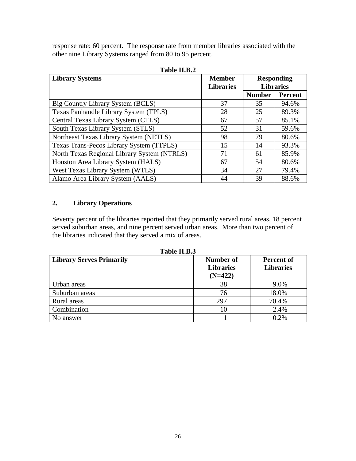response rate: 60 percent. The response rate from member libraries associated with the other nine Library Systems ranged from 80 to 95 percent.

| 1 apie 11.B.2                               |                  |                  |                   |  |
|---------------------------------------------|------------------|------------------|-------------------|--|
| <b>Library Systems</b>                      | <b>Member</b>    |                  | <b>Responding</b> |  |
|                                             | <b>Libraries</b> | <b>Libraries</b> |                   |  |
|                                             |                  | <b>Number</b>    | <b>Percent</b>    |  |
| Big Country Library System (BCLS)           | 37               | 35               | 94.6%             |  |
| Texas Panhandle Library System (TPLS)       | 28               | 25               | 89.3%             |  |
| Central Texas Library System (CTLS)         | 67               | 57               | 85.1%             |  |
| South Texas Library System (STLS)           | 52               | 31               | 59.6%             |  |
| Northeast Texas Library System (NETLS)      | 98               | 79               | 80.6%             |  |
| Texas Trans-Pecos Library System (TTPLS)    | 15               | 14               | 93.3%             |  |
| North Texas Regional Library System (NTRLS) | 71               | 61               | 85.9%             |  |
| Houston Area Library System (HALS)          | 67               | 54               | 80.6%             |  |
| West Texas Library System (WTLS)            | 34               | 27               | 79.4%             |  |
| Alamo Area Library System (AALS)            | 44               | 39               | 88.6%             |  |

| Table II.B.2 |
|--------------|
|--------------|

## **2. Library Operations**

Seventy percent of the libraries reported that they primarily served rural areas, 18 percent served suburban areas, and nine percent served urban areas. More than two percent of the libraries indicated that they served a mix of areas.

**Table II.B.3**

| <b>Library Serves Primarily</b> | Number of<br><b>Libraries</b><br>$(N=422)$ | Percent of<br><b>Libraries</b> |
|---------------------------------|--------------------------------------------|--------------------------------|
| Urban areas                     | 38                                         | 9.0%                           |
| Suburban areas                  | 76                                         | 18.0%                          |
| Rural areas                     | 297                                        | 70.4%                          |
| Combination                     | 10                                         | 2.4%                           |
| No answer                       |                                            | 0.2%                           |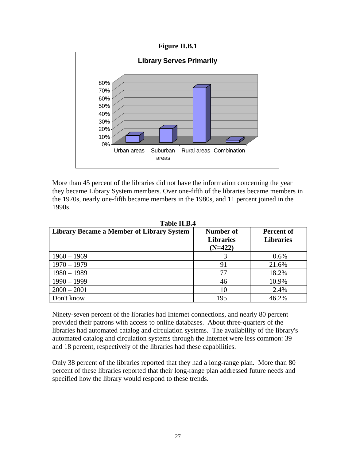**Figure II.B.1**



More than 45 percent of the libraries did not have the information concerning the year they became Library System members. Over one-fifth of the libraries became members in the 1970s, nearly one-fifth became members in the 1980s, and 11 percent joined in the 1990s.

| <b>Library Became a Member of Library System</b> | Number of<br><b>Libraries</b><br>$(N=422)$ | <b>Percent of</b><br><b>Libraries</b> |
|--------------------------------------------------|--------------------------------------------|---------------------------------------|
| $1960 - 1969$                                    |                                            | 0.6%                                  |
| $1970 - 1979$                                    | 91                                         | 21.6%                                 |
| $1980 - 1989$                                    | 77                                         | 18.2%                                 |
| $1990 - 1999$                                    | 46                                         | 10.9%                                 |
| $2000 - 2001$                                    | 10                                         | 2.4%                                  |
| Don't know                                       | 195                                        | 46.2%                                 |

**Table II.B.4**

Ninety-seven percent of the libraries had Internet connections, and nearly 80 percent provided their patrons with access to online databases. About three-quarters of the libraries had automated catalog and circulation systems. The availability of the library's automated catalog and circulation systems through the Internet were less common: 39 and 18 percent, respectively of the libraries had these capabilities.

Only 38 percent of the libraries reported that they had a long-range plan. More than 80 percent of these libraries reported that their long-range plan addressed future needs and specified how the library would respond to these trends.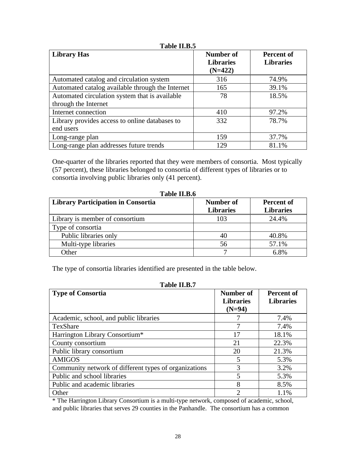| Table II.B.5                                                           |                                            |                                |  |
|------------------------------------------------------------------------|--------------------------------------------|--------------------------------|--|
| <b>Library Has</b>                                                     | Number of<br><b>Libraries</b><br>$(N=422)$ | Percent of<br><b>Libraries</b> |  |
| Automated catalog and circulation system                               | 316                                        | 74.9%                          |  |
| Automated catalog available through the Internet                       | 165                                        | 39.1%                          |  |
| Automated circulation system that is available<br>through the Internet | 78                                         | 18.5%                          |  |
| Internet connection                                                    | 410                                        | 97.2%                          |  |
| Library provides access to online databases to<br>end users            | 332                                        | 78.7%                          |  |
| Long-range plan                                                        | 159                                        | 37.7%                          |  |
| Long-range plan addresses future trends                                | 129                                        | 81.1%                          |  |

One-quarter of the libraries reported that they were members of consortia. Most typically (57 percent), these libraries belonged to consortia of different types of libraries or to consortia involving public libraries only (41 percent).

| <b>Library Participation in Consortia</b> | Number of<br><b>Libraries</b> | <b>Percent of</b><br><b>Libraries</b> |
|-------------------------------------------|-------------------------------|---------------------------------------|
| Library is member of consortium           | 103                           | 24.4%                                 |
| Type of consortia                         |                               |                                       |
| Public libraries only                     | 40                            | 40.8%                                 |
| Multi-type libraries                      | 56                            | 57.1%                                 |
| Other                                     |                               | 6.8%                                  |

**Table II.B.6**

The type of consortia libraries identified are presented in the table below.

| Table II.B.7                                          |                                           |                                       |  |
|-------------------------------------------------------|-------------------------------------------|---------------------------------------|--|
| <b>Type of Consortia</b>                              | Number of<br><b>Libraries</b><br>$(N=94)$ | <b>Percent of</b><br><b>Libraries</b> |  |
| Academic, school, and public libraries                |                                           | 7.4%                                  |  |
| TexShare                                              |                                           | 7.4%                                  |  |
| Harrington Library Consortium*                        | 17                                        | 18.1%                                 |  |
| County consortium                                     | 21                                        | 22.3%                                 |  |
| Public library consortium                             | 20                                        | 21.3%                                 |  |
| <b>AMIGOS</b>                                         | 5                                         | 5.3%                                  |  |
| Community network of different types of organizations | 3                                         | 3.2%                                  |  |
| Public and school libraries                           | 5                                         | 5.3%                                  |  |
| Public and academic libraries                         | 8                                         | 8.5%                                  |  |
| Other                                                 | っ                                         | 1.1%                                  |  |

\* The Harrington Library Consortium is a multi-type network, composed of academic, school, and public libraries that serves 29 counties in the Panhandle. The consortium has a common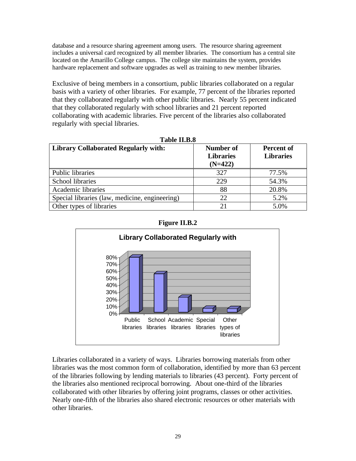database and a resource sharing agreement among users. The resource sharing agreement includes a universal card recognized by all member libraries. The consortium has a central site located on the Amarillo College campus. The college site maintains the system, provides hardware replacement and software upgrades as well as training to new member libraries.

Exclusive of being members in a consortium, public libraries collaborated on a regular basis with a variety of other libraries. For example, 77 percent of the libraries reported that they collaborated regularly with other public libraries. Nearly 55 percent indicated that they collaborated regularly with school libraries and 21 percent reported collaborating with academic libraries. Five percent of the libraries also collaborated regularly with special libraries.

| 1 аріе 11.15.8<br><b>Library Collaborated Regularly with:</b> | Number of<br><b>Libraries</b><br>$(N=422)$ | <b>Percent of</b><br><b>Libraries</b> |
|---------------------------------------------------------------|--------------------------------------------|---------------------------------------|
| <b>Public libraries</b>                                       | 327                                        | 77.5%                                 |
| School libraries                                              | 229                                        | 54.3%                                 |
| Academic libraries                                            | 88                                         | 20.8%                                 |
| Special libraries (law, medicine, engineering)                | 22                                         | 5.2%                                  |
| Other types of libraries                                      | 21                                         | 5.0%                                  |

**Table II.B.8**





Libraries collaborated in a variety of ways. Libraries borrowing materials from other libraries was the most common form of collaboration, identified by more than 63 percent of the libraries following by lending materials to libraries (43 percent). Forty percent of the libraries also mentioned reciprocal borrowing. About one-third of the libraries collaborated with other libraries by offering joint programs, classes or other activities. Nearly one-fifth of the libraries also shared electronic resources or other materials with other libraries.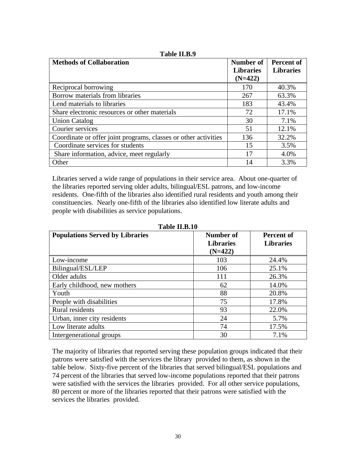| <b>Methods of Collaboration</b>                                 | Number of        | <b>Percent of</b> |
|-----------------------------------------------------------------|------------------|-------------------|
|                                                                 | <b>Libraries</b> | <b>Libraries</b>  |
|                                                                 | $(N=422)$        |                   |
| Reciprocal borrowing                                            | 170              | 40.3%             |
| Borrow materials from libraries                                 | 267              | 63.3%             |
| Lend materials to libraries                                     | 183              | 43.4%             |
| Share electronic resources or other materials                   | 72               | 17.1%             |
| <b>Union Catalog</b>                                            | 30               | 7.1%              |
| Courier services                                                | 51               | 12.1%             |
| Coordinate or offer joint programs, classes or other activities | 136              | 32.2%             |
| Coordinate services for students                                | 15               | 3.5%              |
| Share information, advice, meet regularly                       | 17               | 4.0%              |
| Other                                                           | 14               | 3.3%              |

**Table II.B.9**

Libraries served a wide range of populations in their service area. About one-quarter of the libraries reported serving older adults, bilingual/ESL patrons, and low-income residents. One-fifth of the libraries also identified rural residents and youth among their constituencies. Nearly one-fifth of the libraries also identified low literate adults and people with disabilities as service populations.

| <b>Populations Served by Libraries</b> | Number of        | Percent of       |
|----------------------------------------|------------------|------------------|
|                                        | <b>Libraries</b> | <b>Libraries</b> |
|                                        | $(N=422)$        |                  |
| Low-income                             | 103              | 24.4%            |
| Bilingual/ESL/LEP                      | 106              | 25.1%            |
| Older adults                           | 111              | 26.3%            |
| Early childhood, new mothers           | 62               | 14.0%            |
| Youth                                  | 88               | 20.8%            |
| People with disabilities               | 75               | 17.8%            |
| <b>Rural</b> residents                 | 93               | 22.0%            |
| Urban, inner city residents            | 24               | 5.7%             |
| Low literate adults                    | 74               | 17.5%            |
| Intergenerational groups               | 30               | 7.1%             |

**Table II.B.10**

The majority of libraries that reported serving these population groups indicated that their patrons were satisfied with the services the library provided to them, as shown in the table below. Sixty-five percent of the libraries that served bilingual/ESL populations and 74 percent of the libraries that served low-income populations reported that their patrons were satisfied with the services the libraries provided. For all other service populations, 80 percent or more of the libraries reported that their patrons were satisfied with the services the libraries provided.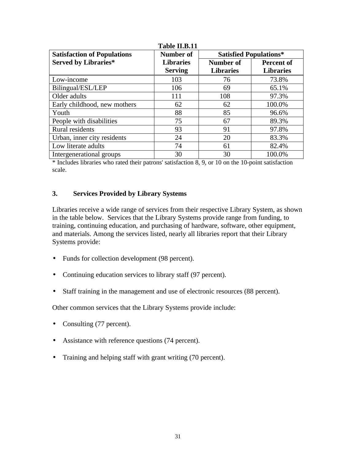| <b>Satisfaction of Populations</b> | Number of        | <b>Satisfied Populations*</b> |                   |  |
|------------------------------------|------------------|-------------------------------|-------------------|--|
| <b>Served by Libraries*</b>        | <b>Libraries</b> | Number of                     | <b>Percent of</b> |  |
|                                    | <b>Serving</b>   | <b>Libraries</b>              | <b>Libraries</b>  |  |
| Low-income                         | 103              | 76                            | 73.8%             |  |
| Bilingual/ESL/LEP                  | 106              | 69                            | 65.1%             |  |
| Older adults                       | 111              | 108                           | 97.3%             |  |
| Early childhood, new mothers       | 62               | 62                            | 100.0%            |  |
| Youth                              | 88               | 85                            | 96.6%             |  |
| People with disabilities           | 75               | 67                            | 89.3%             |  |
| <b>Rural</b> residents             | 93               | 91                            | 97.8%             |  |
| Urban, inner city residents        | 24               | 20                            | 83.3%             |  |
| Low literate adults                | 74               | 61                            | 82.4%             |  |
| Intergenerational groups           | 30               | 30                            | 100.0%            |  |

**Table II.B.11**

\* Includes libraries who rated their patrons' satisfaction 8, 9, or 10 on the 10-point satisfaction scale.

#### **3. Services Provided by Library Systems**

Libraries receive a wide range of services from their respective Library System, as shown in the table below. Services that the Library Systems provide range from funding, to training, continuing education, and purchasing of hardware, software, other equipment, and materials. Among the services listed, nearly all libraries report that their Library Systems provide:

- Funds for collection development (98 percent).
- Continuing education services to library staff (97 percent).
- Staff training in the management and use of electronic resources (88 percent).

Other common services that the Library Systems provide include:

- Consulting (77 percent).
- Assistance with reference questions (74 percent).
- Training and helping staff with grant writing (70 percent).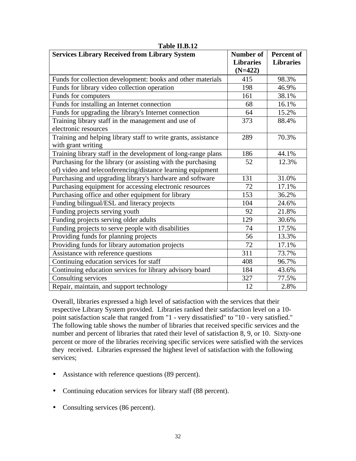| <b>Services Library Received from Library System</b>           | <b>Number of</b><br><b>Libraries</b><br>$(N=422)$ | <b>Percent of</b><br><b>Libraries</b> |
|----------------------------------------------------------------|---------------------------------------------------|---------------------------------------|
| Funds for collection development: books and other materials    | 415                                               | 98.3%                                 |
| Funds for library video collection operation                   | 198                                               | 46.9%                                 |
| Funds for computers                                            | 161                                               | 38.1%                                 |
| Funds for installing an Internet connection                    | 68                                                | 16.1%                                 |
| Funds for upgrading the library's Internet connection          | 64                                                | 15.2%                                 |
| Training library staff in the management and use of            | 373                                               | 88.4%                                 |
| electronic resources                                           |                                                   |                                       |
| Training and helping library staff to write grants, assistance | 289                                               | 70.3%                                 |
| with grant writing                                             |                                                   |                                       |
| Training library staff in the development of long-range plans  | 186                                               | 44.1%                                 |
| Purchasing for the library (or assisting with the purchasing   | 52                                                | 12.3%                                 |
| of) video and teleconferencing/distance learning equipment     |                                                   |                                       |
| Purchasing and upgrading library's hardware and software       | 131                                               | 31.0%                                 |
| Purchasing equipment for accessing electronic resources        | 72                                                | 17.1%                                 |
| Purchasing office and other equipment for library              | 153                                               | 36.2%                                 |
| Funding bilingual/ESL and literacy projects                    | 104                                               | 24.6%                                 |
| Funding projects serving youth                                 | 92                                                | 21.8%                                 |
| Funding projects serving older adults                          | 129                                               | 30.6%                                 |
| Funding projects to serve people with disabilities             | 74                                                | 17.5%                                 |
| Providing funds for planning projects                          | 56                                                | 13.3%                                 |
| Providing funds for library automation projects                | 72                                                | 17.1%                                 |
| Assistance with reference questions                            | 311                                               | 73.7%                                 |
| Continuing education services for staff                        | 408                                               | 96.7%                                 |
| Continuing education services for library advisory board       | 184                                               | 43.6%                                 |
| Consulting services                                            | 327                                               | 77.5%                                 |
| Repair, maintain, and support technology                       | 12                                                | 2.8%                                  |

#### **Table II.B.12**

Overall, libraries expressed a high level of satisfaction with the services that their respective Library System provided. Libraries ranked their satisfaction level on a 10 point satisfaction scale that ranged from "1 - very dissatisfied" to "10 - very satisfied." The following table shows the number of libraries that received specific services and the number and percent of libraries that rated their level of satisfaction 8, 9, or 10. Sixty-one percent or more of the libraries receiving specific services were satisfied with the services they received. Libraries expressed the highest level of satisfaction with the following services;

- Assistance with reference questions (89 percent).
- Continuing education services for library staff (88 percent).
- Consulting services (86 percent).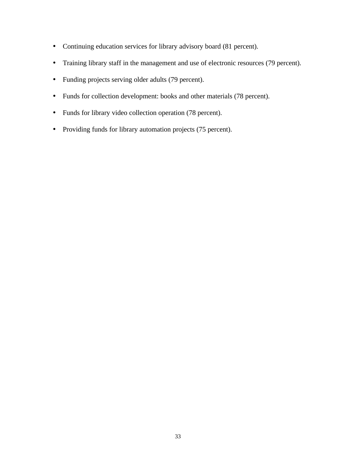- Continuing education services for library advisory board (81 percent).
- Training library staff in the management and use of electronic resources (79 percent).
- Funding projects serving older adults (79 percent).
- Funds for collection development: books and other materials (78 percent).
- Funds for library video collection operation (78 percent).
- Providing funds for library automation projects (75 percent).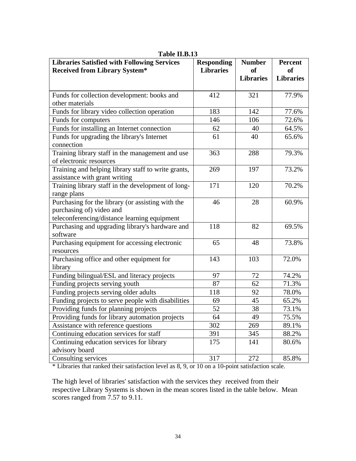| <b>Libraries Satisfied with Following Services</b><br><b>Received from Library System*</b> | <b>Responding</b><br><b>Libraries</b> | <b>Number</b><br><sub>of</sub> | <b>Percent</b><br><sub>of</sub> |
|--------------------------------------------------------------------------------------------|---------------------------------------|--------------------------------|---------------------------------|
|                                                                                            |                                       | <b>Libraries</b>               | <b>Libraries</b>                |
| Funds for collection development: books and                                                | 412                                   | 321                            | 77.9%                           |
| other materials                                                                            |                                       |                                |                                 |
| Funds for library video collection operation                                               | 183                                   | 142                            | 77.6%                           |
| Funds for computers                                                                        | 146                                   | 106                            | 72.6%                           |
| Funds for installing an Internet connection                                                | 62                                    | 40                             | 64.5%                           |
| Funds for upgrading the library's Internet                                                 | 61                                    | 40                             | 65.6%                           |
| connection                                                                                 |                                       |                                |                                 |
| Training library staff in the management and use                                           | 363                                   | 288                            | 79.3%                           |
| of electronic resources                                                                    |                                       |                                |                                 |
| Training and helping library staff to write grants,                                        | 269                                   | 197                            | 73.2%                           |
| assistance with grant writing                                                              |                                       |                                |                                 |
| Training library staff in the development of long-                                         | 171                                   | 120                            | 70.2%                           |
| range plans                                                                                |                                       |                                |                                 |
| Purchasing for the library (or assisting with the                                          | 46                                    | 28                             | 60.9%                           |
| purchasing of) video and                                                                   |                                       |                                |                                 |
| teleconferencing/distance learning equipment                                               |                                       |                                |                                 |
| Purchasing and upgrading library's hardware and                                            | 118                                   | 82                             | 69.5%                           |
| software                                                                                   |                                       | 48                             |                                 |
| Purchasing equipment for accessing electronic                                              | 65                                    |                                | 73.8%                           |
| resources<br>Purchasing office and other equipment for                                     | 143                                   | 103                            | 72.0%                           |
| library                                                                                    |                                       |                                |                                 |
| Funding bilingual/ESL and literacy projects                                                | 97                                    | 72                             | 74.2%                           |
| Funding projects serving youth                                                             | 87                                    | 62                             | 71.3%                           |
| Funding projects serving older adults                                                      | 118                                   | 92                             | 78.0%                           |
| Funding projects to serve people with disabilities                                         | 69                                    | 45                             | 65.2%                           |
| Providing funds for planning projects                                                      | 52                                    | 38                             | 73.1%                           |
| Providing funds for library automation projects                                            | 64                                    | 49                             | 75.5%                           |
| Assistance with reference questions                                                        | 302                                   | 269                            | 89.1%                           |
| Continuing education services for staff                                                    | 391                                   | 345                            | 88.2%                           |
| Continuing education services for library                                                  | 175                                   | 141                            | 80.6%                           |
| advisory board                                                                             |                                       |                                |                                 |
| Consulting services                                                                        | 317                                   | 272                            | 85.8%                           |

**Table II.B.13**

\* Libraries that ranked their satisfaction level as 8, 9, or 10 on a 10-point satisfaction scale.

The high level of libraries' satisfaction with the services they received from their respective Library Systems is shown in the mean scores listed in the table below. Mean scores ranged from 7.57 to 9.11.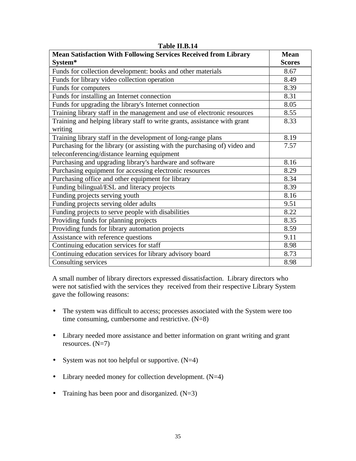| <b>Mean Satisfaction With Following Services Received from Library</b>               | <b>Mean</b>   |
|--------------------------------------------------------------------------------------|---------------|
| System*                                                                              | <b>Scores</b> |
| Funds for collection development: books and other materials                          | 8.67          |
| Funds for library video collection operation                                         | 8.49          |
| Funds for computers                                                                  | 8.39          |
| Funds for installing an Internet connection                                          | 8.31          |
| Funds for upgrading the library's Internet connection                                | 8.05          |
| Training library staff in the management and use of electronic resources             | 8.55          |
| Training and helping library staff to write grants, assistance with grant<br>writing | 8.33          |
| Training library staff in the development of long-range plans                        | 8.19          |
| Purchasing for the library (or assisting with the purchasing of) video and           | 7.57          |
| teleconferencing/distance learning equipment                                         |               |
| Purchasing and upgrading library's hardware and software                             | 8.16          |
| Purchasing equipment for accessing electronic resources                              | 8.29          |
| Purchasing office and other equipment for library                                    | 8.34          |
| Funding bilingual/ESL and literacy projects                                          | 8.39          |
| Funding projects serving youth                                                       | 8.16          |
| Funding projects serving older adults                                                | 9.51          |
| Funding projects to serve people with disabilities                                   | 8.22          |
| Providing funds for planning projects                                                | 8.35          |
| Providing funds for library automation projects                                      | 8.59          |
| Assistance with reference questions                                                  | 9.11          |
| Continuing education services for staff                                              | 8.98          |
| Continuing education services for library advisory board                             | 8.73          |
| Consulting services                                                                  | 8.98          |

**Table II.B.14**

A small number of library directors expressed dissatisfaction. Library directors who were not satisfied with the services they received from their respective Library System gave the following reasons:

- The system was difficult to access; processes associated with the System were too time consuming, cumbersome and restrictive.  $(N=8)$
- Library needed more assistance and better information on grant writing and grant resources.  $(N=7)$
- System was not too helpful or supportive.  $(N=4)$
- Library needed money for collection development. (N=4)
- Training has been poor and disorganized.  $(N=3)$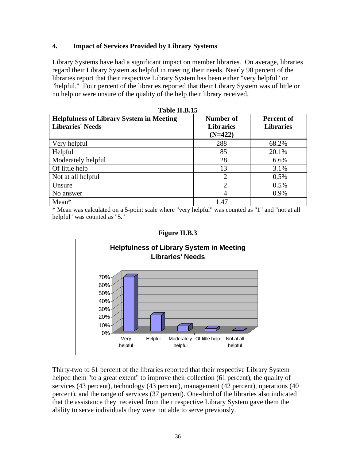#### **4. Impact of Services Provided by Library Systems**

Library Systems have had a significant impact on member libraries. On average, libraries regard their Library System as helpful in meeting their needs. Nearly 90 percent of the libraries report that their respective Library System has been either "very helpful" or "helpful." Four percent of the libraries reported that their Library System was of little or no help or were unsure of the quality of the help their library received.

**Table II.B.15**

| 1 avit 11.D.19                                  |                  |                  |
|-------------------------------------------------|------------------|------------------|
| <b>Helpfulness of Library System in Meeting</b> | Number of        | Percent of       |
| <b>Libraries' Needs</b>                         | <b>Libraries</b> | <b>Libraries</b> |
|                                                 | $(N=422)$        |                  |
| Very helpful                                    | 288              | 68.2%            |
| Helpful                                         | 85               | 20.1%            |
| Moderately helpful                              | 28               | 6.6%             |
| Of little help                                  | 13               | 3.1%             |
| Not at all helpful                              | 2                | 0.5%             |
| Unsure                                          | $\overline{2}$   | 0.5%             |
| No answer                                       | $\overline{4}$   | 0.9%             |
| $Mean*$                                         | 1.47             |                  |

\* Mean was calculated on a 5-point scale where "very helpful" was counted as "1" and "not at all helpful" was counted as "5."



Thirty-two to 61 percent of the libraries reported that their respective Library System helped them "to a great extent" to improve their collection (61 percent), the quality of services (43 percent), technology (43 percent), management (42 percent), operations (40 percent), and the range of services (37 percent). One-third of the libraries also indicated that the assistance they received from their respective Library System gave them the ability to serve individuals they were not able to serve previously.

| <b>Figure II.B.3</b> |  |
|----------------------|--|
|                      |  |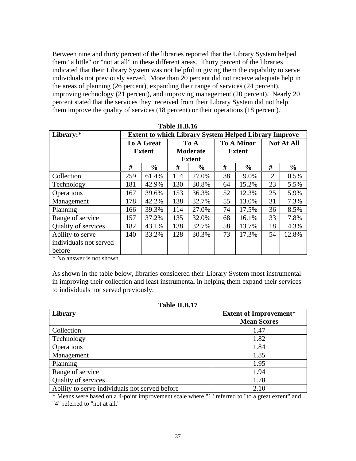Between nine and thirty percent of the libraries reported that the Library System helped them "a little" or "not at all" in these different areas. Thirty percent of the libraries indicated that their Library System was not helpful in giving them the capability to serve individuals not previously served. More than 20 percent did not receive adequate help in the areas of planning (26 percent), expanding their range of services (24 percent), improving technology (21 percent), and improving management (20 percent). Nearly 20 percent stated that the services they received from their Library System did not help them improve the quality of services (18 percent) or their operations (18 percent).

| Library:*              | <b>Extent to which Library System Helped Library Improve</b> |                   |     |                 |    |                   |                   |               |  |
|------------------------|--------------------------------------------------------------|-------------------|-----|-----------------|----|-------------------|-------------------|---------------|--|
|                        |                                                              | <b>To A Great</b> |     | To A            |    | <b>To A Minor</b> | <b>Not At All</b> |               |  |
|                        |                                                              | <b>Extent</b>     |     | <b>Moderate</b> |    | <b>Extent</b>     |                   |               |  |
|                        |                                                              |                   |     | <b>Extent</b>   |    |                   |                   |               |  |
|                        | #                                                            | $\frac{0}{0}$     | #   | $\frac{0}{0}$   | #  | $\frac{0}{0}$     | #                 | $\frac{6}{9}$ |  |
| Collection             | 259                                                          | 61.4%             | 114 | 27.0%           | 38 | 9.0%              | 2                 | 0.5%          |  |
| Technology             | 181                                                          | 42.9%             | 130 | 30.8%           | 64 | 15.2%             | 23                | 5.5%          |  |
| Operations             | 167                                                          | 39.6%             | 153 | 36.3%           | 52 | 12.3%             | 25                | 5.9%          |  |
| Management             | 178                                                          | 42.2%             | 138 | 32.7%           | 55 | 13.0%             | 31                | 7.3%          |  |
| Planning               | 166                                                          | 39.3%             | 114 | 27.0%           | 74 | 17.5%             | 36                | 8.5%          |  |
| Range of service       | 157                                                          | 37.2%             | 135 | 32.0%           | 68 | 16.1%             | 33                | 7.8%          |  |
| Quality of services    | 182                                                          | 43.1%             | 138 | 32.7%           | 58 | 13.7%             | 18                | 4.3%          |  |
| Ability to serve       | 140                                                          | 33.2%             | 128 | 30.3%           | 73 | 17.3%             | 54                | 12.8%         |  |
| individuals not served |                                                              |                   |     |                 |    |                   |                   |               |  |
| before                 |                                                              |                   |     |                 |    |                   |                   |               |  |

| Table II.B.16 |  |  |
|---------------|--|--|
|---------------|--|--|

\* No answer is not shown.

As shown in the table below, libraries considered their Library System most instrumental in improving their collection and least instrumental in helping them expand their services to individuals not served previously.

|  | <b>Table II.B.17</b> |
|--|----------------------|
|  |                      |

| Library                                        | <b>Extent of Improvement*</b><br><b>Mean Scores</b> |
|------------------------------------------------|-----------------------------------------------------|
| Collection                                     | 1.47                                                |
| Technology                                     | 1.82                                                |
| Operations                                     | 1.84                                                |
| Management                                     | 1.85                                                |
| Planning                                       | 1.95                                                |
| Range of service                               | 1.94                                                |
| Quality of services                            | 1.78                                                |
| Ability to serve individuals not served before | 2.10                                                |

\* Means were based on a 4-point improvement scale where "1" referred to "to a great extent" and "4" referred to "not at all."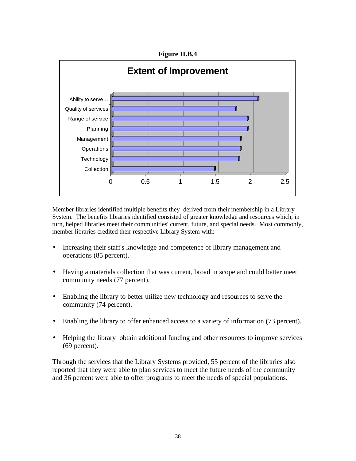**Figure II.B.4**



Member libraries identified multiple benefits they derived from their membership in a Library System. The benefits libraries identified consisted of greater knowledge and resources which, in turn, helped libraries meet their communities' current, future, and special needs. Most commonly, member libraries credited their respective Library System with:

- Increasing their staff's knowledge and competence of library management and operations (85 percent).
- Having a materials collection that was current, broad in scope and could better meet community needs (77 percent).
- Enabling the library to better utilize new technology and resources to serve the community (74 percent).
- Enabling the library to offer enhanced access to a variety of information (73 percent).
- Helping the library obtain additional funding and other resources to improve services (69 percent).

Through the services that the Library Systems provided, 55 percent of the libraries also reported that they were able to plan services to meet the future needs of the community and 36 percent were able to offer programs to meet the needs of special populations.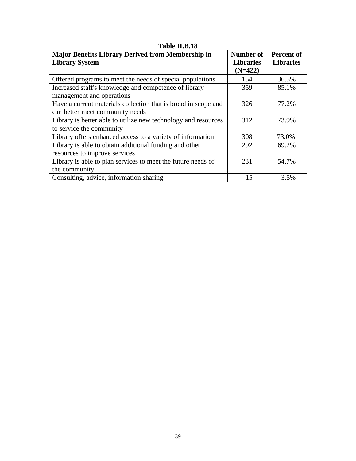| <b>Major Benefits Library Derived from Membership in</b><br><b>Library System</b> | Number of<br><b>Libraries</b><br>$(N=422)$ | Percent of<br><b>Libraries</b> |
|-----------------------------------------------------------------------------------|--------------------------------------------|--------------------------------|
|                                                                                   | 154                                        |                                |
| Offered programs to meet the needs of special populations                         |                                            | 36.5%                          |
| Increased staff's knowledge and competence of library                             | 359                                        | 85.1%                          |
| management and operations                                                         |                                            |                                |
| Have a current materials collection that is broad in scope and                    | 326                                        | 77.2%                          |
| can better meet community needs                                                   |                                            |                                |
| Library is better able to utilize new technology and resources                    | 312                                        | 73.9%                          |
| to service the community                                                          |                                            |                                |
| Library offers enhanced access to a variety of information                        | 308                                        | 73.0%                          |
| Library is able to obtain additional funding and other                            | 292                                        | 69.2%                          |
| resources to improve services                                                     |                                            |                                |
| Library is able to plan services to meet the future needs of                      | 231                                        | 54.7%                          |
| the community                                                                     |                                            |                                |
| Consulting, advice, information sharing                                           | 15                                         | 3.5%                           |

### **Table II.B.18**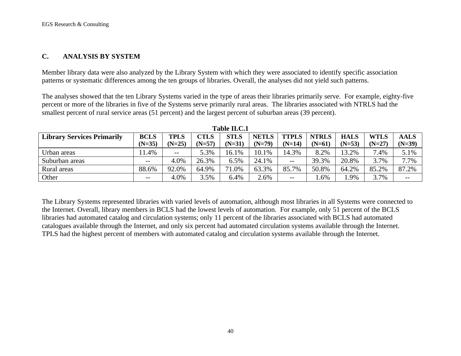#### **C. ANALYSIS BY SYSTEM**

Member library data were also analyzed by the Library System with which they were associated to identify specific association patterns or systematic differences among the ten groups of libraries. Overall, the analyses did not yield such patterns.

The analyses showed that the ten Library Systems varied in the type of areas their libraries primarily serve. For example, eighty-five percent or more of the libraries in five of the Systems serve primarily rural areas. The libraries associated with NTRLS had the smallest percent of rural service areas (51 percent) and the largest percent of suburban areas (39 percent).

| 1000 11001                        |             |          |             |             |              |              |              |             |          |             |
|-----------------------------------|-------------|----------|-------------|-------------|--------------|--------------|--------------|-------------|----------|-------------|
| <b>Library Services Primarily</b> | <b>BCLS</b> | TPLS     | <b>CTLS</b> | <b>STLS</b> | <b>NETLS</b> | <b>TTPLS</b> | <b>NTRLS</b> | <b>HALS</b> | WTLS     | <b>AALS</b> |
|                                   | $(N=35)$    | $(N=25)$ | $(N=57)$    | $(N=31)$    | $(N=79)$     | $(N=14)$     | $(N=61)$     | $(N=53)$    | $(N=27)$ | $(N=39)$    |
| Urban areas                       | 1.4%        | $- -$    | 5.3%        | 16.1%       | 10.1%        | 14.3%        | 8.2%         | 13.2%       | 7.4%     | 5.1%        |
| Suburban areas                    | $ -$        | 4.0%     | 26.3%       | 6.5%        | 24.1%        | $- -$        | 39.3%        | 20.8%       | 3.7%     | 7.7%        |
| Rural areas                       | 88.6%       | 92.0%    | 64.9%       | 71.0%       | 63.3%        | 85.7%        | 50.8%        | 64.2%       | 85.2%    | 87.2%       |
| Other                             | $- -$       | 4.0%     | 3.5%        | 6.4%        | 2.6%         | $- -$        | .6%          | .9%         | 3.7%     | $- -$       |

| Table II.C.1 |
|--------------|
|--------------|

The Library Systems represented libraries with varied levels of automation, although most libraries in all Systems were connected to the Internet. Overall, library members in BCLS had the lowest levels of automation. For example, only 51 percent of the BCLS libraries had automated catalog and circulation systems; only 11 percent of the libraries associated with BCLS had automated catalogues available through the Internet, and only six percent had automated circulation systems available through the Internet. TPLS had the highest percent of members with automated catalog and circulation systems available through the Internet.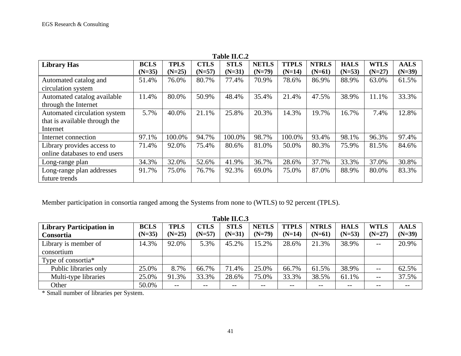| Table II.C.2                  |             |             |             |             |              |              |              |             |             |             |
|-------------------------------|-------------|-------------|-------------|-------------|--------------|--------------|--------------|-------------|-------------|-------------|
| <b>Library Has</b>            | <b>BCLS</b> | <b>TPLS</b> | <b>CTLS</b> | <b>STLS</b> | <b>NETLS</b> | <b>TTPLS</b> | <b>NTRLS</b> | <b>HALS</b> | <b>WTLS</b> | <b>AALS</b> |
|                               | $(N=35)$    | $(N=25)$    | $(N=57)$    | $(N=31)$    | $(N=79)$     | $(N=14)$     | $(N=61)$     | $(N=53)$    | $(N=27)$    | $(N=39)$    |
| Automated catalog and         | 51.4%       | 76.0%       | 80.7%       | 77.4%       | 70.9%        | 78.6%        | 86.9%        | 88.9%       | 63.0%       | 61.5%       |
| circulation system            |             |             |             |             |              |              |              |             |             |             |
| Automated catalog available   | 11.4%       | 80.0%       | 50.9%       | 48.4%       | 35.4%        | 21.4%        | 47.5%        | 38.9%       | 11.1%       | 33.3%       |
| through the Internet          |             |             |             |             |              |              |              |             |             |             |
| Automated circulation system  | 5.7%        | 40.0%       | 21.1%       | 25.8%       | 20.3%        | 14.3%        | 19.7%        | 16.7%       | 7.4%        | 12.8%       |
| that is available through the |             |             |             |             |              |              |              |             |             |             |
| Internet                      |             |             |             |             |              |              |              |             |             |             |
| Internet connection           | 97.1%       | 100.0%      | 94.7%       | 100.0%      | 98.7%        | 100.0%       | 93.4%        | 98.1%       | 96.3%       | 97.4%       |
| Library provides access to    | 71.4%       | 92.0%       | 75.4%       | 80.6%       | 81.0%        | 50.0%        | 80.3%        | 75.9%       | 81.5%       | 84.6%       |
| online databases to end users |             |             |             |             |              |              |              |             |             |             |
| Long-range plan               | 34.3%       | 32.0%       | 52.6%       | 41.9%       | 36.7%        | 28.6%        | 37.7%        | 33.3%       | 37.0%       | 30.8%       |
| Long-range plan addresses     | 91.7%       | 75.0%       | 76.7%       | 92.3%       | 69.0%        | 75.0%        | 87.0%        | 88.9%       | 80.0%       | 83.3%       |
| future trends                 |             |             |             |             |              |              |              |             |             |             |

Member participation in consortia ranged among the Systems from none to (WTLS) to 92 percent (TPLS).

| Table II.C.3                    |             |                                       |             |             |              |              |              |             |                          |             |
|---------------------------------|-------------|---------------------------------------|-------------|-------------|--------------|--------------|--------------|-------------|--------------------------|-------------|
| <b>Library Participation in</b> | <b>BCLS</b> | <b>TPLS</b>                           | <b>CTLS</b> | <b>STLS</b> | <b>NETLS</b> | <b>TTPLS</b> | <b>NTRLS</b> | <b>HALS</b> | <b>WTLS</b>              | <b>AALS</b> |
| Consortia                       | $(N=35)$    | $(N=25)$                              | $(N=57)$    | $(N=31)$    | $(N=79)$     | $(N=14)$     | $(N=61)$     | $(N=53)$    | $(N=27)$                 | $(N=39)$    |
| Library is member of            | 14.3%       | 92.0%                                 | 5.3%        | 45.2%       | 15.2%        | 28.6%        | 21.3%        | 38.9%       | $- -$                    | 20.9%       |
| consortium                      |             |                                       |             |             |              |              |              |             |                          |             |
| Type of consortia <sup>*</sup>  |             |                                       |             |             |              |              |              |             |                          |             |
| Public libraries only           | 25.0%       | 8.7%                                  | 66.7%       | 71.4%       | 25.0%        | 66.7%        | 61.5%        | 38.9%       | $- -$                    | 62.5%       |
| Multi-type libraries            | 25.0%       | 91.3%                                 | 33.3%       | 28.6%       | 75.0%        | 33.3%        | 38.5%        | 61.1%       | $\overline{\phantom{m}}$ | 37.5%       |
| Other                           | 50.0%       | $\hspace{0.05cm}$ – $\hspace{0.05cm}$ | $- -$       | --          | $- -$        | $- -$        | --           | $ -$        | $- -$                    |             |

\* Small number of libraries per System.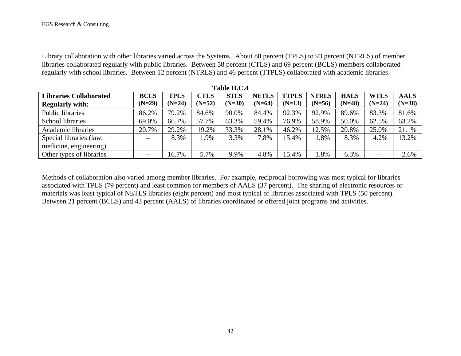Library collaboration with other libraries varied across the Systems. About 80 percent (TPLS) to 93 percent (NTRLS) of member libraries collaborated regularly with public libraries. Between 58 percent (CTLS) and 69 percent (BCLS) members collaborated regularly with school libraries. Between 12 percent (NTRLS) and 46 percent (TTPLS) collaborated with academic libraries.

| Table II.C.4                  |             |             |             |             |              |              |              |             |             |             |
|-------------------------------|-------------|-------------|-------------|-------------|--------------|--------------|--------------|-------------|-------------|-------------|
| <b>Libraries Collaborated</b> | <b>BCLS</b> | <b>TPLS</b> | <b>CTLS</b> | <b>STLS</b> | <b>NETLS</b> | <b>TTPLS</b> | <b>NTRLS</b> | <b>HALS</b> | <b>WTLS</b> | <b>AALS</b> |
| <b>Regularly with:</b>        | $(N=29)$    | $(N=24)$    | $(N=52)$    | $(N=30)$    | $(N=64)$     | $(N=13)$     | $(N=56)$     | $(N=48)$    | $(N=24)$    | $(N=38)$    |
| Public libraries              | 86.2%       | 79.2%       | 84.6%       | 90.0%       | 84.4%        | 92.3%        | 92.9%        | 89.6%       | 83.3%       | 81.6%       |
| School libraries              | 69.0%       | 66.7%       | 57.7%       | 63.3%       | 59.4%        | 76.9%        | 58.9%        | 50.0%       | 62.5%       | 63.2%       |
| Academic libraries            | 20.7%       | 29.2%       | 19.2%       | 33.3%       | 28.1%        | 46.2%        | 12.5%        | 20.8%       | 25.0%       | 21.1%       |
| Special libraries (law,       | $- -$       | 8.3%        | 1.9%        | 3.3%        | 7.8%         | 15.4%        | 1.8%         | 8.3%        | 4.2%        | 13.2%       |
| medicine, engineering)        |             |             |             |             |              |              |              |             |             |             |
| Other types of libraries      | --          | 16.7%       | 5.7%        | 9.9%        | 4.8%         | 15.4%        | .8%          | 6.3%        | --          | 2.6%        |

Methods of collaboration also varied among member libraries. For example, reciprocal borrowing was most typical for libraries associated with TPLS (79 percent) and least common for members of AALS (37 percent). The sharing of electronic resources or materials was least typical of NETLS libraries (eight percent) and most typical of libraries associated with TPLS (50 percent). Between 21 percent (BCLS) and 43 percent (AALS) of libraries coordinated or offered joint programs and activities.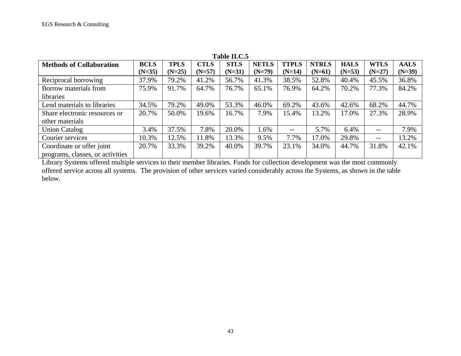| Table II.C.5                     |             |             |             |             |              |                   |              |             |                   |             |  |
|----------------------------------|-------------|-------------|-------------|-------------|--------------|-------------------|--------------|-------------|-------------------|-------------|--|
| <b>Methods of Collaboration</b>  | <b>BCLS</b> | <b>TPLS</b> | <b>CTLS</b> | <b>STLS</b> | <b>NETLS</b> | <b>TTPLS</b>      | <b>NTRLS</b> | <b>HALS</b> | <b>WTLS</b>       | <b>AALS</b> |  |
|                                  | $(N=35)$    | $(N=25)$    | $(N=57)$    | $(N=31)$    | $(N=79)$     | $(N=14)$          | $(N=61)$     | $(N=53)$    | $(N=27)$          | $(N=39)$    |  |
| Reciprocal borrowing             | 37.9%       | 79.2%       | 41.2%       | 56.7%       | 41.3%        | 38.5%             | 52.8%        | 40.4%       | 45.5%             | 36.8%       |  |
| Borrow materials from            | 75.9%       | 91.7%       | 64.7%       | 76.7%       | 65.1%        | 76.9%             | 64.2%        | 70.2%       | 77.3%             | 84.2%       |  |
| libraries                        |             |             |             |             |              |                   |              |             |                   |             |  |
| Lend materials to libraries      | 34.5%       | 79.2%       | 49.0%       | 53.3%       | 46.0%        | 69.2%             | 43.6%        | 42.6%       | 68.2%             | 44.7%       |  |
| Share electronic resources or    | 20.7%       | 50.0%       | 19.6%       | 16.7%       | 7.9%         | 15.4%             | 13.2%        | 17.0%       | 27.3%             | 28.9%       |  |
| other materials                  |             |             |             |             |              |                   |              |             |                   |             |  |
| <b>Union Catalog</b>             | 3.4%        | 37.5%       | 7.8%        | 20.0%       | 1.6%         | $\qquad \qquad -$ | 5.7%         | 6.4%        | $\qquad \qquad -$ | 7.9%        |  |
| Courier services                 | 10.3%       | 12.5%       | 11.8%       | 13.3%       | 9.5%         | 7.7%              | 17.0%        | 29.8%       | $\qquad \qquad -$ | 13.2%       |  |
| Coordinate or offer joint        | 20.7%       | 33.3%       | 39.2%       | 40.0%       | 39.7%        | 23.1%             | 34.0%        | 44.7%       | 31.8%             | 42.1%       |  |
| programs, classes, or activities |             |             |             |             |              |                   |              |             |                   |             |  |

Library Systems offered multiple services to their member libraries. Funds for collection development was the most commonly offered service across all systems. The provision of other services varied considerably across the Systems, as shown in the table below.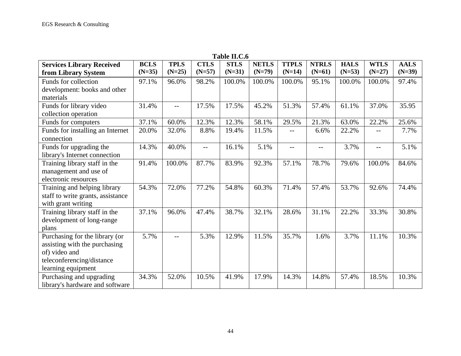| <b>Table II.C.6</b>               |             |             |             |             |              |              |              |             |             |             |
|-----------------------------------|-------------|-------------|-------------|-------------|--------------|--------------|--------------|-------------|-------------|-------------|
| <b>Services Library Received</b>  | <b>BCLS</b> | <b>TPLS</b> | <b>CTLS</b> | <b>STLS</b> | <b>NETLS</b> | <b>TTPLS</b> | <b>NTRLS</b> | <b>HALS</b> | <b>WTLS</b> | <b>AALS</b> |
| from Library System               | $(N=35)$    | $(N=25)$    | $(N=57)$    | $(N=31)$    | $(N=79)$     | $(N=14)$     | $(N=61)$     | $(N=53)$    | $(N=27)$    | $(N=39)$    |
| Funds for collection              | 97.1%       | 96.0%       | 98.2%       | 100.0%      | 100.0%       | 100.0%       | 95.1%        | 100.0%      | 100.0%      | 97.4%       |
| development: books and other      |             |             |             |             |              |              |              |             |             |             |
| materials                         |             |             |             |             |              |              |              |             |             |             |
| Funds for library video           | 31.4%       | $-$         | 17.5%       | 17.5%       | 45.2%        | 51.3%        | 57.4%        | 61.1%       | 37.0%       | 35.95       |
| collection operation              |             |             |             |             |              |              |              |             |             |             |
| Funds for computers               | 37.1%       | 60.0%       | 12.3%       | 12.3%       | 58.1%        | 29.5%        | 21.3%        | 63.0%       | 22.2%       | 25.6%       |
| Funds for installing an Internet  | 20.0%       | 32.0%       | 8.8%        | 19.4%       | 11.5%        | --           | 6.6%         | 22.2%       |             | 7.7%        |
| connection                        |             |             |             |             |              |              |              |             |             |             |
| Funds for upgrading the           | 14.3%       | 40.0%       | $-$         | 16.1%       | 5.1%         | --           | $-$          | 3.7%        | $- -$       | 5.1%        |
| library's Internet connection     |             |             |             |             |              |              |              |             |             |             |
| Training library staff in the     | 91.4%       | 100.0%      | 87.7%       | 83.9%       | 92.3%        | 57.1%        | 78.7%        | 79.6%       | 100.0%      | 84.6%       |
| management and use of             |             |             |             |             |              |              |              |             |             |             |
| electronic resources              |             |             |             |             |              |              |              |             |             |             |
| Training and helping library      | 54.3%       | 72.0%       | 77.2%       | 54.8%       | 60.3%        | 71.4%        | 57.4%        | 53.7%       | 92.6%       | 74.4%       |
| staff to write grants, assistance |             |             |             |             |              |              |              |             |             |             |
| with grant writing                |             |             |             |             |              |              |              |             |             |             |
| Training library staff in the     | 37.1%       | 96.0%       | 47.4%       | 38.7%       | 32.1%        | 28.6%        | 31.1%        | 22.2%       | 33.3%       | 30.8%       |
| development of long-range         |             |             |             |             |              |              |              |             |             |             |
| plans                             |             |             |             |             |              |              |              |             |             |             |
| Purchasing for the library (or    | 5.7%        |             | 5.3%        | 12.9%       | 11.5%        | 35.7%        | 1.6%         | 3.7%        | 11.1%       | 10.3%       |
| assisting with the purchasing     |             |             |             |             |              |              |              |             |             |             |
| of) video and                     |             |             |             |             |              |              |              |             |             |             |
| teleconferencing/distance         |             |             |             |             |              |              |              |             |             |             |
| learning equipment                |             |             |             |             |              |              |              |             |             |             |
| Purchasing and upgrading          | 34.3%       | 52.0%       | 10.5%       | 41.9%       | 17.9%        | 14.3%        | 14.8%        | 57.4%       | 18.5%       | 10.3%       |
| library's hardware and software   |             |             |             |             |              |              |              |             |             |             |

 $T_0$ <sub>b</sub>l<sub>0</sub> **II.** $C_6$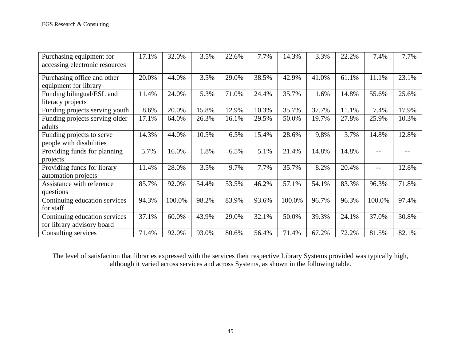| Purchasing equipment for       | 17.1% | 32.0%  | 3.5%  | 22.6% | 7.7%  | 14.3%  | 3.3%  | 22.2% | 7.4%   | 7.7%  |
|--------------------------------|-------|--------|-------|-------|-------|--------|-------|-------|--------|-------|
| accessing electronic resources |       |        |       |       |       |        |       |       |        |       |
| Purchasing office and other    | 20.0% | 44.0%  | 3.5%  | 29.0% | 38.5% | 42.9%  | 41.0% | 61.1% | 11.1%  | 23.1% |
| equipment for library          |       |        |       |       |       |        |       |       |        |       |
| Funding bilingual/ESL and      | 11.4% | 24.0%  | 5.3%  | 71.0% | 24.4% | 35.7%  | 1.6%  | 14.8% | 55.6%  | 25.6% |
| literacy projects              |       |        |       |       |       |        |       |       |        |       |
| Funding projects serving youth | 8.6%  | 20.0%  | 15.8% | 12.9% | 10.3% | 35.7%  | 37.7% | 11.1% | 7.4%   | 17.9% |
| Funding projects serving older | 17.1% | 64.0%  | 26.3% | 16.1% | 29.5% | 50.0%  | 19.7% | 27.8% | 25.9%  | 10.3% |
| adults                         |       |        |       |       |       |        |       |       |        |       |
| Funding projects to serve      | 14.3% | 44.0%  | 10.5% | 6.5%  | 15.4% | 28.6%  | 9.8%  | 3.7%  | 14.8%  | 12.8% |
| people with disabilities       |       |        |       |       |       |        |       |       |        |       |
| Providing funds for planning   | 5.7%  | 16.0%  | 1.8%  | 6.5%  | 5.1%  | 21.4%  | 14.8% | 14.8% | --     |       |
| projects                       |       |        |       |       |       |        |       |       |        |       |
| Providing funds for library    | 11.4% | 28.0%  | 3.5%  | 9.7%  | 7.7%  | 35.7%  | 8.2%  | 20.4% | --     | 12.8% |
| automation projects            |       |        |       |       |       |        |       |       |        |       |
| Assistance with reference      | 85.7% | 92.0%  | 54.4% | 53.5% | 46.2% | 57.1%  | 54.1% | 83.3% | 96.3%  | 71.8% |
| questions                      |       |        |       |       |       |        |       |       |        |       |
| Continuing education services  | 94.3% | 100.0% | 98.2% | 83.9% | 93.6% | 100.0% | 96.7% | 96.3% | 100.0% | 97.4% |
| for staff                      |       |        |       |       |       |        |       |       |        |       |
| Continuing education services  | 37.1% | 60.0%  | 43.9% | 29.0% | 32.1% | 50.0%  | 39.3% | 24.1% | 37.0%  | 30.8% |
| for library advisory board     |       |        |       |       |       |        |       |       |        |       |
| Consulting services            | 71.4% | 92.0%  | 93.0% | 80.6% | 56.4% | 71.4%  | 67.2% | 72.2% | 81.5%  | 82.1% |

The level of satisfaction that libraries expressed with the services their respective Library Systems provided was typically high, although it varied across services and across Systems, as shown in the following table.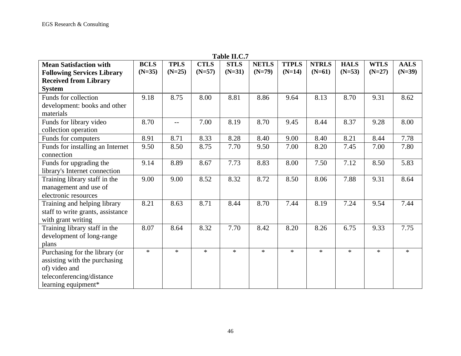| <b>Table II.C.</b> /              |             |             |             |             |              |              |              |             |             |             |
|-----------------------------------|-------------|-------------|-------------|-------------|--------------|--------------|--------------|-------------|-------------|-------------|
| <b>Mean Satisfaction with</b>     | <b>BCLS</b> | <b>TPLS</b> | <b>CTLS</b> | <b>STLS</b> | <b>NETLS</b> | <b>TTPLS</b> | <b>NTRLS</b> | <b>HALS</b> | <b>WTLS</b> | <b>AALS</b> |
| <b>Following Services Library</b> | $(N=35)$    | $(N=25)$    | $(N=57)$    | $(N=31)$    | $(N=79)$     | $(N=14)$     | $(N=61)$     | $(N=53)$    | $(N=27)$    | $(N=39)$    |
| <b>Received from Library</b>      |             |             |             |             |              |              |              |             |             |             |
| <b>System</b>                     |             |             |             |             |              |              |              |             |             |             |
| Funds for collection              | 9.18        | 8.75        | 8.00        | 8.81        | 8.86         | 9.64         | 8.13         | 8.70        | 9.31        | 8.62        |
| development: books and other      |             |             |             |             |              |              |              |             |             |             |
| materials                         |             |             |             |             |              |              |              |             |             |             |
| Funds for library video           | 8.70        | $-$         | 7.00        | 8.19        | 8.70         | 9.45         | 8.44         | 8.37        | 9.28        | 8.00        |
| collection operation              |             |             |             |             |              |              |              |             |             |             |
| Funds for computers               | 8.91        | 8.71        | 8.33        | 8.28        | 8.40         | 9.00         | 8.40         | 8.21        | 8.44        | 7.78        |
| Funds for installing an Internet  | 9.50        | 8.50        | 8.75        | 7.70        | 9.50         | 7.00         | 8.20         | 7.45        | 7.00        | 7.80        |
| connection                        |             |             |             |             |              |              |              |             |             |             |
| Funds for upgrading the           | 9.14        | 8.89        | 8.67        | 7.73        | 8.83         | 8.00         | 7.50         | 7.12        | 8.50        | 5.83        |
| library's Internet connection     |             |             |             |             |              |              |              |             |             |             |
| Training library staff in the     | 9.00        | 9.00        | 8.52        | 8.32        | 8.72         | 8.50         | 8.06         | 7.88        | 9.31        | 8.64        |
| management and use of             |             |             |             |             |              |              |              |             |             |             |
| electronic resources              |             |             |             |             |              |              |              |             |             |             |
| Training and helping library      | 8.21        | 8.63        | 8.71        | 8.44        | 8.70         | 7.44         | 8.19         | 7.24        | 9.54        | 7.44        |
| staff to write grants, assistance |             |             |             |             |              |              |              |             |             |             |
| with grant writing                |             |             |             |             |              |              |              |             |             |             |
| Training library staff in the     | 8.07        | 8.64        | 8.32        | 7.70        | 8.42         | 8.20         | 8.26         | 6.75        | 9.33        | 7.75        |
| development of long-range         |             |             |             |             |              |              |              |             |             |             |
| plans                             |             |             |             |             |              |              |              |             |             |             |
| Purchasing for the library (or    | $\ast$      | $\ast$      | $\ast$      | $\ast$      | $\ast$       | $\ast$       | $\ast$       | $\ast$      | $\ast$      | $\ast$      |
| assisting with the purchasing     |             |             |             |             |              |              |              |             |             |             |
| of) video and                     |             |             |             |             |              |              |              |             |             |             |
| teleconferencing/distance         |             |             |             |             |              |              |              |             |             |             |
| learning equipment*               |             |             |             |             |              |              |              |             |             |             |

**Table II.C.7**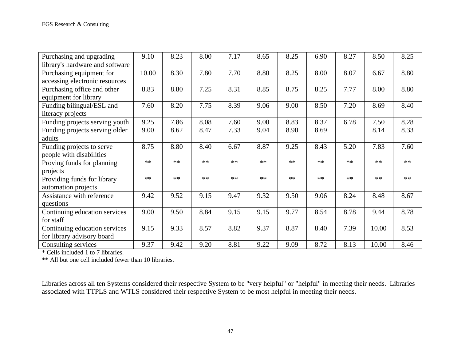| Purchasing and upgrading        | 9.10  | 8.23 | 8.00 | 7.17 | 8.65 | 8.25 | 6.90 | 8.27 | 8.50  | 8.25 |
|---------------------------------|-------|------|------|------|------|------|------|------|-------|------|
| library's hardware and software |       |      |      |      |      |      |      |      |       |      |
| Purchasing equipment for        | 10.00 | 8.30 | 7.80 | 7.70 | 8.80 | 8.25 | 8.00 | 8.07 | 6.67  | 8.80 |
| accessing electronic resources  |       |      |      |      |      |      |      |      |       |      |
| Purchasing office and other     | 8.83  | 8.80 | 7.25 | 8.31 | 8.85 | 8.75 | 8.25 | 7.77 | 8.00  | 8.80 |
| equipment for library           |       |      |      |      |      |      |      |      |       |      |
| Funding bilingual/ESL and       | 7.60  | 8.20 | 7.75 | 8.39 | 9.06 | 9.00 | 8.50 | 7.20 | 8.69  | 8.40 |
| literacy projects               |       |      |      |      |      |      |      |      |       |      |
| Funding projects serving youth  | 9.25  | 7.86 | 8.08 | 7.60 | 9.00 | 8.83 | 8.37 | 6.78 | 7.50  | 8.28 |
| Funding projects serving older  | 9.00  | 8.62 | 8.47 | 7.33 | 9.04 | 8.90 | 8.69 |      | 8.14  | 8.33 |
| adults                          |       |      |      |      |      |      |      |      |       |      |
| Funding projects to serve       | 8.75  | 8.80 | 8.40 | 6.67 | 8.87 | 9.25 | 8.43 | 5.20 | 7.83  | 7.60 |
| people with disabilities        |       |      |      |      |      |      |      |      |       |      |
| Proving funds for planning      | $**$  | $**$ | $**$ | $**$ | $**$ | $**$ | $**$ | $**$ | $**$  | $**$ |
| projects                        |       |      |      |      |      |      |      |      |       |      |
| Providing funds for library     | $**$  | $**$ | $**$ | $**$ | $**$ | $**$ | $**$ | $**$ | $**$  | $**$ |
| automation projects             |       |      |      |      |      |      |      |      |       |      |
| Assistance with reference       | 9.42  | 9.52 | 9.15 | 9.47 | 9.32 | 9.50 | 9.06 | 8.24 | 8.48  | 8.67 |
| questions                       |       |      |      |      |      |      |      |      |       |      |
| Continuing education services   | 9.00  | 9.50 | 8.84 | 9.15 | 9.15 | 9.77 | 8.54 | 8.78 | 9.44  | 8.78 |
| for staff                       |       |      |      |      |      |      |      |      |       |      |
| Continuing education services   | 9.15  | 9.33 | 8.57 | 8.82 | 9.37 | 8.87 | 8.40 | 7.39 | 10.00 | 8.53 |
| for library advisory board      |       |      |      |      |      |      |      |      |       |      |
| Consulting services             | 9.37  | 9.42 | 9.20 | 8.81 | 9.22 | 9.09 | 8.72 | 8.13 | 10.00 | 8.46 |

\* Cells included 1 to 7 libraries.

\*\* All but one cell included fewer than 10 libraries.

Libraries across all ten Systems considered their respective System to be "very helpful" or "helpful" in meeting their needs. Libraries associated with TTPLS and WTLS considered their respective System to be most helpful in meeting their needs.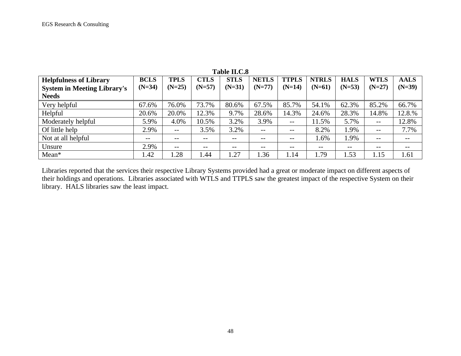| <b>Helpfulness of Library</b>      | <b>BCLS</b> | <b>TPLS</b>              | <b>CTLS</b> | <b>STLS</b> | <b>NETLS</b> | <b>TTPLS</b>             | <b>NTRLS</b> | <b>HALS</b> | <b>WTLS</b>       | <b>AALS</b> |
|------------------------------------|-------------|--------------------------|-------------|-------------|--------------|--------------------------|--------------|-------------|-------------------|-------------|
| <b>System in Meeting Library's</b> | $(N=34)$    | $(N=25)$                 | $(N=57)$    | $(N=31)$    | $(N=77)$     | $(N=14)$                 | $(N=61)$     | $(N=53)$    | $(N=27)$          | $(N=39)$    |
| <b>Needs</b>                       |             |                          |             |             |              |                          |              |             |                   |             |
| Very helpful                       | 67.6%       | 76.0%                    | 73.7%       | 80.6%       | 67.5%        | 85.7%                    | 54.1%        | 62.3%       | 85.2%             | 66.7%       |
| Helpful                            | 20.6%       | 20.0%                    | 12.3%       | 9.7%        | 28.6%        | 14.3%                    | 24.6%        | 28.3%       | 14.8%             | 12.8.%      |
| Moderately helpful                 | 5.9%        | 4.0%                     | 10.5%       | 3.2%        | 3.9%         | $\qquad \qquad -$        | 11.5%        | 5.7%        | $- -$             | 12.8%       |
| Of little help                     | 2.9%        | $\overline{\phantom{m}}$ | 3.5%        | 3.2%        | $- -$        | $\overline{\phantom{m}}$ | 8.2%         | 1.9%        | $\qquad \qquad -$ | 7.7%        |
| Not at all helpful                 | $- -$       | $- -$                    | $- -$       | $- -$       | $- -$        | $\qquad \qquad -$        | 1.6%         | 1.9%        | $- -$             | $- -$       |
| Unsure                             | 2.9%        | $- -$                    | $- -$       | --          | $- -$        | $- -$                    | --           | $- -$       | $- -$             |             |
| Mean*                              | 1.42        | .28                      | 1.44        | 1.27        | 1.36         | 1.14                     | 1.79         | 1.53        | 1.15              | 1.61        |

# **Table II.C.8**

Libraries reported that the services their respective Library Systems provided had a great or moderate impact on different aspects of their holdings and operations. Libraries associated with WTLS and TTPLS saw the greatest impact of the respective System on their library. HALS libraries saw the least impact.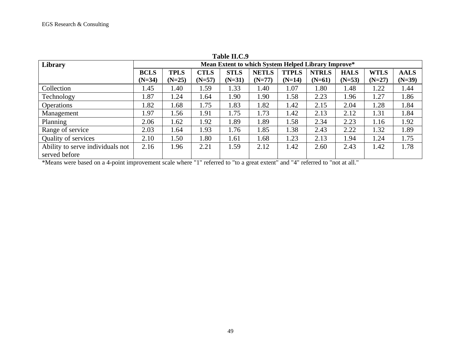| Library                          |             |             |             |             | Mean Extent to which System Helped Library Improve* |              |              |             |             |             |
|----------------------------------|-------------|-------------|-------------|-------------|-----------------------------------------------------|--------------|--------------|-------------|-------------|-------------|
|                                  | <b>BCLS</b> | <b>TPLS</b> | <b>CTLS</b> | <b>STLS</b> | <b>NETLS</b>                                        | <b>TTPLS</b> | <b>NTRLS</b> | <b>HALS</b> | <b>WTLS</b> | <b>AALS</b> |
|                                  | $(N=34)$    | $(N=25)$    | $(N=57)$    | $(N=31)$    | $(N=77)$                                            | $(N=14)$     | $(N=61)$     | $(N=53)$    | $(N=27)$    | $(N=39)$    |
| Collection                       | 1.45        | 1.40        | 1.59        | 1.33        | 1.40                                                | 1.07         | 1.80         | 1.48        | 1.22        | 1.44        |
| Technology                       | 1.87        | 1.24        | 1.64        | 1.90        | 1.90                                                | 1.58         | 2.23         | 1.96        | 1.27        | 1.86        |
| Operations                       | 1.82        | 1.68        | 1.75        | 1.83        | 1.82                                                | 1.42         | 2.15         | 2.04        | 1.28        | 1.84        |
| Management                       | 1.97        | 1.56        | 1.91        | 1.75        | 1.73                                                | 1.42         | 2.13         | 2.12        | 1.31        | 1.84        |
| Planning                         | 2.06        | 1.62        | 1.92        | 1.89        | 1.89                                                | 1.58         | 2.34         | 2.23        | 1.16        | 1.92        |
| Range of service                 | 2.03        | 1.64        | 1.93        | 1.76        | 1.85                                                | 1.38         | 2.43         | 2.22        | 1.32        | 1.89        |
| Quality of services              | 2.10        | 1.50        | 1.80        | 1.61        | 1.68                                                | 1.23         | 2.13         | 1.94        | 1.24        | 1.75        |
| Ability to serve individuals not | 2.16        | 1.96        | 2.21        | 1.59        | 2.12                                                | 1.42         | 2.60         | 2.43        | 1.42        | 1.78        |
| served before                    |             |             |             |             |                                                     |              |              |             |             |             |

**Table II.C.9**

\*Means were based on a 4-point improvement scale where "1" referred to "to a great extent" and "4" referred to "not at all."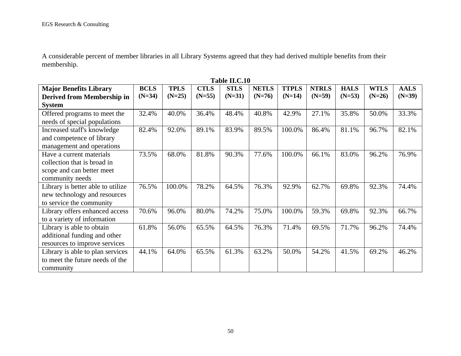A considerable percent of member libraries in all Library Systems agreed that they had derived multiple benefits from their membership.

| <b>Table II.C.IU</b>              |             |             |             |             |              |              |              |             |             |             |
|-----------------------------------|-------------|-------------|-------------|-------------|--------------|--------------|--------------|-------------|-------------|-------------|
| <b>Major Benefits Library</b>     | <b>BCLS</b> | <b>TPLS</b> | <b>CTLS</b> | <b>STLS</b> | <b>NETLS</b> | <b>TTPLS</b> | <b>NTRLS</b> | <b>HALS</b> | <b>WTLS</b> | <b>AALS</b> |
| Derived from Membership in        | $(N=34)$    | $(N=25)$    | $(N=55)$    | $(N=31)$    | $(N=76)$     | $(N=14)$     | $(N=59)$     | $(N=53)$    | $(N=26)$    | $(N=39)$    |
| <b>System</b>                     |             |             |             |             |              |              |              |             |             |             |
| Offered programs to meet the      | 32.4%       | 40.0%       | 36.4%       | 48.4%       | 40.8%        | 42.9%        | 27.1%        | 35.8%       | 50.0%       | 33.3%       |
| needs of special populations      |             |             |             |             |              |              |              |             |             |             |
| Increased staff's knowledge       | 82.4%       | 92.0%       | 89.1%       | 83.9%       | 89.5%        | 100.0%       | 86.4%        | 81.1%       | 96.7%       | 82.1%       |
| and competence of library         |             |             |             |             |              |              |              |             |             |             |
| management and operations         |             |             |             |             |              |              |              |             |             |             |
| Have a current materials          | 73.5%       | 68.0%       | 81.8%       | 90.3%       | 77.6%        | 100.0%       | 66.1%        | 83.0%       | 96.2%       | 76.9%       |
| collection that is broad in       |             |             |             |             |              |              |              |             |             |             |
| scope and can better meet         |             |             |             |             |              |              |              |             |             |             |
| community needs                   |             |             |             |             |              |              |              |             |             |             |
| Library is better able to utilize | 76.5%       | 100.0%      | 78.2%       | 64.5%       | 76.3%        | 92.9%        | 62.7%        | 69.8%       | 92.3%       | 74.4%       |
| new technology and resources      |             |             |             |             |              |              |              |             |             |             |
| to service the community          |             |             |             |             |              |              |              |             |             |             |
| Library offers enhanced access    | 70.6%       | 96.0%       | 80.0%       | 74.2%       | 75.0%        | 100.0%       | 59.3%        | 69.8%       | 92.3%       | 66.7%       |
| to a variety of information       |             |             |             |             |              |              |              |             |             |             |
| Library is able to obtain         | 61.8%       | 56.0%       | 65.5%       | 64.5%       | 76.3%        | 71.4%        | 69.5%        | 71.7%       | 96.2%       | 74.4%       |
| additional funding and other      |             |             |             |             |              |              |              |             |             |             |
| resources to improve services     |             |             |             |             |              |              |              |             |             |             |
| Library is able to plan services  | 44.1%       | 64.0%       | 65.5%       | 61.3%       | 63.2%        | 50.0%        | 54.2%        | 41.5%       | 69.2%       | 46.2%       |
| to meet the future needs of the   |             |             |             |             |              |              |              |             |             |             |
| community                         |             |             |             |             |              |              |              |             |             |             |

**Table II.C.10**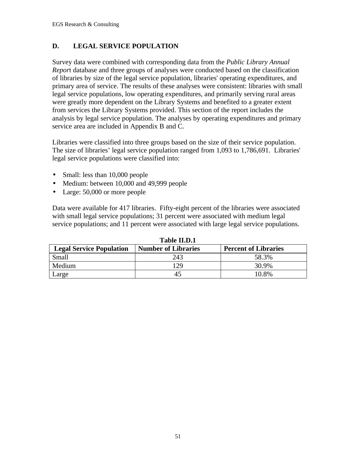### **D. LEGAL SERVICE POPULATION**

Survey data were combined with corresponding data from the *Public Library Annual Repor*t database and three groups of analyses were conducted based on the classification of libraries by size of the legal service population, libraries' operating expenditures, and primary area of service. The results of these analyses were consistent: libraries with small legal service populations, low operating expenditures, and primarily serving rural areas were greatly more dependent on the Library Systems and benefited to a greater extent from services the Library Systems provided. This section of the report includes the analysis by legal service population. The analyses by operating expenditures and primary service area are included in Appendix B and C.

Libraries were classified into three groups based on the size of their service population. The size of libraries' legal service population ranged from 1,093 to 1,786,691. Libraries' legal service populations were classified into:

- Small: less than 10,000 people
- Medium: between 10,000 and 49,999 people
- Large: 50,000 or more people

Data were available for 417 libraries. Fifty-eight percent of the libraries were associated with small legal service populations; 31 percent were associated with medium legal service populations; and 11 percent were associated with large legal service populations.

| 1 apie 11.D.1                   |                            |                             |  |  |  |  |  |  |  |  |
|---------------------------------|----------------------------|-----------------------------|--|--|--|--|--|--|--|--|
| <b>Legal Service Population</b> | <b>Number of Libraries</b> | <b>Percent of Libraries</b> |  |  |  |  |  |  |  |  |
| Small                           | 243                        | 58.3%                       |  |  |  |  |  |  |  |  |
| Medium                          | 129                        | 30.9%                       |  |  |  |  |  |  |  |  |
| Large                           |                            | 10.8%                       |  |  |  |  |  |  |  |  |

**Table II.D.1**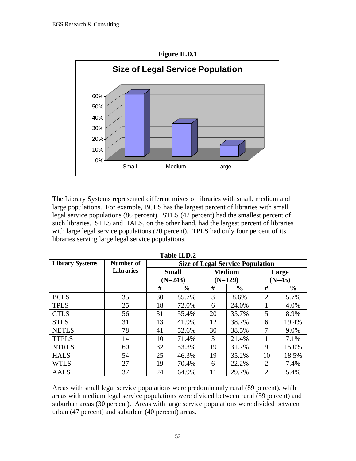

The Library Systems represented different mixes of libraries with small, medium and large populations. For example, BCLS has the largest percent of libraries with small legal service populations (86 percent). STLS (42 percent) had the smallest percent of such libraries. STLS and HALS, on the other hand, had the largest percent of libraries with large legal service populations (20 percent). TPLS had only four percent of its libraries serving large legal service populations.

| <b>Library Systems</b> | Number of        |    |                           |    | <b>Size of Legal Service Population</b> |                   |               |  |
|------------------------|------------------|----|---------------------------|----|-----------------------------------------|-------------------|---------------|--|
|                        | <b>Libraries</b> |    | <b>Small</b><br>$(N=243)$ |    | <b>Medium</b><br>$(N=129)$              | Large<br>$(N=45)$ |               |  |
|                        |                  | #  | $\frac{6}{6}$             |    | $\frac{6}{9}$                           | #                 | $\frac{0}{0}$ |  |
| <b>BCLS</b>            | 35               | 30 | 85.7%                     | 3  | 8.6%                                    | 2                 | 5.7%          |  |
| <b>TPLS</b>            | 25               | 18 | 72.0%                     | 6  | 24.0%                                   |                   | 4.0%          |  |
| <b>CTLS</b>            | 56               | 31 | 55.4%                     | 20 | 35.7%                                   | 5                 | 8.9%          |  |
| <b>STLS</b>            | 31               | 13 | 41.9%                     | 12 | 38.7%                                   | 6                 | 19.4%         |  |
| <b>NETLS</b>           | 78               | 41 | 52.6%                     | 30 | 38.5%                                   | 7                 | 9.0%          |  |
| <b>TTPLS</b>           | 14               | 10 | 71.4%                     | 3  | 21.4%                                   |                   | 7.1%          |  |
| <b>NTRLS</b>           | 60               | 32 | 53.3%                     | 19 | 31.7%                                   | 9                 | 15.0%         |  |
| <b>HALS</b>            | 54               | 25 | 46.3%                     | 19 | 35.2%                                   | 10                | 18.5%         |  |
| <b>WTLS</b>            | 27               | 19 | 70.4%                     | 6  | 22.2%                                   | 2                 | 7.4%          |  |
| <b>AALS</b>            | 37               | 24 | 64.9%                     | 11 | 29.7%                                   | 2                 | 5.4%          |  |

**Table II.D.2**

Areas with small legal service populations were predominantly rural (89 percent), while areas with medium legal service populations were divided between rural (59 percent) and suburban areas (30 percent). Areas with large service populations were divided between urban (47 percent) and suburban (40 percent) areas.

52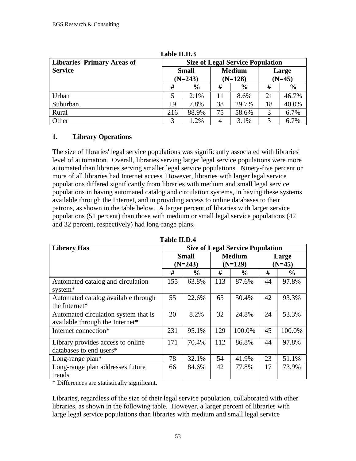| TANIC TIMOW                        |                                         |                           |    |                            |                   |               |  |  |  |  |  |
|------------------------------------|-----------------------------------------|---------------------------|----|----------------------------|-------------------|---------------|--|--|--|--|--|
| <b>Libraries' Primary Areas of</b> | <b>Size of Legal Service Population</b> |                           |    |                            |                   |               |  |  |  |  |  |
| <b>Service</b>                     |                                         | <b>Small</b><br>$(N=243)$ |    | <b>Medium</b><br>$(N=128)$ | Large<br>$(N=45)$ |               |  |  |  |  |  |
|                                    | #                                       | $\frac{6}{9}$             | #  | $\frac{6}{9}$              | #                 | $\frac{6}{9}$ |  |  |  |  |  |
| Urban                              |                                         | 2.1%                      | 11 | 8.6%                       | 21                | 46.7%         |  |  |  |  |  |
| Suburban                           | 19                                      | 7.8%                      | 38 | 29.7%                      | 18                | 40.0%         |  |  |  |  |  |
| Rural                              | 216                                     | 88.9%                     | 75 | 58.6%                      | 3                 | 6.7%          |  |  |  |  |  |
| Other                              | 3                                       | 1.2%                      | 4  | 3.1%                       | 3                 | 6.7%          |  |  |  |  |  |

**Table II.D.3**

## **1. Library Operations**

The size of libraries' legal service populations was significantly associated with libraries' level of automation. Overall, libraries serving larger legal service populations were more automated than libraries serving smaller legal service populations. Ninety-five percent or more of all libraries had Internet access. However, libraries with larger legal service populations differed significantly from libraries with medium and small legal service populations in having automated catalog and circulation systems, in having these systems available through the Internet, and in providing access to online databases to their patrons, as shown in the table below. A larger percent of libraries with larger service populations (51 percent) than those with medium or small legal service populations (42 and 32 percent, respectively) had long-range plans.

| <b>Table II.D.4</b>                                                     |                           |               |     |                                         |    |                   |  |  |  |  |
|-------------------------------------------------------------------------|---------------------------|---------------|-----|-----------------------------------------|----|-------------------|--|--|--|--|
| <b>Library Has</b>                                                      |                           |               |     | <b>Size of Legal Service Population</b> |    |                   |  |  |  |  |
|                                                                         | <b>Small</b><br>$(N=243)$ |               |     | <b>Medium</b><br>$(N=129)$              |    | Large<br>$(N=45)$ |  |  |  |  |
|                                                                         | #                         | $\frac{6}{9}$ | #   | $\frac{6}{9}$                           | #  | $\frac{6}{9}$     |  |  |  |  |
| Automated catalog and circulation<br>system*                            | 155                       | 63.8%         | 113 | 87.6%                                   | 44 | 97.8%             |  |  |  |  |
| Automated catalog available through<br>the Internet*                    | 55                        | 22.6%         | 65  | 50.4%                                   | 42 | 93.3%             |  |  |  |  |
| Automated circulation system that is<br>available through the Internet* | 20                        | 8.2%          | 32  | 24.8%                                   | 24 | 53.3%             |  |  |  |  |
| Internet connection*                                                    | 231                       | 95.1%         | 129 | 100.0%                                  | 45 | 100.0%            |  |  |  |  |
| Library provides access to online<br>databases to end users*            | 171                       | 70.4%         | 112 | 86.8%                                   | 44 | 97.8%             |  |  |  |  |
| Long-range plan*                                                        | 78                        | 32.1%         | 54  | 41.9%                                   | 23 | 51.1%             |  |  |  |  |
| Long-range plan addresses future<br>trends                              | 66                        | 84.6%         | 42  | 77.8%                                   | 17 | 73.9%             |  |  |  |  |

\* Differences are statistically significant.

Libraries, regardless of the size of their legal service population, collaborated with other libraries, as shown in the following table. However, a larger percent of libraries with large legal service populations than libraries with medium and small legal service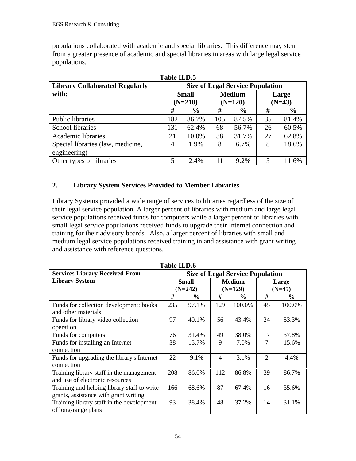populations collaborated with academic and special libraries. This difference may stem from a greater presence of academic and special libraries in areas with large legal service populations.

| Table II.D.5                          |           |               |     |                                         |       |               |  |
|---------------------------------------|-----------|---------------|-----|-----------------------------------------|-------|---------------|--|
| <b>Library Collaborated Regularly</b> |           |               |     | <b>Size of Legal Service Population</b> |       |               |  |
| with:                                 |           | <b>Small</b>  |     | <b>Medium</b>                           | Large |               |  |
|                                       | $(N=210)$ |               |     | $(N=120)$                               |       | $(N=43)$      |  |
|                                       | #         | $\frac{6}{6}$ | #   | $\frac{6}{6}$                           | #     | $\frac{6}{6}$ |  |
| Public libraries                      | 182       | 86.7%         | 105 | 87.5%                                   | 35    | 81.4%         |  |
| <b>School libraries</b>               | 131       | 62.4%         | 68  | 56.7%                                   | 26    | 60.5%         |  |
| Academic libraries                    | 21        | 10.0%         | 38  | 31.7%                                   | 27    | 62.8%         |  |
| Special libraries (law, medicine,     | 4         | 1.9%          | 8   | 6.7%                                    | 8     | 18.6%         |  |
| engineering)                          |           |               |     |                                         |       |               |  |
| Other types of libraries              | 5         | 2.4%          | 11  | 9.2%                                    | 5     | 11.6%         |  |

## **2. Library System Services Provided to Member Libraries**

Library Systems provided a wide range of services to libraries regardless of the size of their legal service population. A larger percent of libraries with medium and large legal service populations received funds for computers while a larger percent of libraries with small legal service populations received funds to upgrade their Internet connection and training for their advisory boards. Also, a larger percent of libraries with small and medium legal service populations received training in and assistance with grant writing and assistance with reference questions.

| <b>Services Library Received From</b>                                                | <b>Size of Legal Service Population</b> |               |     |               |                |               |
|--------------------------------------------------------------------------------------|-----------------------------------------|---------------|-----|---------------|----------------|---------------|
| <b>Library System</b>                                                                | <b>Small</b>                            |               |     | <b>Medium</b> |                | Large         |
|                                                                                      |                                         | $(N=242)$     |     | $(N=129)$     |                | $(N=45)$      |
|                                                                                      | #                                       | $\frac{0}{0}$ | #   | $\frac{6}{9}$ | #              | $\frac{6}{9}$ |
| Funds for collection development: books<br>and other materials                       | 235                                     | 97.1%         | 129 | 100.0%        | 45             | 100.0%        |
| Funds for library video collection<br>operation                                      | 97                                      | 40.1%         | 56  | 43.4%         | 24             | 53.3%         |
| Funds for computers                                                                  | 76                                      | 31.4%         | 49  | 38.0%         | 17             | 37.8%         |
| Funds for installing an Internet<br>connection                                       | 38                                      | 15.7%         | 9   | 7.0%          | 7              | 15.6%         |
| Funds for upgrading the library's Internet<br>connection                             | 22                                      | 9.1%          | 4   | 3.1%          | $\overline{2}$ | 4.4%          |
| Training library staff in the management<br>and use of electronic resources          | 208                                     | 86.0%         | 112 | 86.8%         | 39             | 86.7%         |
| Training and helping library staff to write<br>grants, assistance with grant writing | 166                                     | 68.6%         | 87  | 67.4%         | 16             | 35.6%         |
| Training library staff in the development<br>of long-range plans                     | 93                                      | 38.4%         | 48  | 37.2%         | 14             | 31.1%         |

**Table II.D.6**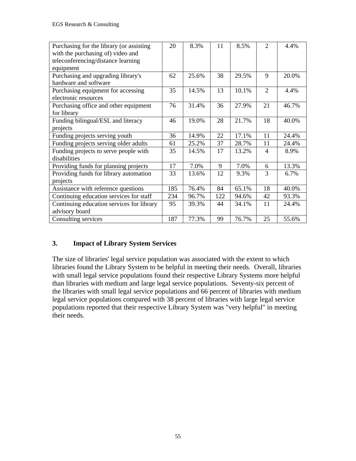| Purchasing for the library (or assisting  | 20  | 8.3%  | 11  | 8.5%  | $\mathfrak{D}$              | 4.4%  |
|-------------------------------------------|-----|-------|-----|-------|-----------------------------|-------|
| with the purchasing of) video and         |     |       |     |       |                             |       |
| teleconferencing/distance learning        |     |       |     |       |                             |       |
| equipment                                 |     |       |     |       |                             |       |
| Purchasing and upgrading library's        | 62  | 25.6% | 38  | 29.5% | 9                           | 20.0% |
| hardware and software                     |     |       |     |       |                             |       |
| Purchasing equipment for accessing        | 35  | 14.5% | 13  | 10.1% | $\mathcal{D}_{\mathcal{L}}$ | 4.4%  |
| electronic resources                      |     |       |     |       |                             |       |
| Purchasing office and other equipment     | 76  | 31.4% | 36  | 27.9% | 21                          | 46.7% |
| for library                               |     |       |     |       |                             |       |
| Funding bilingual/ESL and literacy        | 46  | 19.0% | 28  | 21.7% | 18                          | 40.0% |
| projects                                  |     |       |     |       |                             |       |
| Funding projects serving youth            | 36  | 14.9% | 22  | 17.1% | 11                          | 24.4% |
| Funding projects serving older adults     | 61  | 25.2% | 37  | 28.7% | 11                          | 24.4% |
| Funding projects to serve people with     | 35  | 14.5% | 17  | 13.2% | $\overline{4}$              | 8.9%  |
| disabilities                              |     |       |     |       |                             |       |
| Providing funds for planning projects     | 17  | 7.0%  | 9   | 7.0%  | 6                           | 13.3% |
| Providing funds for library automation    | 33  | 13.6% | 12  | 9.3%  | 3                           | 6.7%  |
| projects                                  |     |       |     |       |                             |       |
| Assistance with reference questions       | 185 | 76.4% | 84  | 65.1% | 18                          | 40.0% |
| Continuing education services for staff   | 234 | 96.7% | 122 | 94.6% | 42                          | 93.3% |
| Continuing education services for library | 95  | 39.3% | 44  | 34.1% | 11                          | 24.4% |
| advisory board                            |     |       |     |       |                             |       |
| Consulting services                       | 187 | 77.3% | 99  | 76.7% | 25                          | 55.6% |

## **3. Impact of Library System Services**

The size of libraries' legal service population was associated with the extent to which libraries found the Library System to be helpful in meeting their needs. Overall, libraries with small legal service populations found their respective Library Systems more helpful than libraries with medium and large legal service populations. Seventy-six percent of the libraries with small legal service populations and 66 percent of libraries with medium legal service populations compared with 38 percent of libraries with large legal service populations reported that their respective Library System was "very helpful" in meeting their needs.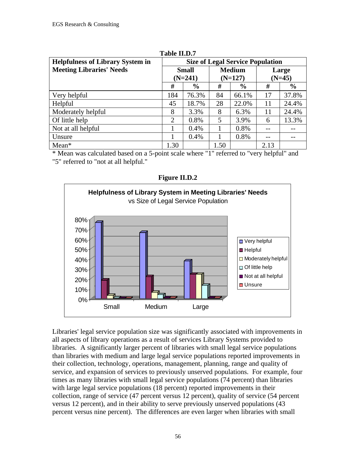| <b>Helpfulness of Library System in</b> | <b>Size of Legal Service Population</b> |               |               |               |       |               |
|-----------------------------------------|-----------------------------------------|---------------|---------------|---------------|-------|---------------|
| <b>Meeting Libraries' Needs</b>         |                                         | <b>Small</b>  | <b>Medium</b> |               | Large |               |
|                                         | $(N=241)$                               |               | $(N=127)$     |               |       | $(N=45)$      |
|                                         | #                                       | $\frac{6}{6}$ | #             | $\frac{6}{9}$ | #     | $\frac{6}{6}$ |
| Very helpful                            | 184                                     | 76.3%         | 84            | 66.1%         | 17    | 37.8%         |
| Helpful                                 | 45                                      | 18.7%         | 28            | 22.0%         | 11    | 24.4%         |
| Moderately helpful                      | 8                                       | 3.3%          | 8             | 6.3%          | 11    | 24.4%         |
| Of little help                          | 2                                       | 0.8%          | 5             | 3.9%          | 6     | 13.3%         |
| Not at all helpful                      |                                         | 0.4%          |               | 0.8%          |       |               |
| Unsure                                  |                                         | 0.4%          |               | 0.8%          |       |               |
| $Mean*$                                 | 1.30                                    |               | 1.50          |               | 2.13  |               |

**Table II.D.7**

\* Mean was calculated based on a 5-point scale where "1" referred to "very helpful" and

"5" referred to "not at all helpful."



**Figure II.D.2**

Libraries' legal service population size was significantly associated with improvements in all aspects of library operations as a result of services Library Systems provided to libraries. A significantly larger percent of libraries with small legal service populations than libraries with medium and large legal service populations reported improvements in their collection, technology, operations, management, planning, range and quality of service, and expansion of services to previously unserved populations. For example, four times as many libraries with small legal service populations (74 percent) than libraries with large legal service populations (18 percent) reported improvements in their collection, range of service (47 percent versus 12 percent), quality of service (54 percent versus 12 percent), and in their ability to serve previously unserved populations (43 percent versus nine percent). The differences are even larger when libraries with small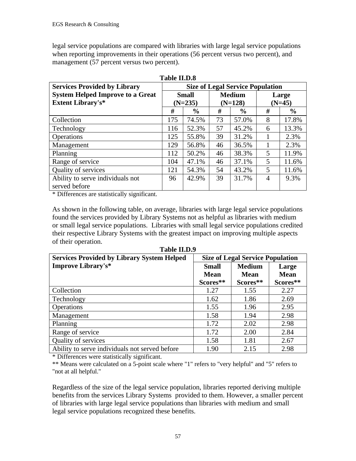legal service populations are compared with libraries with large legal service populations when reporting improvements in their operations (56 percent versus two percent), and management (57 percent versus two percent).

| <b>Services Provided by Library</b>     | <b>Size of Legal Service Population</b> |               |               |               |                |               |
|-----------------------------------------|-----------------------------------------|---------------|---------------|---------------|----------------|---------------|
| <b>System Helped Improve to a Great</b> |                                         | <b>Small</b>  | <b>Medium</b> |               | Large          |               |
| <b>Extent Library's*</b>                |                                         | $(N=235)$     | $(N=128)$     |               | $(N=45)$       |               |
|                                         | #                                       | $\frac{6}{6}$ | #             | $\frac{0}{0}$ | #              | $\frac{0}{0}$ |
| Collection                              | 175                                     | 74.5%         | 73            | 57.0%         | 8              | 17.8%         |
| Technology                              | 116                                     | 52.3%         | 57            | 45.2%         | 6              | 13.3%         |
| Operations                              | 125                                     | 55.8%         | 39            | 31.2%         |                | 2.3%          |
| Management                              | 129                                     | 56.8%         | 46            | 36.5%         |                | 2.3%          |
| Planning                                | 112                                     | 50.2%         | 46            | 38.3%         | 5              | 11.9%         |
| Range of service                        | 104                                     | 47.1%         | 46            | 37.1%         | 5              | 11.6%         |
| Quality of services                     | 121                                     | 54.3%         | 54            | 43.2%         | 5              | 11.6%         |
| Ability to serve individuals not        | 96                                      | 42.9%         | 39            | 31.7%         | $\overline{4}$ | 9.3%          |
| served before                           |                                         |               |               |               |                |               |

**Table II.D.8**

\* Differences are statistically significant.

As shown in the following table, on average, libraries with large legal service populations found the services provided by Library Systems not as helpful as libraries with medium or small legal service populations. Libraries with small legal service populations credited their respective Library Systems with the greatest impact on improving multiple aspects of their operation.

| 1 avit 11.1 <i>0.7</i>                            |                                         |             |             |  |  |  |
|---------------------------------------------------|-----------------------------------------|-------------|-------------|--|--|--|
| <b>Services Provided by Library System Helped</b> | <b>Size of Legal Service Population</b> |             |             |  |  |  |
| <b>Improve Library's*</b>                         | <b>Small</b>                            | Large       |             |  |  |  |
|                                                   | <b>Mean</b>                             | <b>Mean</b> | <b>Mean</b> |  |  |  |
|                                                   | Scores**                                | Scores**    | Scores**    |  |  |  |
| Collection                                        | 1.27                                    | 1.55        | 2.27        |  |  |  |
| Technology                                        | 1.62                                    | 1.86        | 2.69        |  |  |  |
| <b>Operations</b>                                 | 1.55                                    | 1.96        | 2.95        |  |  |  |
| Management                                        | 1.58                                    | 1.94        | 2.98        |  |  |  |
| Planning                                          | 1.72                                    | 2.02        | 2.98        |  |  |  |
| Range of service                                  | 1.72                                    | 2.00        | 2.84        |  |  |  |
| Quality of services                               | 1.58                                    | 1.81        | 2.67        |  |  |  |
| Ability to serve individuals not served before    | 1.90                                    | 2.15        | 2.98        |  |  |  |

**Table II.D.9**

\* Differences were statistically significant.

\*\* Means were calculated on a 5-point scale where "1" refers to "very helpful" and "5" refers to "not at all helpful."

Regardless of the size of the legal service population, libraries reported deriving multiple benefits from the services Library Systems provided to them. However, a smaller percent of libraries with large legal service populations than libraries with medium and small legal service populations recognized these benefits.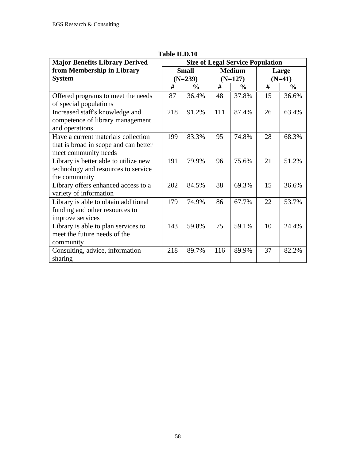| <b>Major Benefits Library Derived</b>                                                                | <b>Size of Legal Service Population</b> |               |           |               |          |               |
|------------------------------------------------------------------------------------------------------|-----------------------------------------|---------------|-----------|---------------|----------|---------------|
| from Membership in Library                                                                           | <b>Small</b>                            |               |           | <b>Medium</b> | Large    |               |
| <b>System</b>                                                                                        |                                         | $(N=239)$     | $(N=127)$ |               | $(N=41)$ |               |
|                                                                                                      | #                                       | $\frac{0}{0}$ | #         | $\frac{0}{0}$ | #        | $\frac{0}{0}$ |
| Offered programs to meet the needs<br>of special populations                                         | 87                                      | 36.4%         | 48        | 37.8%         | 15       | 36.6%         |
| Increased staff's knowledge and<br>competence of library management<br>and operations                | 218                                     | 91.2%         | 111       | 87.4%         | 26       | 63.4%         |
| Have a current materials collection<br>that is broad in scope and can better<br>meet community needs | 199                                     | 83.3%         | 95        | 74.8%         | 28       | 68.3%         |
| Library is better able to utilize new<br>technology and resources to service<br>the community        | 191                                     | 79.9%         | 96        | 75.6%         | 21       | 51.2%         |
| Library offers enhanced access to a<br>variety of information                                        | 202                                     | 84.5%         | 88        | 69.3%         | 15       | 36.6%         |
| Library is able to obtain additional<br>funding and other resources to<br>improve services           | 179                                     | 74.9%         | 86        | 67.7%         | 22       | 53.7%         |
| Library is able to plan services to<br>meet the future needs of the<br>community                     | 143                                     | 59.8%         | 75        | 59.1%         | 10       | 24.4%         |
| Consulting, advice, information<br>sharing                                                           | 218                                     | 89.7%         | 116       | 89.9%         | 37       | 82.2%         |

**Table II.D.10**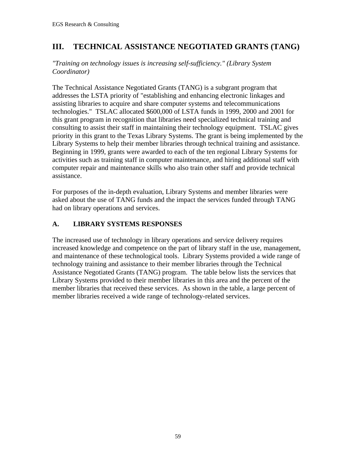# **III. TECHNICAL ASSISTANCE NEGOTIATED GRANTS (TANG)**

*"Training on technology issues is increasing self-sufficiency." (Library System Coordinator)*

The Technical Assistance Negotiated Grants (TANG) is a subgrant program that addresses the LSTA priority of "establishing and enhancing electronic linkages and assisting libraries to acquire and share computer systems and telecommunications technologies." TSLAC allocated \$600,000 of LSTA funds in 1999, 2000 and 2001 for this grant program in recognition that libraries need specialized technical training and consulting to assist their staff in maintaining their technology equipment. TSLAC gives priority in this grant to the Texas Library Systems. The grant is being implemented by the Library Systems to help their member libraries through technical training and assistance. Beginning in 1999, grants were awarded to each of the ten regional Library Systems for activities such as training staff in computer maintenance, and hiring additional staff with computer repair and maintenance skills who also train other staff and provide technical assistance.

For purposes of the in-depth evaluation, Library Systems and member libraries were asked about the use of TANG funds and the impact the services funded through TANG had on library operations and services.

## **A. LIBRARY SYSTEMS RESPONSES**

The increased use of technology in library operations and service delivery requires increased knowledge and competence on the part of library staff in the use, management, and maintenance of these technological tools. Library Systems provided a wide range of technology training and assistance to their member libraries through the Technical Assistance Negotiated Grants (TANG) program. The table below lists the services that Library Systems provided to their member libraries in this area and the percent of the member libraries that received these services. As shown in the table, a large percent of member libraries received a wide range of technology-related services.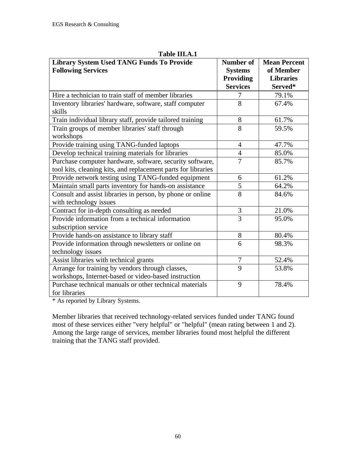| <b>Library System Used TANG Funds To Provide</b>              | <b>Number of</b> | <b>Mean Percent</b> |
|---------------------------------------------------------------|------------------|---------------------|
| <b>Following Services</b>                                     | <b>Systems</b>   | of Member           |
|                                                               | Providing        | <b>Libraries</b>    |
|                                                               | <b>Services</b>  | Served*             |
| Hire a technician to train staff of member libraries          | 7                | 79.1%               |
| Inventory libraries' hardware, software, staff computer       | 8                | 67.4%               |
| skills                                                        |                  |                     |
| Train individual library staff, provide tailored training     | 8                | 61.7%               |
| Train groups of member libraries' staff through               | 8                | 59.5%               |
| workshops                                                     |                  |                     |
| Provide training using TANG-funded laptops                    | $\overline{4}$   | 47.7%               |
| Develop technical training materials for libraries            | $\overline{4}$   | 85.0%               |
| Purchase computer hardware, software, security software,      | $\overline{7}$   | 85.7%               |
| tool kits, cleaning kits, and replacement parts for libraries |                  |                     |
| Provide network testing using TANG-funded equipment           | 6                | 61.2%               |
| Maintain small parts inventory for hands-on assistance        | $\overline{5}$   | 64.2%               |
| Consult and assist libraries in person, by phone or online    | $\overline{8}$   | 84.6%               |
| with technology issues                                        |                  |                     |
| Contract for in-depth consulting as needed                    | 3                | 21.0%               |
| Provide information from a technical information              | $\overline{3}$   | 95.0%               |
| subscription service                                          |                  |                     |
| Provide hands-on assistance to library staff                  | 8                | 80.4%               |
| Provide information through newsletters or online on          | 6                | 98.3%               |
| technology issues                                             |                  |                     |
| Assist libraries with technical grants                        | $\overline{7}$   | 52.4%               |
| Arrange for training by vendors through classes,              | 9                | 53.8%               |
| workshops, Internet-based or video-based instruction          |                  |                     |
| Purchase technical manuals or other technical materials       | 9                | 78.4%               |
| for libraries                                                 |                  |                     |

**Table III.A.1**

\* As reported by Library Systems.

Member libraries that received technology-related services funded under TANG found most of these services either "very helpful" or "helpful" (mean rating between 1 and 2). Among the large range of services, member libraries found most helpful the different training that the TANG staff provided.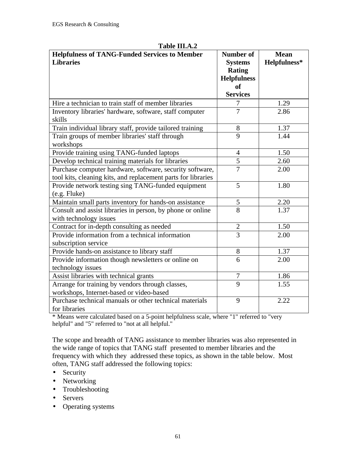| <b>Helpfulness of TANG-Funded Services to Member</b><br><b>Libraries</b>                                                  | <b>Number of</b><br><b>Systems</b><br><b>Rating</b><br><b>Helpfulness</b><br><b>of</b> | <b>Mean</b><br>Helpfulness* |
|---------------------------------------------------------------------------------------------------------------------------|----------------------------------------------------------------------------------------|-----------------------------|
|                                                                                                                           | <b>Services</b>                                                                        |                             |
| Hire a technician to train staff of member libraries                                                                      | 7                                                                                      | 1.29                        |
| Inventory libraries' hardware, software, staff computer<br>skills                                                         | $\overline{7}$                                                                         | 2.86                        |
| Train individual library staff, provide tailored training                                                                 | 8                                                                                      | 1.37                        |
| Train groups of member libraries' staff through<br>workshops                                                              | 9                                                                                      | 1.44                        |
| Provide training using TANG-funded laptops                                                                                | 4                                                                                      | 1.50                        |
| Develop technical training materials for libraries                                                                        | $\overline{5}$                                                                         | 2.60                        |
| Purchase computer hardware, software, security software,<br>tool kits, cleaning kits, and replacement parts for libraries | $\overline{7}$                                                                         | 2.00                        |
| Provide network testing sing TANG-funded equipment<br>$(e.g.$ Fluke $)$                                                   | 5                                                                                      | 1.80                        |
| Maintain small parts inventory for hands-on assistance                                                                    | 5                                                                                      | 2.20                        |
| Consult and assist libraries in person, by phone or online<br>with technology issues                                      | $\overline{8}$                                                                         | 1.37                        |
| Contract for in-depth consulting as needed                                                                                | $\overline{2}$                                                                         | 1.50                        |
| Provide information from a technical information<br>subscription service                                                  | $\overline{3}$                                                                         | 2.00                        |
| Provide hands-on assistance to library staff                                                                              | 8                                                                                      | 1.37                        |
| Provide information though newsletters or online on<br>technology issues                                                  | 6                                                                                      | 2.00                        |
| Assist libraries with technical grants                                                                                    | 7                                                                                      | 1.86                        |
| Arrange for training by vendors through classes,<br>workshops, Internet-based or video-based                              | 9                                                                                      | 1.55                        |
| Purchase technical manuals or other technical materials<br>for libraries                                                  | 9                                                                                      | 2.22                        |

**Table III.A.2**

\* Means were calculated based on a 5-point helpfulness scale, where "1" referred to "very helpful" and "5" referred to "not at all helpful."

The scope and breadth of TANG assistance to member libraries was also represented in the wide range of topics that TANG staff presented to member libraries and the frequency with which they addressed these topics, as shown in the table below. Most often, TANG staff addressed the following topics:

- Security
- Networking
- Troubleshooting
- Servers
- Operating systems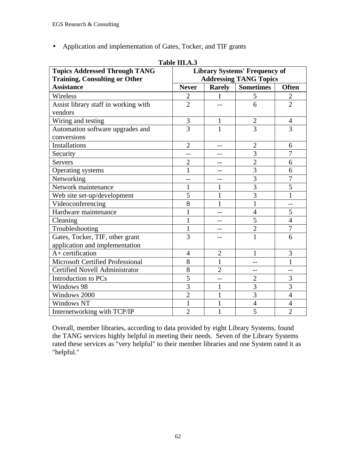• Application and implementation of Gates, Tocker, and TIF grants

|                                       | Table III.A.5                        |                |                               |                |  |  |  |
|---------------------------------------|--------------------------------------|----------------|-------------------------------|----------------|--|--|--|
| <b>Topics Addressed Through TANG</b>  | <b>Library Systems' Frequency of</b> |                |                               |                |  |  |  |
| <b>Training, Consulting or Other</b>  |                                      |                | <b>Addressing TANG Topics</b> |                |  |  |  |
| <b>Assistance</b>                     | <b>Never</b>                         | <b>Rarely</b>  | <b>Sometimes</b>              | <b>Often</b>   |  |  |  |
| Wireless                              | $\mathbf{2}$                         | 1              | 5                             | $\overline{2}$ |  |  |  |
| Assist library staff in working with  | $\overline{2}$                       |                | 6                             | $\overline{2}$ |  |  |  |
| vendors                               |                                      |                |                               |                |  |  |  |
| Wiring and testing                    | 3                                    | 1              | $\overline{2}$                | 4              |  |  |  |
| Automation software upgrades and      | 3                                    | 1              | 3                             | 3              |  |  |  |
| conversions                           |                                      |                |                               |                |  |  |  |
| <b>Installations</b>                  | $\overline{2}$                       | $-$            | $\overline{2}$                | 6              |  |  |  |
| Security                              | --                                   | --             | 3                             | 7              |  |  |  |
| <b>Servers</b>                        | $\overline{2}$                       |                | $\overline{2}$                | 6              |  |  |  |
| Operating systems                     | $\mathbf{1}$                         | $-$            | $\overline{3}$                | 6              |  |  |  |
| Networking                            | --                                   | --             | $\overline{3}$                | $\overline{7}$ |  |  |  |
| Network maintenance                   | 1                                    | $\mathbf{1}$   | 3                             | 5              |  |  |  |
| Web site set-up/development           | 5                                    | 1              | $\overline{3}$                |                |  |  |  |
| Videoconferencing                     | 8                                    | 1              | 1                             |                |  |  |  |
| Hardware maintenance                  | $\mathbf{1}$                         | $-$            | 4                             | 5              |  |  |  |
| Cleaning                              | $\mathbf{1}$                         |                | 5                             | $\overline{4}$ |  |  |  |
| Troubleshooting                       | $\mathbf{1}$                         | --             | $\overline{c}$                | 7              |  |  |  |
| Gates, Tocker, TIF, other grant       | 3                                    |                | $\mathbf{1}$                  | 6              |  |  |  |
| application and implementation        |                                      |                |                               |                |  |  |  |
| $A+$ certification                    | $\overline{4}$                       | $\overline{2}$ | 1                             | 3              |  |  |  |
| Microsoft Certified Professional      | 8                                    | $\mathbf{1}$   |                               | $\mathbf{1}$   |  |  |  |
| <b>Certified Novell Administrator</b> | 8                                    | $\overline{2}$ |                               |                |  |  |  |
| Introduction to PCs                   | 5                                    |                | $\overline{2}$                | 3              |  |  |  |
| Windows 98                            | 3                                    | 1              | 3                             | 3              |  |  |  |
| Windows 2000                          | $\overline{2}$                       | 1              | 3                             | $\overline{4}$ |  |  |  |
| <b>Windows NT</b>                     | $\mathbf{1}$                         | 1              | $\overline{4}$                | $\overline{4}$ |  |  |  |
| Internetworking with TCP/IP           | $\overline{2}$                       | $\mathbf{1}$   | $\overline{5}$                | $\overline{2}$ |  |  |  |

**Table III.A.3**

Overall, member libraries, according to data provided by eight Library Systems, found the TANG services highly helpful in meeting their needs. Seven of the Library Systems rated these services as "very helpful" to their member libraries and one System rated it as "helpful."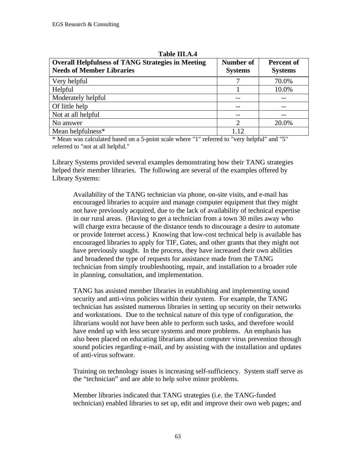| <b>Overall Helpfulness of TANG Strategies in Meeting</b><br><b>Needs of Member Libraries</b> | Number of<br><b>Systems</b> | <b>Percent of</b><br><b>Systems</b> |
|----------------------------------------------------------------------------------------------|-----------------------------|-------------------------------------|
| Very helpful                                                                                 |                             | 70.0%                               |
| Helpful                                                                                      |                             | 10.0%                               |
| Moderately helpful                                                                           | --                          | --                                  |
| Of little help                                                                               | --                          |                                     |
| Not at all helpful                                                                           | --                          |                                     |
| No answer                                                                                    | $\overline{2}$              | 20.0%                               |
| Mean helpfulness*                                                                            | 112                         |                                     |

**Table III.A.4**

\* Mean was calculated based on a 5-point scale where "1" referred to "very helpful" and "5" referred to "not at all helpful."

Library Systems provided several examples demonstrating how their TANG strategies helped their member libraries. The following are several of the examples offered by Library Systems:

Availability of the TANG technician via phone, on-site visits, and e-mail has encouraged libraries to acquire and manage computer equipment that they might not have previously acquired, due to the lack of availability of technical expertise in our rural areas. (Having to get a technician from a town 30 miles away who will charge extra because of the distance tends to discourage a desire to automate or provide Internet access.) Knowing that low-cost technical help is available has encouraged libraries to apply for TIF, Gates, and other grants that they might not have previously sought. In the process, they have increased their own abilities and broadened the type of requests for assistance made from the TANG technician from simply troubleshooting, repair, and installation to a broader role in planning, consultation, and implementation.

TANG has assisted member libraries in establishing and implementing sound security and anti-virus policies within their system. For example, the TANG technician has assisted numerous libraries in setting up security on their networks and workstations. Due to the technical nature of this type of configuration, the librarians would not have been able to perform such tasks, and therefore would have ended up with less secure systems and more problems. An emphasis has also been placed on educating librarians about computer virus prevention through sound policies regarding e-mail, and by assisting with the installation and updates of anti-virus software.

Training on technology issues is increasing self-sufficiency. System staff serve as the "technician" and are able to help solve minor problems.

Member libraries indicated that TANG strategies (i.e. the TANG-funded technician) enabled libraries to set up, edit and improve their own web pages; and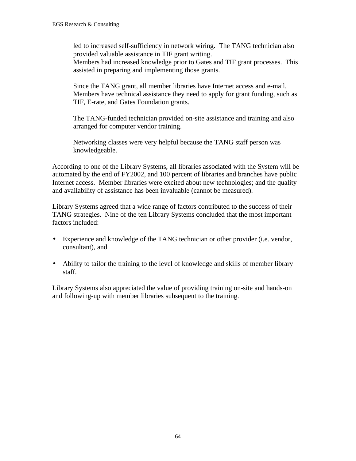led to increased self-sufficiency in network wiring. The TANG technician also provided valuable assistance in TIF grant writing.

Members had increased knowledge prior to Gates and TIF grant processes. This assisted in preparing and implementing those grants.

Since the TANG grant, all member libraries have Internet access and e-mail. Members have technical assistance they need to apply for grant funding, such as TIF, E-rate, and Gates Foundation grants.

The TANG-funded technician provided on-site assistance and training and also arranged for computer vendor training.

Networking classes were very helpful because the TANG staff person was knowledgeable.

According to one of the Library Systems, all libraries associated with the System will be automated by the end of FY2002, and 100 percent of libraries and branches have public Internet access. Member libraries were excited about new technologies; and the quality and availability of assistance has been invaluable (cannot be measured).

Library Systems agreed that a wide range of factors contributed to the success of their TANG strategies. Nine of the ten Library Systems concluded that the most important factors included:

- Experience and knowledge of the TANG technician or other provider (i.e. vendor, consultant), and
- Ability to tailor the training to the level of knowledge and skills of member library staff.

Library Systems also appreciated the value of providing training on-site and hands-on and following-up with member libraries subsequent to the training.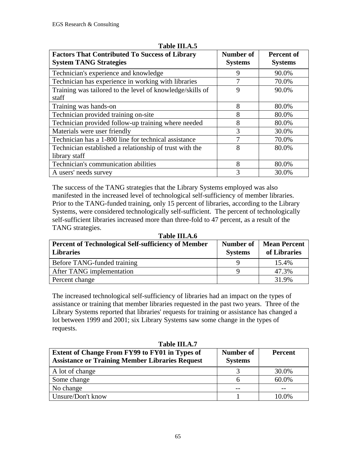| <b>Factors That Contributed To Success of Library</b><br><b>System TANG Strategies</b> | Number of<br><b>Systems</b> | Percent of<br><b>Systems</b> |
|----------------------------------------------------------------------------------------|-----------------------------|------------------------------|
| Technician's experience and knowledge                                                  | 9                           | 90.0%                        |
| Technician has experience in working with libraries                                    | 7                           | 70.0%                        |
| Training was tailored to the level of knowledge/skills of                              | 9                           | 90.0%                        |
| staff                                                                                  |                             |                              |
| Training was hands-on                                                                  | 8                           | 80.0%                        |
| Technician provided training on-site                                                   | 8                           | 80.0%                        |
| Technician provided follow-up training where needed                                    | 8                           | 80.0%                        |
| Materials were user friendly                                                           | 3                           | 30.0%                        |
| Technician has a 1-800 line for technical assistance                                   | 7                           | 70.0%                        |
| Technician established a relationship of trust with the                                | 8                           | 80.0%                        |
| library staff                                                                          |                             |                              |
| Technician's communication abilities                                                   | 8                           | 80.0%                        |
| A users' needs survey                                                                  | 3                           | 30.0%                        |

#### **Table III.A.5**

The success of the TANG strategies that the Library Systems employed was also manifested in the increased level of technological self-sufficiency of member libraries. Prior to the TANG-funded training, only 15 percent of libraries, according to the Library Systems, were considered technologically self-sufficient. The percent of technologically self-sufficient libraries increased more than three-fold to 47 percent, as a result of the TANG strategies.

| Table III.A.6                                              |                |                     |  |
|------------------------------------------------------------|----------------|---------------------|--|
| <b>Percent of Technological Self-sufficiency of Member</b> | Number of      | <b>Mean Percent</b> |  |
| <b>Libraries</b>                                           | <b>Systems</b> | of Libraries        |  |
| Before TANG-funded training                                | Q              | 15.4%               |  |
| After TANG implementation                                  |                | 47.3%               |  |
| Percent change                                             |                | 31.9%               |  |

The increased technological self-sufficiency of libraries had an impact on the types of assistance or training that member libraries requested in the past two years. Three of the Library Systems reported that libraries' requests for training or assistance has changed a lot between 1999 and 2001; six Library Systems saw some change in the types of requests.

| 1 adie 111.A./<br>Extent of Change From FY99 to FY01 in Types of<br><b>Assistance or Training Member Libraries Request</b> | Number of<br><b>Systems</b> | Percent |
|----------------------------------------------------------------------------------------------------------------------------|-----------------------------|---------|
| A lot of change                                                                                                            |                             | 30.0%   |
| Some change                                                                                                                | n                           | 60.0%   |
| No change                                                                                                                  |                             |         |
| Unsure/Don't know                                                                                                          |                             | 10.0%   |

**Table III.A.7**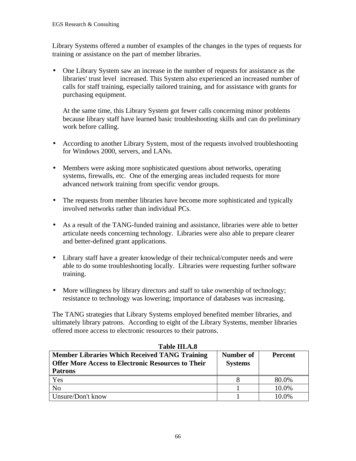Library Systems offered a number of examples of the changes in the types of requests for training or assistance on the part of member libraries.

• One Library System saw an increase in the number of requests for assistance as the libraries' trust level increased. This System also experienced an increased number of calls for staff training, especially tailored training, and for assistance with grants for purchasing equipment.

At the same time, this Library System got fewer calls concerning minor problems because library staff have learned basic troubleshooting skills and can do preliminary work before calling.

- According to another Library System, most of the requests involved troubleshooting for Windows 2000, servers, and LANs.
- Members were asking more sophisticated questions about networks, operating systems, firewalls, etc. One of the emerging areas included requests for more advanced network training from specific vendor groups.
- The requests from member libraries have become more sophisticated and typically involved networks rather than individual PCs.
- As a result of the TANG-funded training and assistance, libraries were able to better articulate needs concerning technology. Libraries were also able to prepare clearer and better-defined grant applications.
- Library staff have a greater knowledge of their technical/computer needs and were able to do some troubleshooting locally. Libraries were requesting further software training.
- More willingness by library directors and staff to take ownership of technology; resistance to technology was lowering; importance of databases was increasing.

The TANG strategies that Library Systems employed benefited member libraries, and ultimately library patrons. According to eight of the Library Systems, member libraries offered more access to electronic resources to their patrons.

| <b>Member Libraries Which Received TANG Training</b><br><b>Offer More Access to Electronic Resources to Their</b><br><b>Patrons</b> | Number of<br><b>Systems</b> | <b>Percent</b> |
|-------------------------------------------------------------------------------------------------------------------------------------|-----------------------------|----------------|
| Yes                                                                                                                                 |                             | 80.0%          |
| N <sub>o</sub>                                                                                                                      |                             | 10.0%          |
| Unsure/Don't know                                                                                                                   |                             | 10.0%          |

### **Table III.A.8**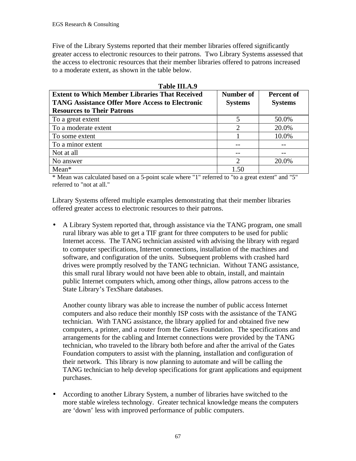Five of the Library Systems reported that their member libraries offered significantly greater access to electronic resources to their patrons. Two Library Systems assessed that the access to electronic resources that their member libraries offered to patrons increased to a moderate extent, as shown in the table below.

| Table III.A.9                                          |                  |                   |
|--------------------------------------------------------|------------------|-------------------|
| <b>Extent to Which Member Libraries That Received</b>  | <b>Number of</b> | <b>Percent of</b> |
| <b>TANG Assistance Offer More Access to Electronic</b> | <b>Systems</b>   | <b>Systems</b>    |
| <b>Resources to Their Patrons</b>                      |                  |                   |
| To a great extent                                      | 5                | 50.0%             |
| To a moderate extent                                   | $\overline{2}$   | 20.0%             |
| To some extent                                         |                  | 10.0%             |
| To a minor extent                                      |                  |                   |
| Not at all                                             | --               |                   |
| No answer                                              | $\mathcal{D}$    | 20.0%             |
| $Mean*$                                                | 1.50             |                   |

\* Mean was calculated based on a 5-point scale where "1" referred to "to a great extent" and "5" referred to "not at all."

Library Systems offered multiple examples demonstrating that their member libraries offered greater access to electronic resources to their patrons.

• A Library System reported that, through assistance via the TANG program, one small rural library was able to get a TIF grant for three computers to be used for public Internet access. The TANG technician assisted with advising the library with regard to computer specifications, Internet connections, installation of the machines and software, and configuration of the units. Subsequent problems with crashed hard drives were promptly resolved by the TANG technician. Without TANG assistance, this small rural library would not have been able to obtain, install, and maintain public Internet computers which, among other things, allow patrons access to the State Library's TexShare databases.

Another county library was able to increase the number of public access Internet computers and also reduce their monthly ISP costs with the assistance of the TANG technician. With TANG assistance, the library applied for and obtained five new computers, a printer, and a router from the Gates Foundation. The specifications and arrangements for the cabling and Internet connections were provided by the TANG technician, who traveled to the library both before and after the arrival of the Gates Foundation computers to assist with the planning, installation and configuration of their network. This library is now planning to automate and will be calling the TANG technician to help develop specifications for grant applications and equipment purchases.

• According to another Library System, a number of libraries have switched to the more stable wireless technology. Greater technical knowledge means the computers are 'down' less with improved performance of public computers.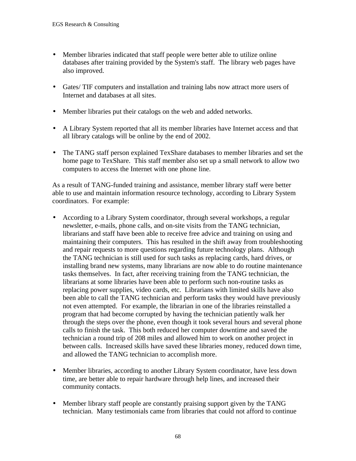- Member libraries indicated that staff people were better able to utilize online databases after training provided by the System's staff. The library web pages have also improved.
- Gates/ TIF computers and installation and training labs now attract more users of Internet and databases at all sites.
- Member libraries put their catalogs on the web and added networks.
- A Library System reported that all its member libraries have Internet access and that all library catalogs will be online by the end of 2002.
- The TANG staff person explained TexShare databases to member libraries and set the home page to TexShare. This staff member also set up a small network to allow two computers to access the Internet with one phone line.

As a result of TANG-funded training and assistance, member library staff were better able to use and maintain information resource technology, according to Library System coordinators. For example:

- According to a Library System coordinator, through several workshops, a regular newsletter, e-mails, phone calls, and on-site visits from the TANG technician, librarians and staff have been able to receive free advice and training on using and maintaining their computers. This has resulted in the shift away from troubleshooting and repair requests to more questions regarding future technology plans. Although the TANG technician is still used for such tasks as replacing cards, hard drives, or installing brand new systems, many librarians are now able to do routine maintenance tasks themselves. In fact, after receiving training from the TANG technician, the librarians at some libraries have been able to perform such non-routine tasks as replacing power supplies, video cards, etc. Librarians with limited skills have also been able to call the TANG technician and perform tasks they would have previously not even attempted. For example, the librarian in one of the libraries reinstalled a program that had become corrupted by having the technician patiently walk her through the steps over the phone, even though it took several hours and several phone calls to finish the task. This both reduced her computer downtime and saved the technician a round trip of 208 miles and allowed him to work on another project in between calls. Increased skills have saved these libraries money, reduced down time, and allowed the TANG technician to accomplish more.
- Member libraries, according to another Library System coordinator, have less down time, are better able to repair hardware through help lines, and increased their community contacts.
- Member library staff people are constantly praising support given by the TANG technician. Many testimonials came from libraries that could not afford to continue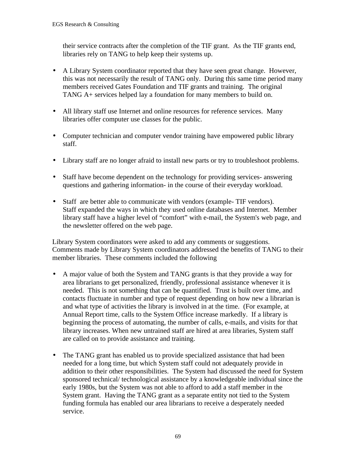their service contracts after the completion of the TIF grant. As the TIF grants end, libraries rely on TANG to help keep their systems up.

- A Library System coordinator reported that they have seen great change. However, this was not necessarily the result of TANG only. During this same time period many members received Gates Foundation and TIF grants and training. The original TANG A+ services helped lay a foundation for many members to build on.
- All library staff use Internet and online resources for reference services. Many libraries offer computer use classes for the public.
- Computer technician and computer vendor training have empowered public library staff.
- Library staff are no longer afraid to install new parts or try to troubleshoot problems.
- Staff have become dependent on the technology for providing services- answering questions and gathering information- in the course of their everyday workload.
- Staff are better able to communicate with vendors (example- TIF vendors). Staff expanded the ways in which they used online databases and Internet. Member library staff have a higher level of "comfort" with e-mail, the System's web page, and the newsletter offered on the web page.

Library System coordinators were asked to add any comments or suggestions. Comments made by Library System coordinators addressed the benefits of TANG to their member libraries. These comments included the following

- A major value of both the System and TANG grants is that they provide a way for area librarians to get personalized, friendly, professional assistance whenever it is needed. This is not something that can be quantified. Trust is built over time, and contacts fluctuate in number and type of request depending on how new a librarian is and what type of activities the library is involved in at the time. (For example, at Annual Report time, calls to the System Office increase markedly. If a library is beginning the process of automating, the number of calls, e-mails, and visits for that library increases. When new untrained staff are hired at area libraries, System staff are called on to provide assistance and training.
- The TANG grant has enabled us to provide specialized assistance that had been needed for a long time, but which System staff could not adequately provide in addition to their other responsibilities. The System had discussed the need for System sponsored technical/ technological assistance by a knowledgeable individual since the early 1980s, but the System was not able to afford to add a staff member in the System grant. Having the TANG grant as a separate entity not tied to the System funding formula has enabled our area librarians to receive a desperately needed service.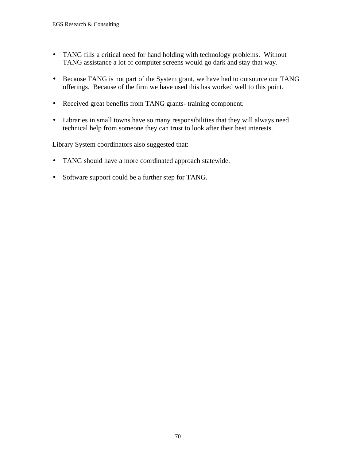- TANG fills a critical need for hand holding with technology problems. Without TANG assistance a lot of computer screens would go dark and stay that way.
- Because TANG is not part of the System grant, we have had to outsource our TANG offerings. Because of the firm we have used this has worked well to this point.
- Received great benefits from TANG grants- training component.
- Libraries in small towns have so many responsibilities that they will always need technical help from someone they can trust to look after their best interests.

Library System coordinators also suggested that:

- TANG should have a more coordinated approach statewide.
- Software support could be a further step for TANG.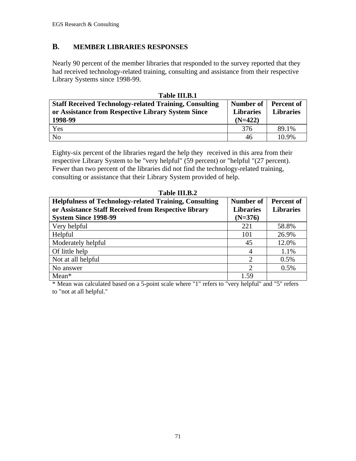## **B. MEMBER LIBRARIES RESPONSES**

Nearly 90 percent of the member libraries that responded to the survey reported that they had received technology-related training, consulting and assistance from their respective Library Systems since 1998-99.

| Table III.B.1                                                 |                  |                   |
|---------------------------------------------------------------|------------------|-------------------|
| <b>Staff Received Technology-related Training, Consulting</b> | Number of        | <b>Percent of</b> |
| or Assistance from Respective Library System Since            | <b>Libraries</b> | <b>Libraries</b>  |
| 1998-99                                                       | $(N=422)$        |                   |
|                                                               |                  |                   |
| Yes                                                           | 376              | 89.1%             |

Eighty-six percent of the libraries regard the help they received in this area from their respective Library System to be "very helpful" (59 percent) or "helpful "(27 percent). Fewer than two percent of the libraries did not find the technology-related training, consulting or assistance that their Library System provided of help.

| <b>Helpfulness of Technology-related Training, Consulting</b> | <b>Number of</b>            | <b>Percent of</b> |
|---------------------------------------------------------------|-----------------------------|-------------------|
| or Assistance Staff Received from Respective library          | <b>Libraries</b>            | <b>Libraries</b>  |
| <b>System Since 1998-99</b>                                   | $(N=376)$                   |                   |
| Very helpful                                                  | 221                         | 58.8%             |
| Helpful                                                       | 101                         | 26.9%             |
| Moderately helpful                                            | 45                          | 12.0%             |
| Of little help                                                | 4                           | 1.1%              |
| Not at all helpful                                            | $\mathcal{D}_{\mathcal{L}}$ | 0.5%              |
| No answer                                                     | っ                           | 0.5%              |
| $Mean*$                                                       | 1.59                        |                   |

Table **III R** 2

\* Mean was calculated based on a 5-point scale where "1" refers to "very helpful" and "5" refers to "not at all helpful."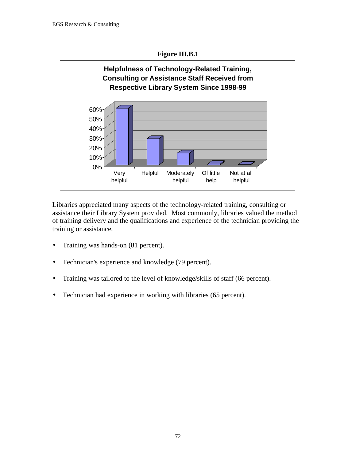



Libraries appreciated many aspects of the technology-related training, consulting or assistance their Library System provided. Most commonly, libraries valued the method of training delivery and the qualifications and experience of the technician providing the training or assistance.

- Training was hands-on (81 percent).
- Technician's experience and knowledge (79 percent).
- Training was tailored to the level of knowledge/skills of staff (66 percent).
- Technician had experience in working with libraries (65 percent).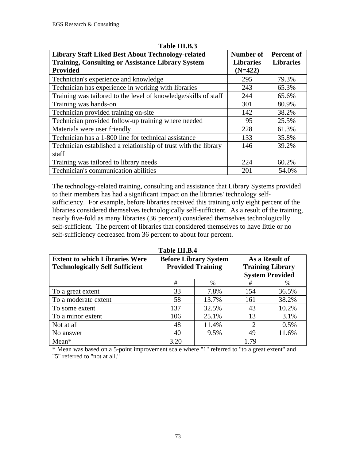| <b>Library Staff Liked Best About Technology-related</b><br><b>Training, Consulting or Assistance Library System</b> | Number of<br><b>Libraries</b> | Percent of<br><b>Libraries</b> |
|----------------------------------------------------------------------------------------------------------------------|-------------------------------|--------------------------------|
| Provided                                                                                                             | $(N=422)$                     |                                |
| Technician's experience and knowledge                                                                                | 295                           | 79.3%                          |
| Technician has experience in working with libraries                                                                  | 243                           | 65.3%                          |
| Training was tailored to the level of knowledge/skills of staff                                                      | 244                           | 65.6%                          |
| Training was hands-on                                                                                                | 301                           | 80.9%                          |
| Technician provided training on-site                                                                                 | 142                           | 38.2%                          |
| Technician provided follow-up training where needed                                                                  | 95                            | 25.5%                          |
| Materials were user friendly                                                                                         | 228                           | 61.3%                          |
| Technician has a 1-800 line for technical assistance                                                                 | 133                           | 35.8%                          |
| Technician established a relationship of trust with the library                                                      | 146                           | 39.2%                          |
| staff                                                                                                                |                               |                                |
| Training was tailored to library needs                                                                               | 224                           | 60.2%                          |
| Technician's communication abilities                                                                                 | 201                           | 54.0%                          |

#### **Table III.B.3**

The technology-related training, consulting and assistance that Library Systems provided to their members has had a significant impact on the libraries' technology selfsufficiency. For example, before libraries received this training only eight percent of the libraries considered themselves technologically self-sufficient. As a result of the training, nearly five-fold as many libraries (36 percent) considered themselves technologically self-sufficient. The percent of libraries that considered themselves to have little or no self-sufficiency decreased from 36 percent to about four percent.

| <b>Extent to which Libraries Were</b><br><b>Technologically Self Sufficient</b> | <b>Before Library System</b><br><b>Provided Training</b> |       | <b>Training Library</b> | As a Result of |  |  |  |  |  |  |
|---------------------------------------------------------------------------------|----------------------------------------------------------|-------|-------------------------|----------------|--|--|--|--|--|--|
|                                                                                 |                                                          |       | <b>System Provided</b>  |                |  |  |  |  |  |  |
|                                                                                 | #                                                        | %     | #                       | %              |  |  |  |  |  |  |
| To a great extent                                                               | 33                                                       | 7.8%  | 154                     | 36.5%          |  |  |  |  |  |  |
| To a moderate extent                                                            | 58                                                       | 13.7% | 161                     | 38.2%          |  |  |  |  |  |  |
| To some extent                                                                  | 137                                                      | 32.5% | 43                      | 10.2%          |  |  |  |  |  |  |
| To a minor extent                                                               | 106                                                      | 25.1% | 13                      | 3.1%           |  |  |  |  |  |  |
| Not at all                                                                      | 48                                                       | 11.4% | 2                       | 0.5%           |  |  |  |  |  |  |
| No answer                                                                       | 40                                                       | 9.5%  | 49                      | 11.6%          |  |  |  |  |  |  |
| $Mean*$                                                                         | 3.20                                                     |       | 1.79                    |                |  |  |  |  |  |  |

**Table III.B.4**

\* Mean was based on a 5-point improvement scale where "1" referred to "to a great extent" and "5" referred to "not at all."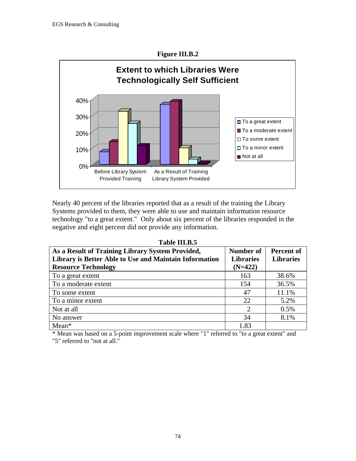

Nearly 40 percent of the libraries reported that as a result of the training the Library Systems provided to them, they were able to use and maintain information resource technology "to a great extent." Only about six percent of the libraries responded in the negative and eight percent did not provide any information.

| Table III.B.5 |
|---------------|
|               |

| As a Result of Training Library System Provided,<br>Library is Better Able to Use and Maintain Information<br><b>Resource Technology</b> | Number of<br><b>Libraries</b><br>$(N=422)$ | <b>Percent of</b><br><b>Libraries</b> |
|------------------------------------------------------------------------------------------------------------------------------------------|--------------------------------------------|---------------------------------------|
| To a great extent                                                                                                                        | 163                                        | 38.6%                                 |
| To a moderate extent                                                                                                                     | 154                                        | 36.5%                                 |
| To some extent                                                                                                                           | 47                                         | 11.1%                                 |
| To a minor extent                                                                                                                        | 22.                                        | 5.2%                                  |
| Not at all                                                                                                                               | $\mathcal{D}_{\mathcal{L}}$                | 0.5%                                  |
| No answer                                                                                                                                | 34                                         | 8.1%                                  |
| $Mean*$                                                                                                                                  | 1.83                                       |                                       |

\* Mean was based on a 5-point improvement scale where "1" referred to "to a great extent" and "5" referred to "not at all."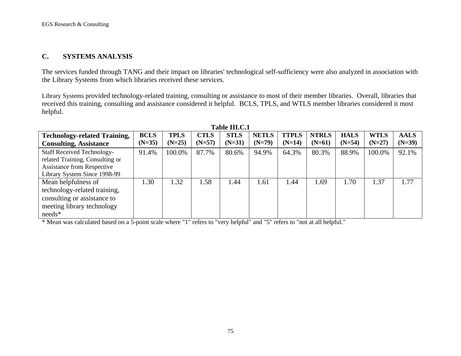#### **C. SYSTEMS ANALYSIS**

The services funded through TANG and their impact on libraries' technological self-sufficiency were also analyzed in association with the Library Systems from which libraries received these services.

Library Systems provided technology-related training, consulting or assistance to most of their member libraries. Overall, libraries that received this training, consulting and assistance considered it helpful. BCLS, TPLS, and WTLS member libraries considered it most helpful.

| <b>Technology-related Training,</b> | <b>BCLS</b> | <b>TPLS</b> | <b>CTLS</b> | <b>STLS</b> | <b>NETLS</b> | <b>TTPLS</b> | <b>NTRLS</b> | <b>HALS</b> | <b>WTLS</b> | <b>AALS</b> |
|-------------------------------------|-------------|-------------|-------------|-------------|--------------|--------------|--------------|-------------|-------------|-------------|
| <b>Consulting, Assistance</b>       | $(N=35)$    | $(N=25)$    | $(N=57)$    | $(N=31)$    | $(N=79)$     | $(N=14)$     | $(N=61)$     | $(N=54)$    | $(N=27)$    | $(N=39)$    |
| <b>Staff Received Technology-</b>   | 91.4%       | 100.0%      | 87.7%       | 80.6%       | 94.9%        | 64.3%        | 80.3%        | 88.9%       | 100.0%      | 92.1%       |
| related Training, Consulting or     |             |             |             |             |              |              |              |             |             |             |
| <b>Assistance from Respective</b>   |             |             |             |             |              |              |              |             |             |             |
| Library System Since 1998-99        |             |             |             |             |              |              |              |             |             |             |
| Mean helpfulness of                 | .30         | 1.32        | 1.58        | 1.44        | 1.61         | 1.44         | 1.69         | 1.70        | 1.37        | 1.77        |
| technology-related training,        |             |             |             |             |              |              |              |             |             |             |
| consulting or assistance to         |             |             |             |             |              |              |              |             |             |             |
| meeting library technology          |             |             |             |             |              |              |              |             |             |             |
| $needs*$                            |             |             |             |             |              |              |              |             |             |             |

**Table III.C.1**

\* Mean was calculated based on a 5-point scale where "1" refers to "very helpful" and "5" refers to "not at all helpful."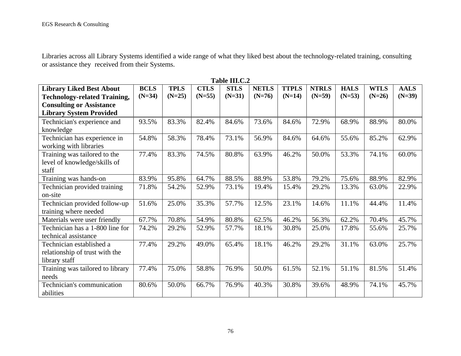Libraries across all Library Systems identified a wide range of what they liked best about the technology-related training, consulting or assistance they received from their Systems.

|                                     |             |             |             | 1 AVIC 111.U.Z |              |              |              |             |             |             |
|-------------------------------------|-------------|-------------|-------------|----------------|--------------|--------------|--------------|-------------|-------------|-------------|
| <b>Library Liked Best About</b>     | <b>BCLS</b> | <b>TPLS</b> | <b>CTLS</b> | <b>STLS</b>    | <b>NETLS</b> | <b>TTPLS</b> | <b>NTRLS</b> | <b>HALS</b> | <b>WTLS</b> | <b>AALS</b> |
| <b>Technology-related Training,</b> | $(N=34)$    | $(N=25)$    | $(N=55)$    | $(N=31)$       | $(N=76)$     | $(N=14)$     | $(N=59)$     | $(N=53)$    | $(N=26)$    | $(N=39)$    |
| <b>Consulting or Assistance</b>     |             |             |             |                |              |              |              |             |             |             |
| <b>Library System Provided</b>      |             |             |             |                |              |              |              |             |             |             |
| Technician's experience and         | 93.5%       | 83.3%       | 82.4%       | 84.6%          | 73.6%        | 84.6%        | 72.9%        | 68.9%       | 88.9%       | 80.0%       |
| knowledge                           |             |             |             |                |              |              |              |             |             |             |
| Technician has experience in        | 54.8%       | 58.3%       | 78.4%       | 73.1%          | 56.9%        | 84.6%        | 64.6%        | 55.6%       | 85.2%       | 62.9%       |
| working with libraries              |             |             |             |                |              |              |              |             |             |             |
| Training was tailored to the        | 77.4%       | 83.3%       | 74.5%       | 80.8%          | 63.9%        | 46.2%        | 50.0%        | 53.3%       | 74.1%       | 60.0%       |
| level of knowledge/skills of        |             |             |             |                |              |              |              |             |             |             |
| staff                               |             |             |             |                |              |              |              |             |             |             |
| Training was hands-on               | 83.9%       | 95.8%       | 64.7%       | 88.5%          | 88.9%        | 53.8%        | 79.2%        | 75.6%       | 88.9%       | 82.9%       |
| Technician provided training        | 71.8%       | 54.2%       | 52.9%       | 73.1%          | 19.4%        | 15.4%        | 29.2%        | 13.3%       | 63.0%       | 22.9%       |
| on-site                             |             |             |             |                |              |              |              |             |             |             |
| Technician provided follow-up       | 51.6%       | 25.0%       | 35.3%       | 57.7%          | 12.5%        | 23.1%        | 14.6%        | 11.1%       | 44.4%       | 11.4%       |
| training where needed               |             |             |             |                |              |              |              |             |             |             |
| Materials were user friendly        | 67.7%       | 70.8%       | 54.9%       | 80.8%          | 62.5%        | 46.2%        | 56.3%        | 62.2%       | 70.4%       | 45.7%       |
| Technician has a 1-800 line for     | 74.2%       | 29.2%       | 52.9%       | 57.7%          | 18.1%        | 30.8%        | 25.0%        | 17.8%       | 55.6%       | 25.7%       |
| technical assistance                |             |             |             |                |              |              |              |             |             |             |
| Technician established a            | 77.4%       | 29.2%       | 49.0%       | 65.4%          | 18.1%        | 46.2%        | 29.2%        | 31.1%       | 63.0%       | 25.7%       |
| relationship of trust with the      |             |             |             |                |              |              |              |             |             |             |
| library staff                       |             |             |             |                |              |              |              |             |             |             |
| Training was tailored to library    | 77.4%       | 75.0%       | 58.8%       | 76.9%          | 50.0%        | 61.5%        | 52.1%        | 51.1%       | 81.5%       | 51.4%       |
| needs                               |             |             |             |                |              |              |              |             |             |             |
| Technician's communication          | 80.6%       | 50.0%       | 66.7%       | 76.9%          | 40.3%        | 30.8%        | 39.6%        | 48.9%       | 74.1%       | 45.7%       |
| abilities                           |             |             |             |                |              |              |              |             |             |             |

**Table III.C.2**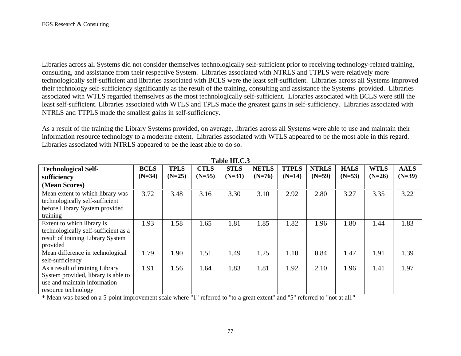Libraries across all Systems did not consider themselves technologically self-sufficient prior to receiving technology-related training, consulting, and assistance from their respective System. Libraries associated with NTRLS and TTPLS were relatively more technologically self-sufficient and libraries associated with BCLS were the least self-sufficient. Libraries across all Systems improved their technology self-sufficiency significantly as the result of the training, consulting and assistance the Systems provided. Libraries associated with WTLS regarded themselves as the most technologically self-sufficient. Libraries associated with BCLS were still the least self-sufficient. Libraries associated with WTLS and TPLS made the greatest gains in self-sufficiency. Libraries associated with NTRLS and TTPLS made the smallest gains in self-sufficiency.

As a result of the training the Library Systems provided, on average, libraries across all Systems were able to use and maintain their information resource technology to a moderate extent. Libraries associated with WTLS appeared to be the most able in this regard. Libraries associated with NTRLS appeared to be the least able to do so.

| <b>Technological Self-</b>           | <b>BCLS</b> | <b>TPLS</b> | <b>CTLS</b> | <b>STLS</b> | <b>NETLS</b> | <b>TTPLS</b> | <b>NTRLS</b> | <b>HALS</b> | <b>WTLS</b> | <b>AALS</b> |
|--------------------------------------|-------------|-------------|-------------|-------------|--------------|--------------|--------------|-------------|-------------|-------------|
| sufficiency                          | $(N=34)$    | $(N=25)$    | $(N=55)$    | $(N=31)$    | $(N=76)$     | $(N=14)$     | $(N=59)$     | $(N=53)$    | $(N=26)$    | $(N=39)$    |
| (Mean Scores)                        |             |             |             |             |              |              |              |             |             |             |
| Mean extent to which library was     | 3.72        | 3.48        | 3.16        | 3.30        | 3.10         | 2.92         | 2.80         | 3.27        | 3.35        | 3.22        |
| technologically self-sufficient      |             |             |             |             |              |              |              |             |             |             |
| before Library System provided       |             |             |             |             |              |              |              |             |             |             |
| training                             |             |             |             |             |              |              |              |             |             |             |
| Extent to which library is           | 1.93        | 1.58        | 1.65        | 1.81        | 1.85         | 1.82         | 1.96         | 1.80        | 1.44        | 1.83        |
| technologically self-sufficient as a |             |             |             |             |              |              |              |             |             |             |
| result of training Library System    |             |             |             |             |              |              |              |             |             |             |
| provided                             |             |             |             |             |              |              |              |             |             |             |
| Mean difference in technological     | 1.79        | 1.90        | 1.51        | 1.49        | 1.25         | 1.10         | 0.84         | 1.47        | 1.91        | 1.39        |
| self-sufficiency                     |             |             |             |             |              |              |              |             |             |             |
| As a result of training Library      | 1.91        | 1.56        | 1.64        | 1.83        | 1.81         | 1.92         | 2.10         | 1.96        | 1.41        | 1.97        |
| System provided, library is able to  |             |             |             |             |              |              |              |             |             |             |
| use and maintain information         |             |             |             |             |              |              |              |             |             |             |
| resource technology                  |             |             |             |             |              |              |              |             |             |             |

**Table III.C.3**

\* Mean was based on a 5-point improvement scale where "1" referred to "to a great extent" and "5" referred to "not at all."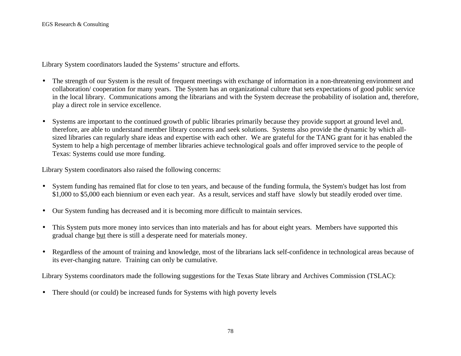Library System coordinators lauded the Systems' structure and efforts.

- The strength of our System is the result of frequent meetings with exchange of information in a non-threatening environment and collaboration/ cooperation for many years. The System has an organizational culture that sets expectations of good public service in the local library. Communications among the librarians and with the System decrease the probability of isolation and, therefore, play a direct role in service excellence.
- Systems are important to the continued growth of public libraries primarily because they provide support at ground level and, therefore, are able to understand member library concerns and seek solutions. Systems also provide the dynamic by which allsized libraries can regularly share ideas and expertise with each other. We are grateful for the TANG grant for it has enabled the System to help a high percentage of member libraries achieve technological goals and offer improved service to the people of Texas: Systems could use more funding.

Library System coordinators also raised the following concerns:

- System funding has remained flat for close to ten years, and because of the funding formula, the System's budget has lost from \$1,000 to \$5,000 each biennium or even each year. As a result, services and staff have slowly but steadily eroded over time.
- Our System funding has decreased and it is becoming more difficult to maintain services.
- This System puts more money into services than into materials and has for about eight years. Members have supported this gradual change but there is still a desperate need for materials money.
- Regardless of the amount of training and knowledge, most of the librarians lack self-confidence in technological areas because of its ever-changing nature. Training can only be cumulative.

Library Systems coordinators made the following suggestions for the Texas State library and Archives Commission (TSLAC):

• There should (or could) be increased funds for Systems with high poverty levels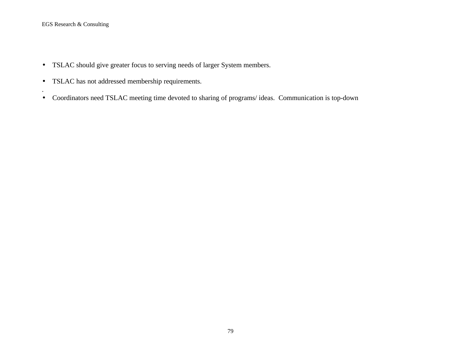.

- TSLAC should give greater focus to serving needs of larger System members.
- TSLAC has not addressed membership requirements.
- Coordinators need TSLAC meeting time devoted to sharing of programs/ ideas. Communication is top-down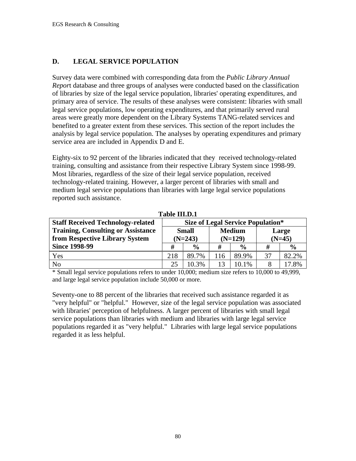## **D. LEGAL SERVICE POPULATION**

Survey data were combined with corresponding data from the *Public Library Annual Repor*t database and three groups of analyses were conducted based on the classification of libraries by size of the legal service population, libraries' operating expenditures, and primary area of service. The results of these analyses were consistent: libraries with small legal service populations, low operating expenditures, and that primarily served rural areas were greatly more dependent on the Library Systems TANG-related services and benefited to a greater extent from these services. This section of the report includes the analysis by legal service population. The analyses by operating expenditures and primary service area are included in Appendix D and E.

Eighty-six to 92 percent of the libraries indicated that they received technology-related training, consulting and assistance from their respective Library System since 1998-99. Most libraries, regardless of the size of their legal service population, received technology-related training. However, a larger percent of libraries with small and medium legal service populations than libraries with large legal service populations reported such assistance.

| <b>Staff Received Technology-related</b>  | <b>Size of Legal Service Population*</b> |               |     |               |          |               |
|-------------------------------------------|------------------------------------------|---------------|-----|---------------|----------|---------------|
| <b>Training, Consulting or Assistance</b> |                                          | <b>Small</b>  |     | <b>Medium</b> | Large    |               |
| from Respective Library System            |                                          | $(N=243)$     |     | $(N=129)$     | $(N=45)$ |               |
| <b>Since 1998-99</b>                      | #                                        | $\frac{0}{0}$ | #   | $\frac{0}{0}$ | #        | $\frac{6}{6}$ |
| Yes                                       | 218                                      | 89.7%         | 116 | 89.9%         | 37       | 82.2%         |
| N <sub>o</sub>                            | 25                                       | 10.3%         | 13  | 10.1%         | 8        | 17.8%         |

**Table III.D.1**

\* Small legal service populations refers to under 10,000; medium size refers to 10,000 to 49,999, and large legal service population include 50,000 or more.

Seventy-one to 88 percent of the libraries that received such assistance regarded it as "very helpful" or "helpful." However, size of the legal service population was associated with libraries' perception of helpfulness. A larger percent of libraries with small legal service populations than libraries with medium and libraries with large legal service populations regarded it as "very helpful." Libraries with large legal service populations regarded it as less helpful.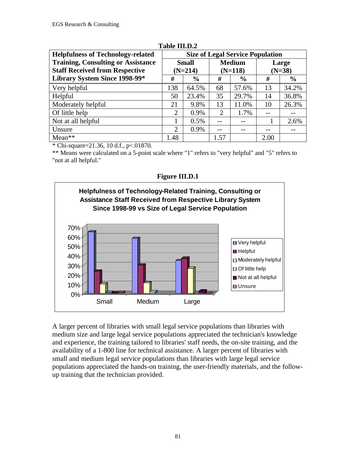| <b>Helpfulness of Technology-related</b>  | <b>Size of Legal Service Population</b> |              |      |               |          |               |  |  |  |
|-------------------------------------------|-----------------------------------------|--------------|------|---------------|----------|---------------|--|--|--|
| <b>Training, Consulting or Assistance</b> |                                         | <b>Small</b> |      | <b>Medium</b> | Large    |               |  |  |  |
| <b>Staff Received from Respective</b>     |                                         | $(N=214)$    |      | $(N=118)$     | $(N=38)$ |               |  |  |  |
| Library System Since 1998-99*             | #<br>$\%$                               |              | #    | $\frac{6}{6}$ | #        | $\frac{6}{6}$ |  |  |  |
| Very helpful                              | 138                                     | 64.5%        | 68   | 57.6%         | 13       | 34.2%         |  |  |  |
| Helpful                                   | 50                                      | 23.4%        | 35   | 29.7%         | 14       | 36.8%         |  |  |  |
| Moderately helpful                        | 21                                      | 9.8%         | 13   | 11.0%         | 10       | 26.3%         |  |  |  |
| Of little help                            | 2                                       | 0.9%         | 2    | 1.7%          |          |               |  |  |  |
| Not at all helpful                        |                                         | 0.5%         | $-1$ |               |          | 2.6%          |  |  |  |
| Unsure                                    | $\overline{2}$                          | 0.9%         | --   |               |          |               |  |  |  |
| $Mean**$                                  | 1.48                                    |              | 1.57 |               | 2.00     |               |  |  |  |

## **Table III.D.2**

 $*$  Chi-square=21.36, 10 d.f., p<.01870.

\*\* Means were calculated on a 5-point scale where "1" refers to "very helpful" and "5" refers to "not at all helpful."





A larger percent of libraries with small legal service populations than libraries with medium size and large legal service populations appreciated the technician's knowledge and experience, the training tailored to libraries' staff needs, the on-site training, and the availability of a 1-800 line for technical assistance. A larger percent of libraries with small and medium legal service populations than libraries with large legal service populations appreciated the hands-on training, the user-friendly materials, and the followup training that the technician provided.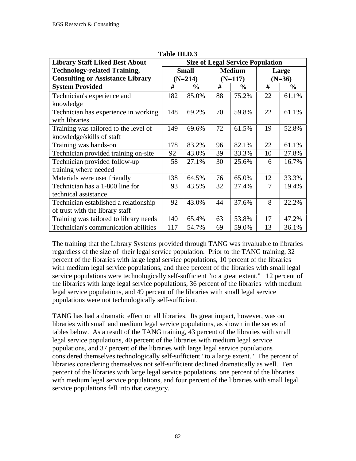| <b>Library Staff Liked Best About</b>   | <b>Size of Legal Service Population</b> |              |           |               |    |               |  |  |  |
|-----------------------------------------|-----------------------------------------|--------------|-----------|---------------|----|---------------|--|--|--|
| <b>Technology-related Training,</b>     |                                         | <b>Small</b> |           | <b>Medium</b> |    | Large         |  |  |  |
| <b>Consulting or Assistance Library</b> |                                         | $(N=214)$    | $(N=117)$ |               |    | $(N=36)$      |  |  |  |
| <b>System Provided</b>                  | #                                       | $\%$         | #         | $\%$          | #  | $\frac{6}{9}$ |  |  |  |
| Technician's experience and             | 182                                     | 85.0%        | 88        | 75.2%         | 22 | 61.1%         |  |  |  |
| knowledge                               |                                         |              |           |               |    |               |  |  |  |
| Technician has experience in working    | 148                                     | 69.2%        | 70        | 59.8%         | 22 | 61.1%         |  |  |  |
| with libraries                          |                                         |              |           |               |    |               |  |  |  |
| Training was tailored to the level of   | 149                                     | 69.6%        | 72        | 61.5%         | 19 | 52.8%         |  |  |  |
| knowledge/skills of staff               |                                         |              |           |               |    |               |  |  |  |
| Training was hands-on                   | 178                                     | 83.2%        | 96        | 82.1%         | 22 | 61.1%         |  |  |  |
| Technician provided training on-site    | 92                                      | 43.0%        | 39        | 33.3%         | 10 | 27.8%         |  |  |  |
| Technician provided follow-up           | 58                                      | 27.1%        | 30        | 25.6%         | 6  | 16.7%         |  |  |  |
| training where needed                   |                                         |              |           |               |    |               |  |  |  |
| Materials were user friendly            | 138                                     | 64.5%        | 76        | 65.0%         | 12 | 33.3%         |  |  |  |
| Technician has a 1-800 line for         | 93                                      | 43.5%        | 32        | 27.4%         | 7  | 19.4%         |  |  |  |
| technical assistance                    |                                         |              |           |               |    |               |  |  |  |
| Technician established a relationship   | 92                                      | 43.0%        | 44        | 37.6%         | 8  | 22.2%         |  |  |  |
| of trust with the library staff         |                                         |              |           |               |    |               |  |  |  |
| Training was tailored to library needs  | 140                                     | 65.4%        | 63        | 53.8%         | 17 | 47.2%         |  |  |  |
| Technician's communication abilities    | 117                                     | 54.7%        | 69        | 59.0%         | 13 | 36.1%         |  |  |  |

**Table III.D.3**

The training that the Library Systems provided through TANG was invaluable to libraries regardless of the size of their legal service population. Prior to the TANG training, 32 percent of the libraries with large legal service populations, 10 percent of the libraries with medium legal service populations, and three percent of the libraries with small legal service populations were technologically self-sufficient "to a great extent." 12 percent of the libraries with large legal service populations, 36 percent of the libraries with medium legal service populations, and 49 percent of the libraries with small legal service populations were not technologically self-sufficient.

TANG has had a dramatic effect on all libraries. Its great impact, however, was on libraries with small and medium legal service populations, as shown in the series of tables below. As a result of the TANG training, 43 percent of the libraries with small legal service populations, 40 percent of the libraries with medium legal service populations, and 37 percent of the libraries with large legal service populations considered themselves technologically self-sufficient "to a large extent." The percent of libraries considering themselves not self-sufficient declined dramatically as well. Ten percent of the libraries with large legal service populations, one percent of the libraries with medium legal service populations, and four percent of the libraries with small legal service populations fell into that category.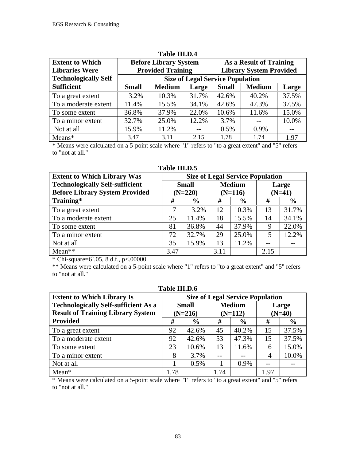| <b>Extent to Which</b>      |              | <b>Before Library System</b>            |       | As a Result of Training        |               |       |  |  |
|-----------------------------|--------------|-----------------------------------------|-------|--------------------------------|---------------|-------|--|--|
| <b>Libraries Were</b>       |              | <b>Provided Training</b>                |       | <b>Library System Provided</b> |               |       |  |  |
| <b>Technologically Self</b> |              | <b>Size of Legal Service Population</b> |       |                                |               |       |  |  |
| <b>Sufficient</b>           | <b>Small</b> | <b>Medium</b>                           | Large | <b>Small</b>                   | <b>Medium</b> | Large |  |  |
| To a great extent           | 3.2%         | 10.3%                                   | 31.7% | 42.6%                          | 40.2%         | 37.5% |  |  |
| To a moderate extent        | 11.4%        | 15.5%                                   | 34.1% | 42.6%                          | 47.3%         | 37.5% |  |  |
| To some extent              | 36.8%        | 37.9%                                   | 22.0% | 10.6%                          | 11.6%         | 15.0% |  |  |
| To a minor extent           | 32.7%        | 25.0%                                   | 12.2% | 3.7%                           |               | 10.0% |  |  |
| Not at all                  | 15.9%        | 11.2%                                   | $-$   | 0.5%                           | 0.9%          | $-$   |  |  |
| $Means*$                    | 3.47         | 3.11                                    | 2.15  | 1.78                           | 1.74          | 1.97  |  |  |

#### **Table III.D.4**

\* Means were calculated on a 5-point scale where "1" refers to "to a great extent" and "5" refers to "not at all."

**Table III.D.5 Size of Legal Service Population Small (N=220) Medium (N=116) Large (N=41) Extent to Which Library Was Technologically Self-sufficient Before Library System Provided Training\* # % # % # %** To a great extent 7 3.2% 12 10.3% 13 31.7% To a moderate extent 25 11.4% 18 15.5% 14 34.1% To some extent 81 36.8% 44 37.9% 9 22.0% To a minor extent 72 32.7% 29 25.0% 5 12.2% Not at all 35 15.9% 13 11.2% -- -- Mean\*\* 1.1.1 2.15

\* Chi-square=6`.05, 8 d.f., p<.00000.

\*\* Means were calculated on a 5-point scale where "1" refers to "to a great extent" and "5" refers to "not at all."

| Table III.D.6                                                                |      |               |      |               |          |               |  |  |  |
|------------------------------------------------------------------------------|------|---------------|------|---------------|----------|---------------|--|--|--|
| <b>Size of Legal Service Population</b><br><b>Extent to Which Library Is</b> |      |               |      |               |          |               |  |  |  |
| <b>Technologically Self-sufficient As a</b>                                  |      | <b>Small</b>  |      | <b>Medium</b> |          | Large         |  |  |  |
| <b>Result of Training Library System</b>                                     |      | $(N=216)$     |      | $(N=112)$     | $(N=40)$ |               |  |  |  |
| <b>Provided</b>                                                              | #    | $\frac{6}{9}$ | #    | $\frac{6}{6}$ | #        | $\frac{6}{9}$ |  |  |  |
| To a great extent                                                            | 92   | 42.6%         | 45   | 40.2%         | 15       | 37.5%         |  |  |  |
| To a moderate extent                                                         | 92   | 42.6%         | 53   | 47.3%         | 15       | 37.5%         |  |  |  |
| To some extent                                                               | 23   | 10.6%         | 13   | 11.6%         | 6        | 15.0%         |  |  |  |
| To a minor extent                                                            | 8    | 3.7%          |      |               | 4        | 10.0%         |  |  |  |
| Not at all                                                                   |      | $0.5\%$       |      | 0.9%          |          |               |  |  |  |
| $Mean*$                                                                      | 1.78 |               | 1.74 |               | 1.97     |               |  |  |  |

\* Means were calculated on a 5-point scale where "1" refers to "to a great extent" and "5" refers to "not at all."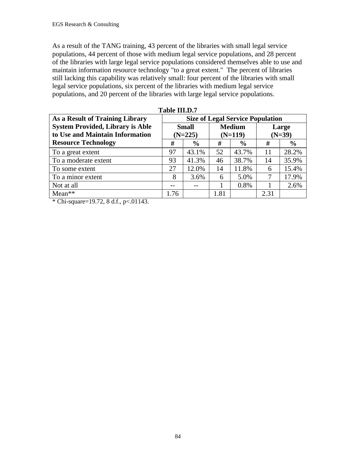As a result of the TANG training, 43 percent of the libraries with small legal service populations, 44 percent of those with medium legal service populations, and 28 percent of the libraries with large legal service populations considered themselves able to use and maintain information resource technology "to a great extent." The percent of libraries still lacking this capability was relatively small: four percent of the libraries with small legal service populations, six percent of the libraries with medium legal service populations, and 20 percent of the libraries with large legal service populations.

| 1 apie 111.D./                          |                                         |               |               |               |          |               |
|-----------------------------------------|-----------------------------------------|---------------|---------------|---------------|----------|---------------|
| As a Result of Training Library         | <b>Size of Legal Service Population</b> |               |               |               |          |               |
| <b>System Provided, Library is Able</b> | <b>Small</b>                            |               | <b>Medium</b> |               |          | Large         |
| to Use and Maintain Information         | $(N=225)$                               |               | $(N=119)$     |               | $(N=39)$ |               |
| <b>Resource Technology</b>              | #                                       | $\frac{6}{9}$ | #             | $\frac{6}{6}$ | #        | $\frac{0}{0}$ |
| To a great extent                       | 97                                      | 43.1%         | 52            | 43.7%         | 11       | 28.2%         |
| To a moderate extent                    | 93                                      | 41.3%         | 46            | 38.7%         | 14       | 35.9%         |
| To some extent                          | 27                                      | 12.0%         | 14            | 11.8%         | 6        | 15.4%         |
| To a minor extent                       | 8                                       | 3.6%          | 6             | 5.0%          | 7        | 17.9%         |
| Not at all                              |                                         |               |               | 0.8%          |          | 2.6%          |
| $Mean**$                                | 1.76                                    |               | 1.81          |               | 2.31     |               |

**Table III.D.7**

\* Chi-square=19.72, 8 d.f., p<.01143.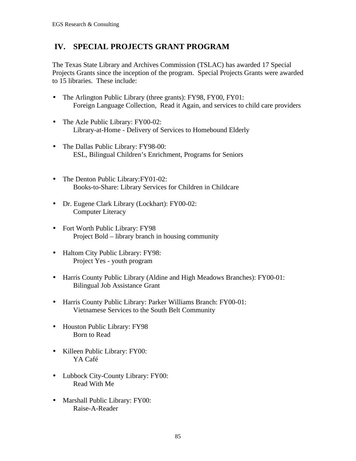# **IV. SPECIAL PROJECTS GRANT PROGRAM**

The Texas State Library and Archives Commission (TSLAC) has awarded 17 Special Projects Grants since the inception of the program. Special Projects Grants were awarded to 15 libraries. These include:

- The Arlington Public Library (three grants): FY98, FY00, FY01: Foreign Language Collection, Read it Again, and services to child care providers
- The Azle Public Library: FY00-02: Library-at-Home - Delivery of Services to Homebound Elderly
- The Dallas Public Library: FY98-00: ESL, Bilingual Children's Enrichment, Programs for Seniors
- The Denton Public Library: FY01-02: Books-to-Share: Library Services for Children in Childcare
- Dr. Eugene Clark Library (Lockhart): FY00-02: Computer Literacy
- Fort Worth Public Library: FY98 Project Bold – library branch in housing community
- Haltom City Public Library: FY98: Project Yes - youth program
- Harris County Public Library (Aldine and High Meadows Branches): FY00-01: Bilingual Job Assistance Grant
- Harris County Public Library: Parker Williams Branch: FY00-01: Vietnamese Services to the South Belt Community
- Houston Public Library: FY98 Born to Read
- Killeen Public Library: FY00: YA Café
- Lubbock City-County Library: FY00: Read With Me
- Marshall Public Library: FY00: Raise-A-Reader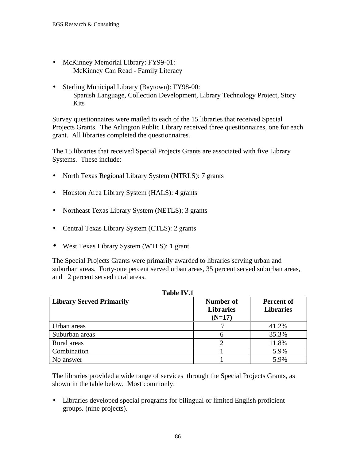- McKinney Memorial Library: FY99-01: McKinney Can Read - Family Literacy
- Sterling Municipal Library (Baytown): FY98-00: Spanish Language, Collection Development, Library Technology Project, Story Kits

Survey questionnaires were mailed to each of the 15 libraries that received Special Projects Grants. The Arlington Public Library received three questionnaires, one for each grant. All libraries completed the questionnaires.

The 15 libraries that received Special Projects Grants are associated with five Library Systems. These include:

- North Texas Regional Library System (NTRLS): 7 grants
- Houston Area Library System (HALS): 4 grants
- Northeast Texas Library System (NETLS): 3 grants
- Central Texas Library System (CTLS): 2 grants
- West Texas Library System (WTLS): 1 grant

The Special Projects Grants were primarily awarded to libraries serving urban and suburban areas. Forty-one percent served urban areas, 35 percent served suburban areas, and 12 percent served rural areas.

**TR. 1.1. TV7.4** 

| <b>Library Served Primarily</b> | Number of<br><b>Libraries</b><br>$(N=17)$ | Percent of<br><b>Libraries</b> |
|---------------------------------|-------------------------------------------|--------------------------------|
| Urban areas                     |                                           | 41.2%                          |
| Suburban areas                  |                                           | 35.3%                          |
| Rural areas                     |                                           | 11.8%                          |
| Combination                     |                                           | 5.9%                           |
| No answer                       |                                           | 5.9%                           |

The libraries provided a wide range of services through the Special Projects Grants, as shown in the table below. Most commonly:

• Libraries developed special programs for bilingual or limited English proficient groups. (nine projects).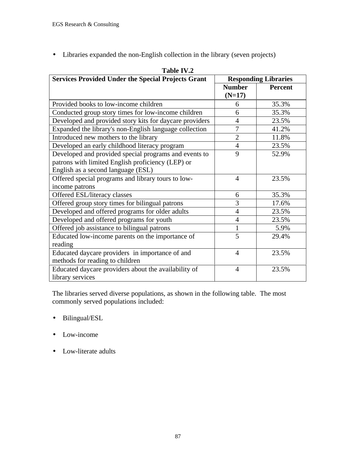• Libraries expanded the non-English collection in the library (seven projects)

| 1 AVIC 1 V .4<br><b>Services Provided Under the Special Projects Grant</b> | <b>Responding Libraries</b> |                |  |
|----------------------------------------------------------------------------|-----------------------------|----------------|--|
|                                                                            | <b>Number</b>               | <b>Percent</b> |  |
|                                                                            | $(N=17)$                    |                |  |
| Provided books to low-income children                                      | 6                           | 35.3%          |  |
| Conducted group story times for low-income children                        | 6                           | 35.3%          |  |
| Developed and provided story kits for daycare providers                    | $\overline{4}$              | 23.5%          |  |
| Expanded the library's non-English language collection                     | $\overline{7}$              | 41.2%          |  |
| Introduced new mothers to the library                                      | $\overline{2}$              | 11.8%          |  |
| Developed an early childhood literacy program                              | $\overline{4}$              | 23.5%          |  |
| Developed and provided special programs and events to                      | 9                           | 52.9%          |  |
| patrons with limited English proficiency (LEP) or                          |                             |                |  |
| English as a second language (ESL)                                         |                             |                |  |
| Offered special programs and library tours to low-                         | $\overline{A}$              | 23.5%          |  |
| income patrons                                                             |                             |                |  |
| Offered ESL/literacy classes                                               | 6                           | 35.3%          |  |
| Offered group story times for bilingual patrons                            | 3                           | 17.6%          |  |
| Developed and offered programs for older adults                            | $\overline{4}$              | 23.5%          |  |
| Developed and offered programs for youth                                   | $\overline{4}$              | 23.5%          |  |
| Offered job assistance to bilingual patrons                                | $\mathbf{1}$                | 5.9%           |  |
| Educated low-income parents on the importance of                           | 5                           | 29.4%          |  |
| reading                                                                    |                             |                |  |
| Educated daycare providers in importance of and                            | $\overline{4}$              | 23.5%          |  |
| methods for reading to children                                            |                             |                |  |
| Educated daycare providers about the availability of                       | $\overline{4}$              | 23.5%          |  |
| library services                                                           |                             |                |  |

#### Table IV<sub>2</sub>

The libraries served diverse populations, as shown in the following table. The most commonly served populations included:

- Bilingual/ESL
- Low-income
- Low-literate adults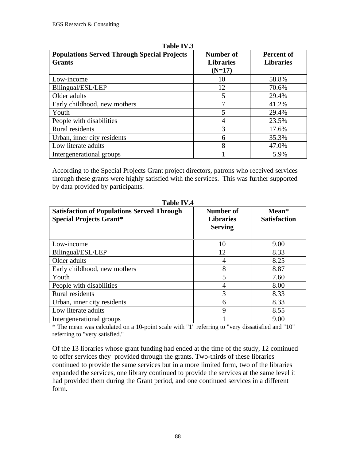| <b>Populations Served Through Special Projects</b><br><b>Grants</b> | Number of<br><b>Libraries</b><br>$(N=17)$ | <b>Percent of</b><br><b>Libraries</b> |
|---------------------------------------------------------------------|-------------------------------------------|---------------------------------------|
| Low-income                                                          | 10                                        | 58.8%                                 |
| Bilingual/ESL/LEP                                                   | 12                                        | 70.6%                                 |
| Older adults                                                        | 5                                         | 29.4%                                 |
| Early childhood, new mothers                                        | 7                                         | 41.2%                                 |
| Youth                                                               | 5                                         | 29.4%                                 |
| People with disabilities                                            | 4                                         | 23.5%                                 |
| <b>Rural</b> residents                                              | 3                                         | 17.6%                                 |
| Urban, inner city residents                                         | 6                                         | 35.3%                                 |
| Low literate adults                                                 | 8                                         | 47.0%                                 |
| Intergenerational groups                                            |                                           | 5.9%                                  |

**Table IV.3**

According to the Special Projects Grant project directors, patrons who received services through these grants were highly satisfied with the services. This was further supported by data provided by participants.

| <b>Satisfaction of Populations Served Through</b><br><b>Special Projects Grant*</b> | Number of<br><b>Libraries</b><br><b>Serving</b> | Mean*<br><b>Satisfaction</b> |
|-------------------------------------------------------------------------------------|-------------------------------------------------|------------------------------|
| Low-income                                                                          | 10                                              | 9.00                         |
| Bilingual/ESL/LEP                                                                   | 12                                              | 8.33                         |
| Older adults                                                                        | 4                                               | 8.25                         |
| Early childhood, new mothers                                                        | 8                                               | 8.87                         |
| Youth                                                                               | 5                                               | 7.60                         |
| People with disabilities                                                            | 4                                               | 8.00                         |
| Rural residents                                                                     | 3                                               | 8.33                         |
| Urban, inner city residents                                                         | 6                                               | 8.33                         |
| Low literate adults                                                                 | 9                                               | 8.55                         |
| Intergenerational groups                                                            |                                                 | 9.00                         |

**Table IV.4**

\* The mean was calculated on a 10-point scale with "1" referring to "very dissatisfied and "10" referring to "very satisfied."

Of the 13 libraries whose grant funding had ended at the time of the study, 12 continued to offer services they provided through the grants. Two-thirds of these libraries continued to provide the same services but in a more limited form, two of the libraries expanded the services, one library continued to provide the services at the same level it had provided them during the Grant period, and one continued services in a different form.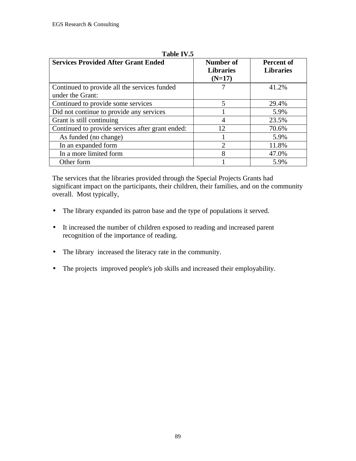| <b>Services Provided After Grant Ended</b>       | Number of<br><b>Libraries</b><br>$(N=17)$ | Percent of<br><b>Libraries</b> |
|--------------------------------------------------|-------------------------------------------|--------------------------------|
| Continued to provide all the services funded     |                                           | 41.2%                          |
| under the Grant:                                 |                                           |                                |
| Continued to provide some services               | 5                                         | 29.4%                          |
| Did not continue to provide any services         |                                           | 5.9%                           |
| Grant is still continuing                        | 4                                         | 23.5%                          |
| Continued to provide services after grant ended: | 12                                        | 70.6%                          |
| As funded (no change)                            |                                           | 5.9%                           |
| In an expanded form                              | $\overline{2}$                            | 11.8%                          |
| In a more limited form                           | 8                                         | 47.0%                          |
| Other form                                       |                                           | 5.9%                           |

**Table IV.5**

The services that the libraries provided through the Special Projects Grants had significant impact on the participants, their children, their families, and on the community overall. Most typically,

- The library expanded its patron base and the type of populations it served.
- It increased the number of children exposed to reading and increased parent recognition of the importance of reading.
- The library increased the literacy rate in the community.
- The projects improved people's job skills and increased their employability.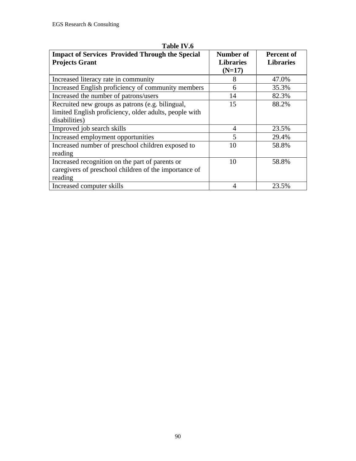| <b>Impact of Services Provided Through the Special</b><br><b>Projects Grant</b> | Number of<br><b>Libraries</b> | <b>Percent of</b><br><b>Libraries</b> |
|---------------------------------------------------------------------------------|-------------------------------|---------------------------------------|
|                                                                                 | $(N=17)$                      |                                       |
| Increased literacy rate in community                                            | 8                             | 47.0%                                 |
| Increased English proficiency of community members                              | 6                             | 35.3%                                 |
| Increased the number of patrons/users                                           | 14                            | 82.3%                                 |
| Recruited new groups as patrons (e.g. bilingual,                                | 15                            | 88.2%                                 |
| limited English proficiency, older adults, people with                          |                               |                                       |
| disabilities)                                                                   |                               |                                       |
| Improved job search skills                                                      | $\overline{A}$                | 23.5%                                 |
| Increased employment opportunities                                              | 5                             | 29.4%                                 |
| Increased number of preschool children exposed to                               | 10                            | 58.8%                                 |
| reading                                                                         |                               |                                       |
| Increased recognition on the part of parents or                                 | 10                            | 58.8%                                 |
| caregivers of preschool children of the importance of                           |                               |                                       |
| reading                                                                         |                               |                                       |
| Increased computer skills                                                       | 4                             | 23.5%                                 |

**Table IV.6**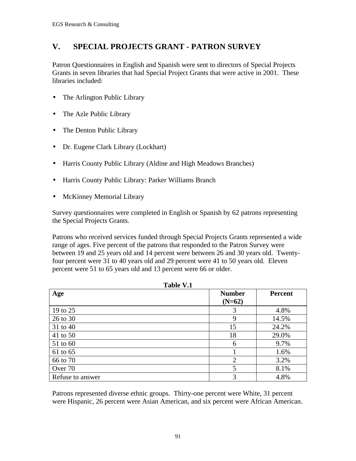## **V. SPECIAL PROJECTS GRANT - PATRON SURVEY**

Patron Questionnaires in English and Spanish were sent to directors of Special Projects Grants in seven libraries that had Special Project Grants that were active in 2001. These libraries included:

- The Arlington Public Library
- The Azle Public Library
- The Denton Public Library
- Dr. Eugene Clark Library (Lockhart)
- Harris County Public Library (Aldine and High Meadows Branches)
- Harris County Public Library: Parker Williams Branch
- McKinney Memorial Library

Survey questionnaires were completed in English or Spanish by 62 patrons representing the Special Projects Grants.

Patrons who received services funded through Special Projects Grants represented a wide range of ages. Five percent of the patrons that responded to the Patron Survey were between 19 and 25 years old and 14 percent were between 26 and 30 years old. Twentyfour percent were 31 to 40 years old and 29 percent were 41 to 50 years old. Eleven percent were 51 to 65 years old and 13 percent were 66 or older.

| <b>TANIC V.I</b> |                           |                |  |
|------------------|---------------------------|----------------|--|
| Age              | <b>Number</b><br>$(N=62)$ | <b>Percent</b> |  |
| 19 to 25         | 3                         | 4.8%           |  |
| 26 to 30         | 9                         | 14.5%          |  |
| 31 to 40         | 15                        | 24.2%          |  |
| 41 to 50         | 18                        | 29.0%          |  |
| 51 to 60         | 6                         | 9.7%           |  |
| 61 to 65         |                           | 1.6%           |  |
| 66 to 70         | $\overline{2}$            | 3.2%           |  |
| Over 70          | 5                         | 8.1%           |  |
| Refuse to answer | 3                         | 4.8%           |  |

**Table V.1**

Patrons represented diverse ethnic groups. Thirty-one percent were White, 31 percent were Hispanic, 26 percent were Asian American, and six percent were African American.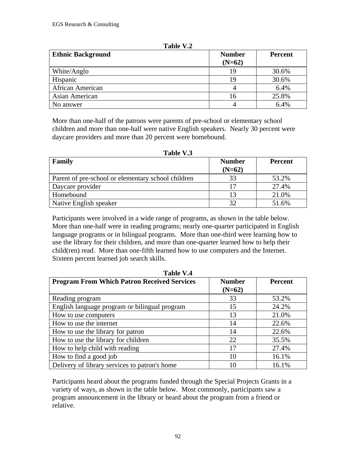| <b>Ethnic Background</b> | <b>Number</b><br>$(N=62)$ | <b>Percent</b> |
|--------------------------|---------------------------|----------------|
| White/Anglo              | 19                        | 30.6%          |
| Hispanic                 | 19                        | 30.6%          |
| African American         |                           | 6.4%           |
| Asian American           | 16                        | 25.8%          |
| No answer                |                           | 6.4%           |

**Table V.2**

More than one-half of the patrons were parents of pre-school or elementary school children and more than one-half were native English speakers. Nearly 30 percent were daycare providers and more than 20 percent were homebound.

| Table V.3                                          |                           |                |  |
|----------------------------------------------------|---------------------------|----------------|--|
| Family                                             | <b>Number</b><br>$(N=62)$ | <b>Percent</b> |  |
| Parent of pre-school or elementary school children | 33                        | 53.2%          |  |
| Daycare provider                                   | 17                        | 27.4%          |  |
| Homebound                                          | 13                        | 21.0%          |  |
| Native English speaker                             | 32                        | 51.6%          |  |

Participants were involved in a wide range of programs, as shown in the table below. More than one-half were in reading programs; nearly one-quarter participated in English language programs or in bilingual programs. More than one-third were learning how to use the library for their children, and more than one-quarter learned how to help their child(ren) read. More than one-fifth learned how to use computers and the Internet. Sixteen percent learned job search skills.

| таріс У.4                                          |               |                |  |
|----------------------------------------------------|---------------|----------------|--|
| <b>Program From Which Patron Received Services</b> | <b>Number</b> | <b>Percent</b> |  |
|                                                    | $(N=62)$      |                |  |
| Reading program                                    | 33            | 53.2%          |  |
| English language program or bilingual program      | 15            | 24.2%          |  |
| How to use computers                               | 13            | 21.0%          |  |
| How to use the internet                            | 14            | 22.6%          |  |
| How to use the library for patron                  | 14            | 22.6%          |  |
| How to use the library for children                | 22            | 35.5%          |  |
| How to help child with reading                     | 17            | 27.4%          |  |
| How to find a good job                             | 10            | 16.1%          |  |
| Delivery of library services to patron's home      | 10            | 16.1%          |  |

**Table 1 T**  $\overline{A}$ 

Participants heard about the programs funded through the Special Projects Grants in a variety of ways, as shown in the table below. Most commonly, participants saw a program announcement in the library or heard about the program from a friend or relative.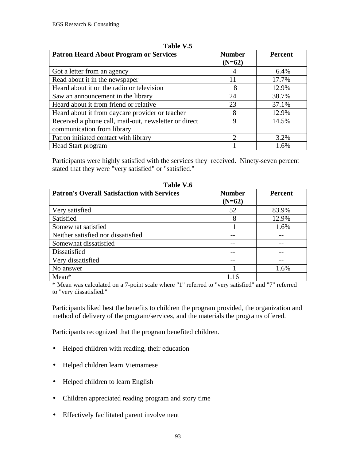| <b>Patron Heard About Program or Services</b>                                       | <b>Number</b><br>$(N=62)$ | <b>Percent</b> |
|-------------------------------------------------------------------------------------|---------------------------|----------------|
| Got a letter from an agency                                                         |                           | 6.4%           |
| Read about it in the newspaper                                                      | 11                        | 17.7%          |
| Heard about it on the radio or television                                           | 8                         | 12.9%          |
| Saw an announcement in the library                                                  | 24                        | 38.7%          |
| Heard about it from friend or relative                                              | 23                        | 37.1%          |
| Heard about it from daycare provider or teacher                                     | 8                         | 12.9%          |
| Received a phone call, mail-out, newsletter or direct<br>communication from library | 9                         | 14.5%          |
| Patron initiated contact with library                                               | $\mathcal{D}$             | 3.2%           |
| Head Start program                                                                  |                           | 1.6%           |

**Table V.5**

Participants were highly satisfied with the services they received. Ninety-seven percent stated that they were "very satisfied" or "satisfied."

| Table V.6                                          |                           |                |  |  |  |  |
|----------------------------------------------------|---------------------------|----------------|--|--|--|--|
| <b>Patron's Overall Satisfaction with Services</b> | <b>Number</b><br>$(N=62)$ | <b>Percent</b> |  |  |  |  |
| Very satisfied                                     | 52                        | 83.9%          |  |  |  |  |
| Satisfied                                          | 8                         | 12.9%          |  |  |  |  |
| Somewhat satisfied                                 |                           | 1.6%           |  |  |  |  |
| Neither satisfied nor dissatisfied                 |                           |                |  |  |  |  |
| Somewhat dissatisfied                              |                           |                |  |  |  |  |
| Dissatisfied                                       |                           |                |  |  |  |  |
| Very dissatisfied                                  |                           |                |  |  |  |  |
| No answer                                          |                           | 1.6%           |  |  |  |  |
| $Mean*$                                            | 1.16                      |                |  |  |  |  |

\* Mean was calculated on a 7-point scale where "1" referred to "very satisfied" and "7" referred to "very dissatisfied."

Participants liked best the benefits to children the program provided, the organization and method of delivery of the program/services, and the materials the programs offered.

Participants recognized that the program benefited children.

- Helped children with reading, their education
- Helped children learn Vietnamese
- Helped children to learn English
- Children appreciated reading program and story time
- Effectively facilitated parent involvement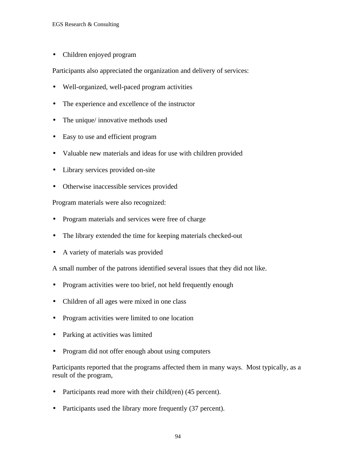• Children enjoyed program

Participants also appreciated the organization and delivery of services:

- Well-organized, well-paced program activities
- The experience and excellence of the instructor
- The unique/ innovative methods used
- Easy to use and efficient program
- Valuable new materials and ideas for use with children provided
- Library services provided on-site
- Otherwise inaccessible services provided

Program materials were also recognized:

- Program materials and services were free of charge
- The library extended the time for keeping materials checked-out
- A variety of materials was provided

A small number of the patrons identified several issues that they did not like.

- Program activities were too brief, not held frequently enough
- Children of all ages were mixed in one class
- Program activities were limited to one location
- Parking at activities was limited
- Program did not offer enough about using computers

Participants reported that the programs affected them in many ways. Most typically, as a result of the program,

- Participants read more with their child(ren) (45 percent).
- Participants used the library more frequently (37 percent).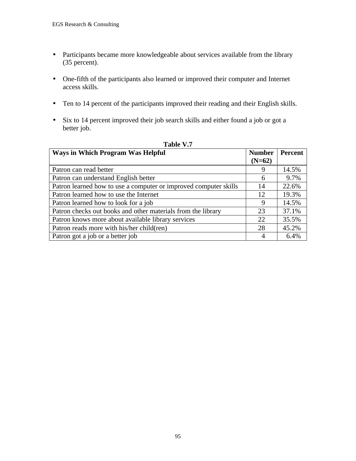- Participants became more knowledgeable about services available from the library (35 percent).
- One-fifth of the participants also learned or improved their computer and Internet access skills.
- Ten to 14 percent of the participants improved their reading and their English skills.
- Six to 14 percent improved their job search skills and either found a job or got a better job.

| Tavit 1.1                                                        |               |         |  |  |  |  |
|------------------------------------------------------------------|---------------|---------|--|--|--|--|
| <b>Ways in Which Program Was Helpful</b>                         | <b>Number</b> | Percent |  |  |  |  |
|                                                                  | $(N=62)$      |         |  |  |  |  |
| Patron can read better                                           | 9             | 14.5%   |  |  |  |  |
| Patron can understand English better                             | 6             | 9.7%    |  |  |  |  |
| Patron learned how to use a computer or improved computer skills | 14            | 22.6%   |  |  |  |  |
| Patron learned how to use the Internet                           | 12            | 19.3%   |  |  |  |  |
| Patron learned how to look for a job                             | 9             | 14.5%   |  |  |  |  |
| Patron checks out books and other materials from the library     | 23            | 37.1%   |  |  |  |  |
| Patron knows more about available library services               | 22            | 35.5%   |  |  |  |  |
| Patron reads more with his/her child(ren)                        | 28            | 45.2%   |  |  |  |  |
| Patron got a job or a better job                                 | 4             | 6.4%    |  |  |  |  |

#### **Table V.7**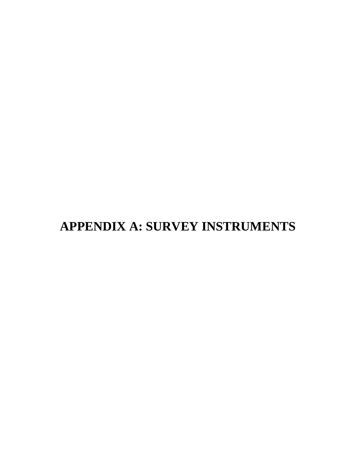# **APPENDIX A: SURVEY INSTRUMENTS**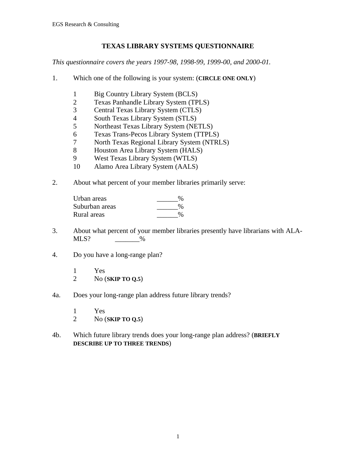## **TEXAS LIBRARY SYSTEMS QUESTIONNAIRE**

*This questionnaire covers the years 1997-98, 1998-99, 1999-00, and 2000-01.*

- 1. Which one of the following is your system: (**CIRCLE ONE ONLY**)
	- 1 Big Country Library System (BCLS)<br>2 Texas Panhandle Library System (TP)
	- 2 Texas Panhandle Library System (TPLS)
	- 3 Central Texas Library System (CTLS)
	- 4 South Texas Library System (STLS)<br>5 Northeast Texas Library System (NE
	-
	- 5 Northeast Texas Library System (NETLS)<br>6 Texas Trans-Pecos Library System (TTPLS 6 Texas Trans-Pecos Library System (TTPLS)
	- 7 North Texas Regional Library System (NTRLS)
	- 8 Houston Area Library System (HALS)<br>9 West Texas Library System (WTLS)
	- 9 West Texas Library System (WTLS)
	- 10 Alamo Area Library System (AALS)
- 2. About what percent of your member libraries primarily serve:

| Urban areas    | $\%$ |
|----------------|------|
| Suburban areas | $\%$ |
| Rural areas    | $\%$ |

- 3. About what percent of your member libraries presently have librarians with ALA- $MLS$ ?  $\%$
- 4. Do you have a long-range plan?
	- $\begin{array}{cc} 1 & \text{Yes} \\ 2 & \text{No} \end{array}$ 2 No (**SKIP TO Q.5**)
- 4a. Does your long-range plan address future library trends?
	- 1 Yes
	- 2 No (**SKIP TO Q.5**)
- 4b. Which future library trends does your long-range plan address? (**BRIEFLY DESCRIBE UP TO THREE TRENDS**)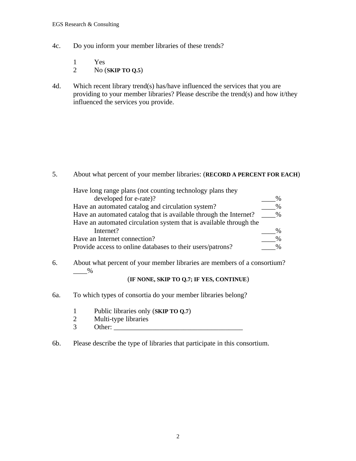- 4c. Do you inform your member libraries of these trends?
	- 1 Yes
	- 2 No (**SKIP TO Q.5**)
- 4d. Which recent library trend(s) has/have influenced the services that you are providing to your member libraries? Please describe the trend(s) and how it/they influenced the services you provide.

5. About what percent of your member libraries: (**RECORD A PERCENT FOR EACH**)

| Have long range plans (not counting technology plans they          |      |
|--------------------------------------------------------------------|------|
| developed for e-rate)?                                             |      |
| Have an automated catalog and circulation system?                  |      |
| Have an automated catalog that is available through the Internet?  | $\%$ |
| Have an automated circulation system that is available through the |      |
| Internet?                                                          |      |
| Have an Internet connection?                                       |      |
| Provide access to online databases to their users/patrons?         |      |

6. About what percent of your member libraries are members of a consortium?  $\_\_\%$ 

#### (**IF NONE, SKIP TO Q.7; IF YES, CONTINUE**)

- 6a. To which types of consortia do your member libraries belong?
	- 1 Public libraries only (**SKIP TO Q.7**)
	- 2 Multi-type libraries
	- $3$  Other:
- 6b. Please describe the type of libraries that participate in this consortium.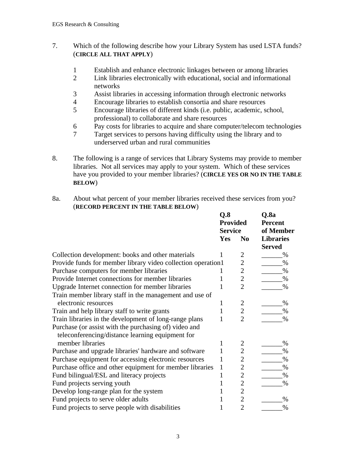## 7. Which of the following describe how your Library System has used LSTA funds? (**CIRCLE ALL THAT APPLY**)

- 1 Establish and enhance electronic linkages between or among libraries<br>2 Link libraries electronically with educational, social and informational
- 2 Link libraries electronically with educational, social and informational networks
- 3 Assist libraries in accessing information through electronic networks
- 4 Encourage libraries to establish consortia and share resources
- 5 Encourage libraries of different kinds (i.e. public, academic, school, professional) to collaborate and share resources
- 6 Pay costs for libraries to acquire and share computer/telecom technologies
- 7 Target services to persons having difficulty using the library and to underserved urban and rural communities
- 8. The following is a range of services that Library Systems may provide to member libraries. Not all services may apply to your system. Which of these services have you provided to your member libraries? (**CIRCLE YES OR NO IN THE TABLE BELOW**)

#### 8a. About what percent of your member libraries received these services from you? (**RECORD PERCENT IN THE TABLE BELOW**)

|                                                               | Q.8<br><b>Provided</b><br><b>Service</b> |                | $Q$ .8a<br><b>Percent</b><br>of Member |  |
|---------------------------------------------------------------|------------------------------------------|----------------|----------------------------------------|--|
|                                                               | Yes                                      | N <sub>0</sub> | <b>Libraries</b><br><b>Served</b>      |  |
| Collection development: books and other materials             | 1                                        | $\overline{2}$ | %                                      |  |
| Provide funds for member library video collection operation l |                                          | $\overline{2}$ | $\%$                                   |  |
| Purchase computers for member libraries                       | I                                        | $\overline{2}$ | $\%$                                   |  |
| Provide Internet connections for member libraries             | 1                                        | $\overline{2}$ | $\%$                                   |  |
| Upgrade Internet connection for member libraries              | 1                                        | $\overline{2}$ | %                                      |  |
| Train member library staff in the management and use of       |                                          |                |                                        |  |
| electronic resources                                          | 1                                        | $\overline{2}$ | $\%$                                   |  |
| Train and help library staff to write grants                  | $\mathbf{1}$                             | $\overline{2}$ | $\%$                                   |  |
| Train libraries in the development of long-range plans        | 1                                        | $\overline{2}$ | $\%$                                   |  |
| Purchase (or assist with the purchasing of) video and         |                                          |                |                                        |  |
| teleconferencing/distance learning equipment for              |                                          |                |                                        |  |
| member libraries                                              | 1                                        | $\overline{2}$ | $\%$                                   |  |
| Purchase and upgrade libraries' hardware and software         | $\mathbf{1}$                             | $\overline{2}$ | $\%$                                   |  |
| Purchase equipment for accessing electronic resources         | 1                                        | $\overline{2}$ | $\%$                                   |  |
| Purchase office and other equipment for member libraries      | $\mathbf{1}$                             | 2              | $\%$                                   |  |
| Fund bilingual/ESL and literacy projects                      | $\mathbf{1}$                             | $\overline{2}$ | %                                      |  |
| Fund projects serving youth                                   | 1                                        | $\overline{2}$ | %                                      |  |
| Develop long-range plan for the system                        | 1                                        | 2              |                                        |  |
| Fund projects to serve older adults                           | 1                                        | $\overline{2}$ | $\%$                                   |  |
| Fund projects to serve people with disabilities               |                                          | $\overline{2}$ | %                                      |  |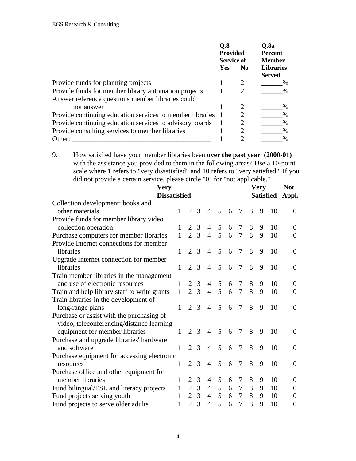|                                                             | 0.8<br><b>Provided</b><br><b>Service of</b> |                             | O.8a<br><b>Percent</b><br><b>Member</b> |  |
|-------------------------------------------------------------|---------------------------------------------|-----------------------------|-----------------------------------------|--|
|                                                             | Yes                                         | N <sub>0</sub>              | <b>Libraries</b><br><b>Served</b>       |  |
| Provide funds for planning projects                         |                                             |                             | %                                       |  |
| Provide funds for member library automation projects        |                                             | 2                           | %                                       |  |
| Answer reference questions member libraries could           |                                             |                             |                                         |  |
| not answer                                                  |                                             | 2                           | $\%$                                    |  |
| Provide continuing education services to member libraries 1 |                                             | 2                           | $\%$                                    |  |
| Provide continuing education services to advisory boards    |                                             | 2                           | $\%$                                    |  |
| Provide consulting services to member libraries             |                                             | 2                           | $\%$                                    |  |
| Other:                                                      |                                             | $\mathcal{D}_{\mathcal{L}}$ | $\frac{0}{0}$                           |  |

9. How satisfied have your member libraries been **over the past year (2000-01)** with the assistance you provided to them in the following areas? Use a 10-point scale where 1 refers to "very dissatisfied" and 10 refers to "very satisfied." If you did not provide a certain service, please circle "0" for "not applicable."

| <b>Very</b>                                  |              |                             |                |                |                 |   |                 |   | <b>Very</b> |                  | <b>Not</b>       |
|----------------------------------------------|--------------|-----------------------------|----------------|----------------|-----------------|---|-----------------|---|-------------|------------------|------------------|
| <b>Dissatisfied</b>                          |              |                             |                |                |                 |   |                 |   |             | <b>Satisfied</b> | Appl.            |
| Collection development: books and            |              |                             |                |                |                 |   |                 |   |             |                  |                  |
| other materials                              | 1            | $\overline{2}$              | 3              | $\overline{4}$ | 5               | 6 | $7\phantom{.0}$ | 8 | 9           | 10               | $\theta$         |
| Provide funds for member library video       |              |                             |                |                |                 |   |                 |   |             |                  |                  |
| collection operation                         |              | 2                           | 3              | $\overline{4}$ | 5               | 6 | 7               | 8 | 9           | 10               | 0                |
| Purchase computers for member libraries      | $\mathbf{1}$ | $\overline{2}$              | $\overline{3}$ | $\overline{4}$ | 5 <sup>5</sup>  | 6 | $\overline{7}$  | 8 | 9           | 10               | $\theta$         |
| Provide Internet connections for member      |              |                             |                |                |                 |   |                 |   |             |                  |                  |
| libraries                                    | 1            | $\overline{2}$              | 3              | $\overline{4}$ | 5               | 6 | 7               | 8 | 9           | 10               | $\theta$         |
| Upgrade Internet connection for member       |              |                             |                |                |                 |   |                 |   |             |                  |                  |
| libraries                                    | 1            | $\overline{2}$              | 3              | $\overline{4}$ | 5               | 6 | 7               | 8 | 9           | 10               | $\theta$         |
| Train member libraries in the management     |              |                             |                |                |                 |   |                 |   |             |                  |                  |
| and use of electronic resources              | 1            | 2                           | 3              | $\overline{4}$ | 5               | 6 | 7               | 8 | 9           | 10               | $\Omega$         |
| Train and help library staff to write grants | $\mathbf{1}$ | $\overline{2}$              | 3              | $\overline{4}$ | 5               | 6 | $\overline{7}$  | 8 | 9           | 10               | $\overline{0}$   |
| Train libraries in the development of        |              |                             |                |                |                 |   |                 |   |             |                  |                  |
| long-range plans                             | 1            | $\overline{2}$              | 3              | $\overline{4}$ | 5               | 6 | 7               | 8 | 9           | 10               | $\Omega$         |
| Purchase or assist with the purchasing of    |              |                             |                |                |                 |   |                 |   |             |                  |                  |
| video, teleconferencing/distance learning    |              |                             |                |                |                 |   |                 |   |             |                  |                  |
| equipment for member libraries               | 1            | $\mathcal{D}_{\mathcal{L}}$ | 3              | $\overline{4}$ | 5               | 6 | 7               | 8 | 9           | 10               | $\theta$         |
| Purchase and upgrade libraries' hardware     |              |                             |                |                |                 |   |                 |   |             |                  |                  |
| and software                                 | 1            | 2                           | $\mathcal{R}$  | 4              | 5               | 6 | 7               | 8 | 9           | 10               | $\Omega$         |
| Purchase equipment for accessing electronic  |              |                             |                |                |                 |   |                 |   |             |                  |                  |
| resources                                    | 1            | $\mathcal{D}_{\mathcal{L}}$ | 3              | $\overline{4}$ | 5               | 6 | 7               | 8 | 9           | 10               | $\overline{0}$   |
| Purchase office and other equipment for      |              |                             |                |                |                 |   |                 |   |             |                  |                  |
| member libraries                             | 1            | 2                           | 3              | 4              | 5               | 6 | 7               | 8 | 9           | 10               | $\theta$         |
| Fund bilingual/ESL and literacy projects     | 1            | $\overline{2}$              | 3              | $\overline{4}$ | 5               | 6 | 7               | 8 | 9           | 10               | 0                |
| Fund projects serving youth                  | 1            | $\overline{2}$              | $\mathfrak{Z}$ | $\overline{4}$ | $5\overline{)}$ | 6 | $\overline{7}$  | 8 | 9           | 10               | $\overline{0}$   |
| Fund projects to serve older adults          | 1            | $\overline{2}$              | 3              | $\overline{4}$ | 5               | 6 | 7               | 8 | 9           | 10               | $\boldsymbol{0}$ |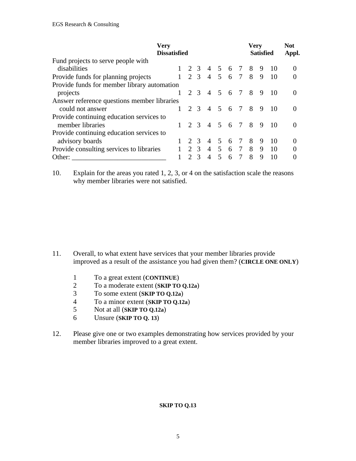| <b>Very</b><br><b>Dissatisfied</b>          |             |                |                                     |                |   |                              | <b>Very</b>  | <b>Satisfied</b> |                                          | <b>Not</b><br>Appl. |
|---------------------------------------------|-------------|----------------|-------------------------------------|----------------|---|------------------------------|--------------|------------------|------------------------------------------|---------------------|
| Fund projects to serve people with          |             |                |                                     |                |   |                              |              |                  |                                          |                     |
| disabilities                                | $1 \t2 \t3$ |                |                                     |                |   |                              |              |                  | 4 5 6 7 8 9 10                           |                     |
| Provide funds for planning projects         |             |                |                                     |                |   |                              |              |                  | $1 \t2 \t3 \t4 \t5 \t6 \t7 \t8 \t9 \t10$ |                     |
| Provide funds for member library automation |             |                |                                     |                |   |                              |              |                  |                                          |                     |
| projects                                    | $1 \t2 \t3$ |                |                                     |                |   | 4 5 6 7 8                    |              | 9                | -10                                      | $\Omega$            |
| Answer reference questions member libraries |             |                |                                     |                |   |                              |              |                  |                                          |                     |
| could not answer                            | $1 \t2 \t3$ |                | 4 5 6 7 8                           |                |   |                              |              | 9                | -10                                      | $\Omega$            |
| Provide continuing education services to    |             |                |                                     |                |   |                              |              |                  |                                          |                     |
| member libraries                            |             |                | $1 \t2 \t3 \t4 \t5 \t6 \t7 \t8 \t9$ |                |   |                              |              |                  | $\overline{10}$                          | $\Omega$            |
| Provide continuing education services to    |             |                |                                     |                |   |                              |              |                  |                                          |                     |
| advisory boards                             |             | 2 3            | 4 5 6 7 8                           |                |   |                              |              | 9                | -10                                      | $\Omega$            |
| Provide consulting services to libraries    |             |                |                                     |                |   |                              |              |                  | $1 \t2 \t3 \t4 \t5 \t6 \t7 \t8 \t9 \t10$ |                     |
| Other:                                      |             | 2 <sup>3</sup> | $\overline{4}$                      | 5 <sup>7</sup> | 6 | $7\phantom{.0}\phantom{.0}7$ | $\mathsf{R}$ | 9                | 10                                       |                     |

10. Explain for the areas you rated 1, 2, 3, or 4 on the satisfaction scale the reasons why member libraries were not satisfied.

- 11. Overall, to what extent have services that your member libraries provide improved as a result of the assistance you had given them? (**CIRCLE ONE ONLY**)
	- 1 To a great extent (**CONTINUE**)
	- 2 To a moderate extent (**SKIP TO Q.12a**)<br>3 To some extent (**SKIP TO Q.12a**)
	- 3 To some extent (**SKIP TO Q.12a**)
	- 4 To a minor extent (**SKIP TO Q.12a**)
	- 5 Not at all (**SKIP TO Q.12a**)<br>6 Unsure (**SKIP TO O. 13**)
	- 6 Unsure (**SKIP TO Q. 13**)
- 12. Please give one or two examples demonstrating how services provided by your member libraries improved to a great extent.

#### **SKIP TO Q.13**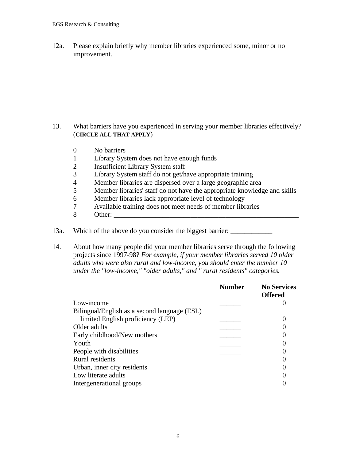12a. Please explain briefly why member libraries experienced some, minor or no improvement.

## 13. What barriers have you experienced in serving your member libraries effectively? (**CIRCLE ALL THAT APPLY**)

- 0 No barriers
- 1 Library System does not have enough funds<br>2 Insufficient Library System staff
- 2 Insufficient Library System staff
- 3 Library System staff do not get/have appropriate training
- 4 Member libraries are dispersed over a large geographic area<br>5 Member libraries' staff do not have the appropriate knowledge
- 5 Member libraries' staff do not have the appropriate knowledge and skills
- 
- 6 Member libraries lack appropriate level of technology<br>7 Available training does not meet needs of member libr 7 Available training does not meet needs of member libraries
- 8 Other: \_\_\_\_\_\_\_\_\_\_\_\_\_\_\_\_\_\_\_\_\_\_\_\_\_\_\_\_\_\_\_\_\_\_\_\_\_\_\_\_\_\_\_\_\_\_\_\_\_\_\_\_\_
- 13a. Which of the above do you consider the biggest barrier:
- 14. About how many people did your member libraries serve through the following projects since 1997-98? *For example, if your member libraries served 10 older adults who were also rural and low-income, you should enter the number 10 under the "low-income," "older adults," and " rural residents" categories.*

|                                              | <b>Number</b> | <b>No Services</b> |
|----------------------------------------------|---------------|--------------------|
|                                              |               | <b>Offered</b>     |
| Low-income                                   |               |                    |
| Bilingual/English as a second language (ESL) |               |                    |
| limited English proficiency (LEP)            |               |                    |
| Older adults                                 |               |                    |
| Early childhood/New mothers                  |               |                    |
| Youth                                        |               |                    |
| People with disabilities                     |               |                    |
| Rural residents                              |               |                    |
| Urban, inner city residents                  |               |                    |
| Low literate adults                          |               |                    |
| Intergenerational groups                     |               |                    |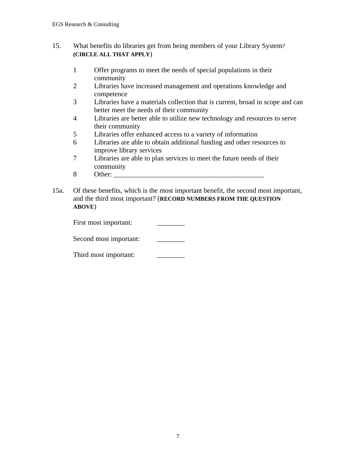## 15. What benefits do libraries get from being members of your Library System? **(CIRCLE ALL THAT APPLY**)

- 1 Offer programs to meet the needs of special populations in their community
- 2 Libraries have increased management and operations knowledge and competence
- 3 Libraries have a materials collection that is current, broad in scope and can better meet the needs of their community
- 4 Libraries are better able to utilize new technology and resources to serve their community
- 5 Libraries offer enhanced access to a variety of information
- 6 Libraries are able to obtain additional funding and other resources to improve library services
- 7 Libraries are able to plan services to meet the future needs of their community
- 8 Other:
- 15a. Of these benefits, which is the most important benefit, the second most important, and the third most important? (**RECORD NUMBERS FROM THE QUESTION ABOVE**)

| First most important:  |  |
|------------------------|--|
| Second most important: |  |

| Third most important: |  |
|-----------------------|--|
|-----------------------|--|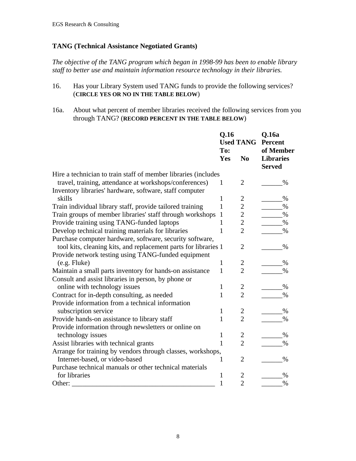#### **TANG (Technical Assistance Negotiated Grants)**

*The objective of the TANG program which began in 1998-99 has been to enable library staff to better use and maintain information resource technology in their libraries.*

- 16. Has your Library System used TANG funds to provide the following services? (**CIRCLE YES OR NO IN THE TABLE BELOW**)
- 16a. About what percent of member libraries received the following services from you through TANG? (**RECORD PERCENT IN THE TABLE BELOW**)

|                                                                 | Q.16<br><b>Used TANG</b> |                | Q.16a<br>Percent                  |  |
|-----------------------------------------------------------------|--------------------------|----------------|-----------------------------------|--|
|                                                                 | To:                      |                | of Member                         |  |
|                                                                 | Yes                      | No             | <b>Libraries</b><br><b>Served</b> |  |
| Hire a technician to train staff of member libraries (includes  |                          |                |                                   |  |
| travel, training, attendance at workshops/conferences)          | 1                        | 2              | %                                 |  |
| Inventory libraries' hardware, software, staff computer         |                          |                |                                   |  |
| skills                                                          | 1                        | 2              | %                                 |  |
| Train individual library staff, provide tailored training       | 1                        | $\overline{c}$ | $\%$                              |  |
| Train groups of member libraries' staff through workshops       | $\mathbf{1}$             | $\overline{c}$ | $\%$                              |  |
| Provide training using TANG-funded laptops                      | 1                        | $\overline{c}$ | %                                 |  |
| Develop technical training materials for libraries              | 1                        | $\overline{2}$ | %                                 |  |
| Purchase computer hardware, software, security software,        |                          |                |                                   |  |
| tool kits, cleaning kits, and replacement parts for libraries 1 |                          | 2              | $\%$                              |  |
| Provide network testing using TANG-funded equipment             |                          |                |                                   |  |
| $(e.g.$ Fluke $)$                                               | $\mathbf{1}$             | $\overline{c}$ | $\%$                              |  |
| Maintain a small parts inventory for hands-on assistance        | $\mathbf{1}$             | $\overline{2}$ | $\%$                              |  |
| Consult and assist libraries in person, by phone or             |                          |                |                                   |  |
| online with technology issues                                   | 1                        | 2              | $\%$                              |  |
| Contract for in-depth consulting, as needed                     | $\mathbf{1}$             | $\overline{2}$ | $\%$                              |  |
| Provide information from a technical information                |                          |                |                                   |  |
| subscription service                                            | $\mathbf{1}$             | $\overline{c}$ | %                                 |  |
| Provide hands-on assistance to library staff                    | 1                        | $\overline{2}$ | $\%$                              |  |
| Provide information through newsletters or online on            |                          |                |                                   |  |
| technology issues                                               | $\mathbf{1}$             | $\overline{c}$ | $\%$                              |  |
| Assist libraries with technical grants                          | 1                        | $\overline{2}$ | $\%$                              |  |
| Arrange for training by vendors through classes, workshops,     |                          |                |                                   |  |
| Internet-based, or video-based                                  | 1                        | $\overline{2}$ | $\%$                              |  |
| Purchase technical manuals or other technical materials         |                          |                |                                   |  |
| for libraries                                                   | 1                        | $\overline{c}$ | $\%$                              |  |
| Other:                                                          | 1                        | $\overline{2}$ | $\%$                              |  |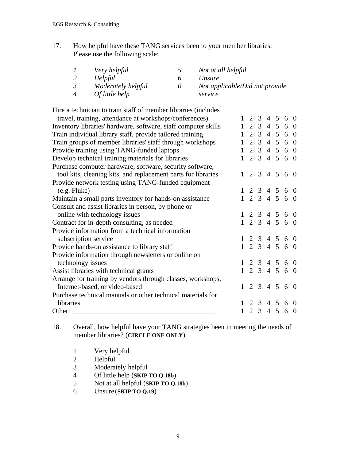17. How helpful have these TANG services been to your member libraries. Please use the following scale:

| $\prime$       | Very helpful       |          | Not at all helpful             |
|----------------|--------------------|----------|--------------------------------|
|                | Helpful            |          | Unsure                         |
| $\mathfrak{Z}$ | Moderately helpful | $\theta$ | Not applicable/Did not provide |
| $\overline{4}$ | Of little help     |          | service                        |

Hire a technician to train staff of member libraries (includes

| travel, training, attendance at workshops/conferences)         |  |  |  | $1 \t2 \t3 \t4 \t5 \t6 \t0$ |  |
|----------------------------------------------------------------|--|--|--|-----------------------------|--|
| Inventory libraries' hardware, software, staff computer skills |  |  |  | $1 \t2 \t3 \t4 \t5 \t6 \t0$ |  |
| Train individual library staff, provide tailored training      |  |  |  | $1 \t2 \t3 \t4 \t5 \t6 \t0$ |  |
| Train groups of member libraries' staff through workshops      |  |  |  | 1 2 3 4 5 6 0               |  |
| Provide training using TANG-funded laptops                     |  |  |  | $1\ 2\ 3\ 4\ 5\ 6\ 0$       |  |
| Develop technical training materials for libraries             |  |  |  | 1 2 3 4 5 6 0               |  |
| Purchase computer hardware, software, security software,       |  |  |  |                             |  |
| tool kits, cleaning kits, and replacement parts for libraries  |  |  |  | $1\ 2\ 3\ 4\ 5\ 6\ 0$       |  |
| Provide network testing using TANG-funded equipment            |  |  |  |                             |  |
| $(e.g.$ Fluke)                                                 |  |  |  | $1 \t2 \t3 \t4 \t5 \t6 \t0$ |  |
| Maintain a small parts inventory for hands-on assistance       |  |  |  | $1\ 2\ 3\ 4\ 5\ 6\ 0$       |  |
| Consult and assist libraries in person, by phone or            |  |  |  |                             |  |
| online with technology issues                                  |  |  |  | $1 \t2 \t3 \t4 \t5 \t6 \t0$ |  |
| Contract for in-depth consulting, as needed                    |  |  |  | $1\ 2\ 3\ 4\ 5\ 6\ 0$       |  |
| Provide information from a technical information               |  |  |  |                             |  |
| subscription service                                           |  |  |  | $1\ 2\ 3\ 4\ 5\ 6\ 0$       |  |
| Provide hands-on assistance to library staff                   |  |  |  | $1 \t2 \t3 \t4 \t5 \t6 \t0$ |  |
| Provide information through newsletters or online on           |  |  |  |                             |  |
| technology issues                                              |  |  |  | $1 \t2 \t3 \t4 \t5 \t6 \t0$ |  |
| Assist libraries with technical grants                         |  |  |  | 1 2 3 4 5 6 0               |  |
| Arrange for training by vendors through classes, workshops,    |  |  |  |                             |  |
| Internet-based, or video-based                                 |  |  |  | $1 \t2 \t3 \t4 \t5 \t6 \t0$ |  |
| Purchase technical manuals or other technical materials for    |  |  |  |                             |  |
| libraries                                                      |  |  |  | $1 \t2 \t3 \t4 \t5 \t6 \t0$ |  |
| Other: $\qquad \qquad$                                         |  |  |  | $1 \t2 \t3 \t4 \t5 \t6 \t0$ |  |

18. Overall, how helpful have your TANG strategies been in meeting the needs of member libraries? (**CIRCLE ONE ONLY**)

- 1 Very helpful<br>2 Helpful
- 2 Helpful<br>3 Moderat
- 3 Moderately helpful<br>4 Of little help (SKIP)
- 4 Of little help (**SKIP TO Q.18b**)<br>5 Not at all helpful (**SKIP TO Q.1**)
- 5 Not at all helpful (**SKIP TO Q.18b**)
- 6 Unsure (**SKIP TO Q.19**)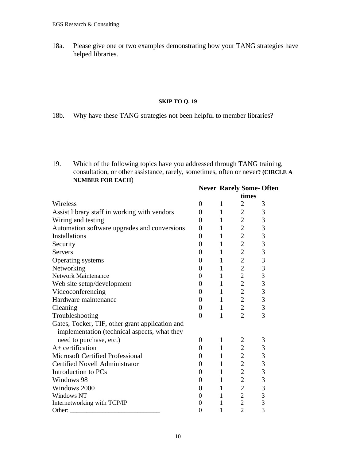18a. Please give one or two examples demonstrating how your TANG strategies have helped libraries.

#### **SKIP TO Q. 19**

18b. Why have these TANG strategies not been helpful to member libraries?

19. Which of the following topics have you addressed through TANG training, consultation, or other assistance, rarely, sometimes, often or never**? (CIRCLE A NUMBER FOR EACH**)

|                                                 | <b>Never Rarely Some-Often</b> |              |                                  |                |  |  |
|-------------------------------------------------|--------------------------------|--------------|----------------------------------|----------------|--|--|
|                                                 |                                |              | times                            |                |  |  |
| Wireless                                        | $\overline{0}$                 | 1            | $\overline{2}$                   | 3              |  |  |
| Assist library staff in working with vendors    | 0                              | $\mathbf{1}$ | $\overline{2}$                   | 3              |  |  |
| Wiring and testing                              | 0                              | $\mathbf{1}$ | $\overline{c}$                   | 3              |  |  |
| Automation software upgrades and conversions    | 0                              | $\mathbf{1}$ | $\overline{c}$                   | 3              |  |  |
| <b>Installations</b>                            | 0                              | $\mathbf{1}$ | $\overline{2}$                   | 3              |  |  |
| Security                                        | 0                              | $\mathbf{1}$ | $\overline{2}$                   | 3              |  |  |
| <b>Servers</b>                                  | 0                              | $\mathbf{1}$ | $\overline{2}$                   | 3              |  |  |
| Operating systems                               | 0                              | $\mathbf{1}$ | $\overline{2}$                   | 3              |  |  |
| Networking                                      | $\overline{0}$                 | $\mathbf{1}$ | $\overline{2}$                   | 3              |  |  |
| <b>Network Maintenance</b>                      | $\boldsymbol{0}$               | $\mathbf{1}$ | $\overline{c}$                   | $\overline{3}$ |  |  |
| Web site setup/development                      | 0                              | $\mathbf{1}$ | $\overline{2}$                   | $\overline{3}$ |  |  |
| Videoconferencing                               | $\overline{0}$                 | $\mathbf{1}$ | $\overline{2}$                   | 3              |  |  |
| Hardware maintenance                            | $\overline{0}$                 | $\mathbf{1}$ | $\overline{2}$                   | 3              |  |  |
| Cleaning                                        | $\boldsymbol{0}$               | $\mathbf{1}$ | $\overline{2}$                   | 3              |  |  |
| Troubleshooting                                 | $\overline{0}$                 | $\mathbf{1}$ | $\overline{2}$                   | $\overline{3}$ |  |  |
| Gates, Tocker, TIF, other grant application and |                                |              |                                  |                |  |  |
| implementation (technical aspects, what they    |                                |              |                                  |                |  |  |
| need to purchase, etc.)<br>$A+$ certification   | $\Omega$                       | 1            | 2                                | 3              |  |  |
|                                                 | 0                              | $\mathbf{1}$ | $\overline{c}$                   | 3              |  |  |
| <b>Microsoft Certified Professional</b>         | 0                              | $\mathbf{1}$ | $\overline{2}$<br>$\overline{2}$ | 3              |  |  |
| <b>Certified Novell Administrator</b>           | 0                              | $\mathbf{1}$ |                                  | 3              |  |  |
| Introduction to PCs                             | 0                              | $\mathbf{1}$ | $\overline{c}$                   | 3              |  |  |
| Windows 98                                      | $\theta$                       | $\mathbf{1}$ | $\overline{2}$                   | 3              |  |  |
| Windows 2000                                    | $\boldsymbol{0}$               | $\mathbf{1}$ | $\overline{2}$                   | 3              |  |  |
| <b>Windows NT</b>                               | 0                              | $\mathbf{1}$ | $\overline{c}$                   | 3              |  |  |
| Internetworking with TCP/IP                     | 0                              | 1            | $\overline{2}$                   | 3              |  |  |
| Other:                                          | $\Omega$                       | 1            | $\overline{2}$                   | $\overline{3}$ |  |  |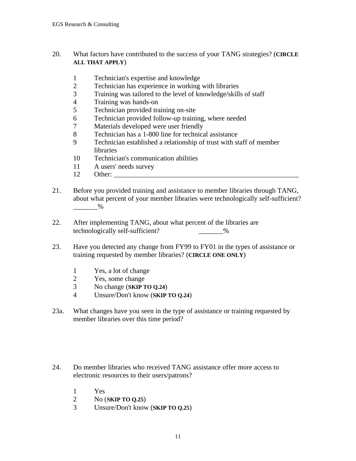#### 20. What factors have contributed to the success of your TANG strategies? (**CIRCLE ALL THAT APPLY**)

- 1 Technician's expertise and knowledge
- 2 Technician has experience in working with libraries<br>3 Training was tailored to the level of knowledge/skill
- 3 Training was tailored to the level of knowledge/skills of staff
- 4 Training was hands-on
- 5 Technician provided training on-site
- 6 Technician provided follow-up training, where needed
- Materials developed were user friendly
- 8 Technician has a 1-800 line for technical assistance
- 9 Technician established a relationship of trust with staff of member libraries
- 10 Technician's communication abilities
- 11 A users' needs survey
- 12 Other:
- 21. Before you provided training and assistance to member libraries through TANG, about what percent of your member libraries were technologically self-sufficient?  $\%$
- 22. After implementing TANG, about what percent of the libraries are technologically self-sufficient? \_\_\_\_\_\_\_%
- 23. Have you detected any change from FY99 to FY01 in the types of assistance or training requested by member libraries? (**CIRCLE ONE ONLY**)
	- 1 Yes, a lot of change<br>2 Yes, some change
	- Yes, some change
	- 3 No change (**SKIP TO Q.24**)
	- 4 Unsure/Don't know (**SKIP TO Q.24**)
- 23a. What changes have you seen in the type of assistance or training requested by member libraries over this time period?
- 24. Do member libraries who received TANG assistance offer more access to electronic resources to their users/patrons?
	- 1 Yes
	- 2 No (**SKIP TO Q.25**)
	- 3 Unsure/Don't know (**SKIP TO Q.25**)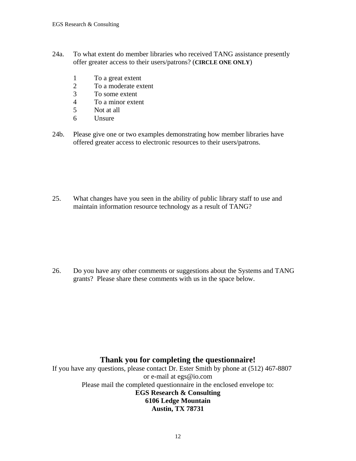- 24a. To what extent do member libraries who received TANG assistance presently offer greater access to their users/patrons? (**CIRCLE ONE ONLY**)
	- 1 To a great extent
	- 2 To a moderate extent<br>3 To some extent
	- To some extent
	- 4 To a minor extent
	- 5 Not at all
	- 6 Unsure
- 24b. Please give one or two examples demonstrating how member libraries have offered greater access to electronic resources to their users/patrons.

25. What changes have you seen in the ability of public library staff to use and maintain information resource technology as a result of TANG?

26. Do you have any other comments or suggestions about the Systems and TANG grants? Please share these comments with us in the space below.

## **Thank you for completing the questionnaire!**

If you have any questions, please contact Dr. Ester Smith by phone at (512) 467-8807 or e-mail at egs@io.com Please mail the completed questionnaire in the enclosed envelope to: **EGS Research & Consulting 6106 Ledge Mountain Austin, TX 78731**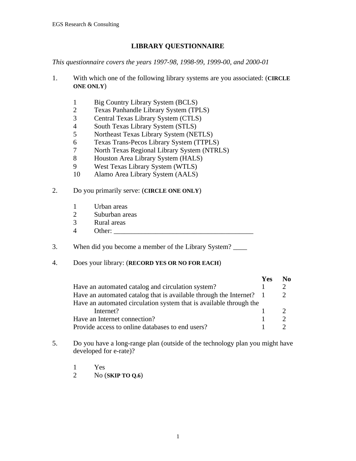### **LIBRARY QUESTIONNAIRE**

*This questionnaire covers the years 1997-98, 1998-99, 1999-00, and 2000-01*

- 1. With which one of the following library systems are you associated: (**CIRCLE ONE ONLY**)
	- 1 Big Country Library System (BCLS)
	- 2 Texas Panhandle Library System (TPLS)<br>3 Central Texas Library System (CTLS)
	- 3 Central Texas Library System (CTLS)<br>4 South Texas Library System (STLS)
	- 4 South Texas Library System (STLS)<br>5 Northeast Texas Library System (NE
	- 5 Northeast Texas Library System (NETLS)<br>6 Texas Trans-Pecos Library System (TTPLS
	- 6 Texas Trans-Pecos Library System (TTPLS)
	- 7 North Texas Regional Library System (NTRLS)<br>8 Houston Area Library System (HALS)
	- 8 Houston Area Library System (HALS)
	- 9 West Texas Library System (WTLS)
	- 10 Alamo Area Library System (AALS)
- 2. Do you primarily serve: (**CIRCLE ONE ONLY**)
	- 1 Urban areas
	- 2 Suburban areas<br>3 Rural areas
	- Rural areas
	- 4 Other:
- 3. When did you become a member of the Library System? \_\_\_\_

### 4. Does your library: (**RECORD YES OR NO FOR EACH**)

|                                                                     | Yes | No |
|---------------------------------------------------------------------|-----|----|
| Have an automated catalog and circulation system?                   |     |    |
| Have an automated catalog that is available through the Internet? 1 |     |    |
| Have an automated circulation system that is available through the  |     |    |
| Internet?                                                           |     |    |
| Have an Internet connection?                                        |     |    |
| Provide access to online databases to end users?                    |     |    |

- 5. Do you have a long-range plan (outside of the technology plan you might have developed for e-rate)?
	- 1 Yes
	- 2 No (**SKIP TO Q.6**)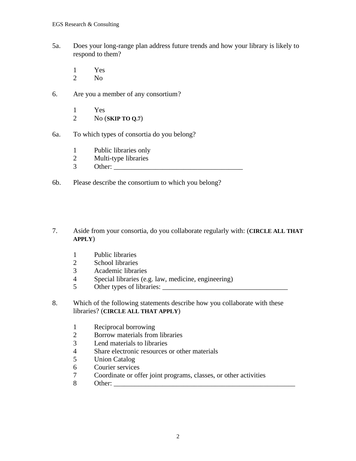- 5a. Does your long-range plan address future trends and how your library is likely to respond to them?
	- $\frac{1}{2}$  Yes
	- No.
- 6. Are you a member of any consortium?
	- 1 Yes
	- 2 No (**SKIP TO Q.7**)
- 6a. To which types of consortia do you belong?
	- 1 Public libraries only<br>2 Multi-type libraries
	- Multi-type libraries
	- $3$  Other:  $\Box$
- 6b. Please describe the consortium to which you belong?
- 7. Aside from your consortia, do you collaborate regularly with: (**CIRCLE ALL THAT APPLY**)
	- 1 Public libraries
	- 2 School libraries
	- 3 Academic libraries
	- 4 Special libraries (e.g. law, medicine, engineering)
	- 5 Other types of libraries:
- 8. Which of the following statements describe how you collaborate with these libraries? (**CIRCLE ALL THAT APPLY**)
	- 1 Reciprocal borrowing<br>2 Borrow materials from
	- 2 Borrow materials from libraries<br>3 Lend materials to libraries
	- Lend materials to libraries
	- 4 Share electronic resources or other materials<br>5 Union Catalog
	- Union Catalog
	- 6 Courier services<br>7 Coordinate or of
	- 7 Coordinate or offer joint programs, classes, or other activities
	- 8 Other: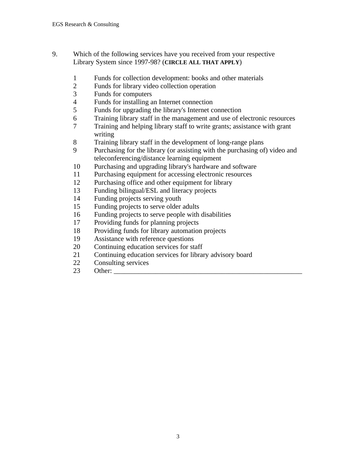- 9. Which of the following services have you received from your respective Library System since 1997-98? (**CIRCLE ALL THAT APPLY**)
	- Funds for collection development: books and other materials
	- 2 Funds for library video collection operation<br>3 Funds for computers
	- Funds for computers
	- Funds for installing an Internet connection
	- Funds for upgrading the library's Internet connection
	- 6 Training library staff in the management and use of electronic resources<br>
	Training and helping library staff to write grants: assistance with grant
	- Training and helping library staff to write grants; assistance with grant writing
	- Training library staff in the development of long-range plans
	- Purchasing for the library (or assisting with the purchasing of) video and teleconferencing/distance learning equipment
	- Purchasing and upgrading library's hardware and software
	- Purchasing equipment for accessing electronic resources
	- Purchasing office and other equipment for library
	- Funding bilingual/ESL and literacy projects
	- Funding projects serving youth
	- Funding projects to serve older adults
	- 16 Funding projects to serve people with disabilities<br>17 Providing funds for planning projects
	- Providing funds for planning projects
	- Providing funds for library automation projects
	- Assistance with reference questions
	- Continuing education services for staff
	- Continuing education services for library advisory board
	- Consulting services
	- Other: \_\_\_\_\_\_\_\_\_\_\_\_\_\_\_\_\_\_\_\_\_\_\_\_\_\_\_\_\_\_\_\_\_\_\_\_\_\_\_\_\_\_\_\_\_\_\_\_\_\_\_\_\_\_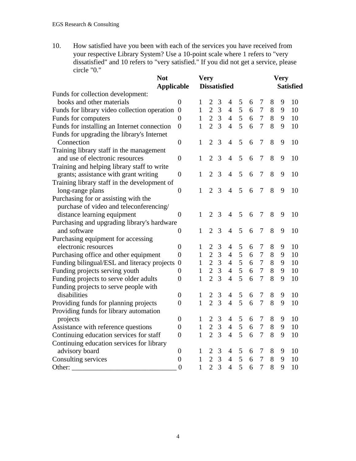10. How satisfied have you been with each of the services you have received from your respective Library System? Use a 10-point scale where 1 refers to "very dissatisfied" and 10 refers to "very satisfied." If you did not get a service, please circle "0."

| <b>Not</b>                                     |                  |                     | <b>Very</b>    |                |                |   |                  |                | <b>Very</b>      |   |    |  |
|------------------------------------------------|------------------|---------------------|----------------|----------------|----------------|---|------------------|----------------|------------------|---|----|--|
| <b>Applicable</b>                              |                  | <b>Dissatisfied</b> |                |                |                |   |                  |                | <b>Satisfied</b> |   |    |  |
| Funds for collection development:              |                  |                     |                |                |                |   |                  |                |                  |   |    |  |
| books and other materials                      | $\overline{0}$   | 1                   | 2              | 3              | $\overline{4}$ | 5 | 6                | 7              | 8                | 9 | 10 |  |
| Funds for library video collection operation 0 |                  | $\mathbf{1}$        | $\overline{2}$ | $\overline{3}$ | $\overline{4}$ | 5 | $\boldsymbol{6}$ | $\tau$         | 8                | 9 | 10 |  |
| Funds for computers                            | $\overline{0}$   | $\mathbf{1}$        | $\overline{2}$ | $\overline{3}$ | $\overline{4}$ | 5 | 6                | $\overline{7}$ | 8                | 9 | 10 |  |
| Funds for installing an Internet connection    | $\overline{0}$   | 1                   | $\overline{2}$ | $\overline{3}$ | $\overline{4}$ | 5 | 6                | 7              | 8                | 9 | 10 |  |
| Funds for upgrading the library's Internet     |                  |                     |                |                |                |   |                  |                |                  |   |    |  |
| Connection                                     | $\boldsymbol{0}$ | 1                   | $\overline{2}$ | 3              | $\overline{4}$ | 5 | 6                | 7              | 8                | 9 | 10 |  |
| Training library staff in the management       |                  |                     |                |                |                |   |                  |                |                  |   |    |  |
| and use of electronic resources                | $\boldsymbol{0}$ | $\mathbf{1}$        | $\overline{2}$ | 3              | $\overline{4}$ | 5 | 6                | 7              | 8                | 9 | 10 |  |
| Training and helping library staff to write    |                  |                     |                |                |                |   |                  |                |                  |   |    |  |
| grants; assistance with grant writing          | $\theta$         | 1                   | $\overline{2}$ | 3              | $\overline{4}$ | 5 | 6                | $\overline{7}$ | 8                | 9 | 10 |  |
| Training library staff in the development of   |                  |                     |                |                |                |   |                  |                |                  |   |    |  |
| long-range plans                               | $\theta$         | $\mathbf{1}$        | $\overline{2}$ | 3              | $\overline{4}$ | 5 | 6                | $\overline{7}$ | 8                | 9 | 10 |  |
| Purchasing for or assisting with the           |                  |                     |                |                |                |   |                  |                |                  |   |    |  |
| purchase of video and teleconferencing/        |                  |                     |                |                |                |   |                  |                |                  |   |    |  |
| distance learning equipment                    | $\overline{0}$   | $\mathbf{1}$        | $\overline{2}$ | 3              | $\overline{4}$ | 5 | 6                | 7              | 8                | 9 | 10 |  |
| Purchasing and upgrading library's hardware    |                  |                     |                |                |                |   |                  |                |                  |   |    |  |
| and software                                   | $\overline{0}$   | 1                   | $\overline{2}$ | 3              | $\overline{4}$ | 5 | 6                | 7              | 8                | 9 | 10 |  |
| Purchasing equipment for accessing             |                  |                     |                |                |                |   |                  |                |                  |   |    |  |
| electronic resources                           | $\overline{0}$   | 1                   | $\overline{2}$ | 3              | 4              | 5 | 6                | 7              | 8                | 9 | 10 |  |
| Purchasing office and other equipment          | $\overline{0}$   | $\mathbf{1}$        | $\overline{2}$ | 3              | $\overline{4}$ | 5 | 6                | $\overline{7}$ | $8\phantom{1}$   | 9 | 10 |  |
| Funding bilingual/ESL and literacy projects    | $\boldsymbol{0}$ | $\mathbf{1}$        | $\overline{2}$ | 3              | $\overline{4}$ | 5 | 6                | $\tau$         | $8\,$            | 9 | 10 |  |
| Funding projects serving youth                 | $\overline{0}$   | $\mathbf{1}$        | $\overline{2}$ | 3              | $\overline{4}$ | 5 | 6                | $\overline{7}$ | $8\,$            | 9 | 10 |  |
| Funding projects to serve older adults         | $\overline{0}$   | $\mathbf{1}$        | $\overline{2}$ | $\overline{3}$ | $\overline{4}$ | 5 | 6                | 7              | 8                | 9 | 10 |  |
| Funding projects to serve people with          |                  |                     |                |                |                |   |                  |                |                  |   |    |  |
| disabilities                                   | $\boldsymbol{0}$ | 1                   | $\overline{2}$ | 3              | $\overline{4}$ | 5 | 6                | $\tau$         | 8                | 9 | 10 |  |
| Providing funds for planning projects          | $\boldsymbol{0}$ | $\mathbf{1}$        | $\overline{2}$ | $\overline{3}$ | $\overline{4}$ | 5 | 6                | $\overline{7}$ | 8                | 9 | 10 |  |
| Providing funds for library automation         |                  |                     |                |                |                |   |                  |                |                  |   |    |  |
| projects                                       | $\boldsymbol{0}$ | 1                   | $\overline{2}$ | 3              | $\overline{4}$ | 5 | 6                | 7              | 8                | 9 | 10 |  |
| Assistance with reference questions            | $\boldsymbol{0}$ | $\mathbf{1}$        | $\overline{2}$ | 3              | $\overline{4}$ | 5 | 6                | $\overline{7}$ | 8                | 9 | 10 |  |
| Continuing education services for staff        | $\overline{0}$   | $\mathbf{1}$        | $\overline{2}$ | $\overline{3}$ | $\overline{4}$ | 5 | 6                | 7              | 8                | 9 | 10 |  |
| Continuing education services for library      |                  |                     |                |                |                |   |                  |                |                  |   |    |  |
| advisory board                                 | $\boldsymbol{0}$ | 1                   | $\overline{c}$ | 3              | $\overline{4}$ | 5 | 6                | 7              | 8                | 9 | 10 |  |
| Consulting services                            | $\boldsymbol{0}$ | 1                   | $\sqrt{2}$     | 3              | $\overline{4}$ | 5 | 6                | $\overline{7}$ | 8                | 9 | 10 |  |
| Other:                                         | $\overline{0}$   | $\mathbf{1}$        | $\overline{2}$ | 3              | $\overline{4}$ | 5 | 6                | 7              | 8                | 9 | 10 |  |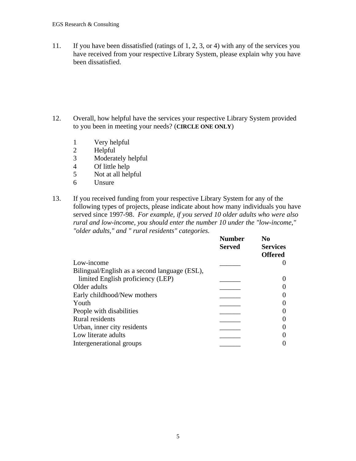11. If you have been dissatisfied (ratings of 1, 2, 3, or 4) with any of the services you have received from your respective Library System, please explain why you have been dissatisfied.

- 12. Overall, how helpful have the services your respective Library System provided to you been in meeting your needs? (**CIRCLE ONE ONLY**)
	- 1 Very helpful
	- 2 Helpful<br>3 Moderat
	- Moderately helpful
	- 4 Of little help
	- 5 Not at all helpful
	- 6 Unsure

13. If you received funding from your respective Library System for any of the following types of projects, please indicate about how many individuals you have served since 1997-98. *For example, if you served 10 older adults who were also rural and low-income, you should enter the number 10 under the "low-income," "older adults," and " rural residents" categories.*

|                                               | <b>Number</b><br><b>Served</b> | N <sub>0</sub><br><b>Services</b><br><b>Offered</b> |
|-----------------------------------------------|--------------------------------|-----------------------------------------------------|
| Low-income                                    |                                |                                                     |
| Bilingual/English as a second language (ESL), |                                |                                                     |
| limited English proficiency (LEP)             |                                |                                                     |
| Older adults                                  |                                |                                                     |
| Early childhood/New mothers                   |                                |                                                     |
| Youth                                         |                                |                                                     |
| People with disabilities                      |                                |                                                     |
| Rural residents                               |                                |                                                     |
| Urban, inner city residents                   |                                |                                                     |
| Low literate adults                           |                                |                                                     |
| Intergenerational groups                      |                                |                                                     |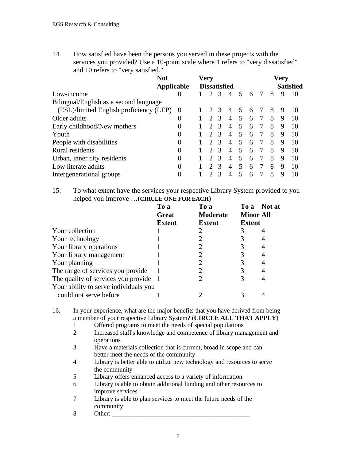14. How satisfied have been the persons you served in these projects with the services you provided? Use a 10-point scale where 1 refers to "very dissatisfied" and 10 refers to "very satisfied."

|                                         | <b>Not</b>        |                     | Very          |               |   |                          |   |                  |   | Very |    |  |
|-----------------------------------------|-------------------|---------------------|---------------|---------------|---|--------------------------|---|------------------|---|------|----|--|
|                                         | <b>Applicable</b> | <b>Dissatisfied</b> |               |               |   |                          |   | <b>Satisfied</b> |   |      |    |  |
| Low-income                              |                   |                     |               | 3             | 4 | $\overline{5}$           | 6 | 7                | 8 | 9    | 10 |  |
| Bilingual/English as a second language  |                   |                     |               |               |   |                          |   |                  |   |      |    |  |
| (ESL)/limited English proficiency (LEP) | $\theta$          |                     |               | $\mathcal{R}$ | 4 | $\overline{\phantom{1}}$ | 6 |                  | 8 | 9    | 10 |  |
| Older adults                            | $\theta$          |                     |               | $\mathcal{R}$ | 4 | $\overline{5}$           | 6 |                  | 8 | 9    | 10 |  |
| Early childhood/New mothers             | 0                 |                     | $\mathcal{D}$ | 3             | 4 | 5                        | 6 | -7               | 8 | 9    | 10 |  |
| Youth                                   | 0                 |                     | $\mathcal{D}$ | $\mathcal{R}$ | 4 | 5                        | 6 | 7                | 8 | 9    | 10 |  |
| People with disabilities                | 0                 |                     | $\mathcal{D}$ | $\mathcal{R}$ | 4 | 5                        | 6 | 7                | 8 | 9    | 10 |  |
| Rural residents                         | $\theta$          |                     | $\mathcal{D}$ | $\mathcal{R}$ | 4 | 5                        | 6 | $\tau$           | 8 | 9    | 10 |  |
| Urban, inner city residents             | 0                 |                     |               | $\mathcal{R}$ | 4 | 5                        | 6 | $\tau$           | 8 | 9    | 10 |  |
| Low literate adults                     | 0                 |                     | $\mathcal{D}$ | $\mathcal{R}$ | 4 | 5                        | 6 | 7                | 8 | 9    | 10 |  |
| Intergenerational groups                | 0                 |                     |               | 3             | 4 | 5                        | 6 |                  | 8 |      | 10 |  |

15. To what extent have the services your respective Library System provided to you helped you improve …(**CIRCLE ONE FOR EACH**)

|                                       | To a          | To a            | To a             | Not at |
|---------------------------------------|---------------|-----------------|------------------|--------|
|                                       | <b>Great</b>  | <b>Moderate</b> | <b>Minor All</b> |        |
|                                       | <b>Extent</b> | <b>Extent</b>   | <b>Extent</b>    |        |
| Your collection                       |               |                 |                  |        |
| Your technology                       |               |                 |                  |        |
| Your library operations               |               |                 |                  |        |
| Your library management               |               |                 |                  |        |
| Your planning                         |               |                 |                  |        |
| The range of services you provide     |               |                 |                  |        |
| The quality of services you provide 1 |               |                 |                  |        |
| Your ability to serve individuals you |               |                 |                  |        |
| could not serve before                |               |                 |                  |        |

16. In your experience, what are the major benefits that you have derived from being a member of your respective Library System? (**CIRCLE ALL THAT APPLY**)

- 1 Offered programs to meet the needs of special populations
- 2 Increased staff's knowledge and competence of library management and operations
- 3 Have a materials collection that is current, broad in scope and can better meet the needs of the community
- 4 Library is better able to utilize new technology and resources to serve the community
- 5 Library offers enhanced access to a variety of information
- 6 Library is able to obtain additional funding and other resources to improve services
- 7 Library is able to plan services to meet the future needs of the community
- 8 Other: \_\_\_\_\_\_\_\_\_\_\_\_\_\_\_\_\_\_\_\_\_\_\_\_\_\_\_\_\_\_\_\_\_\_\_\_\_\_\_\_\_\_\_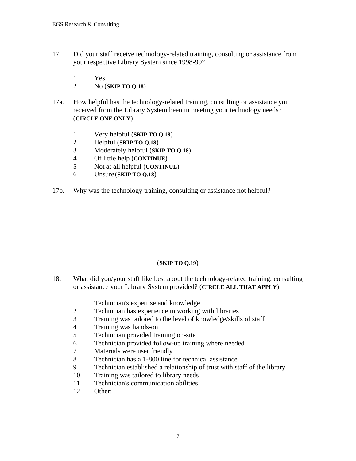- 17. Did your staff receive technology-related training, consulting or assistance from your respective Library System since 1998-99?
	- 1 Yes
	- 2 No (**SKIP TO Q.18**)
- 17a. How helpful has the technology-related training, consulting or assistance you received from the Library System been in meeting your technology needs? (**CIRCLE ONE ONLY**)
	- 1 Very helpful (**SKIP TO Q.18**)
	- 2 Helpful (**SKIP TO Q.18**)
	- 3 Moderately helpful (**SKIP TO Q.18**)
	- 4 Of little help (**CONTINUE**)
	- 5 Not at all helpful (**CONTINUE**)
	- 6 Unsure (**SKIP TO Q.18**)
- 17b. Why was the technology training, consulting or assistance not helpful?

#### (**SKIP TO Q.19**)

- 18. What did you/your staff like best about the technology-related training, consulting or assistance your Library System provided? (**CIRCLE ALL THAT APPLY**)
	- 1 Technician's expertise and knowledge
	- 2 Technician has experience in working with libraries
	- 3 Training was tailored to the level of knowledge/skills of staff
	- 4 Training was hands-on<br>5 Technician provided tra
	- 5 Technician provided training on-site<br>6 Technician provided follow-up traini
	- Technician provided follow-up training where needed
	- 7 Materials were user friendly
	- 8 Technician has a 1-800 line for technical assistance<br>9 Technician established a relationship of trust with st
	- Technician established a relationship of trust with staff of the library
	- 10 Training was tailored to library needs
	- 11 Technician's communication abilities
	- $12$  Other: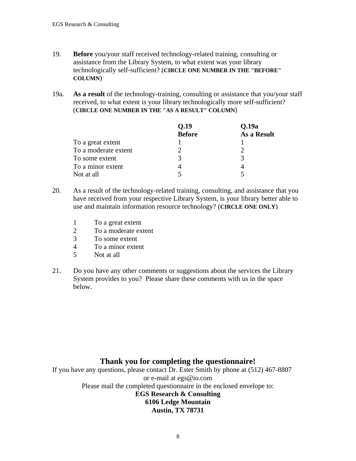- 19. **Before** you/your staff received technology-related training, consulting or assistance from the Library System, to what extent was your library technologically self-sufficient? (**CIRCLE ONE NUMBER IN THE "BEFORE" COLUMN**)
- 19a. **As a result** of the technology-training, consulting or assistance that you/your staff received, to what extent is your library technologically more self-sufficient? (**CIRCLE ONE NUMBER IN THE "AS A RESULT" COLUMN**)

|                      | Q.19          | Q.19a       |
|----------------------|---------------|-------------|
|                      | <b>Before</b> | As a Result |
| To a great extent    |               |             |
| To a moderate extent |               |             |
| To some extent       | 3             |             |
| To a minor extent    |               |             |
| Not at all           |               |             |

- 20. As a result of the technology-related training, consulting, and assistance that you have received from your respective Library System, is your library better able to use and maintain information resource technology? (**CIRCLE ONE ONLY**)
	- 1 To a great extent
	- 2 To a moderate extent<br>3 To some extent
	- To some extent
	- 4 To a minor extent
	- 5 Not at all
- 21. Do you have any other comments or suggestions about the services the Library System provides to you? Please share these comments with us in the space below.

## **Thank you for completing the questionnaire!**

If you have any questions, please contact Dr. Ester Smith by phone at (512) 467-8807 or e-mail at egs@io.com Please mail the completed questionnaire in the enclosed envelope to: **EGS Research & Consulting 6106 Ledge Mountain Austin, TX 78731**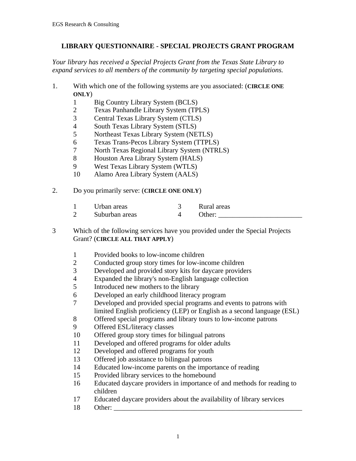### **LIBRARY QUESTIONNAIRE - SPECIAL PROJECTS GRANT PROGRAM**

*Your library has received a Special Projects Grant from the Texas State Library to expand services to all members of the community by targeting special populations.*

- 1. With which one of the following systems are you associated: (**CIRCLE ONE ONLY**)
	- 1 Big Country Library System (BCLS)
	- 2 Texas Panhandle Library System (TPLS)
	- 3 Central Texas Library System (CTLS)<br>4 South Texas Library System (STLS)
	- South Texas Library System (STLS)
	- 5 Northeast Texas Library System (NETLS)
	- 6 Texas Trans-Pecos Library System (TTPLS)
	- 7 North Texas Regional Library System (NTRLS)<br>8 Houston Area Library System (HALS)
	- 8 Houston Area Library System (HALS)
	- 9 West Texas Library System (WTLS)
	- 10 Alamo Area Library System (AALS)
- 2. Do you primarily serve: (**CIRCLE ONE ONLY**)

| Urban areas |  | Rural areas |
|-------------|--|-------------|
|-------------|--|-------------|

2 Suburban areas 4 Other:

- 3 Which of the following services have you provided under the Special Projects Grant? (**CIRCLE ALL THAT APPLY**)
	- 1 Provided books to low-income children
	- 2 Conducted group story times for low-income children<br>3 Developed and provided story kits for daycare provide
	- 3 Developed and provided story kits for daycare providers<br>4 Expanded the library's non-English language collection
	- Expanded the library's non-English language collection
	- 5 Introduced new mothers to the library
	- 6 Developed an early childhood literacy program
	- 7 Developed and provided special programs and events to patrons with limited English proficiency (LEP) or English as a second language (ESL)
	- 8 Offered special programs and library tours to low-income patrons
	- 9 Offered ESL/literacy classes
	- 10 Offered group story times for bilingual patrons
	- 11 Developed and offered programs for older adults
	- 12 Developed and offered programs for youth
	- 13 Offered job assistance to bilingual patrons
	- 14 Educated low-income parents on the importance of reading
	- 15 Provided library services to the homebound
	- 16 Educated daycare providers in importance of and methods for reading to children
	- 17 Educated daycare providers about the availability of library services
	- 18 Other: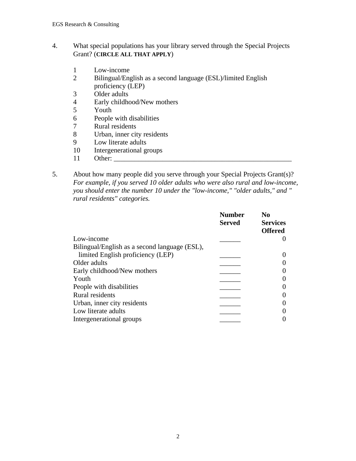### 4. What special populations has your library served through the Special Projects Grant? (**CIRCLE ALL THAT APPLY**)

- 1 Low-income<br>2 Bilingual/Eng
- 2 Bilingual/English as a second language (ESL)/limited English proficiency (LEP)
- 3 Older adults
- 4 Early childhood/New mothers<br>5 Youth
- Youth
- 6 People with disabilities
- 7 Rural residents<br>8 Urban, inner cit
- 8 Urban, inner city residents<br>9 Low literate adults
- Low literate adults
- 10 Intergenerational groups
- 11 Other:
- 5. About how many people did you serve through your Special Projects Grant(s)? *For example, if you served 10 older adults who were also rural and low-income, you should enter the number 10 under the "low-income," "older adults," and " rural residents" categories.*

|                                               | <b>Number</b><br><b>Served</b> | N <sub>0</sub><br><b>Services</b> |
|-----------------------------------------------|--------------------------------|-----------------------------------|
|                                               |                                | <b>Offered</b>                    |
| Low-income                                    |                                |                                   |
| Bilingual/English as a second language (ESL), |                                |                                   |
| limited English proficiency (LEP)             |                                |                                   |
| Older adults                                  |                                |                                   |
| Early childhood/New mothers                   |                                |                                   |
| Youth                                         |                                |                                   |
| People with disabilities                      |                                |                                   |
| Rural residents                               |                                |                                   |
| Urban, inner city residents                   |                                |                                   |
| Low literate adults                           |                                |                                   |
| Intergenerational groups                      |                                |                                   |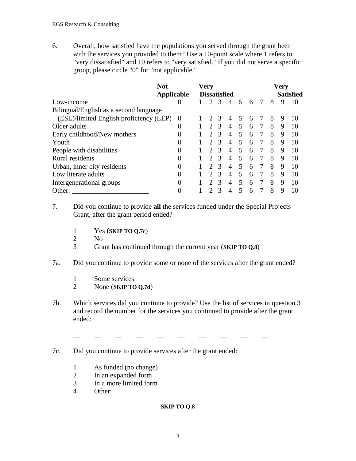6. Overall, how satisfied have the populations you served through the grant been with the services you provided to them? Use a 10-point scale where 1 refers to "very dissatisfied" and 10 refers to "very satisfied." If you did not serve a specific group, please circle "0" for "not applicable."

|                                         | <b>Not</b><br>Applicable |  | <b>Very</b><br><b>Dissatisfied</b> |               |                |                          |   | <b>Very</b><br><b>Satisfied</b> |   |   |    |  |
|-----------------------------------------|--------------------------|--|------------------------------------|---------------|----------------|--------------------------|---|---------------------------------|---|---|----|--|
| Low-income                              | $\theta$                 |  | $\mathcal{D}$                      | $\mathcal{R}$ | $\overline{A}$ | 5                        | 6 | 7                               | 8 | 9 | 10 |  |
| Bilingual/English as a second language  |                          |  |                                    |               |                |                          |   |                                 |   |   |    |  |
| (ESL)/limited English proficiency (LEP) | $\Omega$                 |  |                                    | $\mathcal{R}$ | $\overline{A}$ | $\overline{5}$           | 6 | 7                               | 8 | 9 | 10 |  |
| Older adults                            | 0                        |  | $\mathcal{D}$                      | $\mathcal{R}$ | $\overline{4}$ | 5                        | 6 | 7                               | 8 | 9 | 10 |  |
| Early childhood/New mothers             | 0                        |  | $\mathcal{D}$                      | $\mathcal{R}$ | $\overline{4}$ | 5                        | 6 | 7                               | 8 | 9 | 10 |  |
| Youth                                   | $\theta$                 |  | $\mathcal{D}$                      | $\mathcal{R}$ | $\overline{4}$ | 5                        | 6 | 7                               | 8 | 9 | 10 |  |
| People with disabilities                | 0                        |  | $\mathcal{D}$                      | $\mathcal{R}$ | $\overline{A}$ | $\overline{\mathbf{5}}$  | 6 | 7                               | 8 | 9 | 10 |  |
| Rural residents                         | 0                        |  |                                    | $\mathcal{R}$ | $\overline{A}$ | 5                        | 6 | 7                               | 8 | 9 | 10 |  |
| Urban, inner city residents             | 0                        |  | $\mathcal{D}$                      | $\mathcal{R}$ | $\overline{A}$ | $\overline{\phantom{1}}$ | 6 | 7                               | 8 | 9 | 10 |  |
| Low literate adults                     | 0                        |  | $\mathcal{D}$                      | $\mathcal{R}$ | $\overline{A}$ | $\overline{\mathcal{L}}$ | 6 | 7                               | 8 | 9 | 10 |  |
| Intergenerational groups                | 0                        |  | $\mathcal{D}$                      | $\mathcal{R}$ | $\overline{A}$ | 5                        | 6 | 7                               | 8 | 9 | 10 |  |
| Other:                                  | 0                        |  |                                    |               | $\overline{A}$ | 5                        | 6 |                                 | 8 | 9 | 10 |  |

7. Did you continue to provide **all** the services funded under the Special Projects Grant, after the grant period ended?

- 1 Yes (**SKIP TO Q.7c**)
- No.
- 3 Grant has continued through the current year (**SKIP TO Q.8**)

#### 7a. Did you continue to provide some or none of the services after the grant ended?

- 1 Some services
- 2 None (**SKIP TO Q.7d**)
- 7b. Which services did you continue to provide? Use the list of services in question 3 and record the number for the services you continued to provide after the grant ended:

\_ \_ \_ \_ \_ \_ \_ \_ \_ \_ \_ \_

7c. Did you continue to provide services after the grant ended:

- 1 As funded (no change)
- 2 In an expanded form
- 3 In a more limited form
- $4$  Other:

#### **SKIP TO Q.8**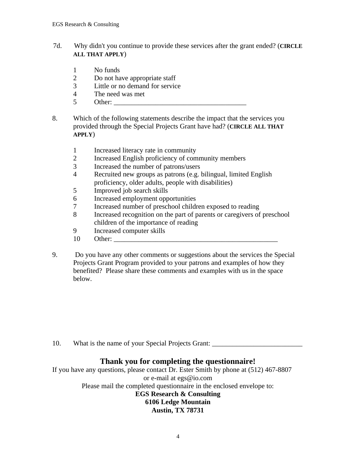- 7d. Why didn't you continue to provide these services after the grant ended? (**CIRCLE ALL THAT APPLY**)
	- 1 No funds
	- 2 Do not have appropriate staff
	- 3 Little or no demand for service
	- 4 The need was met
	- $5$  Other:
- 8. Which of the following statements describe the impact that the services you provided through the Special Projects Grant have had? (**CIRCLE ALL THAT APPLY**)
	- 1 Increased literacy rate in community<br>2 Increased English proficiency of com
	- Increased English proficiency of community members
	- 3 Increased the number of patrons/users
	- 4 Recruited new groups as patrons (e.g. bilingual, limited English proficiency, older adults, people with disabilities)
	- 5 Improved job search skills
	- 6 Increased employment opportunities
	- 7 Increased number of preschool children exposed to reading
	- 8 Increased recognition on the part of parents or caregivers of preschool children of the importance of reading
	- 9 Increased computer skills
	- 10 Other:
- 9. Do you have any other comments or suggestions about the services the Special Projects Grant Program provided to your patrons and examples of how they benefited? Please share these comments and examples with us in the space below.

10. What is the name of your Special Projects Grant:

## **Thank you for completing the questionnaire!**

If you have any questions, please contact Dr. Ester Smith by phone at (512) 467-8807 or e-mail at egs@io.com Please mail the completed questionnaire in the enclosed envelope to: **EGS Research & Consulting 6106 Ledge Mountain Austin, TX 78731**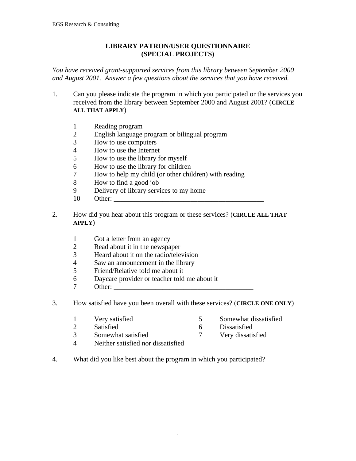#### **LIBRARY PATRON/USER QUESTIONNAIRE (SPECIAL PROJECTS)**

*You have received grant-supported services from this library between September 2000 and August 2001. Answer a few questions about the services that you have received.*

- 1. Can you please indicate the program in which you participated or the services you received from the library between September 2000 and August 2001? (**CIRCLE ALL THAT APPLY**)
	- 1 Reading program
	- 2 English language program or bilingual program<br>3 How to use computers
	- How to use computers
	- 4 How to use the Internet<br>5 How to use the library for
	- 5 How to use the library for myself
	- 6 How to use the library for children
	- 7 How to help my child (or other children) with reading
	- 8 How to find a good job
	- 9 Delivery of library services to my home
	- 10 Other:
- 2. How did you hear about this program or these services? (**CIRCLE ALL THAT APPLY**)
	- 1 Got a letter from an agency
	- 2 Read about it in the newspaper
	- 3 Heard about it on the radio/television
	- 4 Saw an announcement in the library
	- 5 Friend/Relative told me about it
	- 6 Daycare provider or teacher told me about it
	- $7$  Other:
- 3. How satisfied have you been overall with these services? (**CIRCLE ONE ONLY**)
	- 1 Very satisfied 5 Somewhat dissatisfied
	- 2 Satisfied 6 Dissatisfied
	-
	- 3 Somewhat satisfied<br>
	4 Neither satisfied nor dissatisfied<br>
	4 Neither satisfied nor dissatisfied Neither satisfied nor dissatisfied
- 4. What did you like best about the program in which you participated?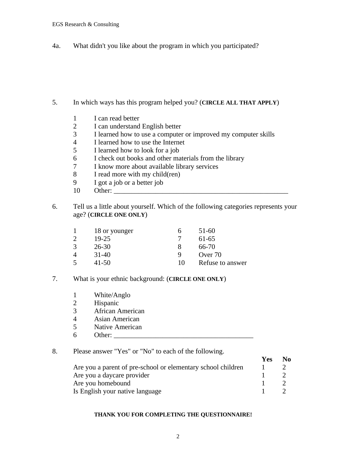4a. What didn't you like about the program in which you participated?

- 5. In which ways has this program helped you? (**CIRCLE ALL THAT APPLY**)
	- 1 I can read better<br>2 I can understand
	- 2 I can understand English better
	- 3 I learned how to use a computer or improved my computer skills<br>4 I learned how to use the Internet
	- I learned how to use the Internet
	- 5 I learned how to look for a job<br>6 I check out books and other ma
	- I check out books and other materials from the library
	- 7 I know more about available library services
	- 8 I read more with my child(ren)
	- 9 I got a job or a better job
	- 10 Other: \_\_\_\_\_\_\_\_\_\_\_\_\_\_\_\_\_\_\_\_\_\_\_\_\_\_\_\_\_\_\_\_\_\_\_\_\_\_\_\_\_\_\_\_\_\_\_\_\_\_
- 6. Tell us a little about yourself. Which of the following categories represents your age? (**CIRCLE ONE ONLY**)

|                | 18 or younger | n  | $51-60$          |
|----------------|---------------|----|------------------|
| $\mathcal{D}$  | $19 - 25$     |    | 61-65            |
| 3              | 26-30         |    | 66-70            |
| $\overline{4}$ | $31-40$       |    | Over 70          |
| 5              | 41-50         | 10 | Refuse to answer |

- 7. What is your ethnic background: (**CIRCLE ONE ONLY**)
	- 1 White/Anglo<br>2 Hispanic
	- Hispanic
	- 3 African American
	- 4 Asian American
	- 5 Native American
	- 6 Other: \_\_\_\_\_\_\_\_\_\_\_\_\_\_\_\_\_\_\_\_\_\_\_\_\_\_\_\_\_\_\_\_\_\_\_\_\_\_\_\_
- 8. Please answer "Yes" or "No" to each of the following.

|                                                              | <b>Yes</b> | No. |
|--------------------------------------------------------------|------------|-----|
| Are you a parent of pre-school or elementary school children |            |     |
| Are you a daycare provider                                   |            |     |
| Are you homebound                                            |            |     |
| Is English your native language                              |            |     |

#### **THANK YOU FOR COMPLETING THE QUESTIONNAIRE!**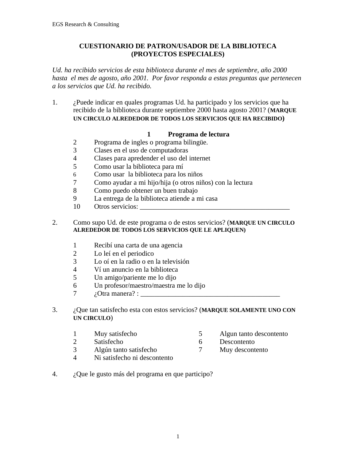### **CUESTIONARIO DE PATRON/USADOR DE LA BIBLIOTECA (PROYECTOS ESPECIALES)**

*Ud. ha recibido servicios de esta biblioteca durante el mes de septiembre, año 2000 hasta el mes de agosto, año 2001. Por favor responda a estas preguntas que pertenecen a los servicios que Ud. ha recibido.*

1. ¿Puede indicar en quales programas Ud. ha participado y los servicios que ha recibido de la biblioteca durante septiembre 2000 hasta agosto 2001? (**MARQUE UN CIRCULO ALREDEDOR DE TODOS LOS SERVICIOS QUE HA RECIBIDO)**

### **1 Programa de lectura**

- 2 Programa de ingles o programa bilingüe.
- 3 Clases en el uso de computadoras
- 4 Clases para apredender el uso del internet
- 5 Como usar la biblioteca para mí
- 6 Como usar la biblioteca para los niños
- 7 Como ayudar a mi hijo/hija (o otros niños) con la lectura
- 8 Como puedo obtener un buen trabajo
- 9 La entrega de la biblioteca atiende a mi casa
- 10 Otros servicios:

#### 2. Como supo Ud. de este programa o de estos servicios? (**MARQUE UN CIRCULO ALREDEDOR DE TODOS LOS SERVICIOS QUE LE APLIQUEN)**

- 1 Recibí una carta de una agencia
- 2 Lo leí en el periodico
- 3 Lo oí en la radio o en la televisión
- 4 Ví un anuncio en la biblioteca
- 5 Un amigo/pariente me lo dijo
- 6 Un profesor/maestro/maestra me lo dijo
- $7 \qquad \text{i.} \text{Otra manera?}:$
- 3. ¿Que tan satisfecho esta con estos servicios? (**MARQUE SOLAMENTE UNO CON UN CIRCULO**)
	-
	- 2 Satisfecho 6 Descontento
	- 3 Algún tanto satisfecho 7 Muy descontento
	- 4 Ni satisfecho ni descontento
	- 1 Muy satisfecho 5 Algun tanto descontento
		-
		-
- 4. ¿Que le gusto más del programa en que participo?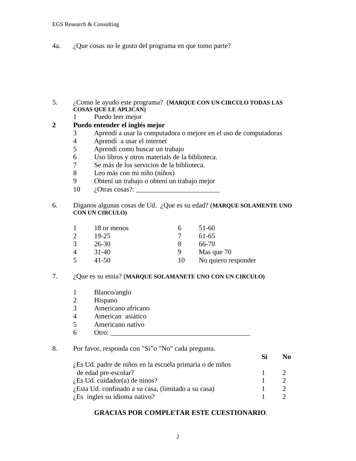4a. ¿Que cosas no le gusto del programa en que tomo parte?

- 5. ¿Como le ayudo este programa? (**MARQUE CON UN CIRCULO TODAS LAS COSAS QUE LE APLICAN)**
	- 1 Puedo leer mejor

#### **2 Puedo entender el inglés mejor**

- 3 Aprendí a usar la computadora o mejore en el uso de computadoras
- 4 Aprendí a usar el internet
- 5 Aprendí como buscar un trabajo
- 6 Uso libros y otros materials de la biblioteca.
- 7 Se más de los servicios de la biblioteca.
- 8 Leo más con mi niño (niños)
- 9 Obtení un trabajo o obtení un trabajo mejor
- $10 \quad \text{i.0}$  Otras cosas?:
- 6. Diganos algunas cosas de Ud. ¿Que es su edad? (**MARQUE SOLAMENTE UNO CON UN CIRCULO)**

|   | 18 or menos |    | 51-60               |
|---|-------------|----|---------------------|
| 2 | 19-25       |    | 61-65               |
| 3 | $26 - 30$   |    | 66-70               |
| 4 | $31 - 40$   | Q  | Mas que 70          |
| 5 | $41 - 50$   | 10 | No quiero responder |

#### 7. ¿Que es su etnia? (**MARQUE SOLAMANETE UNO CON UN CIRCULO)**

- 1 Blanco/anglo
- 2 Hispano
- 3 Americano africano
- 4 American asiático<br>5 Americano nativo
- 5 Americano nativo
- $6$  Otro:  $\_\_$

#### 8. Por favor, responda con "Si"o "No" cada pregunta.

|                                                          | No |
|----------------------------------------------------------|----|
| Les Ud. padre de niños en la escuela primaria o de niños |    |
| de edad pre-escolar?                                     |    |
| $i$ Es Ud. cuidador(a) de ninos?                         |    |
| L'Esta Ud. confinado a su casa, (limitado a su casa)     |    |
| $i$ . Es ingles su idioma nativo?                        |    |

#### **GRACIAS POR COMPLETAR ESTE CUESTIONARIO**.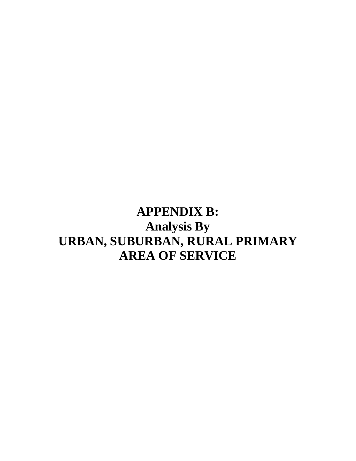**APPENDIX B: Analysis By URBAN, SUBURBAN, RURAL PRIMARY AREA OF SERVICE**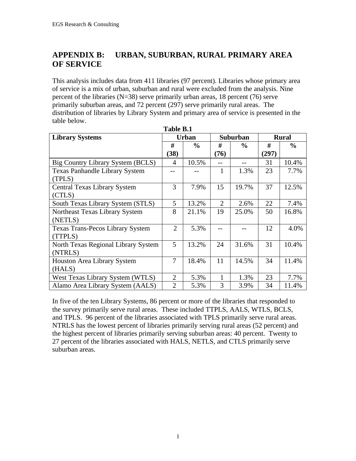# **APPENDIX B: URBAN, SUBURBAN, RURAL PRIMARY AREA OF SERVICE**

This analysis includes data from 411 libraries (97 percent). Libraries whose primary area of service is a mix of urban, suburban and rural were excluded from the analysis. Nine percent of the libraries ( $N=38$ ) serve primarily urban areas, 18 percent (76) serve primarily suburban areas, and 72 percent (297) serve primarily rural areas. The distribution of libraries by Library System and primary area of service is presented in the table below.

| Table B.1                               |                |               |      |                 |       |               |  |
|-----------------------------------------|----------------|---------------|------|-----------------|-------|---------------|--|
| <b>Library Systems</b>                  |                | <b>Urban</b>  |      | <b>Suburban</b> |       | <b>Rural</b>  |  |
|                                         | #              | $\frac{6}{6}$ | #    | $\frac{0}{0}$   | #     | $\frac{6}{6}$ |  |
|                                         | (38)           |               | (76) |                 | (297) |               |  |
| Big Country Library System (BCLS)       | 4              | 10.5%         | $-$  | $-$             | 31    | 10.4%         |  |
| <b>Texas Panhandle Library System</b>   |                |               | 1    | 1.3%            | 23    | 7.7%          |  |
| (TPLS)                                  |                |               |      |                 |       |               |  |
| <b>Central Texas Library System</b>     | 3              | 7.9%          | 15   | 19.7%           | 37    | 12.5%         |  |
| (CTLS)                                  |                |               |      |                 |       |               |  |
| South Texas Library System (STLS)       | 5              | 13.2%         | 2    | 2.6%            | 22    | 7.4%          |  |
| Northeast Texas Library System          | 8              | 21.1%         | 19   | 25.0%           | 50    | 16.8%         |  |
| (NETLS)                                 |                |               |      |                 |       |               |  |
| <b>Texas Trans-Pecos Library System</b> | $\overline{2}$ | 5.3%          |      |                 | 12    | 4.0%          |  |
| (TTPLS)                                 |                |               |      |                 |       |               |  |
| North Texas Regional Library System     | 5              | 13.2%         | 24   | 31.6%           | 31    | 10.4%         |  |
| (NTRLS)                                 |                |               |      |                 |       |               |  |
| <b>Houston Area Library System</b>      | $\overline{7}$ | 18.4%         | 11   | 14.5%           | 34    | 11.4%         |  |
| (HALS)                                  |                |               |      |                 |       |               |  |
| West Texas Library System (WTLS)        | $\overline{2}$ | 5.3%          | 1    | 1.3%            | 23    | 7.7%          |  |
| Alamo Area Library System (AALS)        | $\overline{2}$ | 5.3%          | 3    | 3.9%            | 34    | 11.4%         |  |

In five of the ten Library Systems, 86 percent or more of the libraries that responded to the survey primarily serve rural areas. These included TTPLS, AALS, WTLS, BCLS, and TPLS. 96 percent of the libraries associated with TPLS primarily serve rural areas. NTRLS has the lowest percent of libraries primarily serving rural areas (52 percent) and the highest percent of libraries primarily serving suburban areas: 40 percent. Twenty to 27 percent of the libraries associated with HALS, NETLS, and CTLS primarily serve suburban areas.

1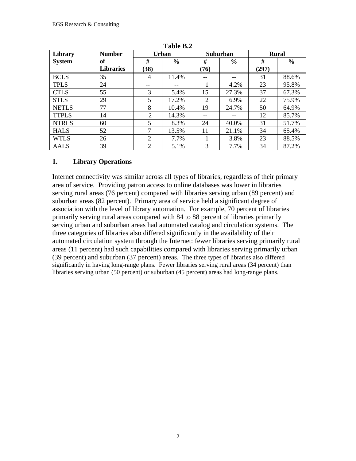| Library       | <b>Number</b>    |                | <b>Urban</b>  | Suburban |       |       | <b>Rural</b> |  |  |
|---------------|------------------|----------------|---------------|----------|-------|-------|--------------|--|--|
| <b>System</b> | of               | #              | $\frac{0}{0}$ | #        | $\%$  | #     | $\%$         |  |  |
|               | <b>Libraries</b> | (38)           |               | (76)     |       | (297) |              |  |  |
| <b>BCLS</b>   | 35               | 4              | 11.4%         | --       |       | 31    | 88.6%        |  |  |
| <b>TPLS</b>   | 24               | --             |               |          | 4.2%  | 23    | 95.8%        |  |  |
| <b>CTLS</b>   | 55               | 3              | 5.4%          | 15       | 27.3% | 37    | 67.3%        |  |  |
| <b>STLS</b>   | 29               | 5              | 17.2%         | 2        | 6.9%  | 22    | 75.9%        |  |  |
| <b>NETLS</b>  | 77               | 8              | 10.4%         | 19       | 24.7% | 50    | 64.9%        |  |  |
| <b>TTPLS</b>  | 14               | 2              | 14.3%         | --       |       | 12    | 85.7%        |  |  |
| <b>NTRLS</b>  | 60               | 5              | 8.3%          | 24       | 40.0% | 31    | 51.7%        |  |  |
| <b>HALS</b>   | 52               | 7              | 13.5%         | 11       | 21.1% | 34    | 65.4%        |  |  |
| <b>WTLS</b>   | 26               | 2              | 7.7%          |          | 3.8%  | 23    | 88.5%        |  |  |
| <b>AALS</b>   | 39               | $\overline{2}$ | 5.1%          | 3        | 7.7%  | 34    | 87.2%        |  |  |

**Table B.2**

### **1. Library Operations**

Internet connectivity was similar across all types of libraries, regardless of their primary area of service. Providing patron access to online databases was lower in libraries serving rural areas (76 percent) compared with libraries serving urban (89 percent) and suburban areas (82 percent). Primary area of service held a significant degree of association with the level of library automation. For example, 70 percent of libraries primarily serving rural areas compared with 84 to 88 percent of libraries primarily serving urban and suburban areas had automated catalog and circulation systems. The three categories of libraries also differed significantly in the availability of their automated circulation system through the Internet: fewer libraries serving primarily rural areas (11 percent) had such capabilities compared with libraries serving primarily urban (39 percent) and suburban (37 percent) areas. The three types of libraries also differed significantly in having long-range plans. Fewer libraries serving rural areas (34 percent) than libraries serving urban (50 percent) or suburban (45 percent) areas had long-range plans.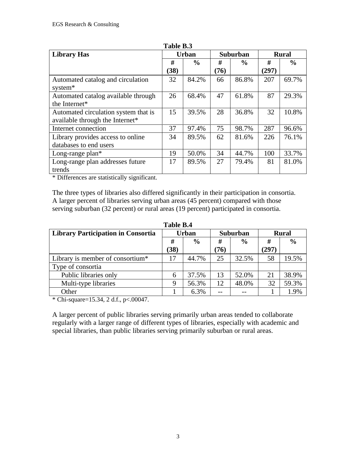| Table B.3                            |      |               |      |               |       |                 |  |              |
|--------------------------------------|------|---------------|------|---------------|-------|-----------------|--|--------------|
| <b>Library Has</b>                   |      | <b>Urban</b>  |      |               |       | <b>Suburban</b> |  | <b>Rural</b> |
|                                      | #    | $\frac{6}{9}$ | #    | $\frac{6}{9}$ | #     | $\frac{6}{6}$   |  |              |
|                                      | (38) |               | (76) |               | (297) |                 |  |              |
| Automated catalog and circulation    | 32   | 84.2%         | 66   | 86.8%         | 207   | 69.7%           |  |              |
| system*                              |      |               |      |               |       |                 |  |              |
| Automated catalog available through  | 26   | 68.4%         | 47   | 61.8%         | 87    | 29.3%           |  |              |
| the Internet*                        |      |               |      |               |       |                 |  |              |
| Automated circulation system that is | 15   | 39.5%         | 28   | 36.8%         | 32    | 10.8%           |  |              |
| available through the Internet*      |      |               |      |               |       |                 |  |              |
| Internet connection                  | 37   | 97.4%         | 75   | 98.7%         | 287   | 96.6%           |  |              |
| Library provides access to online    | 34   | 89.5%         | 62   | 81.6%         | 226   | 76.1%           |  |              |
| databases to end users               |      |               |      |               |       |                 |  |              |
| Long-range $plan*$                   | 19   | 50.0%         | 34   | 44.7%         | 100   | 33.7%           |  |              |
| Long-range plan addresses future     | 17   | 89.5%         | 27   | 79.4%         | 81    | 81.0%           |  |              |
| trends                               |      |               |      |               |       |                 |  |              |

\* Differences are statistically significant.

The three types of libraries also differed significantly in their participation in consortia. A larger percent of libraries serving urban areas (45 percent) compared with those serving suburban (32 percent) or rural areas (19 percent) participated in consortia.

| <b>Library Participation in Consortia</b> | <b>Urban</b> |               | Suburban |               | <b>Rural</b> |               |  |
|-------------------------------------------|--------------|---------------|----------|---------------|--------------|---------------|--|
|                                           | #            | $\frac{0}{0}$ | #        | $\frac{0}{0}$ | #            | $\frac{6}{6}$ |  |
|                                           | (38)         |               | (76)     |               | (297)        |               |  |
| Library is member of consortium*          | 17           | 44.7%         | 25       | 32.5%         | 58           | 19.5%         |  |
| Type of consortia                         |              |               |          |               |              |               |  |
| Public libraries only                     | 6            | 37.5%         | 13       | 52.0%         | 21           | 38.9%         |  |
| Multi-type libraries                      | 9            | 56.3%         | 12       | 48.0%         | 32           | 59.3%         |  |
| Other                                     |              | 6.3%          |          |               |              | 1.9%          |  |

**Table B.4**

\* Chi-square=15.34, 2 d.f., p<.00047.

A larger percent of public libraries serving primarily urban areas tended to collaborate regularly with a larger range of different types of libraries, especially with academic and special libraries, than public libraries serving primarily suburban or rural areas.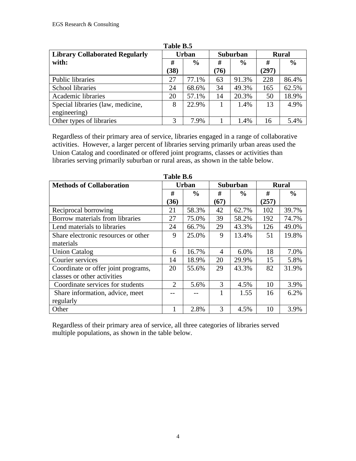| Tavit Dis                             |              |               |      |               |              |               |  |  |
|---------------------------------------|--------------|---------------|------|---------------|--------------|---------------|--|--|
| <b>Library Collaborated Regularly</b> | <b>Urban</b> |               |      | Suburban      | <b>Rural</b> |               |  |  |
| with:                                 | #            | $\frac{6}{6}$ | #    | $\frac{6}{6}$ | #            | $\frac{0}{0}$ |  |  |
|                                       | (38)         |               | (76) |               | (297)        |               |  |  |
| Public libraries                      | 27           | 77.1%         | 63   | 91.3%         | 228          | 86.4%         |  |  |
| School libraries                      | 24           | 68.6%         | 34   | 49.3%         | 165          | 62.5%         |  |  |
| Academic libraries                    | 20           | 57.1%         | 14   | 20.3%         | 50           | 18.9%         |  |  |
| Special libraries (law, medicine,     | 8            | 22.9%         |      | 1.4%          | 13           | 4.9%          |  |  |
| engineering)                          |              |               |      |               |              |               |  |  |
| Other types of libraries              | 3            | 7.9%          |      | 1.4%          | 16           | 5.4%          |  |  |

**Table B.5**

Regardless of their primary area of service, libraries engaged in a range of collaborative activities. However, a larger percent of libraries serving primarily urban areas used the Union Catalog and coordinated or offered joint programs, classes or activities than libraries serving primarily suburban or rural areas, as shown in the table below.

| <b>Methods of Collaboration</b>     |                | <b>Urban</b>  |      | <b>Suburban</b> |       | <b>Rural</b>  |
|-------------------------------------|----------------|---------------|------|-----------------|-------|---------------|
|                                     | #              | $\frac{6}{9}$ | #    | $\frac{0}{0}$   | #     | $\frac{0}{0}$ |
|                                     | (36)           |               | (67) |                 | (257) |               |
| Reciprocal borrowing                | 21             | 58.3%         | 42   | 62.7%           | 102   | 39.7%         |
| Borrow materials from libraries     | 27             | 75.0%         | 39   | 58.2%           | 192   | 74.7%         |
| Lend materials to libraries         | 24             | 66.7%         | 29   | 43.3%           | 126   | 49.0%         |
| Share electronic resources or other | 9              | 25.0%         | 9    | 13.4%           | 51    | 19.8%         |
| materials                           |                |               |      |                 |       |               |
| <b>Union Catalog</b>                | 6              | 16.7%         | 4    | 6.0%            | 18    | 7.0%          |
| Courier services                    | 14             | 18.9%         | 20   | 29.9%           | 15    | 5.8%          |
| Coordinate or offer joint programs, | 20             | 55.6%         | 29   | 43.3%           | 82    | 31.9%         |
| classes or other activities         |                |               |      |                 |       |               |
| Coordinate services for students    | $\overline{2}$ | 5.6%          | 3    | 4.5%            | 10    | 3.9%          |
| Share information, advice, meet     |                |               |      | 1.55            | 16    | 6.2%          |
| regularly                           |                |               |      |                 |       |               |
| Other                               | $\mathbf{1}$   | 2.8%          | 3    | 4.5%            | 10    | 3.9%          |

**Table B.6**

Regardless of their primary area of service, all three categories of libraries served multiple populations, as shown in the table below.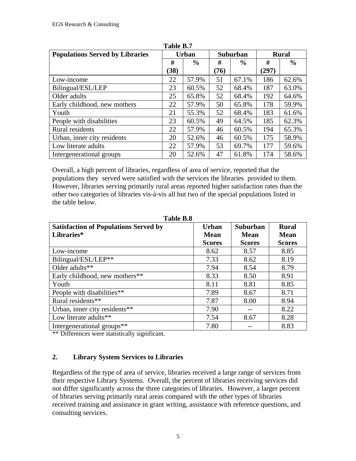| 1 avr. 11. 1                           |              |               |      |               |       |               |  |  |
|----------------------------------------|--------------|---------------|------|---------------|-------|---------------|--|--|
| <b>Populations Served by Libraries</b> | <b>Urban</b> |               |      | Suburban      |       | <b>Rural</b>  |  |  |
|                                        | #            | $\frac{6}{9}$ | #    | $\frac{6}{9}$ | #     | $\frac{6}{6}$ |  |  |
|                                        | (38)         |               | (76) |               | (297) |               |  |  |
| Low-income                             | 22           | 57.9%         | 51   | 67.1%         | 186   | 62.6%         |  |  |
| Bilingual/ESL/LEP                      | 23           | 60.5%         | 52   | 68.4%         | 187   | 63.0%         |  |  |
| Older adults                           | 25           | 65.8%         | 52   | 68.4%         | 192   | 64.6%         |  |  |
| Early childhood, new mothers           | 22           | 57.9%         | 50   | 65.8%         | 178   | 59.9%         |  |  |
| Youth                                  | 21           | 55.3%         | 52   | 68.4%         | 183   | 61.6%         |  |  |
| People with disabilities               | 23           | 60.5%         | 49   | 64.5%         | 185   | 62.3%         |  |  |
| Rural residents                        | 22           | 57.9%         | 46   | 60.5%         | 194   | 65.3%         |  |  |
| Urban, inner city residents            | 20           | 52.6%         | 46   | 60.5%         | 175   | 58.9%         |  |  |
| Low literate adults                    | 22           | 57.9%         | 53   | 69.7%         | 177   | 59.6%         |  |  |
| Intergenerational groups               | 20           | 52.6%         | 47   | 61.8%         | 174   | 58.6%         |  |  |

**Table B.7**

Overall, a high percent of libraries, regardless of area of service, reported that the populations they served were satisfied with the services the libraries provided to them. However, libraries serving primarily rural areas reported higher satisfaction rates than the other two categories of libraries vis-à-vis all but two of the special populations listed in the table below.

| <b>Satisfaction of Populations Served by</b><br>Libraries* | <b>Urban</b><br>Mean | <b>Suburban</b><br><b>Mean</b> | <b>Rural</b><br>Mean |
|------------------------------------------------------------|----------------------|--------------------------------|----------------------|
|                                                            |                      |                                |                      |
|                                                            | <b>Scores</b>        | <b>Scores</b>                  | <b>Scores</b>        |
| Low-income                                                 | 8.62                 | 8.57                           | 8.85                 |
| Bilingual/ESL/LEP**                                        | 7.33                 | 8.62                           | 8.19                 |
| Older adults**                                             | 7.94                 | 8.54                           | 8.79                 |
| Early childhood, new mothers**                             | 8.33                 | 8.50                           | 8.91                 |
| Youth                                                      | 8.11                 | 8.81                           | 8.85                 |
| People with disabilities**                                 | 7.89                 | 8.67                           | 8.71                 |
| Rural residents**                                          | 7.87                 | 8.00                           | 8.94                 |
| Urban, inner city residents**                              | 7.90                 |                                | 8.22                 |
| Low literate adults**                                      | 7.54                 | 8.67                           | 8.28                 |
| Intergenerational groups <sup>**</sup>                     | 7.80                 |                                | 8.83                 |

**Table B.8**

\*\* Differences were statistically significant.

### **2. Library System Services to Libraries**

Regardless of the type of area of service, libraries received a large range of services from their respective Library Systems. Overall, the percent of libraries receiving services did not differ significantly across the three categories of libraries. However, a larger percent of libraries serving primarily rural areas compared with the other types of libraries received training and assistance in grant writing, assistance with reference questions, and consulting services.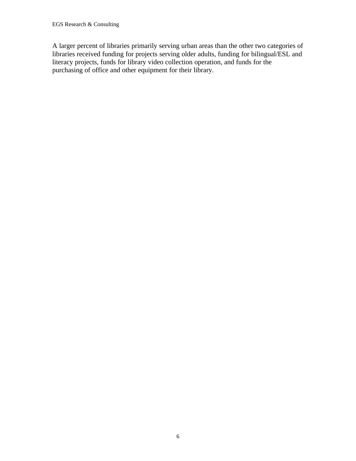A larger percent of libraries primarily serving urban areas than the other two categories of libraries received funding for projects serving older adults, funding for bilingual/ESL and literacy projects, funds for library video collection operation, and funds for the purchasing of office and other equipment for their library.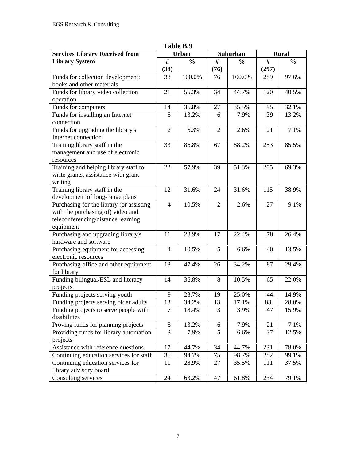| <b>Services Library Received from</b>    | <b>Urban</b>             |               | Suburban       |               | <b>Rural</b> |               |  |
|------------------------------------------|--------------------------|---------------|----------------|---------------|--------------|---------------|--|
| <b>Library System</b>                    | #                        | $\frac{6}{6}$ | #              | $\frac{0}{0}$ | #            | $\frac{0}{0}$ |  |
|                                          |                          |               |                |               | (297)        |               |  |
|                                          | (38)                     |               | (76)           |               |              |               |  |
| Funds for collection development:        | 38                       | 100.0%        | 76             | 100.0%        | 289          | 97.6%         |  |
| books and other materials                |                          |               |                |               |              |               |  |
| Funds for library video collection       | 21                       | 55.3%         | 34             | 44.7%         | 120          | 40.5%         |  |
| operation                                |                          |               |                |               |              |               |  |
| Funds for computers                      | 14                       | 36.8%         | 27             | 35.5%         | 95           | 32.1%         |  |
| Funds for installing an Internet         | 5                        | 13.2%         | 6              | 7.9%          | 39           | 13.2%         |  |
| connection                               |                          |               |                |               |              |               |  |
| Funds for upgrading the library's        | $\overline{2}$           | 5.3%          | $\overline{2}$ | 2.6%          | 21           | 7.1%          |  |
| Internet connection                      |                          |               |                |               |              |               |  |
| Training library staff in the            | 33                       | 86.8%         | 67             | 88.2%         | 253          | 85.5%         |  |
| management and use of electronic         |                          |               |                |               |              |               |  |
| resources                                |                          |               |                |               |              |               |  |
| Training and helping library staff to    | 22                       | 57.9%         | 39             | 51.3%         | 205          | 69.3%         |  |
| write grants, assistance with grant      |                          |               |                |               |              |               |  |
| writing                                  |                          |               |                |               |              |               |  |
| Training library staff in the            | 12                       | 31.6%         | 24             | 31.6%         | 115          | 38.9%         |  |
| development of long-range plans          |                          |               |                |               |              |               |  |
| Purchasing for the library (or assisting | $\overline{\mathcal{L}}$ | 10.5%         | $\overline{2}$ | 2.6%          | 27           | 9.1%          |  |
| with the purchasing of) video and        |                          |               |                |               |              |               |  |
| teleconferencing/distance learning       |                          |               |                |               |              |               |  |
| equipment                                |                          |               |                |               |              |               |  |
| Purchasing and upgrading library's       | 11                       | 28.9%         | 17             | 22.4%         | 78           | 26.4%         |  |
| hardware and software                    |                          |               |                |               |              |               |  |
| Purchasing equipment for accessing       | 4                        | 10.5%         | 5              | 6.6%          | 40           | 13.5%         |  |
| electronic resources                     |                          |               |                |               |              |               |  |
| Purchasing office and other equipment    | 18                       | 47.4%         | 26             | 34.2%         | 87           | 29.4%         |  |
| for library                              |                          |               |                |               |              |               |  |
| Funding bilingual/ESL and literacy       | 14                       | 36.8%         | 8              | 10.5%         | 65           | 22.0%         |  |
|                                          |                          |               |                |               |              |               |  |
| projects                                 |                          |               |                |               |              |               |  |
| Funding projects serving youth           | 9                        | 23.7%         | 19             | 25.0%         | 44           | 14.9%         |  |
| Funding projects serving older adults    | 13                       | 34.2%         | 13             | 17.1%         | 83           | 28.0%         |  |
| Funding projects to serve people with    | $\overline{7}$           | 18.4%         | $\overline{3}$ | 3.9%          | 47           | 15.9%         |  |
| disabilities                             |                          |               |                |               |              |               |  |
| Proving funds for planning projects      | 5                        | 13.2%         | 6              | 7.9%          | 21           | 7.1%          |  |
| Providing funds for library automation   | 3                        | 7.9%          | 5              | 6.6%          | 37           | 12.5%         |  |
| projects                                 |                          |               |                |               |              |               |  |
| Assistance with reference questions      | 17                       | 44.7%         | 34             | 44.7%         | 231          | 78.0%         |  |
| Continuing education services for staff  | 36                       | 94.7%         | 75             | 98.7%         | 282          | 99.1%         |  |
| Continuing education services for        | 11                       | 28.9%         | 27             | 35.5%         | 111          | 37.5%         |  |
| library advisory board                   |                          |               |                |               |              |               |  |
| Consulting services                      | 24                       | 63.2%         | 47             | 61.8%         | 234          | 79.1%         |  |

**Table B.9**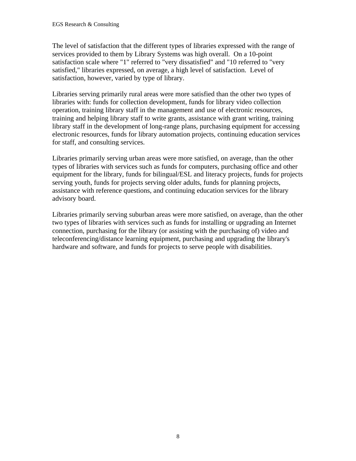The level of satisfaction that the different types of libraries expressed with the range of services provided to them by Library Systems was high overall. On a 10-point satisfaction scale where "1" referred to "very dissatisfied" and "10 referred to "very satisfied," libraries expressed, on average, a high level of satisfaction. Level of satisfaction, however, varied by type of library.

Libraries serving primarily rural areas were more satisfied than the other two types of libraries with: funds for collection development, funds for library video collection operation, training library staff in the management and use of electronic resources, training and helping library staff to write grants, assistance with grant writing, training library staff in the development of long-range plans, purchasing equipment for accessing electronic resources, funds for library automation projects, continuing education services for staff, and consulting services.

Libraries primarily serving urban areas were more satisfied, on average, than the other types of libraries with services such as funds for computers, purchasing office and other equipment for the library, funds for bilingual/ESL and literacy projects, funds for projects serving youth, funds for projects serving older adults, funds for planning projects, assistance with reference questions, and continuing education services for the library advisory board.

Libraries primarily serving suburban areas were more satisfied, on average, than the other two types of libraries with services such as funds for installing or upgrading an Internet connection, purchasing for the library (or assisting with the purchasing of) video and teleconferencing/distance learning equipment, purchasing and upgrading the library's hardware and software, and funds for projects to serve people with disabilities.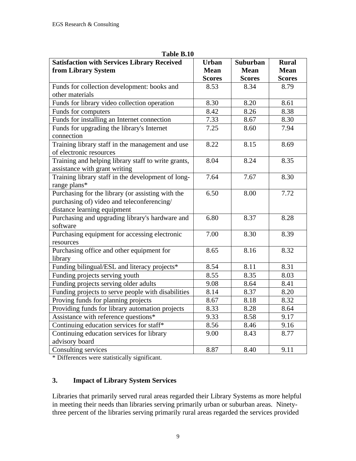| <b>Satisfaction with Services Library Received</b><br>from Library System   | <b>Urban</b><br><b>Mean</b> | Suburban<br><b>Mean</b> | <b>Rural</b><br><b>Mean</b> |
|-----------------------------------------------------------------------------|-----------------------------|-------------------------|-----------------------------|
|                                                                             | <b>Scores</b>               | <b>Scores</b>           | <b>Scores</b>               |
| Funds for collection development: books and                                 | 8.53                        | 8.34                    | 8.79                        |
| other materials                                                             |                             |                         |                             |
| Funds for library video collection operation                                | 8.30                        | 8.20                    | 8.61                        |
| Funds for computers                                                         | 8.42                        | 8.26                    | 8.38                        |
| Funds for installing an Internet connection                                 | 7.33                        | 8.67                    | 8.30                        |
| Funds for upgrading the library's Internet                                  | 7.25                        | 8.60                    | 7.94                        |
| connection                                                                  |                             |                         |                             |
| Training library staff in the management and use<br>of electronic resources | 8.22                        | 8.15                    | 8.69                        |
| Training and helping library staff to write grants,                         | 8.04                        | 8.24                    | 8.35                        |
| assistance with grant writing                                               |                             |                         |                             |
| Training library staff in the development of long-                          | 7.64                        | 7.67                    | 8.30                        |
| range plans*                                                                |                             |                         |                             |
| Purchasing for the library (or assisting with the                           | 6.50                        | 8.00                    | 7.72                        |
| purchasing of) video and teleconferencing/                                  |                             |                         |                             |
| distance learning equipment                                                 |                             |                         |                             |
| Purchasing and upgrading library's hardware and                             | 6.80                        | 8.37                    | 8.28                        |
| software                                                                    |                             |                         |                             |
| Purchasing equipment for accessing electronic                               | 7.00                        | 8.30                    | 8.39                        |
| resources                                                                   |                             |                         |                             |
| Purchasing office and other equipment for                                   | 8.65                        | 8.16                    | 8.32                        |
| library                                                                     |                             |                         |                             |
| Funding bilingual/ESL and literacy projects*                                | 8.54                        | 8.11                    | 8.31                        |
| Funding projects serving youth                                              | 8.55                        | 8.35                    | 8.03                        |
| Funding projects serving older adults                                       | 9.08                        | 8.64                    | 8.41                        |
| Funding projects to serve people with disabilities                          | 8.14                        | 8.37                    | 8.20                        |
| Proving funds for planning projects                                         | 8.67                        | 8.18                    | 8.32                        |
| Providing funds for library automation projects                             | 8.33                        | 8.28                    | 8.64                        |
| Assistance with reference questions*                                        | 9.33                        | 8.58                    | 9.17                        |
| Continuing education services for staff*                                    | 8.56                        | 8.46                    | 9.16                        |
| Continuing education services for library                                   | 9.00                        | 8.43                    | 8.77                        |
| advisory board                                                              |                             |                         |                             |
| Consulting services                                                         | 8.87                        | 8.40                    | 9.11                        |

### **Table B.10**

\* Differences were statistically significant.

## **3. Impact of Library System Services**

Libraries that primarily served rural areas regarded their Library Systems as more helpful in meeting their needs than libraries serving primarily urban or suburban areas. Ninetythree percent of the libraries serving primarily rural areas regarded the services provided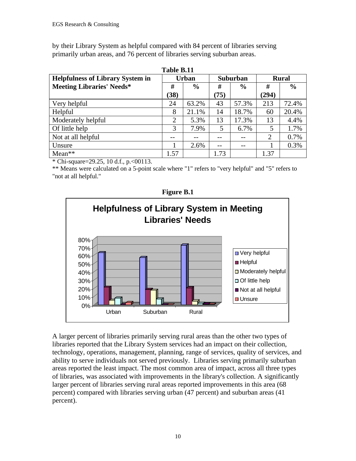by their Library System as helpful compared with 84 percent of libraries serving primarily urban areas, and 76 percent of libraries serving suburban areas.

| Table B.11                              |                |               |                 |               |       |               |  |
|-----------------------------------------|----------------|---------------|-----------------|---------------|-------|---------------|--|
| <b>Helpfulness of Library System in</b> | <b>Urban</b>   |               | <b>Suburban</b> |               |       | <b>Rural</b>  |  |
| <b>Meeting Libraries' Needs*</b>        | #              | $\frac{0}{0}$ | #               | $\frac{6}{9}$ | #     | $\frac{6}{6}$ |  |
|                                         | (38)           |               | (75)            |               | (294) |               |  |
| Very helpful                            | 24             | 63.2%         | 43              | 57.3%         | 213   | 72.4%         |  |
| Helpful                                 | 8              | 21.1%         | 14              | 18.7%         | 60    | 20.4%         |  |
| Moderately helpful                      | $\overline{2}$ | 5.3%          | 13              | 17.3%         | 13    | 4.4%          |  |
| Of little help                          | 3              | 7.9%          | 5               | 6.7%          | 5     | 1.7%          |  |
| Not at all helpful                      |                |               |                 | --            | 2     | 0.7%          |  |
| Unsure                                  |                | 2.6%          | --              |               |       | 0.3%          |  |
| $Mean**$                                | 1.57           |               | 1.73            |               | 1.37  |               |  |

\* Chi-square=29.25, 10 d.f., p.<00113.

\*\* Means were calculated on a 5-point scale where "1" refers to "very helpful" and "5" refers to "not at all helpful."



**Figure B.1**

A larger percent of libraries primarily serving rural areas than the other two types of libraries reported that the Library System services had an impact on their collection, technology, operations, management, planning, range of services, quality of services, and ability to serve individuals not served previously. Libraries serving primarily suburban areas reported the least impact. The most common area of impact, across all three types of libraries, was associated with improvements in the library's collection. A significantly larger percent of libraries serving rural areas reported improvements in this area (68 percent) compared with libraries serving urban (47 percent) and suburban areas (41 percent).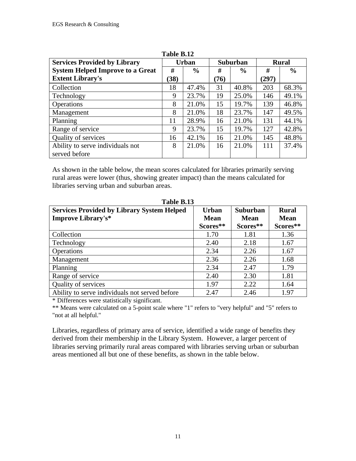| <b>Services Provided by Library</b>     | <b>Urban</b> |               |      |               | Suburban |               | <b>Rural</b> |  |
|-----------------------------------------|--------------|---------------|------|---------------|----------|---------------|--------------|--|
| <b>System Helped Improve to a Great</b> | #            | $\frac{0}{0}$ | #    | $\frac{6}{6}$ | #        | $\frac{6}{6}$ |              |  |
| <b>Extent Library's</b>                 | (38)         |               | (76) |               | (297)    |               |              |  |
| Collection                              | 18           | 47.4%         | 31   | 40.8%         | 203      | 68.3%         |              |  |
| Technology                              | 9            | 23.7%         | 19   | 25.0%         | 146      | 49.1%         |              |  |
| Operations                              | 8            | 21.0%         | 15   | 19.7%         | 139      | 46.8%         |              |  |
| Management                              | 8            | 21.0%         | 18   | 23.7%         | 147      | 49.5%         |              |  |
| Planning                                | 11           | 28.9%         | 16   | 21.0%         | 131      | 44.1%         |              |  |
| Range of service                        | 9            | 23.7%         | 15   | 19.7%         | 127      | 42.8%         |              |  |
| Quality of services                     | 16           | 42.1%         | 16   | 21.0%         | 145      | 48.8%         |              |  |
| Ability to serve individuals not        | 8            | 21.0%         | 16   | 21.0%         | 111      | 37.4%         |              |  |
| served before                           |              |               |      |               |          |               |              |  |

**Table B.12**

As shown in the table below, the mean scores calculated for libraries primarily serving rural areas were lower (thus, showing greater impact) than the means calculated for libraries serving urban and suburban areas.

| <b>Services Provided by Library System Helped</b><br><b>Improve Library's*</b> | <b>Urban</b><br><b>Mean</b> | <b>Suburban</b><br><b>Mean</b> | <b>Rural</b><br><b>Mean</b> |
|--------------------------------------------------------------------------------|-----------------------------|--------------------------------|-----------------------------|
|                                                                                | Scores**                    | Scores**                       | Scores**                    |
| Collection                                                                     | 1.70                        | 1.81                           | 1.36                        |
| Technology                                                                     | 2.40                        | 2.18                           | 1.67                        |
| <b>Operations</b>                                                              | 2.34                        | 2.26                           | 1.67                        |
| Management                                                                     | 2.36                        | 2.26                           | 1.68                        |
| Planning                                                                       | 2.34                        | 2.47                           | 1.79                        |
| Range of service                                                               | 2.40                        | 2.30                           | 1.81                        |
| Quality of services                                                            | 1.97                        | 2.22                           | 1.64                        |
| Ability to serve individuals not served before                                 | 2.47                        | 2.46                           | 1.97                        |

**Table B.13**

\* Differences were statistically significant.

\*\* Means were calculated on a 5-point scale where "1" refers to "very helpful" and "5" refers to "not at all helpful."

Libraries, regardless of primary area of service, identified a wide range of benefits they derived from their membership in the Library System. However, a larger percent of libraries serving primarily rural areas compared with libraries serving urban or suburban areas mentioned all but one of these benefits, as shown in the table below.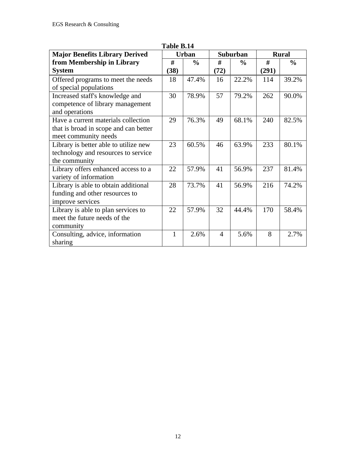| <b>Major Benefits Library Derived</b>                                                                |      | <b>Urban</b>  |                | <b>Suburban</b> | <b>Rural</b> |               |
|------------------------------------------------------------------------------------------------------|------|---------------|----------------|-----------------|--------------|---------------|
| from Membership in Library                                                                           | #    | $\frac{6}{6}$ | #              | $\frac{0}{0}$   | #            | $\frac{0}{0}$ |
| <b>System</b>                                                                                        | (38) |               | (72)           |                 | (291)        |               |
| Offered programs to meet the needs<br>of special populations                                         | 18   | 47.4%         | 16             | 22.2%           | 114          | 39.2%         |
| Increased staff's knowledge and<br>competence of library management<br>and operations                | 30   | 78.9%         | 57             | 79.2%           | 262          | 90.0%         |
| Have a current materials collection<br>that is broad in scope and can better<br>meet community needs | 29   | 76.3%         | 49             | 68.1%           | 240          | 82.5%         |
| Library is better able to utilize new<br>technology and resources to service<br>the community        | 23   | 60.5%         | 46             | 63.9%           | 233          | 80.1%         |
| Library offers enhanced access to a<br>variety of information                                        | 22   | 57.9%         | 41             | 56.9%           | 237          | 81.4%         |
| Library is able to obtain additional<br>funding and other resources to<br>improve services           | 28   | 73.7%         | 41             | 56.9%           | 216          | 74.2%         |
| Library is able to plan services to<br>meet the future needs of the<br>community                     | 22   | 57.9%         | 32             | 44.4%           | 170          | 58.4%         |
| Consulting, advice, information<br>sharing                                                           | 1    | 2.6%          | $\overline{4}$ | 5.6%            | 8            | 2.7%          |

# **Table B.14**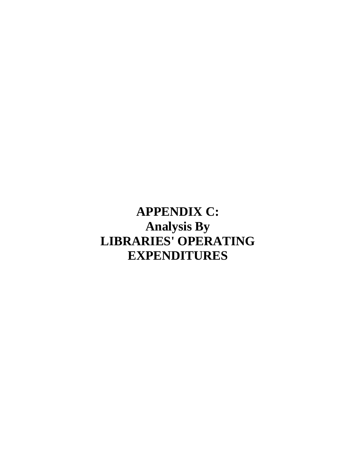**APPENDIX C: Analysis By LIBRARIES' OPERATING EXPENDITURES**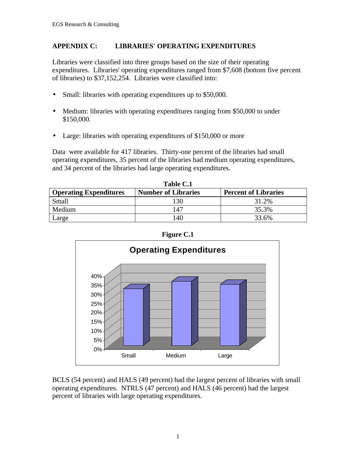#### **APPENDIX C: LIBRARIES' OPERATING EXPENDITURES**

Libraries were classified into three groups based on the size of their operating expenditures. Libraries' operating expenditures ranged from \$7,608 (bottom five percent of libraries) to \$37,152,254. Libraries were classified into:

- Small: libraries with operating expenditures up to \$50,000.
- Medium: libraries with operating expenditures ranging from \$50,000 to under \$150,000.
- Large: libraries with operating expenditures of \$150,000 or more

Data were available for 417 libraries. Thirty-one percent of the libraries had small operating expenditures, 35 percent of the libraries had medium operating expenditures, and 34 percent of the libraries had large operating expenditures.

| <b>Operating Expenditures</b> | <b>Number of Libraries</b> | <b>Percent of Libraries</b> |
|-------------------------------|----------------------------|-----------------------------|
| Small                         | 130                        | 31.2%                       |
| Medium                        | 147                        | 35.3%                       |
| Large                         | 140                        | 33.6%                       |

**Table C.1**



BCLS (54 percent) and HALS (49 percent) had the largest percent of libraries with small operating expenditures. NTRLS (47 percent) and HALS (46 percent) had the largest percent of libraries with large operating expenditures.

### 1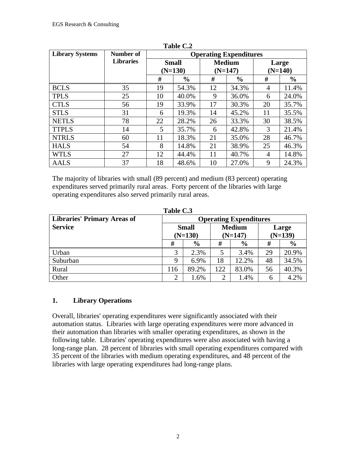| <b>Library Systems</b> | Number of        |                           |               |    |                            |                    |               |  |  |  | <b>Operating Expenditures</b> |  |  |  |  |
|------------------------|------------------|---------------------------|---------------|----|----------------------------|--------------------|---------------|--|--|--|-------------------------------|--|--|--|--|
|                        | <b>Libraries</b> | <b>Small</b><br>$(N=130)$ |               |    | <b>Medium</b><br>$(N=147)$ | Large<br>$(N=140)$ |               |  |  |  |                               |  |  |  |  |
|                        |                  | #                         | $\frac{0}{0}$ | #  | $\frac{0}{0}$              | #                  | $\frac{0}{0}$ |  |  |  |                               |  |  |  |  |
| <b>BCLS</b>            | 35               | 19                        | 54.3%         | 12 | 34.3%                      | 4                  | 11.4%         |  |  |  |                               |  |  |  |  |
| <b>TPLS</b>            | 25               | 10                        | 40.0%         | 9  | 36.0%                      | 6                  | 24.0%         |  |  |  |                               |  |  |  |  |
| <b>CTLS</b>            | 56               | 19                        | 33.9%         | 17 | 30.3%                      | 20                 | 35.7%         |  |  |  |                               |  |  |  |  |
| <b>STLS</b>            | 31               | 6                         | 19.3%         | 14 | 45.2%                      | 11                 | 35.5%         |  |  |  |                               |  |  |  |  |
| <b>NETLS</b>           | 78               | 22                        | 28.2%         | 26 | 33.3%                      | 30                 | 38.5%         |  |  |  |                               |  |  |  |  |
| <b>TTPLS</b>           | 14               | 5                         | 35.7%         | 6  | 42.8%                      | 3                  | 21.4%         |  |  |  |                               |  |  |  |  |
| <b>NTRLS</b>           | 60               | 11                        | 18.3%         | 21 | 35.0%                      | 28                 | 46.7%         |  |  |  |                               |  |  |  |  |
| <b>HALS</b>            | 54               | 8                         | 14.8%         | 21 | 38.9%                      | 25                 | 46.3%         |  |  |  |                               |  |  |  |  |
| <b>WTLS</b>            | 27               | 12                        | 44.4%         | 11 | 40.7%                      | $\overline{4}$     | 14.8%         |  |  |  |                               |  |  |  |  |
| <b>AALS</b>            | 37               | 18                        | 48.6%         | 10 | 27.0%                      | 9                  | 24.3%         |  |  |  |                               |  |  |  |  |

**Table C.2**

The majority of libraries with small (89 percent) and medium (83 percent) operating expenditures served primarily rural areas. Forty percent of the libraries with large operating expenditures also served primarily rural areas.

| Table C.3                          |                               |               |                |               |           |               |  |  |
|------------------------------------|-------------------------------|---------------|----------------|---------------|-----------|---------------|--|--|
| <b>Libraries' Primary Areas of</b> | <b>Operating Expenditures</b> |               |                |               |           |               |  |  |
| <b>Service</b>                     |                               | <b>Small</b>  | <b>Medium</b>  |               | Large     |               |  |  |
|                                    | $(N=130)$                     |               | $(N=147)$      |               | $(N=139)$ |               |  |  |
|                                    | #                             | $\frac{6}{9}$ | #              | $\frac{6}{6}$ | #         | $\frac{6}{6}$ |  |  |
| Urban                              | 3                             | 2.3%          | 5              | 3.4%          | 29        | 20.9%         |  |  |
| Suburban                           | 9                             | 6.9%          | 18             | 12.2%         | 48        | 34.5%         |  |  |
| Rural                              | 116                           | 89.2%         | 122            | 83.0%         | 56        | 40.3%         |  |  |
| Other                              | 2                             | 1.6%          | $\overline{2}$ | 1.4%          | 6         | 4.2%          |  |  |

## **1. Library Operations**

Overall, libraries' operating expenditures were significantly associated with their automation status. Libraries with large operating expenditures were more advanced in their automation than libraries with smaller operating expenditures, as shown in the following table. Libraries' operating expenditures were also associated with having a long-range plan. 28 percent of libraries with small operating expenditures compared with 35 percent of the libraries with medium operating expenditures, and 48 percent of the libraries with large operating expenditures had long-range plans.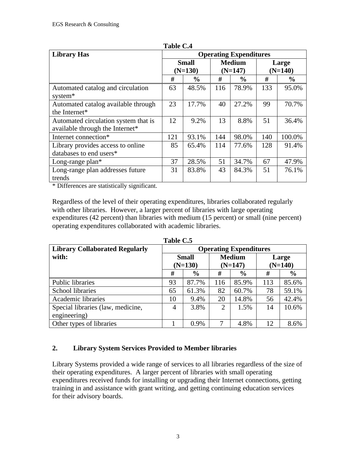| <b>Library Has</b>                   | <b>Operating Expenditures</b> |               |               |               |       |               |  |
|--------------------------------------|-------------------------------|---------------|---------------|---------------|-------|---------------|--|
|                                      |                               | <b>Small</b>  | <b>Medium</b> |               | Large |               |  |
|                                      |                               | $(N=130)$     | $(N=147)$     |               |       | $(N=140)$     |  |
|                                      | #                             | $\frac{6}{9}$ | #             | $\frac{0}{0}$ | #     | $\frac{6}{9}$ |  |
| Automated catalog and circulation    | 63                            | 48.5%         | 116           | 78.9%         | 133   | 95.0%         |  |
| system*                              |                               |               |               |               |       |               |  |
| Automated catalog available through  | 23                            | 17.7%         | 40            | 27.2%         | 99    | 70.7%         |  |
| the Internet*                        |                               |               |               |               |       |               |  |
| Automated circulation system that is | 12                            | 9.2%          | 13            | 8.8%          | 51    | 36.4%         |  |
| available through the Internet*      |                               |               |               |               |       |               |  |
| Internet connection*                 | 121                           | 93.1%         | 144           | 98.0%         | 140   | 100.0%        |  |
| Library provides access to online    | 85                            | 65.4%         | 114           | 77.6%         | 128   | 91.4%         |  |
| databases to end users*              |                               |               |               |               |       |               |  |
| Long-range $plan*$                   | 37                            | 28.5%         | 51            | 34.7%         | 67    | 47.9%         |  |
| Long-range plan addresses future     | 31                            | 83.8%         | 43            | 84.3%         | 51    | 76.1%         |  |
| trends                               |                               |               |               |               |       |               |  |

**Table C.4**

\* Differences are statistically significant.

Regardless of the level of their operating expenditures, libraries collaborated regularly with other libraries. However, a larger percent of libraries with large operating expenditures (42 percent) than libraries with medium (15 percent) or small (nine percent) operating expenditures collaborated with academic libraries.

| Tanic Cw                              |                               |               |                |               |           |               |  |  |
|---------------------------------------|-------------------------------|---------------|----------------|---------------|-----------|---------------|--|--|
| <b>Library Collaborated Regularly</b> | <b>Operating Expenditures</b> |               |                |               |           |               |  |  |
| with:                                 | <b>Small</b>                  |               | <b>Medium</b>  |               | Large     |               |  |  |
|                                       | $(N=130)$                     |               | $(N=147)$      |               | $(N=140)$ |               |  |  |
|                                       | #                             | $\frac{6}{9}$ | #              | $\frac{6}{6}$ | #         | $\frac{6}{9}$ |  |  |
| Public libraries                      | 93                            | 87.7%         | 116            | 85.9%         | 113       | 85.6%         |  |  |
| School libraries                      | 65                            | 61.3%         | 82             | 60.7%         | 78        | 59.1%         |  |  |
| Academic libraries                    | 10                            | 9.4%          | 20             | 14.8%         | 56        | 42.4%         |  |  |
| Special libraries (law, medicine,     | 4                             | 3.8%          | $\overline{2}$ | 1.5%          | 14        | 10.6%         |  |  |
| engineering)                          |                               |               |                |               |           |               |  |  |
| Other types of libraries              |                               | 0.9%          | 7              | 4.8%          | 12        | 8.6%          |  |  |

**Table C.5**

## **2. Library System Services Provided to Member libraries**

Library Systems provided a wide range of services to all libraries regardless of the size of their operating expenditures. A larger percent of libraries with small operating expenditures received funds for installing or upgrading their Internet connections, getting training in and assistance with grant writing, and getting continuing education services for their advisory boards.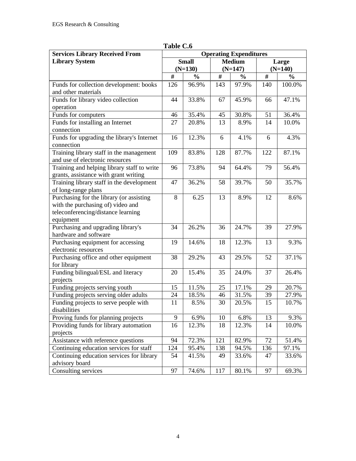| <b>Services Library Received From</b>       | <b>Operating Expenditures</b> |               |           |               |       |               |
|---------------------------------------------|-------------------------------|---------------|-----------|---------------|-------|---------------|
| <b>Library System</b>                       |                               | <b>Small</b>  |           | <b>Medium</b> | Large |               |
|                                             |                               | $(N=130)$     | $(N=147)$ |               |       | $(N=140)$     |
|                                             | #                             | $\frac{0}{0}$ | $\#$      | $\frac{0}{0}$ | $\#$  | $\frac{0}{0}$ |
| Funds for collection development: books     | 126                           | 96.9%         | 143       | 97.9%         | 140   | 100.0%        |
| and other materials                         |                               |               |           |               |       |               |
| Funds for library video collection          | 44                            | 33.8%         | 67        | 45.9%         | 66    | 47.1%         |
| operation                                   |                               |               |           |               |       |               |
| Funds for computers                         | 46                            | 35.4%         | 45        | 30.8%         | 51    | 36.4%         |
| Funds for installing an Internet            | 27                            | 20.8%         | 13        | 8.9%          | 14    | 10.0%         |
| connection                                  |                               |               |           |               |       |               |
| Funds for upgrading the library's Internet  | 16                            | 12.3%         | 6         | 4.1%          | 6     | 4.3%          |
| connection                                  |                               |               |           |               |       |               |
| Training library staff in the management    | 109                           | 83.8%         | 128       | 87.7%         | 122   | 87.1%         |
| and use of electronic resources             |                               |               |           |               |       |               |
| Training and helping library staff to write | 96                            | 73.8%         | 94        | 64.4%         | 79    | 56.4%         |
| grants, assistance with grant writing       |                               |               |           |               |       |               |
| Training library staff in the development   | 47                            | 36.2%         | 58        | 39.7%         | 50    | 35.7%         |
| of long-range plans                         |                               |               |           |               |       |               |
| Purchasing for the library (or assisting    | 8                             | 6.25          | 13        | 8.9%          | 12    | 8.6%          |
| with the purchasing of) video and           |                               |               |           |               |       |               |
| teleconferencing/distance learning          |                               |               |           |               |       |               |
| equipment                                   |                               |               |           |               |       |               |
| Purchasing and upgrading library's          | 34                            | 26.2%         | 36        | 24.7%         | 39    | 27.9%         |
| hardware and software                       |                               |               |           |               |       |               |
| Purchasing equipment for accessing          | 19                            | 14.6%         | 18        | 12.3%         | 13    | 9.3%          |
| electronic resources                        |                               |               |           |               |       |               |
| Purchasing office and other equipment       | 38                            | 29.2%         | 43        | 29.5%         | 52    | 37.1%         |
| for library                                 |                               |               |           |               |       |               |
| Funding bilingual/ESL and literacy          | 20                            | 15.4%         | 35        | 24.0%         | 37    | 26.4%         |
| projects                                    |                               |               |           |               |       |               |
| Funding projects serving youth              | 15                            | 11.5%         | 25        | 17.1%         | 29    | 20.7%         |
| Funding projects serving older adults       | 24                            | 18.5%         | 46        | 31.5%         | 39    | 27.9%         |
| Funding projects to serve people with       | 11                            | 8.5%          | 30        | 20.5%         | 15    | 10.7%         |
| disabilities                                |                               |               |           |               |       |               |
| Proving funds for planning projects         | 9                             | 6.9%          | 10        | 6.8%          | 13    | 9.3%          |
| Providing funds for library automation      | 16                            | 12.3%         | 18        | 12.3%         | 14    | 10.0%         |
| projects                                    |                               |               |           |               |       |               |
| Assistance with reference questions         | 94                            | 72.3%         | 121       | 82.9%         | 72    | 51.4%         |
| Continuing education services for staff     | 124                           | 95.4%         | 138       | 94.5%         | 136   | 97.1%         |
| Continuing education services for library   | 54                            | 41.5%         | 49        | 33.6%         | 47    | 33.6%         |
| advisory board                              |                               |               |           |               |       |               |
| Consulting services                         | 97                            | 74.6%         | 117       | 80.1%         | 97    | 69.3%         |

**Table C.6**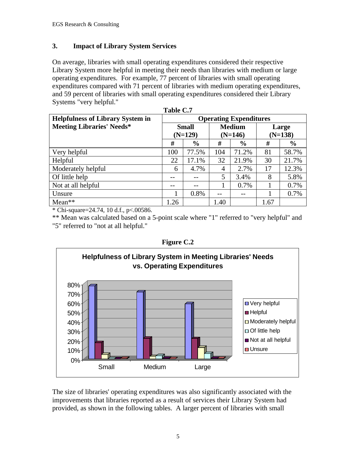### **3. Impact of Library System Services**

On average, libraries with small operating expenditures considered their respective Library System more helpful in meeting their needs than libraries with medium or large operating expenditures. For example, 77 percent of libraries with small operating expenditures compared with 71 percent of libraries with medium operating expenditures, and 59 percent of libraries with small operating expenditures considered their Library Systems "very helpful."

| Table C.7                               |                               |               |               |               |           |               |  |  |
|-----------------------------------------|-------------------------------|---------------|---------------|---------------|-----------|---------------|--|--|
| <b>Helpfulness of Library System in</b> | <b>Operating Expenditures</b> |               |               |               |           |               |  |  |
| <b>Meeting Libraries' Needs*</b>        | <b>Small</b>                  |               | <b>Medium</b> |               |           | Large         |  |  |
|                                         |                               | $(N=129)$     | $(N=146)$     |               | $(N=138)$ |               |  |  |
|                                         | #                             | $\frac{6}{6}$ | #             | $\frac{6}{6}$ | #         | $\frac{6}{6}$ |  |  |
| Very helpful                            | 100                           | 77.5%         | 104           | 71.2%         | 81        | 58.7%         |  |  |
| Helpful                                 | 22                            | 17.1%         | 32            | 21.9%         | 30        | 21.7%         |  |  |
| Moderately helpful                      | 6                             | 4.7%          | 4             | 2.7%          | 17        | 12.3%         |  |  |
| Of little help                          |                               |               | 5             | 3.4%          | 8         | 5.8%          |  |  |
| Not at all helpful                      |                               | --            |               | 0.7%          |           | 0.7%          |  |  |
| Unsure                                  |                               | 0.8%          | --            |               |           | 0.7%          |  |  |
| $Mean**$                                | 1.26                          |               | 1.40          |               | 1.67      |               |  |  |

\* Chi-square=24.74, 10 d.f., p<.00586.

\*\* Mean was calculated based on a 5-point scale where "1" referred to "very helpful" and "5" referred to "not at all helpful."

**Figure C.2**



The size of libraries' operating expenditures was also significantly associated with the improvements that libraries reported as a result of services their Library System had provided, as shown in the following tables. A larger percent of libraries with small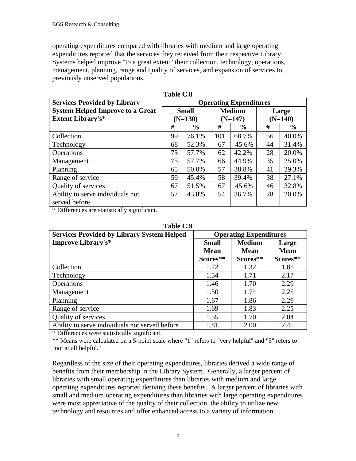operating expenditures compared with libraries with medium and large operating expenditures reported that the services they received from their respective Library Systems helped improve "to a great extent" their collection, technology, operations, management, planning, range and quality of services, and expansion of services to previously unserved populations.

| <b>Services Provided by Library</b>     |    |               | <b>Operating Expenditures</b> |               |           |               |  |
|-----------------------------------------|----|---------------|-------------------------------|---------------|-----------|---------------|--|
| <b>System Helped Improve to a Great</b> |    | <b>Small</b>  |                               | <b>Medium</b> | Large     |               |  |
| <b>Extent Library's*</b>                |    | $(N=130)$     |                               | $(N=147)$     | $(N=140)$ |               |  |
|                                         | #  | $\frac{0}{0}$ | #                             | $\frac{0}{0}$ | #         | $\frac{0}{0}$ |  |
| Collection                              | 99 | 76.1%         | 101                           | 68.7%         | 56        | 40.0%         |  |
| Technology                              | 68 | 52.3%         | 67                            | 45.6%         | 44        | 31.4%         |  |
| Operations                              | 75 | 57.7%         | 62                            | 42.2%         | 28        | 20.0%         |  |
| Management                              | 75 | 57.7%         | 66                            | 44.9%         | 35        | 25.0%         |  |
| Planning                                | 65 | 50.0%         | 57                            | 38.8%         | 41        | 29.3%         |  |
| Range of service                        | 59 | 45.4%         | 58                            | 39.4%         | 38        | 27.1%         |  |
| <b>Quality of services</b>              | 67 | 51.5%         | 67                            | 45.6%         | 46        | 32.8%         |  |
| Ability to serve individuals not        | 57 | 43.8%         | 54                            | 36.7%         | 28        | 20.0%         |  |
| served before                           |    |               |                               |               |           |               |  |

**Table C.8**

\* Differences are statistically significant.

| Table C.9                                         |                               |               |             |  |  |  |
|---------------------------------------------------|-------------------------------|---------------|-------------|--|--|--|
| <b>Services Provided by Library System Helped</b> | <b>Operating Expenditures</b> |               |             |  |  |  |
| <b>Improve Library's*</b>                         | <b>Small</b>                  | <b>Medium</b> | Large       |  |  |  |
|                                                   | <b>Mean</b>                   | <b>Mean</b>   | <b>Mean</b> |  |  |  |
|                                                   | Scores**                      | Scores**      | Scores**    |  |  |  |
| Collection                                        | 1.22                          | 1.32          | 1.85        |  |  |  |
| Technology                                        | 1.54                          | 1.71          | 2.17        |  |  |  |
| <b>Operations</b>                                 | 1.46                          | 1.70          | 2.29        |  |  |  |
| Management                                        | 1.50                          | 1.74          | 2.25        |  |  |  |
| Planning                                          | 1.67                          | 1.86          | 2.29        |  |  |  |
| Range of service                                  | 1.69                          | 1.83          | 2.25        |  |  |  |
| Quality of services                               | 1.55                          | 1.70          | 2.04        |  |  |  |
| Ability to serve individuals not served before    | 1.81                          | 2.00          | 2.45        |  |  |  |

**Table C.9** 

\* Differences were statistically significant.

\*\* Means were calculated on a 5-point scale where "1" refers to "very helpful" and "5" refers to "not at all helpful."

Regardless of the size of their operating expenditures, libraries derived a wide range of benefits from their membership in the Library System. Generally, a larger percent of libraries with small operating expenditures than libraries with medium and large operating expenditures reported deriving these benefits. A larger percent of libraries with small and medium operating expenditures than libraries with large operating expenditures were most appreciative of the quality of their collection, the ability to utilize new technology and resources and offer enhanced access to a variety of information.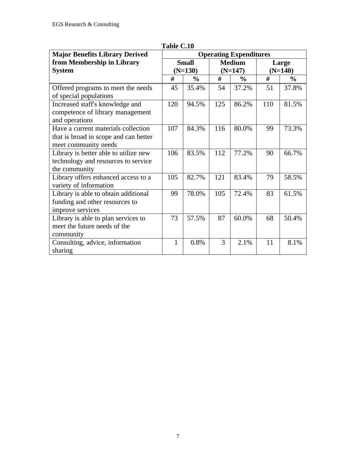| <b>Major Benefits Library Derived</b> | <b>Operating Expenditures</b> |               |           |               |           |                |
|---------------------------------------|-------------------------------|---------------|-----------|---------------|-----------|----------------|
| from Membership in Library            |                               | <b>Small</b>  |           | <b>Medium</b> |           | Large          |
| <b>System</b>                         |                               | $(N=130)$     | $(N=147)$ |               | $(N=140)$ |                |
|                                       | #                             | $\frac{0}{0}$ | #         | $\frac{0}{0}$ | #         | $\frac{6}{10}$ |
| Offered programs to meet the needs    | 45                            | 35.4%         | 54        | 37.2%         | 51        | 37.8%          |
| of special populations                |                               |               |           |               |           |                |
| Increased staff's knowledge and       | 120                           | 94.5%         | 125       | 86.2%         | 110       | 81.5%          |
| competence of library management      |                               |               |           |               |           |                |
| and operations                        |                               |               |           |               |           |                |
| Have a current materials collection   | 107                           | 84.3%         | 116       | 80.0%         | 99        | 73.3%          |
| that is broad in scope and can better |                               |               |           |               |           |                |
| meet community needs                  |                               |               |           |               |           |                |
| Library is better able to utilize new | 106                           | 83.5%         | 112       | 77.2%         | 90        | 66.7%          |
| technology and resources to service   |                               |               |           |               |           |                |
| the community                         |                               |               |           |               |           |                |
| Library offers enhanced access to a   | 105                           | 82.7%         | 121       | 83.4%         | 79        | 58.5%          |
| variety of information                |                               |               |           |               |           |                |
| Library is able to obtain additional  | 99                            | 78.0%         | 105       | 72.4%         | 83        | 61.5%          |
| funding and other resources to        |                               |               |           |               |           |                |
| improve services                      |                               |               |           |               |           |                |
| Library is able to plan services to   | 73                            | 57.5%         | 87        | 60.0%         | 68        | 50.4%          |
| meet the future needs of the          |                               |               |           |               |           |                |
| community                             |                               |               |           |               |           |                |
| Consulting, advice, information       | $\mathbf{1}$                  | 0.8%          | 3         | 2.1%          | 11        | 8.1%           |
| sharing                               |                               |               |           |               |           |                |

**Table C.10**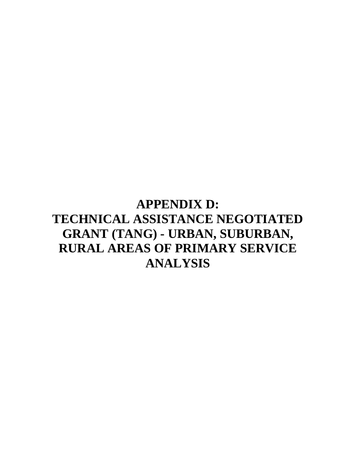## **APPENDIX D: TECHNICAL ASSISTANCE NEGOTIATED GRANT (TANG) - URBAN, SUBURBAN, RURAL AREAS OF PRIMARY SERVICE ANALYSIS**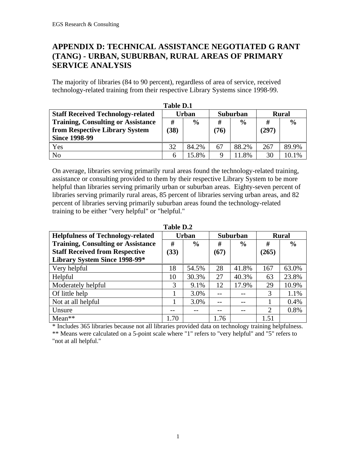## **APPENDIX D: TECHNICAL ASSISTANCE NEGOTIATED G RANT (TANG) - URBAN, SUBURBAN, RURAL AREAS OF PRIMARY SERVICE ANALYSIS**

The majority of libraries (84 to 90 percent), regardless of area of service, received technology-related training from their respective Library Systems since 1998-99.

| <b>Table D.1</b>                          |              |               |          |               |              |               |
|-------------------------------------------|--------------|---------------|----------|---------------|--------------|---------------|
| <b>Staff Received Technology-related</b>  | <b>Urban</b> |               | Suburban |               | <b>Rural</b> |               |
| <b>Training, Consulting or Assistance</b> | #            | $\frac{0}{0}$ | #        | $\frac{0}{0}$ | #            | $\frac{0}{0}$ |
| from Respective Library System            | (38)         |               | (76)     |               | (297)        |               |
| <b>Since 1998-99</b>                      |              |               |          |               |              |               |
| Yes                                       | 32           | 84.2%         | 67       | 88.2%         | 267          | 89.9%         |
| N <sub>o</sub>                            | h            | 15.8%         | 9        | .8%           | 30           | 10.1%         |

On average, libraries serving primarily rural areas found the technology-related training, assistance or consulting provided to them by their respective Library System to be more helpful than libraries serving primarily urban or suburban areas. Eighty-seven percent of libraries serving primarily rural areas, 85 percent of libraries serving urban areas, and 82 percent of libraries serving primarily suburban areas found the technology-related training to be either "very helpful" or "helpful."

| <b>Helpfulness of Technology-related</b>  |      | <b>Urban</b>  |      | Suburban      |                | <b>Rural</b>  |
|-------------------------------------------|------|---------------|------|---------------|----------------|---------------|
| <b>Training, Consulting or Assistance</b> | #    | $\frac{6}{6}$ | #    | $\frac{0}{0}$ | #              | $\frac{6}{9}$ |
| <b>Staff Received from Respective</b>     | (33) |               | (67) |               | (265)          |               |
| Library System Since 1998-99*             |      |               |      |               |                |               |
| Very helpful                              | 18   | 54.5%         | 28   | 41.8%         | 167            | 63.0%         |
| Helpful                                   | 10   | 30.3%         | 27   | 40.3%         | 63             | 23.8%         |
| Moderately helpful                        | 3    | 9.1%          | 12   | 17.9%         | 29             | 10.9%         |
| Of little help                            |      | 3.0%          |      |               | 3              | 1.1%          |
| Not at all helpful                        |      | 3.0%          |      |               |                | 0.4%          |
| Unsure                                    |      |               |      |               | $\overline{2}$ | 0.8%          |
| $Mean**$                                  | 1.70 |               | 1.76 |               | 1.51           |               |

**Table D.2**

\* Includes 365 libraries because not all libraries provided data on technology training helpfulness.

\*\* Means were calculated on a 5-point scale where "1" refers to "very helpful" and "5" refers to "not at all helpful."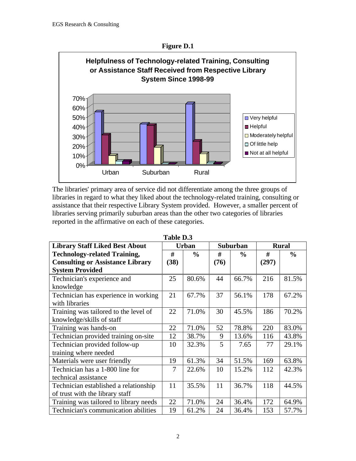

The libraries' primary area of service did not differentiate among the three groups of libraries in regard to what they liked about the technology-related training, consulting or assistance that their respective Library System provided. However, a smaller percent of libraries serving primarily suburban areas than the other two categories of libraries reported in the affirmative on each of these categories.

| Table D.S                               |      |               |      |               |       |               |  |
|-----------------------------------------|------|---------------|------|---------------|-------|---------------|--|
| <b>Library Staff Liked Best About</b>   |      | <b>Urban</b>  |      | Suburban      |       | <b>Rural</b>  |  |
| <b>Technology-related Training,</b>     | #    | $\frac{0}{0}$ | #    | $\frac{0}{0}$ | #     | $\frac{0}{0}$ |  |
| <b>Consulting or Assistance Library</b> | (38) |               | (76) |               | (297) |               |  |
| <b>System Provided</b>                  |      |               |      |               |       |               |  |
| Technician's experience and             | 25   | 80.6%         | 44   | 66.7%         | 216   | 81.5%         |  |
| knowledge                               |      |               |      |               |       |               |  |
| Technician has experience in working    | 21   | 67.7%         | 37   | 56.1%         | 178   | 67.2%         |  |
| with libraries                          |      |               |      |               |       |               |  |
| Training was tailored to the level of   | 22   | 71.0%         | 30   | 45.5%         | 186   | 70.2%         |  |
| knowledge/skills of staff               |      |               |      |               |       |               |  |
| Training was hands-on                   | 22   | 71.0%         | 52   | 78.8%         | 220   | 83.0%         |  |
| Technician provided training on-site    | 12   | 38.7%         | 9    | 13.6%         | 116   | 43.8%         |  |
| Technician provided follow-up           | 10   | 32.3%         | 5    | 7.65          | 77    | 29.1%         |  |
| training where needed                   |      |               |      |               |       |               |  |
| Materials were user friendly            | 19   | 61.3%         | 34   | 51.5%         | 169   | 63.8%         |  |
| Technician has a 1-800 line for         | 7    | 22.6%         | 10   | 15.2%         | 112   | 42.3%         |  |
| technical assistance                    |      |               |      |               |       |               |  |
| Technician established a relationship   | 11   | 35.5%         | 11   | 36.7%         | 118   | 44.5%         |  |
| of trust with the library staff         |      |               |      |               |       |               |  |
| Training was tailored to library needs  | 22   | 71.0%         | 24   | 36.4%         | 172   | 64.9%         |  |
| Technician's communication abilities    | 19   | 61.2%         | 24   | 36.4%         | 153   | 57.7%         |  |

**Table D.3**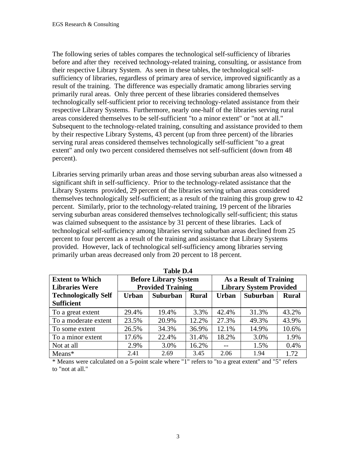The following series of tables compares the technological self-sufficiency of libraries before and after they received technology-related training, consulting, or assistance from their respective Library System. As seen in these tables, the technological selfsufficiency of libraries, regardless of primary area of service, improved significantly as a result of the training. The difference was especially dramatic among libraries serving primarily rural areas. Only three percent of these libraries considered themselves technologically self-sufficient prior to receiving technology-related assistance from their respective Library Systems. Furthermore, nearly one-half of the libraries serving rural areas considered themselves to be self-sufficient "to a minor extent" or "not at all." Subsequent to the technology-related training, consulting and assistance provided to them by their respective Library Systems, 43 percent (up from three percent) of the libraries serving rural areas considered themselves technologically self-sufficient "to a great extent" and only two percent considered themselves not self-sufficient (down from 48 percent).

Libraries serving primarily urban areas and those serving suburban areas also witnessed a significant shift in self-sufficiency. Prior to the technology-related assistance that the Library Systems provided, 29 percent of the libraries serving urban areas considered themselves technologically self-sufficient; as a result of the training this group grew to 42 percent. Similarly, prior to the technology-related training, 19 percent of the libraries serving suburban areas considered themselves technologically self-sufficient; this status was claimed subsequent to the assistance by 31 percent of these libraries. Lack of technological self-sufficiency among libraries serving suburban areas declined from 25 percent to four percent as a result of the training and assistance that Library Systems provided. However, lack of technological self-sufficiency among libraries serving primarily urban areas decreased only from 20 percent to 18 percent.

| Table D.4                   |       |                                 |       |                                |                 |              |  |  |
|-----------------------------|-------|---------------------------------|-------|--------------------------------|-----------------|--------------|--|--|
| <b>Extent to Which</b>      |       | <b>Before Library System</b>    |       | As a Result of Training        |                 |              |  |  |
| <b>Libraries Were</b>       |       | <b>Provided Training</b>        |       | <b>Library System Provided</b> |                 |              |  |  |
| <b>Technologically Self</b> | Urban | <b>Suburban</b><br><b>Rural</b> |       | <b>Urban</b>                   | <b>Suburban</b> | <b>Rural</b> |  |  |
| <b>Sufficient</b>           |       |                                 |       |                                |                 |              |  |  |
| To a great extent           | 29.4% | 19.4%                           | 3.3%  | 42.4%                          | 31.3%           | 43.2%        |  |  |
| To a moderate extent        | 23.5% | 20.9%                           | 12.2% | 27.3%                          | 49.3%           | 43.9%        |  |  |
| To some extent              | 26.5% | 34.3%                           | 36.9% | 12.1%                          | 14.9%           | 10.6%        |  |  |
| To a minor extent           | 17.6% | 22.4%                           | 31.4% | 18.2%                          | 3.0%            | 1.9%         |  |  |
| Not at all                  | 2.9%  | 3.0%                            | 16.2% |                                | 1.5%            | 0.4%         |  |  |
| $Means*$                    | 2.41  | 2.69                            | 3.45  | 2.06                           | 1.94            | 1.72         |  |  |

**Table D.4**

\* Means were calculated on a 5-point scale where "1" refers to "to a great extent" and "5" refers to "not at all."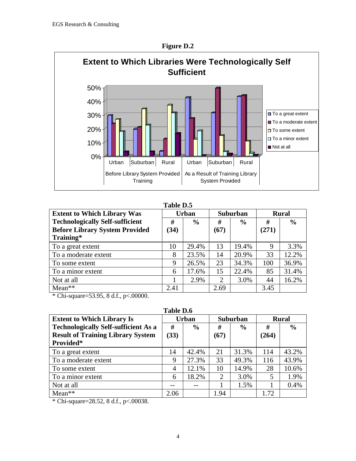

**Figure D.2**

#### **Table D.5**

| <b>Extent to Which Library Was</b>     | <b>Urban</b> |               | Suburban |               | <b>Rural</b> |               |
|----------------------------------------|--------------|---------------|----------|---------------|--------------|---------------|
| <b>Technologically Self-sufficient</b> | #            | $\frac{0}{0}$ | #        | $\frac{6}{6}$ | #            | $\frac{6}{6}$ |
| <b>Before Library System Provided</b>  | (34)         |               | (67)     |               | (271)        |               |
| Training*                              |              |               |          |               |              |               |
| To a great extent                      | 10           | 29.4%         | 13       | 19.4%         | 9            | 3.3%          |
| To a moderate extent                   | 8            | 23.5%         | 14       | 20.9%         | 33           | 12.2%         |
| To some extent                         | 9            | 26.5%         | 23       | 34.3%         | 100          | 36.9%         |
| To a minor extent                      | 6            | 17.6%         | 15       | 22.4%         | 85           | 31.4%         |
| Not at all                             |              | 2.9%          | 2        | 3.0%          | 44           | 16.2%         |
| Mean**                                 | 2.41         |               | 2.69     |               | 3.45         |               |

\* Chi-square=53.95, 8 d.f., p<.00000.

**Table D.6**

| <b>Extent to Which Library Is</b>           | <b>Urban</b> |               | Suburban |               | <b>Rural</b> |               |
|---------------------------------------------|--------------|---------------|----------|---------------|--------------|---------------|
| <b>Technologically Self-sufficient As a</b> | #            | $\frac{6}{9}$ | #        | $\frac{6}{6}$ | #            | $\frac{0}{0}$ |
| <b>Result of Training Library System</b>    | (33)         |               | (67)     |               | (264)        |               |
| Provided*                                   |              |               |          |               |              |               |
| To a great extent                           | 14           | 42.4%         | 21       | 31.3%         | 114          | 43.2%         |
| To a moderate extent                        | 9            | 27.3%         | 33       | 49.3%         | 116          | 43.9%         |
| To some extent                              | 4            | 12.1%         | 10       | 14.9%         | 28           | 10.6%         |
| To a minor extent                           | 6            | 18.2%         | 2        | 3.0%          | 5            | 1.9%          |
| Not at all                                  |              |               |          | 1.5%          |              | 0.4%          |
| $Mean**$                                    | 2.06         |               | 1.94     |               | 1.72         |               |

\* Chi-square=28.52, 8 d.f., p<.00038.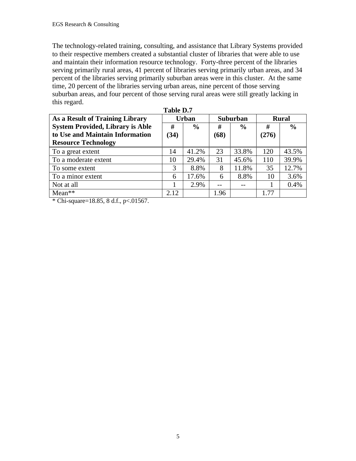The technology-related training, consulting, and assistance that Library Systems provided to their respective members created a substantial cluster of libraries that were able to use and maintain their information resource technology. Forty-three percent of the libraries serving primarily rural areas, 41 percent of libraries serving primarily urban areas, and 34 percent of the libraries serving primarily suburban areas were in this cluster. At the same time, 20 percent of the libraries serving urban areas, nine percent of those serving suburban areas, and four percent of those serving rural areas were still greatly lacking in this regard. **Table D.7**

| As a Result of Training Library         | <b>Urban</b> |               | <b>Suburban</b> |               | <b>Rural</b> |               |
|-----------------------------------------|--------------|---------------|-----------------|---------------|--------------|---------------|
| <b>System Provided, Library is Able</b> | #            | $\frac{6}{9}$ | #               | $\frac{0}{0}$ | #            | $\frac{6}{6}$ |
| to Use and Maintain Information         | (34)         |               | (68)            |               | (276)        |               |
| <b>Resource Technology</b>              |              |               |                 |               |              |               |
| To a great extent                       | 14           | 41.2%         | 23              | 33.8%         | 120          | 43.5%         |
| To a moderate extent                    | 10           | 29.4%         | 31              | 45.6%         | 110          | 39.9%         |
| To some extent                          | 3            | 8.8%          | 8               | 11.8%         | 35           | 12.7%         |
| To a minor extent                       | 6            | 17.6%         | 6               | 8.8%          | 10           | 3.6%          |
| Not at all                              |              | 2.9%          | $-1$            |               |              | 0.4%          |
| $Mean**$                                | 2.12         |               | 1.96            |               | 1.77         |               |

\* Chi-square=18.85, 8 d.f.,  $p < 0.01567$ .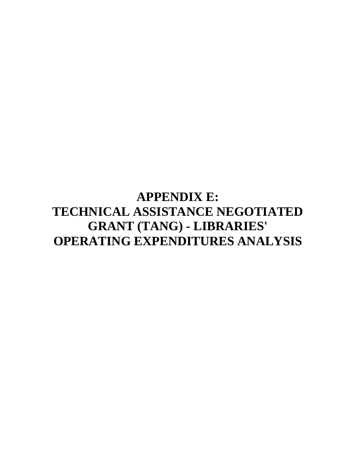## **APPENDIX E: TECHNICAL ASSISTANCE NEGOTIATED GRANT (TANG) - LIBRARIES' OPERATING EXPENDITURES ANALYSIS**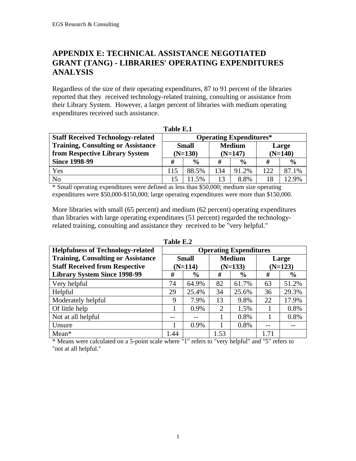## **APPENDIX E: TECHNICAL ASSISTANCE NEGOTIATED GRANT (TANG) - LIBRARIES' OPERATING EXPENDITURES ANALYSIS**

Regardless of the size of their operating expenditures, 87 to 91 percent of the libraries reported that they received technology-related training, consulting or assistance from their Library System. However, a larger percent of libraries with medium operating expenditures received such assistance.

| *********                                 |                                |       |               |               |           |               |
|-------------------------------------------|--------------------------------|-------|---------------|---------------|-----------|---------------|
| <b>Staff Received Technology-related</b>  | <b>Operating Expenditures*</b> |       |               |               |           |               |
| <b>Training, Consulting or Assistance</b> | <b>Small</b>                   |       | <b>Medium</b> |               |           | Large         |
| from Respective Library System            | $(N=130)$                      |       | $(N=147)$     |               | $(N=140)$ |               |
| <b>Since 1998-99</b>                      | #<br>$\frac{0}{0}$             |       | #             | $\frac{0}{0}$ | #         | $\frac{0}{0}$ |
| Yes                                       | 115                            | 88.5% | 134           | 91.2%         | 122       | 87.1%         |
| No                                        | 15                             | 1.5%  | 13            | 8.8%          | 18        | 12.9%         |

| fable F |  |
|---------|--|
|---------|--|

\* Small operating expenditures were defined as less than \$50,000; medium size operating expenditures were \$50,000-\$150,000; large operating expenditures were more than \$150,000.

More libraries with small (65 percent) and medium (62 percent) operating expenditures than libraries with large operating expenditures (51 percent) regarded the technologyrelated training, consulting and assistance they received to be "very helpful."

| <b>Helpfulness of Technology-related</b>  | <b>Operating Expenditures</b> |               |                |               |           |               |
|-------------------------------------------|-------------------------------|---------------|----------------|---------------|-----------|---------------|
| <b>Training, Consulting or Assistance</b> | <b>Small</b>                  |               | <b>Medium</b>  |               | Large     |               |
| <b>Staff Received from Respective</b>     | $(N=114)$                     |               | $(N=133)$      |               | $(N=123)$ |               |
| <b>Library System Since 1998-99</b>       | #                             | $\frac{0}{0}$ | #              | $\frac{6}{6}$ | #         | $\frac{6}{6}$ |
| Very helpful                              | 74                            | 64.9%         | 82             | 61.7%         | 63        | 51.2%         |
| Helpful                                   | 29                            | 25.4%         | 34             | 25.6%         | 36        | 29.3%         |
| Moderately helpful                        | 9                             | 7.9%          | 13             | 9.8%          | 22        | 17.9%         |
| Of little help                            |                               | 0.9%          | $\overline{2}$ | 1.5%          |           | 0.8%          |
| Not at all helpful                        |                               |               |                | 0.8%          |           | 0.8%          |
| Unsure                                    |                               | 0.9%          |                | 0.8%          | --        |               |
| $Mean*$                                   | 1.44                          |               | 1.53           |               | 1.71      |               |

**Table E.2**

\* Means were calculated on a 5-point scale where "1" refers to "very helpful" and "5" refers to "not at all helpful."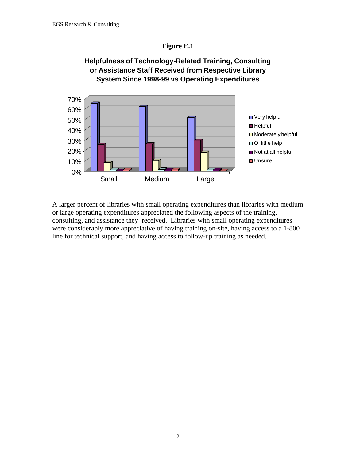



A larger percent of libraries with small operating expenditures than libraries with medium or large operating expenditures appreciated the following aspects of the training, consulting, and assistance they received. Libraries with small operating expenditures were considerably more appreciative of having training on-site, having access to a 1-800 line for technical support, and having access to follow-up training as needed.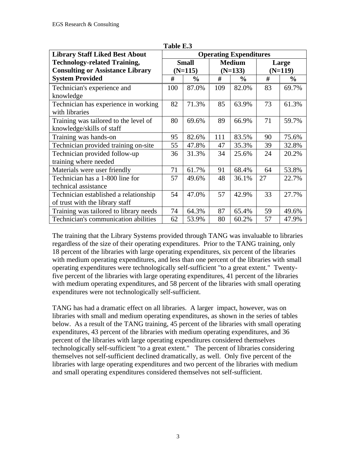| <b>Library Staff Liked Best About</b>   | <b>Operating Expenditures</b> |               |           |               |           |               |
|-----------------------------------------|-------------------------------|---------------|-----------|---------------|-----------|---------------|
| <b>Technology-related Training,</b>     | <b>Small</b>                  |               |           | <b>Medium</b> | Large     |               |
| <b>Consulting or Assistance Library</b> |                               | $(N=115)$     | $(N=133)$ |               | $(N=119)$ |               |
| <b>System Provided</b>                  | #                             | $\frac{0}{0}$ | #         | $\frac{0}{0}$ | #         | $\frac{0}{0}$ |
| Technician's experience and             | 100                           | 87.0%         | 109       | 82.0%         | 83        | 69.7%         |
| knowledge                               |                               |               |           |               |           |               |
| Technician has experience in working    | 82                            | 71.3%         | 85        | 63.9%         | 73        | 61.3%         |
| with libraries                          |                               |               |           |               |           |               |
| Training was tailored to the level of   | 80                            | 69.6%         | 89        | 66.9%         | 71        | 59.7%         |
| knowledge/skills of staff               |                               |               |           |               |           |               |
| Training was hands-on                   | 95                            | 82.6%         | 111       | 83.5%         | 90        | 75.6%         |
| Technician provided training on-site    | 55                            | 47.8%         | 47        | 35.3%         | 39        | 32.8%         |
| Technician provided follow-up           | 36                            | 31.3%         | 34        | 25.6%         | 24        | 20.2%         |
| training where needed                   |                               |               |           |               |           |               |
| Materials were user friendly            | 71                            | 61.7%         | 91        | 68.4%         | 64        | 53.8%         |
| Technician has a 1-800 line for         | 57                            | 49.6%         | 48        | 36.1%         | 27        | 22.7%         |
| technical assistance                    |                               |               |           |               |           |               |
| Technician established a relationship   | 54                            | 47.0%         | 57        | 42.9%         | 33        | 27.7%         |
| of trust with the library staff         |                               |               |           |               |           |               |
| Training was tailored to library needs  | 74                            | 64.3%         | 87        | 65.4%         | 59        | 49.6%         |
| Technician's communication abilities    | 62                            | 53.9%         | 80        | 60.2%         | 57        | 47.9%         |

**Table E.3**

The training that the Library Systems provided through TANG was invaluable to libraries regardless of the size of their operating expenditures. Prior to the TANG training, only 18 percent of the libraries with large operating expenditures, six percent of the libraries with medium operating expenditures, and less than one percent of the libraries with small operating expenditures were technologically self-sufficient "to a great extent." Twentyfive percent of the libraries with large operating expenditures, 41 percent of the libraries with medium operating expenditures, and 58 percent of the libraries with small operating expenditures were not technologically self-sufficient.

TANG has had a dramatic effect on all libraries. A larger impact, however, was on libraries with small and medium operating expenditures, as shown in the series of tables below. As a result of the TANG training, 45 percent of the libraries with small operating expenditures, 43 percent of the libraries with medium operating expenditures, and 36 percent of the libraries with large operating expenditures considered themselves technologically self-sufficient "to a great extent." The percent of libraries considering themselves not self-sufficient declined dramatically, as well. Only five percent of the libraries with large operating expenditures and two percent of the libraries with medium and small operating expenditures considered themselves not self-sufficient.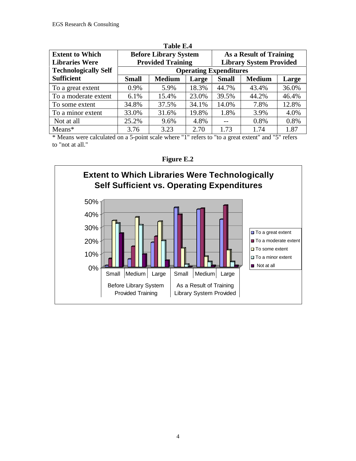| <b>Extent to Which</b><br><b>Libraries Were</b> | <b>Before Library System</b><br><b>Provided Training</b> |                               |       |              | As a Result of Training<br><b>Library System Provided</b> |       |  |  |
|-------------------------------------------------|----------------------------------------------------------|-------------------------------|-------|--------------|-----------------------------------------------------------|-------|--|--|
| <b>Technologically Self</b>                     |                                                          | <b>Operating Expenditures</b> |       |              |                                                           |       |  |  |
| <b>Sufficient</b>                               | <b>Small</b>                                             | <b>Medium</b>                 | Large | <b>Small</b> | <b>Medium</b>                                             | Large |  |  |
| To a great extent                               | 0.9%                                                     | 5.9%                          | 18.3% | 44.7%        | 43.4%                                                     | 36.0% |  |  |
| To a moderate extent                            | 6.1%                                                     | 15.4%                         | 23.0% | 39.5%        | 44.2%                                                     | 46.4% |  |  |
| To some extent                                  | 34.8%                                                    | 37.5%                         | 34.1% | 14.0%        | 7.8%                                                      | 12.8% |  |  |
| To a minor extent                               | 33.0%                                                    | 31.6%                         | 19.8% | 1.8%         | 3.9%                                                      | 4.0%  |  |  |
| Not at all                                      | 25.2%                                                    | 9.6%                          | 4.8%  |              | 0.8%                                                      | 0.8%  |  |  |
| $Means*$                                        | 3.76                                                     | 3.23                          | 2.70  | 1.73         | 1.74                                                      | 1.87  |  |  |

**Table E.4**

\* Means were calculated on a 5-point scale where "1" refers to "to a great extent" and "5" refers to "not at all."



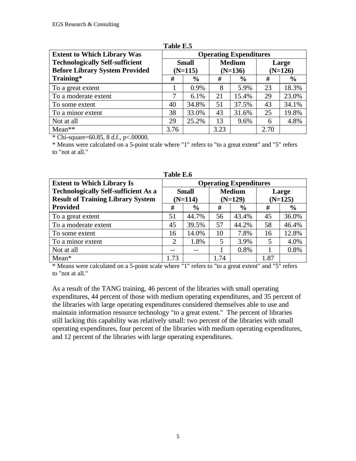| <b>Extent to Which Library Was</b>     | <b>Operating Expenditures</b> |               |               |               |           |               |  |
|----------------------------------------|-------------------------------|---------------|---------------|---------------|-----------|---------------|--|
| <b>Technologically Self-sufficient</b> | <b>Small</b>                  |               | <b>Medium</b> |               | Large     |               |  |
| <b>Before Library System Provided</b>  | $(N=115)$                     |               | $(N=136)$     |               | $(N=126)$ |               |  |
| Training*                              | #                             | $\frac{0}{0}$ | #             | $\frac{6}{6}$ | #         | $\frac{6}{9}$ |  |
| To a great extent                      |                               | 0.9%          | 8             | 5.9%          | 23        | 18.3%         |  |
| To a moderate extent                   | 7                             | 6.1%          | 21            | 15.4%         | 29        | 23.0%         |  |
| To some extent                         | 40                            | 34.8%         | 51            | 37.5%         | 43        | 34.1%         |  |
| To a minor extent                      | 38                            | 33.0%         | 43            | 31.6%         | 25        | 19.8%         |  |
| Not at all                             | 29                            | 25.2%         | 13            | 9.6%          | 6         | 4.8%          |  |
| $Mean**$                               | 3.76                          |               | 3.23          |               | 2.70      |               |  |

**Table E.5**

\* Chi-square=60.85, 8 d.f., p<.00000.

\* Means were calculated on a 5-point scale where "1" refers to "to a great extent" and "5" refers to "not at all."

| <b>Extent to Which Library Is</b>           | <b>Operating Expenditures</b> |               |               |               |           |               |
|---------------------------------------------|-------------------------------|---------------|---------------|---------------|-----------|---------------|
| <b>Technologically Self-sufficient As a</b> | <b>Small</b>                  |               | <b>Medium</b> |               | Large     |               |
| <b>Result of Training Library System</b>    | $(N=114)$                     |               | $(N=129)$     |               | $(N=125)$ |               |
| <b>Provided</b>                             | #                             | $\frac{6}{9}$ | #             | $\frac{6}{6}$ | #         | $\frac{6}{6}$ |
| To a great extent                           | 51                            | 44.7%         | 56            | 43.4%         | 45        | 36.0%         |
| To a moderate extent                        | 45                            | 39.5%         | 57            | 44.2%         | 58        | 46.4%         |
| To some extent                              | 16                            | 14.0%         | 10            | 7.8%          | 16        | 12.8%         |
| To a minor extent                           | 2                             | 1.8%          | 5             | 3.9%          | 5         | 4.0%          |
| Not at all                                  |                               |               |               | 0.8%          |           | 0.8%          |
| Mean*                                       | 1.73                          |               | 1.74          |               | 1.87      |               |

**Table E.6**

\* Means were calculated on a 5-point scale where "1" refers to "to a great extent" and "5" refers to "not at all."

As a result of the TANG training, 46 percent of the libraries with small operating expenditures, 44 percent of those with medium operating expenditures, and 35 percent of the libraries with large operating expenditures considered themselves able to use and maintain information resource technology "to a great extent." The percent of libraries still lacking this capability was relatively small: two percent of the libraries with small operating expenditures, four percent of the libraries with medium operating expenditures, and 12 percent of the libraries with large operating expenditures.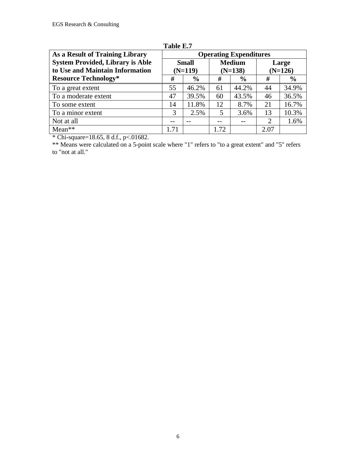| As a Result of Training Library         | <b>Operating Expenditures</b> |               |               |               |           |               |
|-----------------------------------------|-------------------------------|---------------|---------------|---------------|-----------|---------------|
| <b>System Provided, Library is Able</b> | <b>Small</b>                  |               | <b>Medium</b> |               | Large     |               |
| to Use and Maintain Information         | $(N=119)$                     |               | $(N=138)$     |               | $(N=126)$ |               |
| <b>Resource Technology*</b>             | #                             | $\frac{6}{6}$ | #             | $\frac{6}{6}$ | #         | $\frac{6}{6}$ |
| To a great extent                       | 55                            | 46.2%         | 61            | 44.2%         | 44        | 34.9%         |
| To a moderate extent                    | 47                            | 39.5%         | 60            | 43.5%         | 46        | 36.5%         |
| To some extent                          | 14                            | 11.8%         | 12            | 8.7%          | 21        | 16.7%         |
| To a minor extent                       | 3                             | 2.5%          | 5             | 3.6%          | 13        | 10.3%         |
| Not at all                              | --                            | $ -$          | --            |               | 2         | 1.6%          |
| $Mean**$                                | 1.71                          |               | 1.72          |               | 2.07      |               |

**Table E.7**

\* Chi-square=18.65, 8 d.f., p<.01682.

\*\* Means were calculated on a 5-point scale where "1" refers to "to a great extent" and "5" refers to "not at all."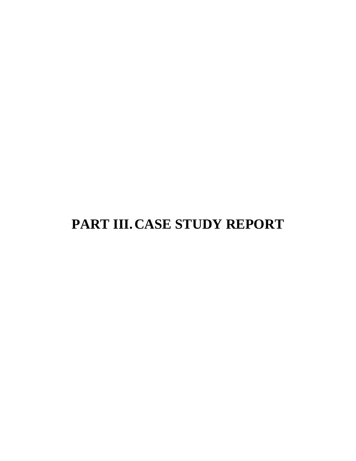# **PART III.CASE STUDY REPORT**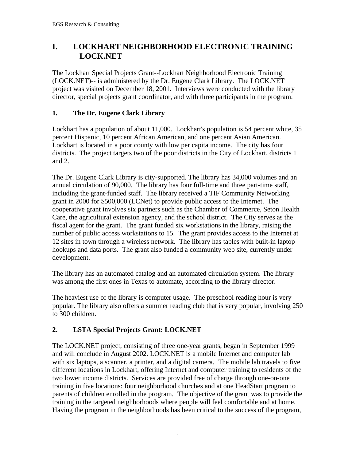## **I. LOCKHART NEIGHBORHOOD ELECTRONIC TRAINING LOCK.NET**

The Lockhart Special Projects Grant--Lockhart Neighborhood Electronic Training (LOCK.NET)-- is administered by the Dr. Eugene Clark Library. The LOCK.NET project was visited on December 18, 2001. Interviews were conducted with the library director, special projects grant coordinator, and with three participants in the program.

### **1. The Dr. Eugene Clark Library**

Lockhart has a population of about 11,000. Lockhart's population is 54 percent white, 35 percent Hispanic, 10 percent African American, and one percent Asian American. Lockhart is located in a poor county with low per capita income. The city has four districts. The project targets two of the poor districts in the City of Lockhart, districts 1 and 2.

The Dr. Eugene Clark Library is city-supported. The library has 34,000 volumes and an annual circulation of 90,000. The library has four full-time and three part-time staff, including the grant-funded staff. The library received a TIF Community Networking grant in 2000 for \$500,000 (LCNet) to provide public access to the Internet. The cooperative grant involves six partners such as the Chamber of Commerce, Seton Health Care, the agricultural extension agency, and the school district. The City serves as the fiscal agent for the grant. The grant funded six workstations in the library, raising the number of public access workstations to 15. The grant provides access to the Internet at 12 sites in town through a wireless network. The library has tables with built-in laptop hookups and data ports. The grant also funded a community web site, currently under development.

The library has an automated catalog and an automated circulation system. The library was among the first ones in Texas to automate, according to the library director.

The heaviest use of the library is computer usage. The preschool reading hour is very popular. The library also offers a summer reading club that is very popular, involving 250 to 300 children.

### **2. LSTA Special Projects Grant: LOCK.NET**

The LOCK.NET project, consisting of three one-year grants, began in September 1999 and will conclude in August 2002. LOCK.NET is a mobile Internet and computer lab with six laptops, a scanner, a printer, and a digital camera. The mobile lab travels to five different locations in Lockhart, offering Internet and computer training to residents of the two lower income districts. Services are provided free of charge through one-on-one training in five locations: four neighborhood churches and at one HeadStart program to parents of children enrolled in the program. The objective of the grant was to provide the training in the targeted neighborhoods where people will feel comfortable and at home. Having the program in the neighborhoods has been critical to the success of the program,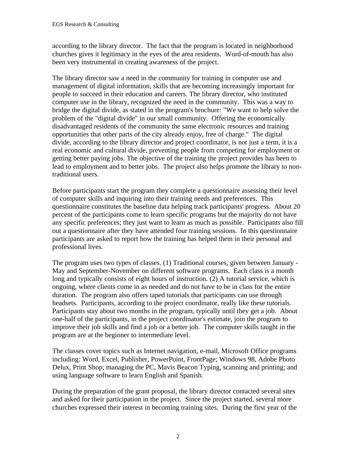according to the library director. The fact that the program is located in neighborhood churches gives it legitimacy in the eyes of the area residents. Word-of-mouth has also been very instrumental in creating awareness of the project.

The library director saw a need in the community for training in computer use and management of digital information, skills that are becoming increasingly important for people to succeed in their education and careers. The library director, who instituted computer use in the library, recognized the need in the community. This was a way to bridge the digital divide, as stated in the program's brochure: "We want to help solve the problem of the "digital divide" in our small community. Offering the economically disadvantaged residents of the community the same electronic resources and training opportunities that other parts of the city already enjoy, free of charge." The digital divide, according to the library director and project coordinator, is not just a term, it is a real economic and cultural divide, preventing people from competing for employment or getting better paying jobs. The objective of the training the project provides has been to lead to employment and to better jobs. The project also helps promote the library to nontraditional users.

Before participants start the program they complete a questionnaire assessing their level of computer skills and inquiring into their training needs and preferences. This questionnaire constitutes the baseline data helping track participants' progress. About 20 percent of the participants come to learn specific programs but the majority do not have any specific preferences; they just want to learn as much as possible. Participants also fill out a questionnaire after they have attended four training sessions. In this questionnaire participants are asked to report how the training has helped them in their personal and professional lives.

The program uses two types of classes. (1) Traditional courses, given between January - May and September-November on different software programs. Each class is a month long and typically consists of eight hours of instruction. (2) A tutorial service, which is ongoing, where clients come in as needed and do not have to be in class for the entire duration. The program also offers taped tutorials that participants can use through headsets. Participants, according to the project coordinator, really like these tutorials. Participants stay about two months in the program, typically until they get a job. About one-half of the participants, in the project coordinator's estimate, join the program to improve their job skills and find a job or a better job. The computer skills taught in the program are at the beginner to intermediate level.

The classes cover topics such as Internet navigation, e-mail, Microsoft Office programs including: Word, Excel, Publisher, PowerPoint, FrontPage; Windows 98, Adobe Photo Delux, Print Shop; managing the PC, Mavis Beacon Typing, scanning and printing; and using language software to learn English and Spanish.

During the preparation of the grant proposal, the library director contacted several sites and asked for their participation in the project. Since the project started, several more churches expressed their interest in becoming training sites. During the first year of the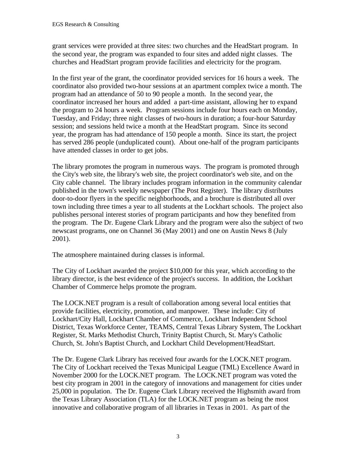grant services were provided at three sites: two churches and the HeadStart program. In the second year, the program was expanded to four sites and added night classes. The churches and HeadStart program provide facilities and electricity for the program.

In the first year of the grant, the coordinator provided services for 16 hours a week. The coordinator also provided two-hour sessions at an apartment complex twice a month. The program had an attendance of 50 to 90 people a month. In the second year, the coordinator increased her hours and added a part-time assistant, allowing her to expand the program to 24 hours a week. Program sessions include four hours each on Monday, Tuesday, and Friday; three night classes of two-hours in duration; a four-hour Saturday session; and sessions held twice a month at the HeadStart program. Since its second year, the program has had attendance of 150 people a month. Since its start, the project has served 286 people (unduplicated count). About one-half of the program participants have attended classes in order to get jobs.

The library promotes the program in numerous ways. The program is promoted through the City's web site, the library's web site, the project coordinator's web site, and on the City cable channel. The library includes program information in the community calendar published in the town's weekly newspaper (The Post Register). The library distributes door-to-door flyers in the specific neighborhoods, and a brochure is distributed all over town including three times a year to all students at the Lockhart schools. The project also publishes personal interest stories of program participants and how they benefited from the program. The Dr. Eugene Clark Library and the program were also the subject of two newscast programs, one on Channel 36 (May 2001) and one on Austin News 8 (July 2001).

The atmosphere maintained during classes is informal.

The City of Lockhart awarded the project \$10,000 for this year, which according to the library director, is the best evidence of the project's success. In addition, the Lockhart Chamber of Commerce helps promote the program.

The LOCK.NET program is a result of collaboration among several local entities that provide facilities, electricity, promotion, and manpower. These include: City of Lockhart/City Hall, Lockhart Chamber of Commerce, Lockhart Independent School District, Texas Workforce Center, TEAMS, Central Texas Library System, The Lockhart Register, St. Marks Methodist Church, Trinity Baptist Church, St. Mary's Catholic Church, St. John's Baptist Church, and Lockhart Child Development/HeadStart.

The Dr. Eugene Clark Library has received four awards for the LOCK.NET program. The City of Lockhart received the Texas Municipal League (TML) Excellence Award in November 2000 for the LOCK.NET program. The LOCK.NET program was voted the best city program in 2001 in the category of innovations and management for cities under 25,000 in population. The Dr. Eugene Clark Library received the Highsmith award from the Texas Library Association (TLA) for the LOCK.NET program as being the most innovative and collaborative program of all libraries in Texas in 2001. As part of the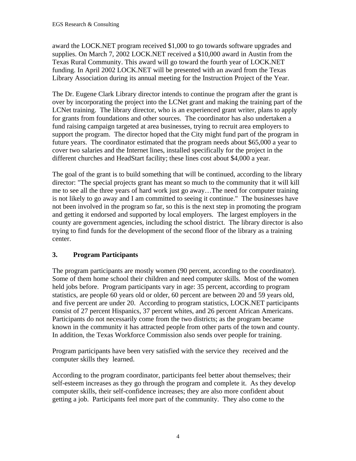award the LOCK.NET program received \$1,000 to go towards software upgrades and supplies. On March 7, 2002 LOCK.NET received a \$10,000 award in Austin from the Texas Rural Community. This award will go toward the fourth year of LOCK.NET funding. In April 2002 LOCK.NET will be presented with an award from the Texas Library Association during its annual meeting for the Instruction Project of the Year.

The Dr. Eugene Clark Library director intends to continue the program after the grant is over by incorporating the project into the LCNet grant and making the training part of the LCNet training. The library director, who is an experienced grant writer, plans to apply for grants from foundations and other sources. The coordinator has also undertaken a fund raising campaign targeted at area businesses, trying to recruit area employers to support the program. The director hoped that the City might fund part of the program in future years. The coordinator estimated that the program needs about \$65,000 a year to cover two salaries and the Internet lines, installed specifically for the project in the different churches and HeadStart facility; these lines cost about \$4,000 a year.

The goal of the grant is to build something that will be continued, according to the library director: "The special projects grant has meant so much to the community that it will kill me to see all the three years of hard work just go away…The need for computer training is not likely to go away and I am committed to seeing it continue." The businesses have not been involved in the program so far, so this is the next step in promoting the program and getting it endorsed and supported by local employers. The largest employers in the county are government agencies, including the school district. The library director is also trying to find funds for the development of the second floor of the library as a training center.

### **3. Program Participants**

The program participants are mostly women (90 percent, according to the coordinator). Some of them home school their children and need computer skills. Most of the women held jobs before. Program participants vary in age: 35 percent, according to program statistics, are people 60 years old or older, 60 percent are between 20 and 59 years old, and five percent are under 20. According to program statistics, LOCK.NET participants consist of 27 percent Hispanics, 37 percent whites, and 26 percent African Americans. Participants do not necessarily come from the two districts; as the program became known in the community it has attracted people from other parts of the town and county. In addition, the Texas Workforce Commission also sends over people for training.

Program participants have been very satisfied with the service they received and the computer skills they learned.

According to the program coordinator, participants feel better about themselves; their self-esteem increases as they go through the program and complete it. As they develop computer skills, their self-confidence increases; they are also more confident about getting a job. Participants feel more part of the community. They also come to the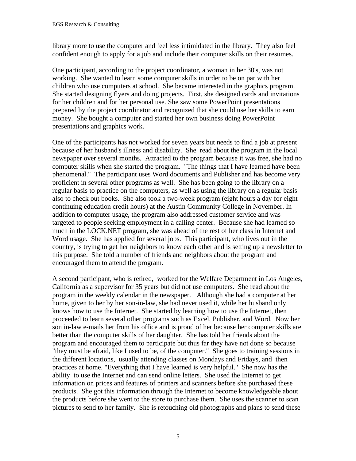library more to use the computer and feel less intimidated in the library. They also feel confident enough to apply for a job and include their computer skills on their resumes.

One participant, according to the project coordinator, a woman in her 30's, was not working. She wanted to learn some computer skills in order to be on par with her children who use computers at school. She became interested in the graphics program. She started designing flyers and doing projects. First, she designed cards and invitations for her children and for her personal use. She saw some PowerPoint presentations prepared by the project coordinator and recognized that she could use her skills to earn money. She bought a computer and started her own business doing PowerPoint presentations and graphics work.

One of the participants has not worked for seven years but needs to find a job at present because of her husband's illness and disability. She read about the program in the local newspaper over several months. Attracted to the program because it was free, she had no computer skills when she started the program. "The things that I have learned have been phenomenal." The participant uses Word documents and Publisher and has become very proficient in several other programs as well. She has been going to the library on a regular basis to practice on the computers, as well as using the library on a regular basis also to check out books. She also took a two-week program (eight hours a day for eight continuing education credit hours) at the Austin Community College in November. In addition to computer usage, the program also addressed customer service and was targeted to people seeking employment in a calling center. Because she had learned so much in the LOCK.NET program, she was ahead of the rest of her class in Internet and Word usage. She has applied for several jobs. This participant, who lives out in the country, is trying to get her neighbors to know each other and is setting up a newsletter to this purpose. She told a number of friends and neighbors about the program and encouraged them to attend the program.

A second participant, who is retired, worked for the Welfare Department in Los Angeles, California as a supervisor for 35 years but did not use computers. She read about the program in the weekly calendar in the newspaper. Although she had a computer at her home, given to her by her son-in-law, she had never used it, while her husband only knows how to use the Internet. She started by learning how to use the Internet, then proceeded to learn several other programs such as Excel, Publisher, and Word. Now her son in-law e-mails her from his office and is proud of her because her computer skills are better than the computer skills of her daughter. She has told her friends about the program and encouraged them to participate but thus far they have not done so because "they must be afraid, like I used to be, of the computer." She goes to training sessions in the different locations, usually attending classes on Mondays and Fridays, and then practices at home. "Everything that I have learned is very helpful." She now has the ability to use the Internet and can send online letters. She used the Internet to get information on prices and features of printers and scanners before she purchased these products. She got this information through the Internet to become knowledgeable about the products before she went to the store to purchase them. She uses the scanner to scan pictures to send to her family. She is retouching old photographs and plans to send these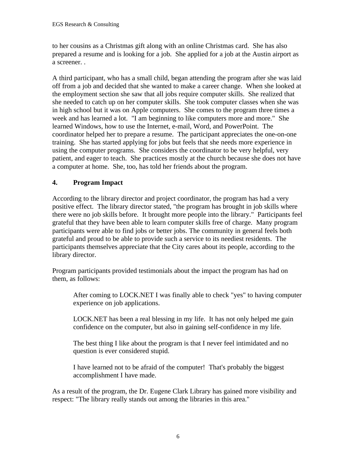to her cousins as a Christmas gift along with an online Christmas card. She has also prepared a resume and is looking for a job. She applied for a job at the Austin airport as a screener. .

A third participant, who has a small child, began attending the program after she was laid off from a job and decided that she wanted to make a career change. When she looked at the employment section she saw that all jobs require computer skills. She realized that she needed to catch up on her computer skills. She took computer classes when she was in high school but it was on Apple computers. She comes to the program three times a week and has learned a lot. "I am beginning to like computers more and more." She learned Windows, how to use the Internet, e-mail, Word, and PowerPoint. The coordinator helped her to prepare a resume. The participant appreciates the one-on-one training. She has started applying for jobs but feels that she needs more experience in using the computer programs. She considers the coordinator to be very helpful, very patient, and eager to teach. She practices mostly at the church because she does not have a computer at home. She, too, has told her friends about the program.

#### **4. Program Impact**

According to the library director and project coordinator, the program has had a very positive effect. The library director stated, "the program has brought in job skills where there were no job skills before. It brought more people into the library." Participants feel grateful that they have been able to learn computer skills free of charge. Many program participants were able to find jobs or better jobs. The community in general feels both grateful and proud to be able to provide such a service to its neediest residents. The participants themselves appreciate that the City cares about its people, according to the library director.

Program participants provided testimonials about the impact the program has had on them, as follows:

After coming to LOCK.NET I was finally able to check "yes" to having computer experience on job applications.

LOCK.NET has been a real blessing in my life. It has not only helped me gain confidence on the computer, but also in gaining self-confidence in my life.

The best thing I like about the program is that I never feel intimidated and no question is ever considered stupid.

I have learned not to be afraid of the computer! That's probably the biggest accomplishment I have made.

As a result of the program, the Dr. Eugene Clark Library has gained more visibility and respect: "The library really stands out among the libraries in this area."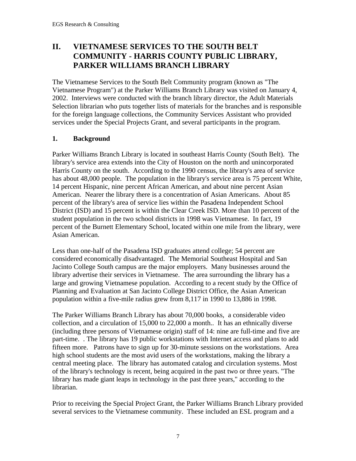## **II. VIETNAMESE SERVICES TO THE SOUTH BELT COMMUNITY - HARRIS COUNTY PUBLIC LIBRARY, PARKER WILLIAMS BRANCH LIBRARY**

The Vietnamese Services to the South Belt Community program (known as "The Vietnamese Program") at the Parker Williams Branch Library was visited on January 4, 2002. Interviews were conducted with the branch library director, the Adult Materials Selection librarian who puts together lists of materials for the branches and is responsible for the foreign language collections, the Community Services Assistant who provided services under the Special Projects Grant, and several participants in the program.

#### **1. Background**

Parker Williams Branch Library is located in southeast Harris County (South Belt). The library's service area extends into the City of Houston on the north and unincorporated Harris County on the south. According to the 1990 census, the library's area of service has about 48,000 people. The population in the library's service area is 75 percent White, 14 percent Hispanic, nine percent African American, and about nine percent Asian American. Nearer the library there is a concentration of Asian Americans. About 85 percent of the library's area of service lies within the Pasadena Independent School District (ISD) and 15 percent is within the Clear Creek ISD. More than 10 percent of the student population in the two school districts in 1998 was Vietnamese. In fact, 19 percent of the Burnett Elementary School, located within one mile from the library, were Asian American.

Less than one-half of the Pasadena ISD graduates attend college; 54 percent are considered economically disadvantaged. The Memorial Southeast Hospital and San Jacinto College South campus are the major employers. Many businesses around the library advertise their services in Vietnamese. The area surrounding the library has a large and growing Vietnamese population. According to a recent study by the Office of Planning and Evaluation at San Jacinto College District Office, the Asian American population within a five-mile radius grew from 8,117 in 1990 to 13,886 in 1998.

The Parker Williams Branch Library has about 70,000 books, a considerable video collection, and a circulation of 15,000 to 22,000 a month.. It has an ethnically diverse (including three persons of Vietnamese origin) staff of 14: nine are full-time and five are part-time. . The library has 19 public workstations with Internet access and plans to add fifteen more. Patrons have to sign up for 30-minute sessions on the workstations. Area high school students are the most avid users of the workstations, making the library a central meeting place. The library has automated catalog and circulation systems. Most of the library's technology is recent, being acquired in the past two or three years. "The library has made giant leaps in technology in the past three years," according to the librarian.

Prior to receiving the Special Project Grant, the Parker Williams Branch Library provided several services to the Vietnamese community. These included an ESL program and a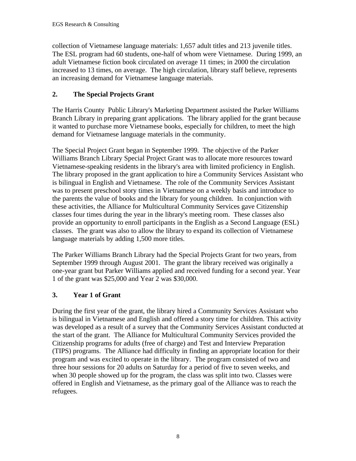collection of Vietnamese language materials: 1,657 adult titles and 213 juvenile titles. The ESL program had 60 students, one-half of whom were Vietnamese. During 1999, an adult Vietnamese fiction book circulated on average 11 times; in 2000 the circulation increased to 13 times, on average. The high circulation, library staff believe, represents an increasing demand for Vietnamese language materials.

#### **2. The Special Projects Grant**

The Harris County Public Library's Marketing Department assisted the Parker Williams Branch Library in preparing grant applications. The library applied for the grant because it wanted to purchase more Vietnamese books, especially for children, to meet the high demand for Vietnamese language materials in the community.

The Special Project Grant began in September 1999. The objective of the Parker Williams Branch Library Special Project Grant was to allocate more resources toward Vietnamese-speaking residents in the library's area with limited proficiency in English. The library proposed in the grant application to hire a Community Services Assistant who is bilingual in English and Vietnamese. The role of the Community Services Assistant was to present preschool story times in Vietnamese on a weekly basis and introduce to the parents the value of books and the library for young children. In conjunction with these activities, the Alliance for Multicultural Community Services gave Citizenship classes four times during the year in the library's meeting room. These classes also provide an opportunity to enroll participants in the English as a Second Language (ESL) classes. The grant was also to allow the library to expand its collection of Vietnamese language materials by adding 1,500 more titles.

The Parker Williams Branch Library had the Special Projects Grant for two years, from September 1999 through August 2001. The grant the library received was originally a one-year grant but Parker Williams applied and received funding for a second year. Year 1 of the grant was \$25,000 and Year 2 was \$30,000.

#### **3. Year 1 of Grant**

During the first year of the grant, the library hired a Community Services Assistant who is bilingual in Vietnamese and English and offered a story time for children. This activity was developed as a result of a survey that the Community Services Assistant conducted at the start of the grant. The Alliance for Multicultural Community Services provided the Citizenship programs for adults (free of charge) and Test and Interview Preparation (TIPS) programs. The Alliance had difficulty in finding an appropriate location for their program and was excited to operate in the library. The program consisted of two and three hour sessions for 20 adults on Saturday for a period of five to seven weeks, and when 30 people showed up for the program, the class was split into two. Classes were offered in English and Vietnamese, as the primary goal of the Alliance was to reach the refugees.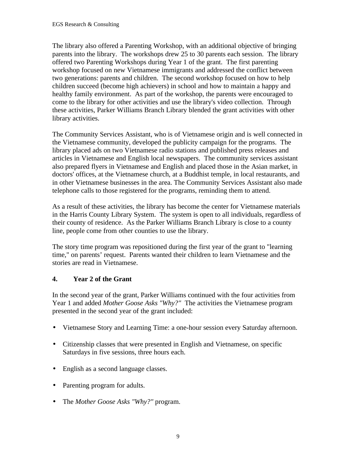The library also offered a Parenting Workshop, with an additional objective of bringing parents into the library. The workshops drew 25 to 30 parents each session. The library offered two Parenting Workshops during Year 1 of the grant. The first parenting workshop focused on new Vietnamese immigrants and addressed the conflict between two generations: parents and children. The second workshop focused on how to help children succeed (become high achievers) in school and how to maintain a happy and healthy family environment. As part of the workshop, the parents were encouraged to come to the library for other activities and use the library's video collection. Through these activities, Parker Williams Branch Library blended the grant activities with other library activities.

The Community Services Assistant, who is of Vietnamese origin and is well connected in the Vietnamese community, developed the publicity campaign for the programs. The library placed ads on two Vietnamese radio stations and published press releases and articles in Vietnamese and English local newspapers. The community services assistant also prepared flyers in Vietnamese and English and placed those in the Asian market, in doctors' offices, at the Vietnamese church, at a Buddhist temple, in local restaurants, and in other Vietnamese businesses in the area. The Community Services Assistant also made telephone calls to those registered for the programs, reminding them to attend.

As a result of these activities, the library has become the center for Vietnamese materials in the Harris County Library System. The system is open to all individuals, regardless of their county of residence. As the Parker Williams Branch Library is close to a county line, people come from other counties to use the library.

The story time program was repositioned during the first year of the grant to "learning time," on parents' request. Parents wanted their children to learn Vietnamese and the stories are read in Vietnamese.

### **4. Year 2 of the Grant**

In the second year of the grant, Parker Williams continued with the four activities from Year 1 and added *Mother Goose Asks "Why?"* The activities the Vietnamese program presented in the second year of the grant included:

- Vietnamese Story and Learning Time: a one-hour session every Saturday afternoon.
- Citizenship classes that were presented in English and Vietnamese, on specific Saturdays in five sessions, three hours each.
- English as a second language classes.
- Parenting program for adults.
- The *Mother Goose Asks "Why?"* program.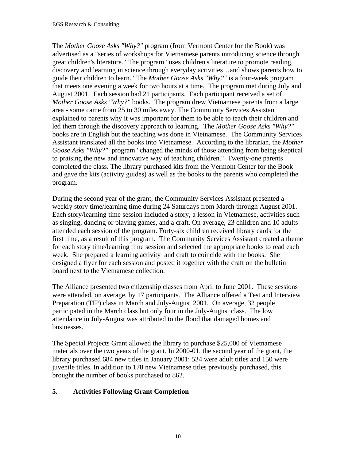The *Mother Goose Asks "Why?"* program (from Vermont Center for the Book) was advertised as a "series of workshops for Vietnamese parents introducing science through great children's literature." The program "uses children's literature to promote reading, discovery and learning in science through everyday activities…and shows parents how to guide their children to learn." The *Mother Goose Asks "Why?"* is a four-week program that meets one evening a week for two hours at a time. The program met during July and August 2001. Each session had 21 participants. Each participant received a set of *Mother Goose Asks "Why?"* books. The program drew Vietnamese parents from a large area - some came from 25 to 30 miles away. The Community Services Assistant explained to parents why it was important for them to be able to teach their children and led them through the discovery approach to learning. The *Mother Goose Asks "Why?"* books are in English but the teaching was done in Vietnamese. The Community Services Assistant translated all the books into Vietnamese. According to the librarian, the *Mother Goose Asks "Why?"* program "changed the minds of those attending from being skeptical to praising the new and innovative way of teaching children." Twenty-one parents completed the class. The library purchased kits from the Vermont Center for the Book and gave the kits (activity guides) as well as the books to the parents who completed the program.

During the second year of the grant, the Community Services Assistant presented a weekly story time/learning time during 24 Saturdays from March through August 2001. Each story/learning time session included a story, a lesson in Vietnamese, activities such as singing, dancing or playing games, and a craft. On average, 23 children and 10 adults attended each session of the program. Forty-six children received library cards for the first time, as a result of this program. The Community Services Assistant created a theme for each story time/learning time session and selected the appropriate books to read each week. She prepared a learning activity and craft to coincide with the books. She designed a flyer for each session and posted it together with the craft on the bulletin board next to the Vietnamese collection.

The Alliance presented two citizenship classes from April to June 2001. These sessions were attended, on average, by 17 participants. The Alliance offered a Test and Interview Preparation (TIP) class in March and July-August 2001. On average, 32 people participated in the March class but only four in the July-August class. The low attendance in July-August was attributed to the flood that damaged homes and businesses.

The Special Projects Grant allowed the library to purchase \$25,000 of Vietnamese materials over the two years of the grant. In 2000-01, the second year of the grant, the library purchased 684 new titles in January 2001: 534 were adult titles and 150 were juvenile titles. In addition to 178 new Vietnamese titles previously purchased, this brought the number of books purchased to 862.

### **5. Activities Following Grant Completion**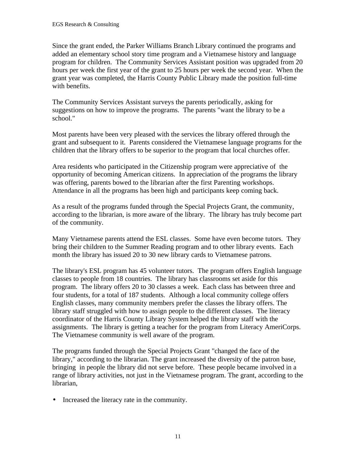Since the grant ended, the Parker Williams Branch Library continued the programs and added an elementary school story time program and a Vietnamese history and language program for children. The Community Services Assistant position was upgraded from 20 hours per week the first year of the grant to 25 hours per week the second year. When the grant year was completed, the Harris County Public Library made the position full-time with benefits.

The Community Services Assistant surveys the parents periodically, asking for suggestions on how to improve the programs. The parents "want the library to be a school."

Most parents have been very pleased with the services the library offered through the grant and subsequent to it. Parents considered the Vietnamese language programs for the children that the library offers to be superior to the program that local churches offer.

Area residents who participated in the Citizenship program were appreciative of the opportunity of becoming American citizens. In appreciation of the programs the library was offering, parents bowed to the librarian after the first Parenting workshops. Attendance in all the programs has been high and participants keep coming back.

As a result of the programs funded through the Special Projects Grant, the community, according to the librarian, is more aware of the library. The library has truly become part of the community.

Many Vietnamese parents attend the ESL classes. Some have even become tutors. They bring their children to the Summer Reading program and to other library events. Each month the library has issued 20 to 30 new library cards to Vietnamese patrons.

The library's ESL program has 45 volunteer tutors. The program offers English language classes to people from 18 countries. The library has classrooms set aside for this program. The library offers 20 to 30 classes a week. Each class has between three and four students, for a total of 187 students. Although a local community college offers English classes, many community members prefer the classes the library offers. The library staff struggled with how to assign people to the different classes. The literacy coordinator of the Harris County Library System helped the library staff with the assignments. The library is getting a teacher for the program from Literacy AmeriCorps. The Vietnamese community is well aware of the program.

The programs funded through the Special Projects Grant "changed the face of the library," according to the librarian. The grant increased the diversity of the patron base, bringing in people the library did not serve before. These people became involved in a range of library activities, not just in the Vietnamese program. The grant, according to the librarian,

• Increased the literacy rate in the community.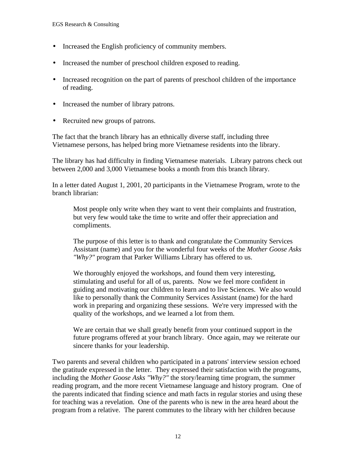- Increased the English proficiency of community members.
- Increased the number of preschool children exposed to reading.
- Increased recognition on the part of parents of preschool children of the importance of reading.
- Increased the number of library patrons.
- Recruited new groups of patrons.

The fact that the branch library has an ethnically diverse staff, including three Vietnamese persons, has helped bring more Vietnamese residents into the library.

The library has had difficulty in finding Vietnamese materials. Library patrons check out between 2,000 and 3,000 Vietnamese books a month from this branch library.

In a letter dated August 1, 2001, 20 participants in the Vietnamese Program, wrote to the branch librarian:

Most people only write when they want to vent their complaints and frustration, but very few would take the time to write and offer their appreciation and compliments.

The purpose of this letter is to thank and congratulate the Community Services Assistant (name) and you for the wonderful four weeks of the *Mother Goose Asks "Why?"* program that Parker Williams Library has offered to us.

We thoroughly enjoyed the workshops, and found them very interesting, stimulating and useful for all of us, parents. Now we feel more confident in guiding and motivating our children to learn and to live Sciences. We also would like to personally thank the Community Services Assistant (name) for the hard work in preparing and organizing these sessions. We're very impressed with the quality of the workshops, and we learned a lot from them.

We are certain that we shall greatly benefit from your continued support in the future programs offered at your branch library. Once again, may we reiterate our sincere thanks for your leadership.

Two parents and several children who participated in a patrons' interview session echoed the gratitude expressed in the letter. They expressed their satisfaction with the programs, including the *Mother Goose Asks "Why?"* the story/learning time program, the summer reading program, and the more recent Vietnamese language and history program. One of the parents indicated that finding science and math facts in regular stories and using these for teaching was a revelation. One of the parents who is new in the area heard about the program from a relative. The parent commutes to the library with her children because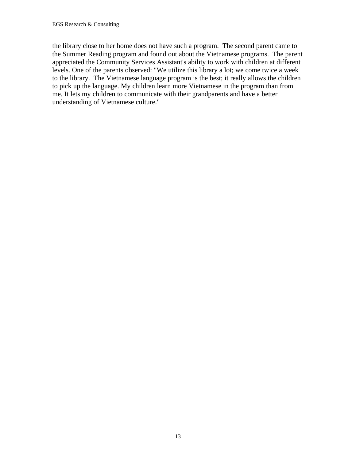the library close to her home does not have such a program. The second parent came to the Summer Reading program and found out about the Vietnamese programs. The parent appreciated the Community Services Assistant's ability to work with children at different levels. One of the parents observed: "We utilize this library a lot; we come twice a week to the library. The Vietnamese language program is the best; it really allows the children to pick up the language. My children learn more Vietnamese in the program than from me. It lets my children to communicate with their grandparents and have a better understanding of Vietnamese culture."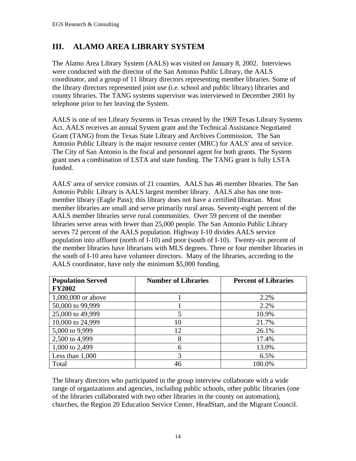## **III. ALAMO AREA LIBRARY SYSTEM**

The Alamo Area Library System (AALS) was visited on January 8, 2002. Interviews were conducted with the director of the San Antonio Public Library, the AALS coordinator, and a group of 11 library directors representing member libraries. Some of the library directors represented joint use (i.e. school and public library) libraries and county libraries. The TANG systems supervisor was interviewed in December 2001 by telephone prior to her leaving the System.

AALS is one of ten Library Systems in Texas created by the 1969 Texas Library Systems Act. AALS receives an annual System grant and the Technical Assistance Negotiated Grant (TANG) from the Texas State Library and Archives Commission. The San Antonio Public Library is the major resource center (MRC) for AALS' area of service. The City of San Antonio is the fiscal and personnel agent for both grants. The System grant uses a combination of LSTA and state funding. The TANG grant is fully LSTA funded.

AALS' area of service consists of 21 counties. AALS has 46 member libraries. The San Antonio Public Library is AALS largest member library. AALS also has one nonmember library (Eagle Pass); this library does not have a certified librarian. Most member libraries are small and serve primarily rural areas. Seventy-eight percent of the AALS member libraries serve rural communities. Over 59 percent of the member libraries serve areas with fewer than 25,000 people. The San Antonio Public Library serves 72 percent of the AALS population. Highway I-10 divides AALS service population into affluent (north of I-10) and poor (south of I-10). Twenty-six percent of the member libraries have librarians with MLS degrees. Three or four member libraries in the south of I-10 area have volunteer directors. Many of the libraries, according to the AALS coordinator, have only the minimum \$5,000 funding.

| <b>Population Served</b> | <b>Number of Libraries</b> | <b>Percent of Libraries</b> |
|--------------------------|----------------------------|-----------------------------|
| <b>FY2002</b>            |                            |                             |
| 1,000,000 or above       |                            | 2.2%                        |
| 50,000 to 99,999         |                            | 2.2%                        |
| 25,000 to 49,999         | 5                          | 10.9%                       |
| 10,000 to 24,999         | 10                         | 21.7%                       |
| 5,000 to 9,999           | 12                         | 26.1%                       |
| 2,500 to 4,999           | 8                          | 17.4%                       |
| 1,000 to 2,499           | 6                          | 13.0%                       |
| Less than $1,000$        | 3                          | 6.5%                        |
| Total                    | 46                         | 100.0%                      |

The library directors who participated in the group interview collaborate with a wide range of organizations and agencies, including public schools, other public libraries (one of the libraries collaborated with two other libraries in the county on automation), churches, the Region 20 Education Service Center, HeadStart, and the Migrant Council.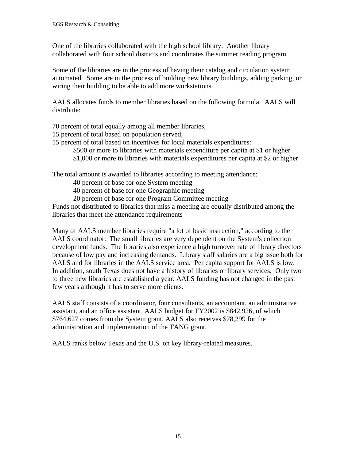One of the libraries collaborated with the high school library. Another library collaborated with four school districts and coordinates the summer reading program.

Some of the libraries are in the process of having their catalog and circulation system automated. Some are in the process of building new library buildings, adding parking, or wiring their building to be able to add more workstations.

AALS allocates funds to member libraries based on the following formula. AALS will distribute:

70 percent of total equally among all member libraries,

- 15 percent of total based on population served,
- 15 percent of total based on incentives for local materials expenditures:
	- \$500 or more to libraries with materials expenditure per capita at \$1 or higher
	- \$1,000 or more to libraries with materials expenditures per capita at \$2 or higher

The total amount is awarded to libraries according to meeting attendance:

40 percent of base for one System meeting

40 percent of base for one Geographic meeting

20 percent of base for one Program Committee meeting

Funds not distributed to libraries that miss a meeting are equally distributed among the libraries that meet the attendance requirements

Many of AALS member libraries require "a lot of basic instruction," according to the AALS coordinator. The small libraries are very dependent on the System's collection development funds. The libraries also experience a high turnover rate of library directors because of low pay and increasing demands. Library staff salaries are a big issue both for AALS and for libraries in the AALS service area. Per capita support for AALS is low. In addition, south Texas does not have a history of libraries or library services. Only two to three new libraries are established a year. AALS funding has not changed in the past few years although it has to serve more clients.

AALS staff consists of a coordinator, four consultants, an accountant, an administrative assistant, and an office assistant. AALS budget for FY2002 is \$842,926, of which \$764,627 comes from the System grant. AALS also receives \$78,299 for the administration and implementation of the TANG grant.

AALS ranks below Texas and the U.S. on key library-related measures.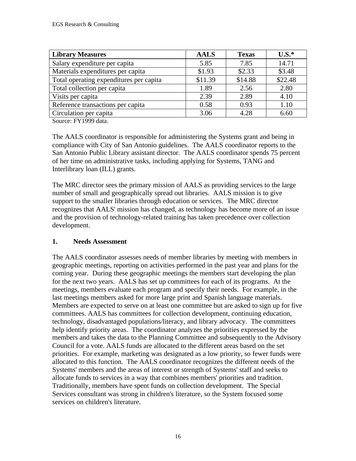| <b>Library Measures</b>                 | <b>AALS</b> | <b>Texas</b> | $U.S.*$ |
|-----------------------------------------|-------------|--------------|---------|
| Salary expenditure per capita           | 5.85        | 7.85         | 14.71   |
| Materials expenditures per capita       | \$1.93      | \$2.33       | \$3.48  |
| Total operating expenditures per capita | \$11.39     | \$14.88      | \$22.48 |
| Total collection per capita             | 1.89        | 2.56         | 2.80    |
| Visits per capita                       | 2.39        | 2.89         | 4.10    |
| Reference transactions per capita       | 0.58        | 0.93         | 1.10    |
| Circulation per capita                  | 3.06        | 4.28         | 6.60    |

Source: FY1999 data.

The AALS coordinator is responsible for administering the Systems grant and being in compliance with City of San Antonio guidelines. The AALS coordinator reports to the San Antonio Public Library assistant director. The AALS coordinator spends 75 percent of her time on administrative tasks, including applying for Systems, TANG and Interlibrary loan (ILL) grants.

The MRC director sees the primary mission of AALS as providing services to the large number of small and geographically spread out libraries. AALS mission is to give support to the smaller libraries through education or services. The MRC director recognizes that AALS' mission has changed, as technology has become more of an issue and the provision of technology-related training has taken precedence over collection development.

#### **1. Needs Assessment**

The AALS coordinator assesses needs of member libraries by meeting with members in geographic meetings, reporting on activities performed in the past year and plans for the coming year. During these geographic meetings the members start developing the plan for the next two years. AALS has set up committees for each of its programs. At the meetings, members evaluate each program and specify their needs. For example, in the last meetings members asked for more large print and Spanish language materials. Members are expected to serve on at least one committee but are asked to sign up for five committees. AALS has committees for collection development, continuing education, technology, disadvantaged populations/literacy, and library advocacy. The committees help identify priority areas. The coordinator analyzes the priorities expressed by the members and takes the data to the Planning Committee and subsequently to the Advisory Council for a vote. AALS funds are allocated to the different areas based on the set priorities. For example, marketing was designated as a low priority, so fewer funds were allocated to this function. The AALS coordinator recognizes the different needs of the Systems' members and the areas of interest or strength of Systems' staff and seeks to allocate funds to services in a way that combines members' priorities and tradition. Traditionally, members have spent funds on collection development. The Special Services consultant was strong in children's literature, so the System focused some services on children's literature.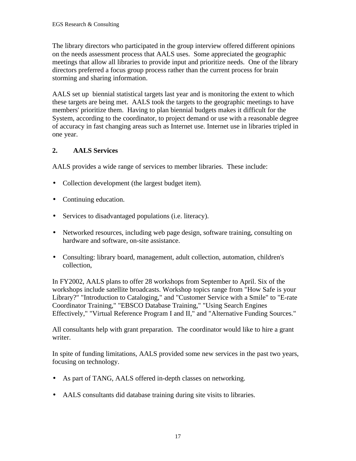The library directors who participated in the group interview offered different opinions on the needs assessment process that AALS uses. Some appreciated the geographic meetings that allow all libraries to provide input and prioritize needs. One of the library directors preferred a focus group process rather than the current process for brain storming and sharing information.

AALS set up biennial statistical targets last year and is monitoring the extent to which these targets are being met. AALS took the targets to the geographic meetings to have members' prioritize them. Having to plan biennial budgets makes it difficult for the System, according to the coordinator, to project demand or use with a reasonable degree of accuracy in fast changing areas such as Internet use. Internet use in libraries tripled in one year.

### **2. AALS Services**

AALS provides a wide range of services to member libraries. These include:

- Collection development (the largest budget item).
- Continuing education.
- Services to disadvantaged populations (i.e. literacy).
- Networked resources, including web page design, software training, consulting on hardware and software, on-site assistance.
- Consulting: library board, management, adult collection, automation, children's collection,

In FY2002, AALS plans to offer 28 workshops from September to April. Six of the workshops include satellite broadcasts. Workshop topics range from "How Safe is your Library?" "Introduction to Cataloging," and "Customer Service with a Smile" to "E-rate Coordinator Training," "EBSCO Database Training," "Using Search Engines Effectively," "Virtual Reference Program I and II," and "Alternative Funding Sources."

All consultants help with grant preparation. The coordinator would like to hire a grant writer.

In spite of funding limitations, AALS provided some new services in the past two years, focusing on technology.

- As part of TANG, AALS offered in-depth classes on networking.
- AALS consultants did database training during site visits to libraries.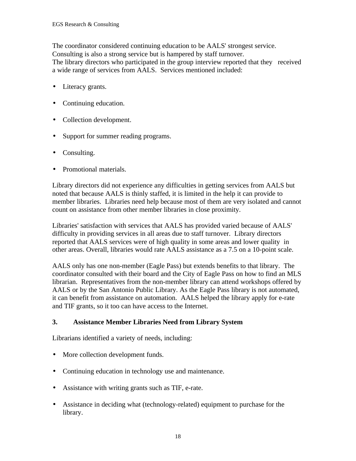The coordinator considered continuing education to be AALS' strongest service. Consulting is also a strong service but is hampered by staff turnover. The library directors who participated in the group interview reported that they received a wide range of services from AALS. Services mentioned included:

- Literacy grants.
- Continuing education.
- Collection development.
- Support for summer reading programs.
- Consulting.
- Promotional materials.

Library directors did not experience any difficulties in getting services from AALS but noted that because AALS is thinly staffed, it is limited in the help it can provide to member libraries. Libraries need help because most of them are very isolated and cannot count on assistance from other member libraries in close proximity.

Libraries' satisfaction with services that AALS has provided varied because of AALS' difficulty in providing services in all areas due to staff turnover. Library directors reported that AALS services were of high quality in some areas and lower quality in other areas. Overall, libraries would rate AALS assistance as a 7.5 on a 10-point scale.

AALS only has one non-member (Eagle Pass) but extends benefits to that library. The coordinator consulted with their board and the City of Eagle Pass on how to find an MLS librarian. Representatives from the non-member library can attend workshops offered by AALS or by the San Antonio Public Library. As the Eagle Pass library is not automated, it can benefit from assistance on automation. AALS helped the library apply for e-rate and TIF grants, so it too can have access to the Internet.

#### **3. Assistance Member Libraries Need from Library System**

Librarians identified a variety of needs, including:

- More collection development funds.
- Continuing education in technology use and maintenance.
- Assistance with writing grants such as TIF, e-rate.
- Assistance in deciding what (technology-related) equipment to purchase for the library.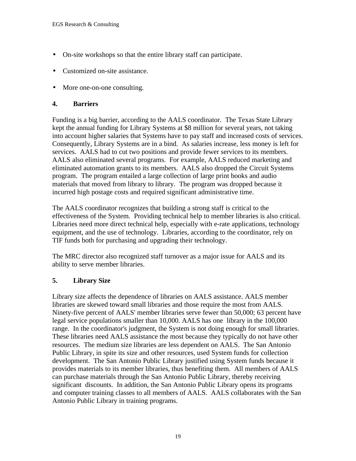- On-site workshops so that the entire library staff can participate.
- Customized on-site assistance.
- More one-on-one consulting.

#### **4. Barriers**

Funding is a big barrier, according to the AALS coordinator. The Texas State Library kept the annual funding for Library Systems at \$8 million for several years, not taking into account higher salaries that Systems have to pay staff and increased costs of services. Consequently, Library Systems are in a bind. As salaries increase, less money is left for services. AALS had to cut two positions and provide fewer services to its members. AALS also eliminated several programs. For example, AALS reduced marketing and eliminated automation grants to its members. AALS also dropped the Circuit Systems program. The program entailed a large collection of large print books and audio materials that moved from library to library. The program was dropped because it incurred high postage costs and required significant administrative time.

The AALS coordinator recognizes that building a strong staff is critical to the effectiveness of the System. Providing technical help to member libraries is also critical. Libraries need more direct technical help, especially with e-rate applications, technology equipment, and the use of technology. Libraries, according to the coordinator, rely on TIF funds both for purchasing and upgrading their technology.

The MRC director also recognized staff turnover as a major issue for AALS and its ability to serve member libraries.

#### **5. Library Size**

Library size affects the dependence of libraries on AALS assistance. AALS member libraries are skewed toward small libraries and those require the most from AALS. Ninety-five percent of AALS' member libraries serve fewer than 50,000; 63 percent have legal service populations smaller than 10,000. AALS has one library in the 100,000 range. In the coordinator's judgment, the System is not doing enough for small libraries. These libraries need AALS assistance the most because they typically do not have other resources. The medium size libraries are less dependent on AALS. The San Antonio Public Library, in spite its size and other resources, used System funds for collection development. The San Antonio Public Library justified using System funds because it provides materials to its member libraries, thus benefiting them. All members of AALS can purchase materials through the San Antonio Public Library, thereby receiving significant discounts. In addition, the San Antonio Public Library opens its programs and computer training classes to all members of AALS. AALS collaborates with the San Antonio Public Library in training programs.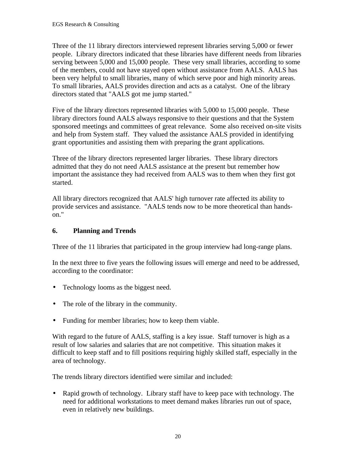Three of the 11 library directors interviewed represent libraries serving 5,000 or fewer people. Library directors indicated that these libraries have different needs from libraries serving between 5,000 and 15,000 people. These very small libraries, according to some of the members, could not have stayed open without assistance from AALS. AALS has been very helpful to small libraries, many of which serve poor and high minority areas. To small libraries, AALS provides direction and acts as a catalyst. One of the library directors stated that "AALS got me jump started."

Five of the library directors represented libraries with 5,000 to 15,000 people. These library directors found AALS always responsive to their questions and that the System sponsored meetings and committees of great relevance. Some also received on-site visits and help from System staff. They valued the assistance AALS provided in identifying grant opportunities and assisting them with preparing the grant applications.

Three of the library directors represented larger libraries. These library directors admitted that they do not need AALS assistance at the present but remember how important the assistance they had received from AALS was to them when they first got started.

All library directors recognized that AALS' high turnover rate affected its ability to provide services and assistance. "AALS tends now to be more theoretical than handson."

#### **6. Planning and Trends**

Three of the 11 libraries that participated in the group interview had long-range plans.

In the next three to five years the following issues will emerge and need to be addressed, according to the coordinator:

- Technology looms as the biggest need.
- The role of the library in the community.
- Funding for member libraries; how to keep them viable.

With regard to the future of AALS, staffing is a key issue. Staff turnover is high as a result of low salaries and salaries that are not competitive. This situation makes it difficult to keep staff and to fill positions requiring highly skilled staff, especially in the area of technology.

The trends library directors identified were similar and included:

• Rapid growth of technology. Library staff have to keep pace with technology. The need for additional workstations to meet demand makes libraries run out of space, even in relatively new buildings.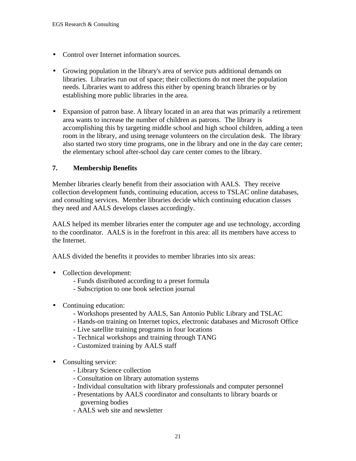- Control over Internet information sources.
- Growing population in the library's area of service puts additional demands on libraries. Libraries run out of space; their collections do not meet the population needs. Libraries want to address this either by opening branch libraries or by establishing more public libraries in the area.
- Expansion of patron base. A library located in an area that was primarily a retirement area wants to increase the number of children as patrons. The library is accomplishing this by targeting middle school and high school children, adding a teen room in the library, and using teenage volunteers on the circulation desk. The library also started two story time programs, one in the library and one in the day care center; the elementary school after-school day care center comes to the library.

## **7. Membership Benefits**

Member libraries clearly benefit from their association with AALS. They receive collection development funds, continuing education, access to TSLAC online databases, and consulting services. Member libraries decide which continuing education classes they need and AALS develops classes accordingly.

AALS helped its member libraries enter the computer age and use technology, according to the coordinator. AALS is in the forefront in this area: all its members have access to the Internet.

AALS divided the benefits it provides to member libraries into six areas:

- Collection development:
	- Funds distributed according to a preset formula
	- Subscription to one book selection journal
- Continuing education:
	- Workshops presented by AALS, San Antonio Public Library and TSLAC
	- Hands-on training on Internet topics, electronic databases and Microsoft Office
	- Live satellite training programs in four locations
	- Technical workshops and training through TANG
	- Customized training by AALS staff
- Consulting service:
	- Library Science collection
	- Consultation on library automation systems
	- Individual consultation with library professionals and computer personnel
	- Presentations by AALS coordinator and consultants to library boards or governing bodies
	- AALS web site and newsletter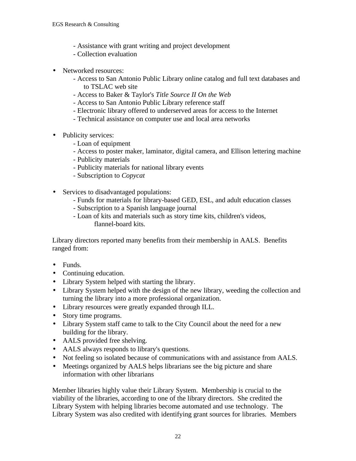- Assistance with grant writing and project development
- Collection evaluation
- Networked resources:
	- Access to San Antonio Public Library online catalog and full text databases and to TSLAC web site
	- Access to Baker & Taylor's *Title Source II On the Web*
	- Access to San Antonio Public Library reference staff
	- Electronic library offered to underserved areas for access to the Internet
	- Technical assistance on computer use and local area networks
- Publicity services:
	- Loan of equipment
	- Access to poster maker, laminator, digital camera, and Ellison lettering machine
	- Publicity materials
	- Publicity materials for national library events
	- Subscription to *Copycat*
- Services to disadvantaged populations:
	- Funds for materials for library-based GED, ESL, and adult education classes
	- Subscription to a Spanish language journal
	- Loan of kits and materials such as story time kits, children's videos, flannel-board kits.

Library directors reported many benefits from their membership in AALS. Benefits ranged from:

- Funds.
- Continuing education.
- Library System helped with starting the library.
- Library System helped with the design of the new library, weeding the collection and turning the library into a more professional organization.
- Library resources were greatly expanded through ILL.
- Story time programs.
- Library System staff came to talk to the City Council about the need for a new building for the library.
- AALS provided free shelving.
- AALS always responds to library's questions.
- Not feeling so isolated because of communications with and assistance from AALS.
- Meetings organized by AALS helps librarians see the big picture and share information with other librarians

Member libraries highly value their Library System. Membership is crucial to the viability of the libraries, according to one of the library directors. She credited the Library System with helping libraries become automated and use technology. The Library System was also credited with identifying grant sources for libraries. Members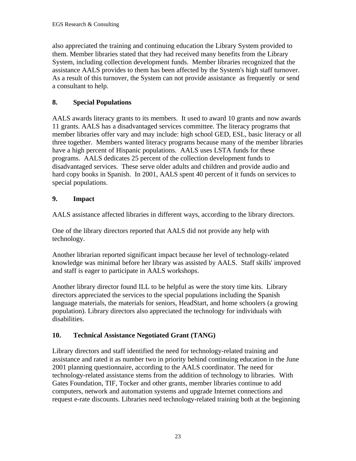also appreciated the training and continuing education the Library System provided to them. Member libraries stated that they had received many benefits from the Library System, including collection development funds. Member libraries recognized that the assistance AALS provides to them has been affected by the System's high staff turnover. As a result of this turnover, the System can not provide assistance as frequently or send a consultant to help.

# **8. Special Populations**

AALS awards literacy grants to its members. It used to award 10 grants and now awards 11 grants. AALS has a disadvantaged services committee. The literacy programs that member libraries offer vary and may include: high school GED, ESL, basic literacy or all three together. Members wanted literacy programs because many of the member libraries have a high percent of Hispanic populations. AALS uses LSTA funds for these programs. AALS dedicates 25 percent of the collection development funds to disadvantaged services. These serve older adults and children and provide audio and hard copy books in Spanish. In 2001, AALS spent 40 percent of it funds on services to special populations.

# **9. Impact**

AALS assistance affected libraries in different ways, according to the library directors.

One of the library directors reported that AALS did not provide any help with technology.

Another librarian reported significant impact because her level of technology-related knowledge was minimal before her library was assisted by AALS. Staff skills' improved and staff is eager to participate in AALS workshops.

Another library director found ILL to be helpful as were the story time kits. Library directors appreciated the services to the special populations including the Spanish language materials, the materials for seniors, HeadStart, and home schoolers (a growing population). Library directors also appreciated the technology for individuals with disabilities.

# **10. Technical Assistance Negotiated Grant (TANG)**

Library directors and staff identified the need for technology-related training and assistance and rated it as number two in priority behind continuing education in the June 2001 planning questionnaire, according to the AALS coordinator. The need for technology-related assistance stems from the addition of technology to libraries. With Gates Foundation, TIF, Tocker and other grants, member libraries continue to add computers, network and automation systems and upgrade Internet connections and request e-rate discounts. Libraries need technology-related training both at the beginning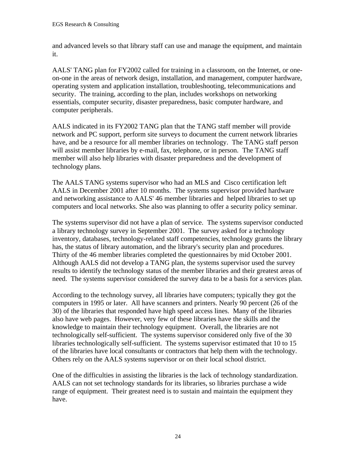and advanced levels so that library staff can use and manage the equipment, and maintain it.

AALS' TANG plan for FY2002 called for training in a classroom, on the Internet, or oneon-one in the areas of network design, installation, and management, computer hardware, operating system and application installation, troubleshooting, telecommunications and security. The training, according to the plan, includes workshops on networking essentials, computer security, disaster preparedness, basic computer hardware, and computer peripherals.

AALS indicated in its FY2002 TANG plan that the TANG staff member will provide network and PC support, perform site surveys to document the current network libraries have, and be a resource for all member libraries on technology. The TANG staff person will assist member libraries by e-mail, fax, telephone, or in person. The TANG staff member will also help libraries with disaster preparedness and the development of technology plans.

The AALS TANG systems supervisor who had an MLS and Cisco certification left AALS in December 2001 after 10 months. The systems supervisor provided hardware and networking assistance to AALS' 46 member libraries and helped libraries to set up computers and local networks. She also was planning to offer a security policy seminar.

The systems supervisor did not have a plan of service. The systems supervisor conducted a library technology survey in September 2001. The survey asked for a technology inventory, databases, technology-related staff competencies, technology grants the library has, the status of library automation, and the library's security plan and procedures. Thirty of the 46 member libraries completed the questionnaires by mid October 2001. Although AALS did not develop a TANG plan, the systems supervisor used the survey results to identify the technology status of the member libraries and their greatest areas of need. The systems supervisor considered the survey data to be a basis for a services plan.

According to the technology survey, all libraries have computers; typically they got the computers in 1995 or later. All have scanners and printers. Nearly 90 percent (26 of the 30) of the libraries that responded have high speed access lines. Many of the libraries also have web pages. However, very few of these libraries have the skills and the knowledge to maintain their technology equipment. Overall, the libraries are not technologically self-sufficient. The systems supervisor considered only five of the 30 libraries technologically self-sufficient. The systems supervisor estimated that 10 to 15 of the libraries have local consultants or contractors that help them with the technology. Others rely on the AALS systems supervisor or on their local school district.

One of the difficulties in assisting the libraries is the lack of technology standardization. AALS can not set technology standards for its libraries, so libraries purchase a wide range of equipment. Their greatest need is to sustain and maintain the equipment they have.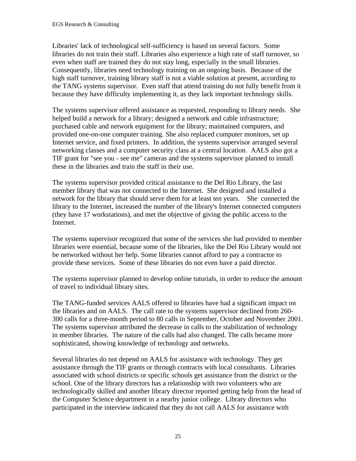Libraries' lack of technological self-sufficiency is based on several factors. Some libraries do not train their staff. Libraries also experience a high rate of staff turnover, so even when staff are trained they do not stay long, especially in the small libraries. Consequently, libraries need technology training on an ongoing basis. Because of the high staff turnover, training library staff is not a viable solution at present, according to the TANG systems supervisor. Even staff that attend training do not fully benefit from it because they have difficulty implementing it, as they lack important technology skills.

The systems supervisor offered assistance as requested, responding to library needs. She helped build a network for a library; designed a network and cable infrastructure; purchased cable and network equipment for the library; maintained computers, and provided one-on-one computer training. She also replaced computer monitors, set up Internet service, and fixed printers. In addition, the systems supervisor arranged several networking classes and a computer security class at a central location. AALS also got a TIF grant for "see you - see me" cameras and the systems supervisor planned to install these in the libraries and train the staff in their use.

The systems supervisor provided critical assistance to the Del Rio Library, the last member library that was not connected to the Internet. She designed and installed a network for the library that should serve them for at least ten years. She connected the library to the Internet, increased the number of the library's Internet connected computers (they have 17 workstations), and met the objective of giving the public access to the Internet.

The systems supervisor recognized that some of the services she had provided to member libraries were essential, because some of the libraries, like the Del Rio Library would not be networked without her help. Some libraries cannot afford to pay a contractor to provide these services. Some of these libraries do not even have a paid director.

The systems supervisor planned to develop online tutorials, in order to reduce the amount of travel to individual library sites.

The TANG-funded services AALS offered to libraries have had a significant impact on the libraries and on AALS. The call rate to the systems supervisor declined from 260- 300 calls for a three-month period to 80 calls in September, October and November 2001. The systems supervisor attributed the decrease in calls to the stabilization of technology in member libraries. The nature of the calls had also changed. The calls became more sophisticated, showing knowledge of technology and networks.

Several libraries do not depend on AALS for assistance with technology. They get assistance through the TIF grants or through contracts with local consultants. Libraries associated with school districts or specific schools get assistance from the district or the school. One of the library directors has a relationship with two volunteers who are technologically skilled and another library director reported getting help from the head of the Computer Science department in a nearby junior college. Library directors who participated in the interview indicated that they do not call AALS for assistance with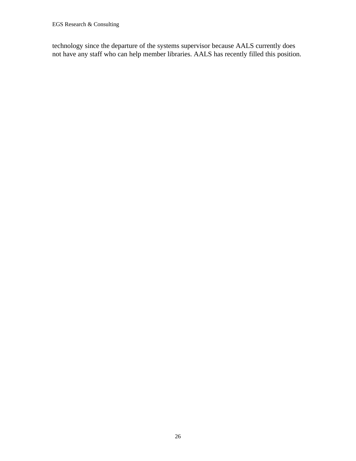technology since the departure of the systems supervisor because AALS currently does not have any staff who can help member libraries. AALS has recently filled this position.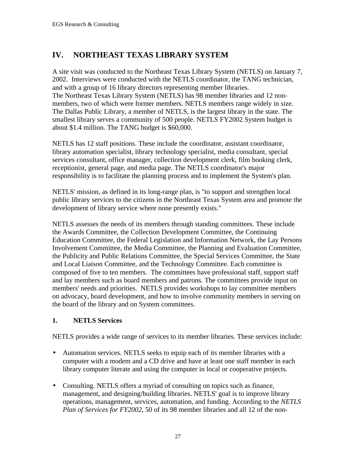# **IV. NORTHEAST TEXAS LIBRARY SYSTEM**

A site visit was conducted to the Northeast Texas Library System (NETLS) on January 7, 2002. Interviews were conducted with the NETLS coordinator, the TANG technician, and with a group of 16 library directors representing member libraries. The Northeast Texas Library System (NETLS) has 98 member libraries and 12 nonmembers, two of which were former members. NETLS members range widely in size. The Dallas Public Library, a member of NETLS, is the largest library in the state. The smallest library serves a community of 500 people. NETLS FY2002 System budget is about \$1.4 million. The TANG budget is \$60,000.

NETLS has 12 staff positions. These include the coordinator, assistant coordinator, library automation specialist, library technology specialist, media consultant, special services consultant, office manager, collection development clerk, film booking clerk, receptionist, general page, and media page. The NETLS coordinator's major responsibility is to facilitate the planning process and to implement the System's plan.

NETLS' mission, as defined in its long-range plan, is "to support and strengthen local public library services to the citizens in the Northeast Texas System area and promote the development of library service where none presently exists."

NETLS assesses the needs of its members through standing committees. These include the Awards Committee, the Collection Development Committee, the Continuing Education Committee, the Federal Legislation and Information Network, the Lay Persons Involvement Committee, the Media Committee, the Planning and Evaluation Committee, the Publicity and Public Relations Committee, the Special Services Committee, the State and Local Liaison Committee, and the Technology Committee. Each committee is composed of five to ten members. The committees have professional staff, support staff and lay members such as board members and patrons. The committees provide input on members' needs and priorities. NETLS provides workshops to lay committee members on advocacy, board development, and how to involve community members in serving on the board of the library and on System committees.

## **1. NETLS Services**

NETLS provides a wide range of services to its member libraries. These services include:

- Automation services. NETLS seeks to equip each of its member libraries with a computer with a modem and a CD drive and have at least one staff member in each library computer literate and using the computer in local or cooperative projects.
- Consulting. NETLS offers a myriad of consulting on topics such as finance, management, and designing/building libraries. NETLS' goal is to improve library operations, management, services, automation, and funding. According to the *NETLS Plan of Services for FY2002*, 50 of its 98 member libraries and all 12 of the non-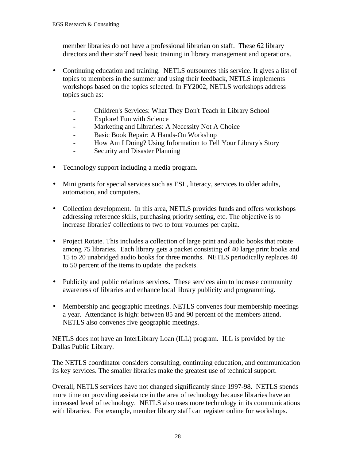member libraries do not have a professional librarian on staff. These 62 library directors and their staff need basic training in library management and operations.

- Continuing education and training. NETLS outsources this service. It gives a list of topics to members in the summer and using their feedback, NETLS implements workshops based on the topics selected. In FY2002, NETLS workshops address topics such as:
	- Children's Services: What They Don't Teach in Library School
	- Explore! Fun with Science
	- Marketing and Libraries: A Necessity Not A Choice
	- Basic Book Repair: A Hands-On Workshop
	- How Am I Doing? Using Information to Tell Your Library's Story
	- Security and Disaster Planning
- Technology support including a media program.
- Mini grants for special services such as ESL, literacy, services to older adults, automation, and computers.
- Collection development. In this area, NETLS provides funds and offers workshops addressing reference skills, purchasing priority setting, etc. The objective is to increase libraries' collections to two to four volumes per capita.
- Project Rotate. This includes a collection of large print and audio books that rotate among 75 libraries. Each library gets a packet consisting of 40 large print books and 15 to 20 unabridged audio books for three months. NETLS periodically replaces 40 to 50 percent of the items to update the packets.
- Publicity and public relations services. These services aim to increase community awareness of libraries and enhance local library publicity and programming.
- Membership and geographic meetings. NETLS convenes four membership meetings a year. Attendance is high: between 85 and 90 percent of the members attend. NETLS also convenes five geographic meetings.

NETLS does not have an InterLibrary Loan (ILL) program. ILL is provided by the Dallas Public Library.

The NETLS coordinator considers consulting, continuing education, and communication its key services. The smaller libraries make the greatest use of technical support.

Overall, NETLS services have not changed significantly since 1997-98. NETLS spends more time on providing assistance in the area of technology because libraries have an increased level of technology. NETLS also uses more technology in its communications with libraries. For example, member library staff can register online for workshops.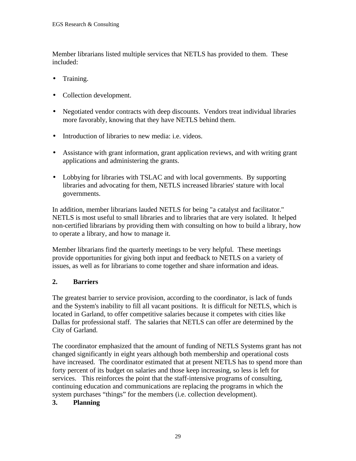Member librarians listed multiple services that NETLS has provided to them. These included:

- Training.
- Collection development.
- Negotiated vendor contracts with deep discounts. Vendors treat individual libraries more favorably, knowing that they have NETLS behind them.
- Introduction of libraries to new media: i.e. videos.
- Assistance with grant information, grant application reviews, and with writing grant applications and administering the grants.
- Lobbying for libraries with TSLAC and with local governments. By supporting libraries and advocating for them, NETLS increased libraries' stature with local governments.

In addition, member librarians lauded NETLS for being "a catalyst and facilitator." NETLS is most useful to small libraries and to libraries that are very isolated. It helped non-certified librarians by providing them with consulting on how to build a library, how to operate a library, and how to manage it.

Member librarians find the quarterly meetings to be very helpful. These meetings provide opportunities for giving both input and feedback to NETLS on a variety of issues, as well as for librarians to come together and share information and ideas.

## **2. Barriers**

The greatest barrier to service provision, according to the coordinator, is lack of funds and the System's inability to fill all vacant positions. It is difficult for NETLS, which is located in Garland, to offer competitive salaries because it competes with cities like Dallas for professional staff. The salaries that NETLS can offer are determined by the City of Garland.

The coordinator emphasized that the amount of funding of NETLS Systems grant has not changed significantly in eight years although both membership and operational costs have increased. The coordinator estimated that at present NETLS has to spend more than forty percent of its budget on salaries and those keep increasing, so less is left for services. This reinforces the point that the staff-intensive programs of consulting, continuing education and communications are replacing the programs in which the system purchases "things" for the members (i.e. collection development).

## **3. Planning**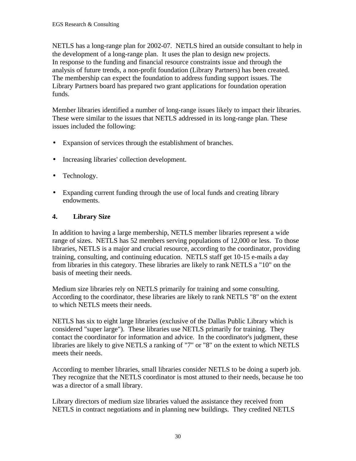NETLS has a long-range plan for 2002-07. NETLS hired an outside consultant to help in the development of a long-range plan. It uses the plan to design new projects. In response to the funding and financial resource constraints issue and through the analysis of future trends, a non-profit foundation (Library Partners) has been created. The membership can expect the foundation to address funding support issues. The Library Partners board has prepared two grant applications for foundation operation funds.

Member libraries identified a number of long-range issues likely to impact their libraries. These were similar to the issues that NETLS addressed in its long-range plan. These issues included the following:

- Expansion of services through the establishment of branches.
- Increasing libraries' collection development.
- Technology.
- Expanding current funding through the use of local funds and creating library endowments.

## **4. Library Size**

In addition to having a large membership, NETLS member libraries represent a wide range of sizes. NETLS has 52 members serving populations of 12,000 or less. To those libraries, NETLS is a major and crucial resource, according to the coordinator, providing training, consulting, and continuing education. NETLS staff get 10-15 e-mails a day from libraries in this category. These libraries are likely to rank NETLS a "10" on the basis of meeting their needs.

Medium size libraries rely on NETLS primarily for training and some consulting. According to the coordinator, these libraries are likely to rank NETLS "8" on the extent to which NETLS meets their needs.

NETLS has six to eight large libraries (exclusive of the Dallas Public Library which is considered "super large"). These libraries use NETLS primarily for training. They contact the coordinator for information and advice. In the coordinator's judgment, these libraries are likely to give NETLS a ranking of "7" or "8" on the extent to which NETLS meets their needs.

According to member libraries, small libraries consider NETLS to be doing a superb job. They recognize that the NETLS coordinator is most attuned to their needs, because he too was a director of a small library.

Library directors of medium size libraries valued the assistance they received from NETLS in contract negotiations and in planning new buildings. They credited NETLS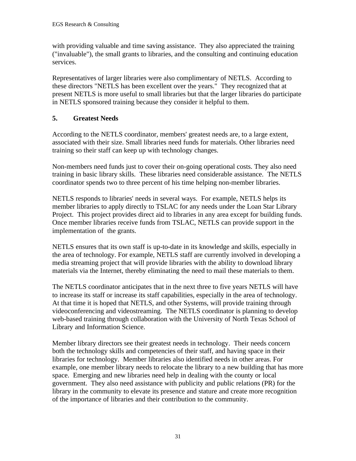with providing valuable and time saving assistance. They also appreciated the training ("invaluable"), the small grants to libraries, and the consulting and continuing education services.

Representatives of larger libraries were also complimentary of NETLS. According to these directors "NETLS has been excellent over the years." They recognized that at present NETLS is more useful to small libraries but that the larger libraries do participate in NETLS sponsored training because they consider it helpful to them.

## **5. Greatest Needs**

According to the NETLS coordinator, members' greatest needs are, to a large extent, associated with their size. Small libraries need funds for materials. Other libraries need training so their staff can keep up with technology changes.

Non-members need funds just to cover their on-going operational costs. They also need training in basic library skills. These libraries need considerable assistance. The NETLS coordinator spends two to three percent of his time helping non-member libraries.

NETLS responds to libraries' needs in several ways. For example, NETLS helps its member libraries to apply directly to TSLAC for any needs under the Loan Star Library Project. This project provides direct aid to libraries in any area except for building funds. Once member libraries receive funds from TSLAC, NETLS can provide support in the implementation of the grants.

NETLS ensures that its own staff is up-to-date in its knowledge and skills, especially in the area of technology. For example, NETLS staff are currently involved in developing a media streaming project that will provide libraries with the ability to download library materials via the Internet, thereby eliminating the need to mail these materials to them.

The NETLS coordinator anticipates that in the next three to five years NETLS will have to increase its staff or increase its staff capabilities, especially in the area of technology. At that time it is hoped that NETLS, and other Systems, will provide training through videoconferencing and videostreaming. The NETLS coordinator is planning to develop web-based training through collaboration with the University of North Texas School of Library and Information Science.

Member library directors see their greatest needs in technology. Their needs concern both the technology skills and competencies of their staff, and having space in their libraries for technology. Member libraries also identified needs in other areas. For example, one member library needs to relocate the library to a new building that has more space. Emerging and new libraries need help in dealing with the county or local government. They also need assistance with publicity and public relations (PR) for the library in the community to elevate its presence and stature and create more recognition of the importance of libraries and their contribution to the community.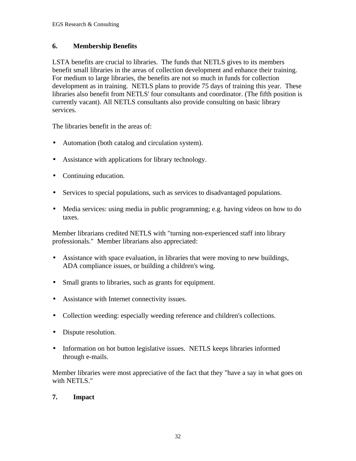## **6. Membership Benefits**

LSTA benefits are crucial to libraries. The funds that NETLS gives to its members benefit small libraries in the areas of collection development and enhance their training. For medium to large libraries, the benefits are not so much in funds for collection development as in training. NETLS plans to provide 75 days of training this year. These libraries also benefit from NETLS' four consultants and coordinator. (The fifth position is currently vacant). All NETLS consultants also provide consulting on basic library services.

The libraries benefit in the areas of:

- Automation (both catalog and circulation system).
- Assistance with applications for library technology.
- Continuing education.
- Services to special populations, such as services to disadvantaged populations.
- Media services: using media in public programming; e.g. having videos on how to do taxes.

Member librarians credited NETLS with "turning non-experienced staff into library professionals." Member librarians also appreciated:

- Assistance with space evaluation, in libraries that were moving to new buildings, ADA compliance issues, or building a children's wing.
- Small grants to libraries, such as grants for equipment.
- Assistance with Internet connectivity issues.
- Collection weeding: especially weeding reference and children's collections.
- Dispute resolution.
- Information on hot button legislative issues. NETLS keeps libraries informed through e-mails.

Member libraries were most appreciative of the fact that they "have a say in what goes on with NETLS."

## **7. Impact**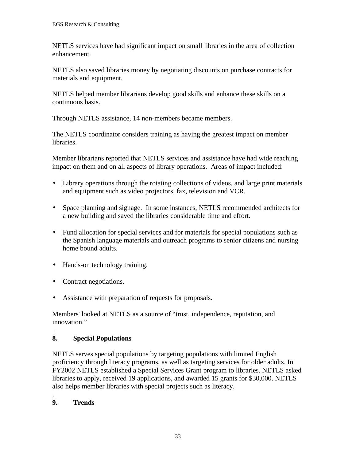NETLS services have had significant impact on small libraries in the area of collection enhancement.

NETLS also saved libraries money by negotiating discounts on purchase contracts for materials and equipment.

NETLS helped member librarians develop good skills and enhance these skills on a continuous basis.

Through NETLS assistance, 14 non-members became members.

The NETLS coordinator considers training as having the greatest impact on member libraries.

Member librarians reported that NETLS services and assistance have had wide reaching impact on them and on all aspects of library operations. Areas of impact included:

- Library operations through the rotating collections of videos, and large print materials and equipment such as video projectors, fax, television and VCR.
- Space planning and signage. In some instances, NETLS recommended architects for a new building and saved the libraries considerable time and effort.
- Fund allocation for special services and for materials for special populations such as the Spanish language materials and outreach programs to senior citizens and nursing home bound adults.
- Hands-on technology training.
- Contract negotiations.
- Assistance with preparation of requests for proposals.

Members' looked at NETLS as a source of "trust, independence, reputation, and innovation."

#### . **8. Special Populations**

NETLS serves special populations by targeting populations with limited English proficiency through literacy programs, as well as targeting services for older adults. In FY2002 NETLS established a Special Services Grant program to libraries. NETLS asked libraries to apply, received 19 applications, and awarded 15 grants for \$30,000. NETLS also helps member libraries with special projects such as literacy.

#### . **9. Trends**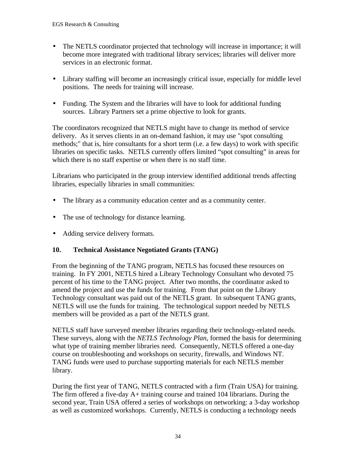- The NETLS coordinator projected that technology will increase in importance; it will become more integrated with traditional library services; libraries will deliver more services in an electronic format.
- Library staffing will become an increasingly critical issue, especially for middle level positions. The needs for training will increase.
- Funding. The System and the libraries will have to look for additional funding sources. Library Partners set a prime objective to look for grants.

The coordinators recognized that NETLS might have to change its method of service delivery. As it serves clients in an on-demand fashion, it may use "spot consulting methods;" that is, hire consultants for a short term (i.e. a few days) to work with specific libraries on specific tasks. NETLS currently offers limited "spot consulting" in areas for which there is no staff expertise or when there is no staff time.

Librarians who participated in the group interview identified additional trends affecting libraries, especially libraries in small communities:

- The library as a community education center and as a community center.
- The use of technology for distance learning.
- Adding service delivery formats.

## **10. Technical Assistance Negotiated Grants (TANG)**

From the beginning of the TANG program, NETLS has focused these resources on training. In FY 2001, NETLS hired a Library Technology Consultant who devoted 75 percent of his time to the TANG project. After two months, the coordinator asked to amend the project and use the funds for training. From that point on the Library Technology consultant was paid out of the NETLS grant. In subsequent TANG grants, NETLS will use the funds for training. The technological support needed by NETLS members will be provided as a part of the NETLS grant.

NETLS staff have surveyed member libraries regarding their technology-related needs. These surveys, along with the *NETLS Technology Plan*, formed the basis for determining what type of training member libraries need. Consequently, NETLS offered a one-day course on troubleshooting and workshops on security, firewalls, and Windows NT. TANG funds were used to purchase supporting materials for each NETLS member library.

During the first year of TANG, NETLS contracted with a firm (Train USA) for training. The firm offered a five-day A+ training course and trained 104 librarians. During the second year, Train USA offered a series of workshops on networking: a 3-day workshop as well as customized workshops. Currently, NETLS is conducting a technology needs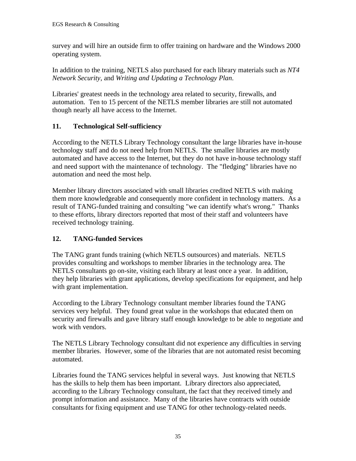survey and will hire an outside firm to offer training on hardware and the Windows 2000 operating system.

In addition to the training, NETLS also purchased for each library materials such as *NT4 Network Security*, and *Writing and Updating a Technology Plan*.

Libraries' greatest needs in the technology area related to security, firewalls, and automation. Ten to 15 percent of the NETLS member libraries are still not automated though nearly all have access to the Internet.

## **11. Technological Self-sufficiency**

According to the NETLS Library Technology consultant the large libraries have in-house technology staff and do not need help from NETLS. The smaller libraries are mostly automated and have access to the Internet, but they do not have in-house technology staff and need support with the maintenance of technology. The "fledging" libraries have no automation and need the most help.

Member library directors associated with small libraries credited NETLS with making them more knowledgeable and consequently more confident in technology matters. As a result of TANG-funded training and consulting "we can identify what's wrong." Thanks to these efforts, library directors reported that most of their staff and volunteers have received technology training.

## **12. TANG-funded Services**

The TANG grant funds training (which NETLS outsources) and materials. NETLS provides consulting and workshops to member libraries in the technology area. The NETLS consultants go on-site, visiting each library at least once a year. In addition, they help libraries with grant applications, develop specifications for equipment, and help with grant implementation.

According to the Library Technology consultant member libraries found the TANG services very helpful. They found great value in the workshops that educated them on security and firewalls and gave library staff enough knowledge to be able to negotiate and work with vendors.

The NETLS Library Technology consultant did not experience any difficulties in serving member libraries. However, some of the libraries that are not automated resist becoming automated.

Libraries found the TANG services helpful in several ways. Just knowing that NETLS has the skills to help them has been important. Library directors also appreciated, according to the Library Technology consultant, the fact that they received timely and prompt information and assistance. Many of the libraries have contracts with outside consultants for fixing equipment and use TANG for other technology-related needs.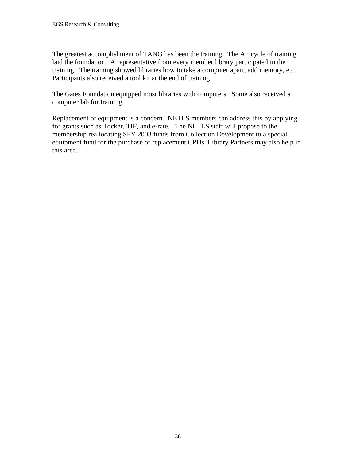The greatest accomplishment of TANG has been the training. The A+ cycle of training laid the foundation. A representative from every member library participated in the training. The training showed libraries how to take a computer apart, add memory, etc. Participants also received a tool kit at the end of training.

The Gates Foundation equipped most libraries with computers. Some also received a computer lab for training.

Replacement of equipment is a concern. NETLS members can address this by applying for grants such as Tocker, TIF, and e-rate. The NETLS staff will propose to the membership reallocating SFY 2003 funds from Collection Development to a special equipment fund for the purchase of replacement CPUs. Library Partners may also help in this area.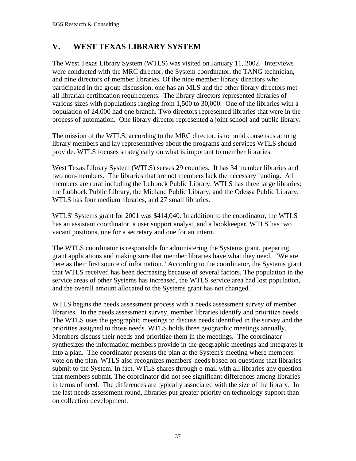# **V. WEST TEXAS LIBRARY SYSTEM**

The West Texas Library System (WTLS) was visited on January 11, 2002. Interviews were conducted with the MRC director, the System coordinator, the TANG technician, and nine directors of member libraries. Of the nine member library directors who participated in the group discussion, one has an MLS and the other library directors met all librarian certification requirements. The library directors represented libraries of various sizes with populations ranging from 1,500 to 30,000. One of the libraries with a population of 24,000 had one branch. Two directors represented libraries that were in the process of automation. One library director represented a joint school and public library.

The mission of the WTLS, according to the MRC director, is to build consensus among library members and lay representatives about the programs and services WTLS should provide. WTLS focuses strategically on what is important to member libraries.

West Texas Library System (WTLS) serves 29 counties. It has 34 member libraries and two non-members. The libraries that are not members lack the necessary funding. All members are rural including the Lubbock Public Library. WTLS has three large libraries: the Lubbock Public Library, the Midland Public Library, and the Odessa Public Library. WTLS has four medium libraries, and 27 small libraries.

WTLS' Systems grant for 2001 was \$414,040. In addition to the coordinator, the WTLS has an assistant coordinator, a user support analyst, and a bookkeeper. WTLS has two vacant positions, one for a secretary and one for an intern.

The WTLS coordinator is responsible for administering the Systems grant, preparing grant applications and making sure that member libraries have what they need. "We are here as their first source of information." According to the coordinator, the Systems grant that WTLS received has been decreasing because of several factors. The population in the service areas of other Systems has increased, the WTLS service area had lost population, and the overall amount allocated to the Systems grant has not changed.

WTLS begins the needs assessment process with a needs assessment survey of member libraries. In the needs assessment survey, member libraries identify and prioritize needs. The WTLS uses the geographic meetings to discuss needs identified in the survey and the priorities assigned to those needs. WTLS holds three geographic meetings annually. Members discuss their needs and prioritize them in the meetings. The coordinator synthesizes the information members provide in the geographic meetings and integrates it into a plan. The coordinator presents the plan at the System's meeting where members vote on the plan. WTLS also recognizes members' needs based on questions that libraries submit to the System. In fact, WTLS shares through e-mail with all libraries any question that members submit. The coordinator did not see significant differences among libraries in terms of need. The differences are typically associated with the size of the library. In the last needs assessment round, libraries put greater priority on technology support than on collection development.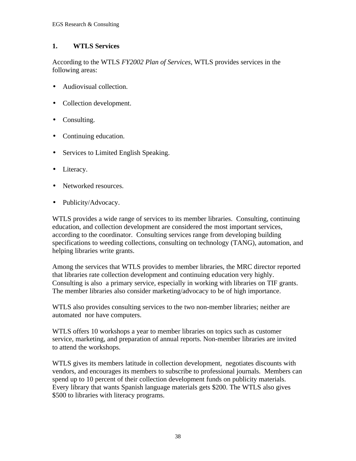## **1. WTLS Services**

According to the WTLS *FY2002 Plan of Services*, WTLS provides services in the following areas:

- Audiovisual collection.
- Collection development.
- Consulting.
- Continuing education.
- Services to Limited English Speaking.
- Literacy.
- Networked resources.
- Publicity/Advocacy.

WTLS provides a wide range of services to its member libraries. Consulting, continuing education, and collection development are considered the most important services, according to the coordinator. Consulting services range from developing building specifications to weeding collections, consulting on technology (TANG), automation, and helping libraries write grants.

Among the services that WTLS provides to member libraries, the MRC director reported that libraries rate collection development and continuing education very highly. Consulting is also a primary service, especially in working with libraries on TIF grants. The member libraries also consider marketing/advocacy to be of high importance.

WTLS also provides consulting services to the two non-member libraries; neither are automated nor have computers.

WTLS offers 10 workshops a year to member libraries on topics such as customer service, marketing, and preparation of annual reports. Non-member libraries are invited to attend the workshops.

WTLS gives its members latitude in collection development, negotiates discounts with vendors, and encourages its members to subscribe to professional journals. Members can spend up to 10 percent of their collection development funds on publicity materials. Every library that wants Spanish language materials gets \$200. The WTLS also gives \$500 to libraries with literacy programs.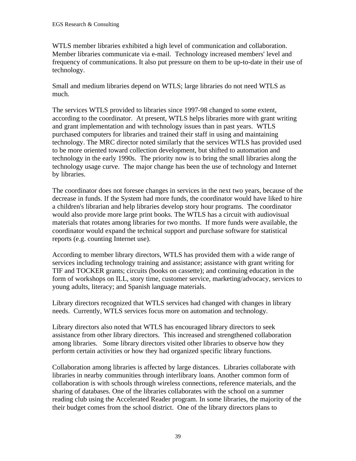WTLS member libraries exhibited a high level of communication and collaboration. Member libraries communicate via e-mail. Technology increased members' level and frequency of communications. It also put pressure on them to be up-to-date in their use of technology.

Small and medium libraries depend on WTLS; large libraries do not need WTLS as much.

The services WTLS provided to libraries since 1997-98 changed to some extent, according to the coordinator. At present, WTLS helps libraries more with grant writing and grant implementation and with technology issues than in past years. WTLS purchased computers for libraries and trained their staff in using and maintaining technology. The MRC director noted similarly that the services WTLS has provided used to be more oriented toward collection development, but shifted to automation and technology in the early 1990s. The priority now is to bring the small libraries along the technology usage curve. The major change has been the use of technology and Internet by libraries.

The coordinator does not foresee changes in services in the next two years, because of the decrease in funds. If the System had more funds, the coordinator would have liked to hire a children's librarian and help libraries develop story hour programs. The coordinator would also provide more large print books. The WTLS has a circuit with audiovisual materials that rotates among libraries for two months. If more funds were available, the coordinator would expand the technical support and purchase software for statistical reports (e.g. counting Internet use).

According to member library directors, WTLS has provided them with a wide range of services including technology training and assistance; assistance with grant writing for TIF and TOCKER grants; circuits (books on cassette); and continuing education in the form of workshops on ILL, story time, customer service, marketing/advocacy, services to young adults, literacy; and Spanish language materials.

Library directors recognized that WTLS services had changed with changes in library needs. Currently, WTLS services focus more on automation and technology.

Library directors also noted that WTLS has encouraged library directors to seek assistance from other library directors. This increased and strengthened collaboration among libraries. Some library directors visited other libraries to observe how they perform certain activities or how they had organized specific library functions.

Collaboration among libraries is affected by large distances. Libraries collaborate with libraries in nearby communities through interlibrary loans. Another common form of collaboration is with schools through wireless connections, reference materials, and the sharing of databases. One of the libraries collaborates with the school on a summer reading club using the Accelerated Reader program. In some libraries, the majority of the their budget comes from the school district. One of the library directors plans to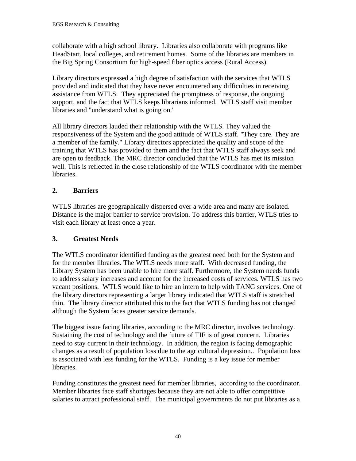collaborate with a high school library. Libraries also collaborate with programs like HeadStart, local colleges, and retirement homes. Some of the libraries are members in the Big Spring Consortium for high-speed fiber optics access (Rural Access).

Library directors expressed a high degree of satisfaction with the services that WTLS provided and indicated that they have never encountered any difficulties in receiving assistance from WTLS. They appreciated the promptness of response, the ongoing support, and the fact that WTLS keeps librarians informed. WTLS staff visit member libraries and "understand what is going on."

All library directors lauded their relationship with the WTLS. They valued the responsiveness of the System and the good attitude of WTLS staff. "They care. They are a member of the family." Library directors appreciated the quality and scope of the training that WTLS has provided to them and the fact that WTLS staff always seek and are open to feedback. The MRC director concluded that the WTLS has met its mission well. This is reflected in the close relationship of the WTLS coordinator with the member libraries.

## **2. Barriers**

WTLS libraries are geographically dispersed over a wide area and many are isolated. Distance is the major barrier to service provision. To address this barrier, WTLS tries to visit each library at least once a year.

## **3. Greatest Needs**

The WTLS coordinator identified funding as the greatest need both for the System and for the member libraries. The WTLS needs more staff. With decreased funding, the Library System has been unable to hire more staff. Furthermore, the System needs funds to address salary increases and account for the increased costs of services. WTLS has two vacant positions. WTLS would like to hire an intern to help with TANG services. One of the library directors representing a larger library indicated that WTLS staff is stretched thin. The library director attributed this to the fact that WTLS funding has not changed although the System faces greater service demands.

The biggest issue facing libraries, according to the MRC director, involves technology. Sustaining the cost of technology and the future of TIF is of great concern. Libraries need to stay current in their technology. In addition, the region is facing demographic changes as a result of population loss due to the agricultural depression.. Population loss is associated with less funding for the WTLS. Funding is a key issue for member libraries.

Funding constitutes the greatest need for member libraries, according to the coordinator. Member libraries face staff shortages because they are not able to offer competitive salaries to attract professional staff. The municipal governments do not put libraries as a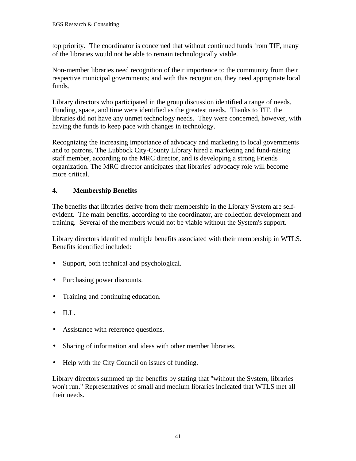top priority. The coordinator is concerned that without continued funds from TIF, many of the libraries would not be able to remain technologically viable.

Non-member libraries need recognition of their importance to the community from their respective municipal governments; and with this recognition, they need appropriate local funds.

Library directors who participated in the group discussion identified a range of needs. Funding, space, and time were identified as the greatest needs. Thanks to TIF, the libraries did not have any unmet technology needs. They were concerned, however, with having the funds to keep pace with changes in technology.

Recognizing the increasing importance of advocacy and marketing to local governments and to patrons, The Lubbock City-County Library hired a marketing and fund-raising staff member, according to the MRC director, and is developing a strong Friends organization. The MRC director anticipates that libraries' advocacy role will become more critical.

## **4. Membership Benefits**

The benefits that libraries derive from their membership in the Library System are selfevident. The main benefits, according to the coordinator, are collection development and training. Several of the members would not be viable without the System's support.

Library directors identified multiple benefits associated with their membership in WTLS. Benefits identified included:

- Support, both technical and psychological.
- Purchasing power discounts.
- Training and continuing education.
- ILL.
- Assistance with reference questions.
- Sharing of information and ideas with other member libraries.
- Help with the City Council on issues of funding.

Library directors summed up the benefits by stating that "without the System, libraries won't run." Representatives of small and medium libraries indicated that WTLS met all their needs.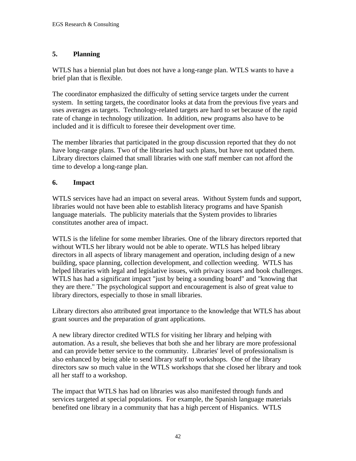## **5. Planning**

WTLS has a biennial plan but does not have a long-range plan. WTLS wants to have a brief plan that is flexible.

The coordinator emphasized the difficulty of setting service targets under the current system. In setting targets, the coordinator looks at data from the previous five years and uses averages as targets. Technology-related targets are hard to set because of the rapid rate of change in technology utilization. In addition, new programs also have to be included and it is difficult to foresee their development over time.

The member libraries that participated in the group discussion reported that they do not have long-range plans. Two of the libraries had such plans, but have not updated them. Library directors claimed that small libraries with one staff member can not afford the time to develop a long-range plan.

## **6. Impact**

WTLS services have had an impact on several areas. Without System funds and support, libraries would not have been able to establish literacy programs and have Spanish language materials. The publicity materials that the System provides to libraries constitutes another area of impact.

WTLS is the lifeline for some member libraries. One of the library directors reported that without WTLS her library would not be able to operate. WTLS has helped library directors in all aspects of library management and operation, including design of a new building, space planning, collection development, and collection weeding. WTLS has helped libraries with legal and legislative issues, with privacy issues and book challenges. WTLS has had a significant impact "just by being a sounding board" and "knowing that they are there." The psychological support and encouragement is also of great value to library directors, especially to those in small libraries.

Library directors also attributed great importance to the knowledge that WTLS has about grant sources and the preparation of grant applications.

A new library director credited WTLS for visiting her library and helping with automation. As a result, she believes that both she and her library are more professional and can provide better service to the community. Libraries' level of professionalism is also enhanced by being able to send library staff to workshops. One of the library directors saw so much value in the WTLS workshops that she closed her library and took all her staff to a workshop.

The impact that WTLS has had on libraries was also manifested through funds and services targeted at special populations. For example, the Spanish language materials benefited one library in a community that has a high percent of Hispanics. WTLS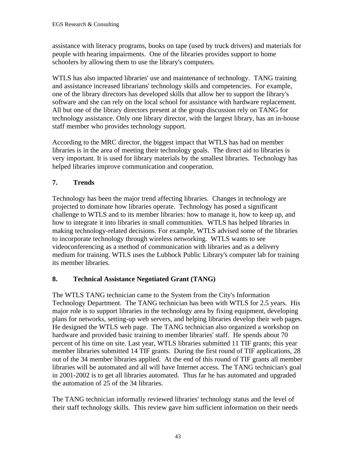assistance with literacy programs, books on tape (used by truck drivers) and materials for people with hearing impairments. One of the libraries provides support to home schoolers by allowing them to use the library's computers.

WTLS has also impacted libraries' use and maintenance of technology. TANG training and assistance increased librarians' technology skills and competencies. For example, one of the library directors has developed skills that allow her to support the library's software and she can rely on the local school for assistance with hardware replacement. All but one of the library directors present at the group discussion rely on TANG for technology assistance. Only one library director, with the largest library, has an in-house staff member who provides technology support.

According to the MRC director, the biggest impact that WTLS has had on member libraries is in the area of meeting their technology goals. The direct aid to libraries is very important. It is used for library materials by the smallest libraries. Technology has helped libraries improve communication and cooperation.

## **7. Trends**

Technology has been the major trend affecting libraries. Changes in technology are projected to dominate how libraries operate. Technology has posed a significant challenge to WTLS and to its member libraries: how to manage it, how to keep up, and how to integrate it into libraries in small communities. WTLS has helped libraries in making technology-related decisions. For example, WTLS advised some of the libraries to incorporate technology through wireless networking. WTLS wants to see videoconferencing as a method of communication with libraries and as a delivery medium for training. WTLS uses the Lubbock Public Library's computer lab for training its member libraries.

## **8. Technical Assistance Negotiated Grant (TANG)**

The WTLS TANG technician came to the System from the City's Information Technology Department. The TANG technician has been with WTLS for 2.5 years. His major role is to support libraries in the technology area by fixing equipment, developing plans for networks, setting-up web servers, and helping libraries develop their web pages. He designed the WTLS web page. The TANG technician also organized a workshop on hardware and provided basic training to member libraries' staff. He spends about 70 percent of his time on site. Last year, WTLS libraries submitted 11 TIF grants; this year member libraries submitted 14 TIF grants. During the first round of TIF applications, 28 out of the 34 member libraries applied. At the end of this round of TIF grants all member libraries will be automated and all will have Internet access. The TANG technician's goal in 2001-2002 is to get all libraries automated. Thus far he has automated and upgraded the automation of 25 of the 34 libraries.

The TANG technician informally reviewed libraries' technology status and the level of their staff technology skills. This review gave him sufficient information on their needs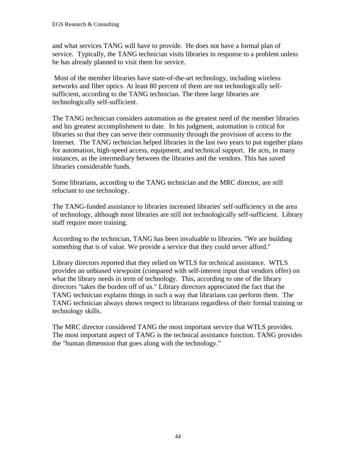and what services TANG will have to provide. He does not have a formal plan of service. Typically, the TANG technician visits libraries in response to a problem unless he has already planned to visit them for service.

 Most of the member libraries have state-of-the-art technology, including wireless networks and fiber optics. At least 80 percent of them are not technologically selfsufficient, according to the TANG technician. The three large libraries are technologically self-sufficient.

The TANG technician considers automation as the greatest need of the member libraries and his greatest accomplishment to date. In his judgment, automation is critical for libraries so that they can serve their community through the provision of access to the Internet. The TANG technician helped libraries in the last two years to put together plans for automation, high-speed access, equipment, and technical support. He acts, in many instances, as the intermediary between the libraries and the vendors. This has saved libraries considerable funds.

Some librarians, according to the TANG technician and the MRC director, are still reluctant to use technology.

The TANG-funded assistance to libraries increased libraries' self-sufficiency in the area of technology, although most libraries are still not technologically self-sufficient. Library staff require more training.

According to the technician, TANG has been invaluable to libraries. "We are building something that is of value. We provide a service that they could never afford."

Library directors reported that they relied on WTLS for technical assistance. WTLS provides an unbiased viewpoint (compared with self-interest input that vendors offer) on what the library needs in term of technology. This, according to one of the library directors "takes the burden off of us." Library directors appreciated the fact that the TANG technician explains things in such a way that librarians can perform them. The TANG technician always shows respect to librarians regardless of their formal training or technology skills.

The MRC director considered TANG the most important service that WTLS provides. The most important aspect of TANG is the technical assistance function. TANG provides the "human dimension that goes along with the technology."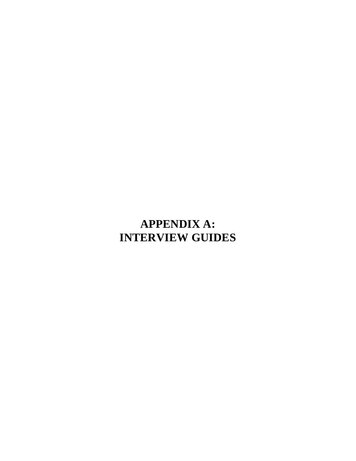# **APPENDIX A: INTERVIEW GUIDES**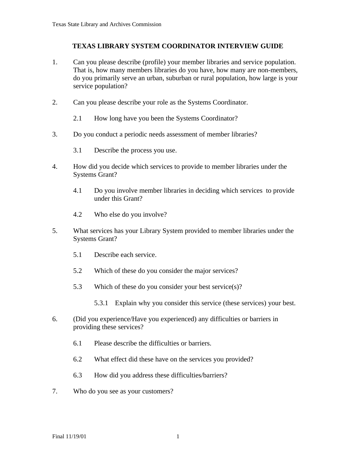### **TEXAS LIBRARY SYSTEM COORDINATOR INTERVIEW GUIDE**

- 1. Can you please describe (profile) your member libraries and service population. That is, how many members libraries do you have, how many are non-members, do you primarily serve an urban, suburban or rural population, how large is your service population?
- 2. Can you please describe your role as the Systems Coordinator.
	- 2.1 How long have you been the Systems Coordinator?
- 3. Do you conduct a periodic needs assessment of member libraries?
	- 3.1 Describe the process you use.
- 4. How did you decide which services to provide to member libraries under the Systems Grant?
	- 4.1 Do you involve member libraries in deciding which services to provide under this Grant?
	- 4.2 Who else do you involve?
- 5. What services has your Library System provided to member libraries under the Systems Grant?
	- 5.1 Describe each service.
	- 5.2 Which of these do you consider the major services?
	- 5.3 Which of these do you consider your best service(s)?
		- 5.3.1 Explain why you consider this service (these services) your best.
- 6. (Did you experience/Have you experienced) any difficulties or barriers in providing these services?
	- 6.1 Please describe the difficulties or barriers.
	- 6.2 What effect did these have on the services you provided?
	- 6.3 How did you address these difficulties/barriers?
- 7. Who do you see as your customers?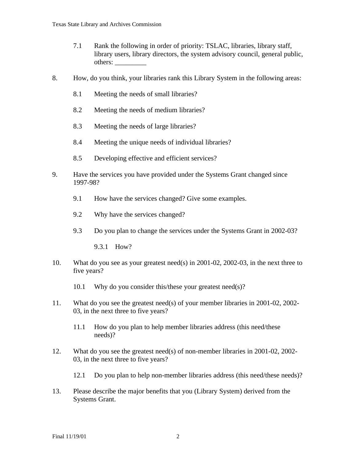- 7.1 Rank the following in order of priority: TSLAC, libraries, library staff, library users, library directors, the system advisory council, general public, others: \_\_\_\_\_\_\_\_\_
- 8. How, do you think, your libraries rank this Library System in the following areas:
	- 8.1 Meeting the needs of small libraries?
	- 8.2 Meeting the needs of medium libraries?
	- 8.3 Meeting the needs of large libraries?
	- 8.4 Meeting the unique needs of individual libraries?
	- 8.5 Developing effective and efficient services?
- 9. Have the services you have provided under the Systems Grant changed since 1997-98?
	- 9.1 How have the services changed? Give some examples.
	- 9.2 Why have the services changed?
	- 9.3 Do you plan to change the services under the Systems Grant in 2002-03?

9.3.1 How?

- 10. What do you see as your greatest need(s) in 2001-02, 2002-03, in the next three to five years?
	- 10.1 Why do you consider this/these your greatest need(s)?
- 11. What do you see the greatest need(s) of your member libraries in 2001-02, 2002- 03, in the next three to five years?
	- 11.1 How do you plan to help member libraries address (this need/these needs)?
- 12. What do you see the greatest need(s) of non-member libraries in 2001-02, 2002- 03, in the next three to five years?
	- 12.1 Do you plan to help non-member libraries address (this need/these needs)?
- 13. Please describe the major benefits that you (Library System) derived from the Systems Grant.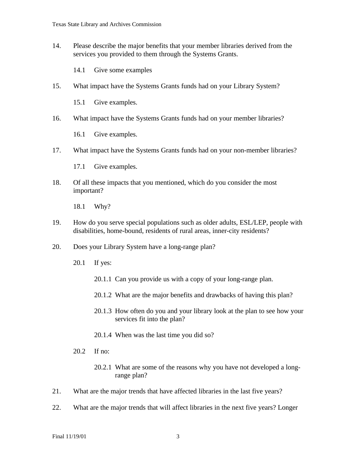14. Please describe the major benefits that your member libraries derived from the services you provided to them through the Systems Grants.

14.1 Give some examples

15. What impact have the Systems Grants funds had on your Library System?

15.1 Give examples.

16. What impact have the Systems Grants funds had on your member libraries?

16.1 Give examples.

17. What impact have the Systems Grants funds had on your non-member libraries?

17.1 Give examples.

18. Of all these impacts that you mentioned, which do you consider the most important?

18.1 Why?

- 19. How do you serve special populations such as older adults, ESL/LEP, people with disabilities, home-bound, residents of rural areas, inner-city residents?
- 20. Does your Library System have a long-range plan?
	- 20.1 If yes:
		- 20.1.1 Can you provide us with a copy of your long-range plan.
		- 20.1.2 What are the major benefits and drawbacks of having this plan?
		- 20.1.3 How often do you and your library look at the plan to see how your services fit into the plan?
		- 20.1.4 When was the last time you did so?
	- 20.2 If no:
		- 20.2.1 What are some of the reasons why you have not developed a longrange plan?
- 21. What are the major trends that have affected libraries in the last five years?
- 22. What are the major trends that will affect libraries in the next five years? Longer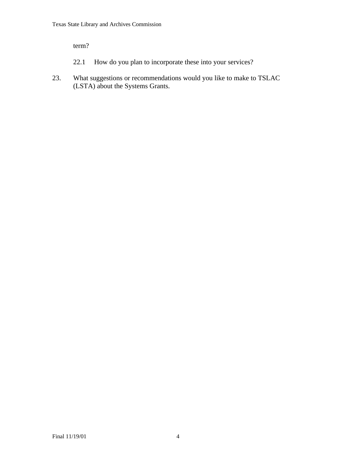term?

- 22.1 How do you plan to incorporate these into your services?
- 23. What suggestions or recommendations would you like to make to TSLAC (LSTA) about the Systems Grants.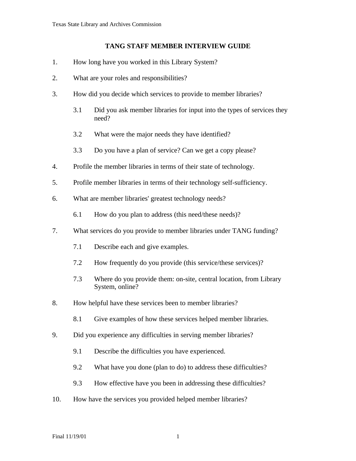#### **TANG STAFF MEMBER INTERVIEW GUIDE**

- 1. How long have you worked in this Library System?
- 2. What are your roles and responsibilities?
- 3. How did you decide which services to provide to member libraries?
	- 3.1 Did you ask member libraries for input into the types of services they need?
	- 3.2 What were the major needs they have identified?
	- 3.3 Do you have a plan of service? Can we get a copy please?
- 4. Profile the member libraries in terms of their state of technology.
- 5. Profile member libraries in terms of their technology self-sufficiency.
- 6. What are member libraries' greatest technology needs?
	- 6.1 How do you plan to address (this need/these needs)?
- 7. What services do you provide to member libraries under TANG funding?
	- 7.1 Describe each and give examples.
	- 7.2 How frequently do you provide (this service/these services)?
	- 7.3 Where do you provide them: on-site, central location, from Library System, online?
- 8. How helpful have these services been to member libraries?
	- 8.1 Give examples of how these services helped member libraries.
- 9. Did you experience any difficulties in serving member libraries?
	- 9.1 Describe the difficulties you have experienced.
	- 9.2 What have you done (plan to do) to address these difficulties?
	- 9.3 How effective have you been in addressing these difficulties?
- 10. How have the services you provided helped member libraries?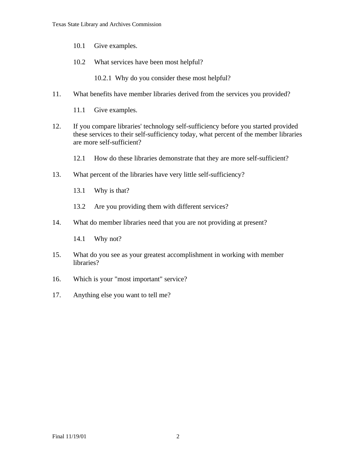- 10.1 Give examples.
- 10.2 What services have been most helpful?

10.2.1 Why do you consider these most helpful?

- 11. What benefits have member libraries derived from the services you provided?
	- 11.1 Give examples.
- 12. If you compare libraries' technology self-sufficiency before you started provided these services to their self-sufficiency today, what percent of the member libraries are more self-sufficient?
	- 12.1 How do these libraries demonstrate that they are more self-sufficient?
- 13. What percent of the libraries have very little self-sufficiency?
	- 13.1 Why is that?
	- 13.2 Are you providing them with different services?
- 14. What do member libraries need that you are not providing at present?
	- 14.1 Why not?
- 15. What do you see as your greatest accomplishment in working with member libraries?
- 16. Which is your "most important" service?
- 17. Anything else you want to tell me?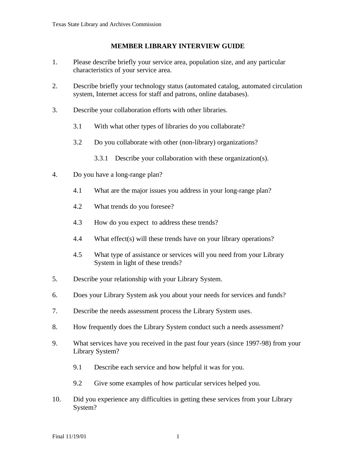#### **MEMBER LIBRARY INTERVIEW GUIDE**

- 1. Please describe briefly your service area, population size, and any particular characteristics of your service area.
- 2. Describe briefly your technology status (automated catalog, automated circulation system, Internet access for staff and patrons, online databases).
- 3. Describe your collaboration efforts with other libraries.
	- 3.1 With what other types of libraries do you collaborate?
	- 3.2 Do you collaborate with other (non-library) organizations?
		- 3.3.1 Describe your collaboration with these organization(s).
- 4. Do you have a long-range plan?
	- 4.1 What are the major issues you address in your long-range plan?
	- 4.2 What trends do you foresee?
	- 4.3 How do you expect to address these trends?
	- 4.4 What effect(s) will these trends have on your library operations?
	- 4.5 What type of assistance or services will you need from your Library System in light of these trends?
- 5. Describe your relationship with your Library System.
- 6. Does your Library System ask you about your needs for services and funds?
- 7. Describe the needs assessment process the Library System uses.
- 8. How frequently does the Library System conduct such a needs assessment?
- 9. What services have you received in the past four years (since 1997-98) from your Library System?
	- 9.1 Describe each service and how helpful it was for you.
	- 9.2 Give some examples of how particular services helped you.
- 10. Did you experience any difficulties in getting these services from your Library System?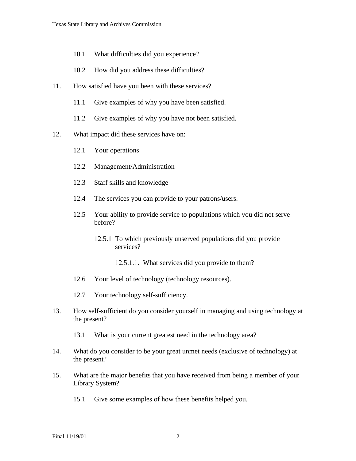- 10.1 What difficulties did you experience?
- 10.2 How did you address these difficulties?
- 11. How satisfied have you been with these services?
	- 11.1 Give examples of why you have been satisfied.
	- 11.2 Give examples of why you have not been satisfied.
- 12. What impact did these services have on:
	- 12.1 Your operations
	- 12.2 Management/Administration
	- 12.3 Staff skills and knowledge
	- 12.4 The services you can provide to your patrons/users.
	- 12.5 Your ability to provide service to populations which you did not serve before?
		- 12.5.1 To which previously unserved populations did you provide services?
			- 12.5.1.1. What services did you provide to them?
	- 12.6 Your level of technology (technology resources).
	- 12.7 Your technology self-sufficiency.
- 13. How self-sufficient do you consider yourself in managing and using technology at the present?
	- 13.1 What is your current greatest need in the technology area?
- 14. What do you consider to be your great unmet needs (exclusive of technology) at the present?
- 15. What are the major benefits that you have received from being a member of your Library System?
	- 15.1 Give some examples of how these benefits helped you.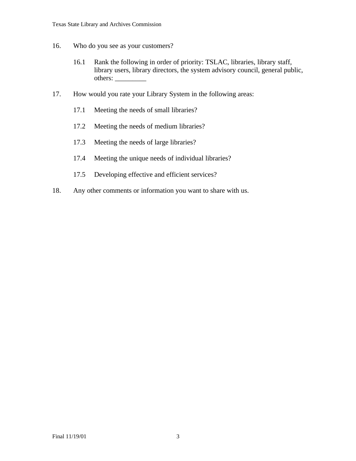- 16. Who do you see as your customers?
	- 16.1 Rank the following in order of priority: TSLAC, libraries, library staff, library users, library directors, the system advisory council, general public, others: \_\_\_\_\_\_\_\_\_
- 17. How would you rate your Library System in the following areas:
	- 17.1 Meeting the needs of small libraries?
	- 17.2 Meeting the needs of medium libraries?
	- 17.3 Meeting the needs of large libraries?
	- 17.4 Meeting the unique needs of individual libraries?
	- 17.5 Developing effective and efficient services?
- 18. Any other comments or information you want to share with us.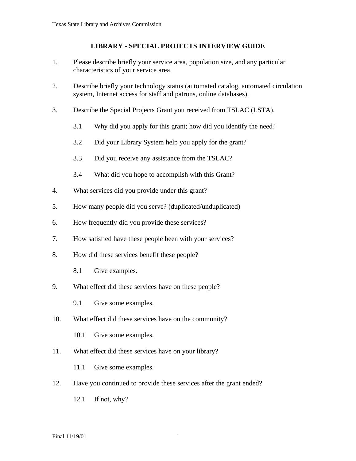#### **LIBRARY - SPECIAL PROJECTS INTERVIEW GUIDE**

- 1. Please describe briefly your service area, population size, and any particular characteristics of your service area.
- 2. Describe briefly your technology status (automated catalog, automated circulation system, Internet access for staff and patrons, online databases).
- 3. Describe the Special Projects Grant you received from TSLAC (LSTA).
	- 3.1 Why did you apply for this grant; how did you identify the need?
	- 3.2 Did your Library System help you apply for the grant?
	- 3.3 Did you receive any assistance from the TSLAC?
	- 3.4 What did you hope to accomplish with this Grant?
- 4. What services did you provide under this grant?
- 5. How many people did you serve? (duplicated/unduplicated)
- 6. How frequently did you provide these services?
- 7. How satisfied have these people been with your services?
- 8. How did these services benefit these people?
	- 8.1 Give examples.
- 9. What effect did these services have on these people?
	- 9.1 Give some examples.
- 10. What effect did these services have on the community?
	- 10.1 Give some examples.
- 11. What effect did these services have on your library?

11.1 Give some examples.

- 12. Have you continued to provide these services after the grant ended?
	- 12.1 If not, why?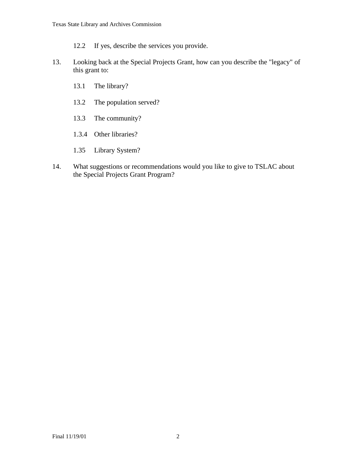12.2 If yes, describe the services you provide.

- 13. Looking back at the Special Projects Grant, how can you describe the "legacy" of this grant to:
	- 13.1 The library?
	- 13.2 The population served?
	- 13.3 The community?
	- 1.3.4 Other libraries?
	- 1.35 Library System?
- 14. What suggestions or recommendations would you like to give to TSLAC about the Special Projects Grant Program?